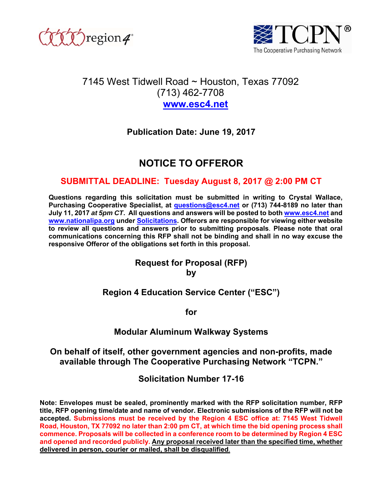



# 7145 West Tidwell Road ~ Houston, Texas 77092 (713) 462-7708 **www.esc4.net**

# **Publication Date: June 19, 2017**

# **NOTICE TO OFFEROR**

## **SUBMITTAL DEADLINE: Tuesday August 8, 2017 @ 2:00 PM CT**

**Questions regarding this solicitation must be submitted in writing to Crystal Wallace, Purchasing Cooperative Specialist, at questions@esc4.net or (713) 744-8189 no later than July 11, 2017** *at 5pm CT***. All questions and answers will be posted to both www.esc4.net and www.nationalipa.org under Solicitations. Offerors are responsible for viewing either website to review all questions and answers prior to submitting proposals**. **Please note that oral communications concerning this RFP shall not be binding and shall in no way excuse the responsive Offeror of the obligations set forth in this proposal.** 

## **Request for Proposal (RFP) by**

## **Region 4 Education Service Center ("ESC")**

**for** 

## **Modular Aluminum Walkway Systems**

## **On behalf of itself, other government agencies and non-profits, made available through The Cooperative Purchasing Network "TCPN."**

**Solicitation Number 17-16** 

**Note: Envelopes must be sealed, prominently marked with the RFP solicitation number, RFP title, RFP opening time/date and name of vendor. Electronic submissions of the RFP will not be accepted. Submissions must be received by the Region 4 ESC office at: 7145 West Tidwell Road, Houston, TX 77092 no later than 2:00 pm CT, at which time the bid opening process shall commence. Proposals will be collected in a conference room to be determined by Region 4 ESC and opened and recorded publicly. Any proposal received later than the specified time, whether delivered in person, courier or mailed, shall be disqualified**.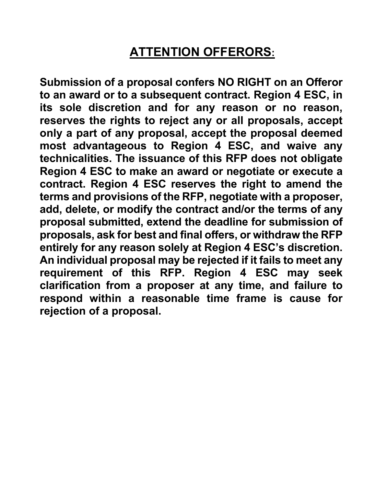# **ATTENTION OFFERORS:**

**Submission of a proposal confers NO RIGHT on an Offeror to an award or to a subsequent contract. Region 4 ESC, in its sole discretion and for any reason or no reason, reserves the rights to reject any or all proposals, accept only a part of any proposal, accept the proposal deemed most advantageous to Region 4 ESC, and waive any technicalities. The issuance of this RFP does not obligate Region 4 ESC to make an award or negotiate or execute a contract. Region 4 ESC reserves the right to amend the terms and provisions of the RFP, negotiate with a proposer, add, delete, or modify the contract and/or the terms of any proposal submitted, extend the deadline for submission of proposals, ask for best and final offers, or withdraw the RFP entirely for any reason solely at Region 4 ESC's discretion. An individual proposal may be rejected if it fails to meet any requirement of this RFP. Region 4 ESC may seek clarification from a proposer at any time, and failure to respond within a reasonable time frame is cause for rejection of a proposal.**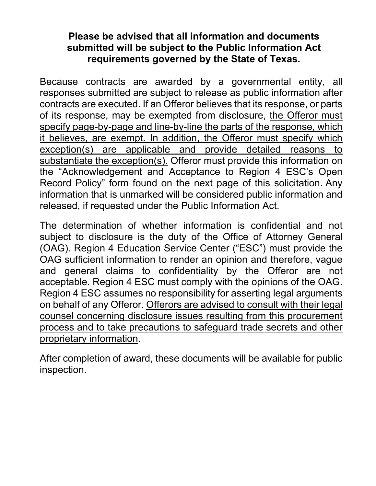# **Please be advised that all information and documents submitted will be subject to the Public Information Act requirements governed by the State of Texas.**

Because contracts are awarded by a governmental entity, all responses submitted are subject to release as public information after contracts are executed. If an Offeror believes that its response, or parts of its response, may be exempted from disclosure, the Offeror must specify page-by-page and line-by-line the parts of the response, which it believes, are exempt. In addition, the Offeror must specify which exception(s) are applicable and provide detailed reasons to substantiate the exception(s). Offeror must provide this information on the "Acknowledgement and Acceptance to Region 4 ESC's Open Record Policy" form found on the next page of this solicitation. Any information that is unmarked will be considered public information and released, if requested under the Public Information Act.

The determination of whether information is confidential and not subject to disclosure is the duty of the Office of Attorney General (OAG). Region 4 Education Service Center ("ESC") must provide the OAG sufficient information to render an opinion and therefore, vague and general claims to confidentiality by the Offeror are not acceptable. Region 4 ESC must comply with the opinions of the OAG. Region 4 ESC assumes no responsibility for asserting legal arguments on behalf of any Offeror. Offerors are advised to consult with their legal counsel concerning disclosure issues resulting from this procurement process and to take precautions to safeguard trade secrets and other proprietary information.

After completion of award, these documents will be available for public inspection.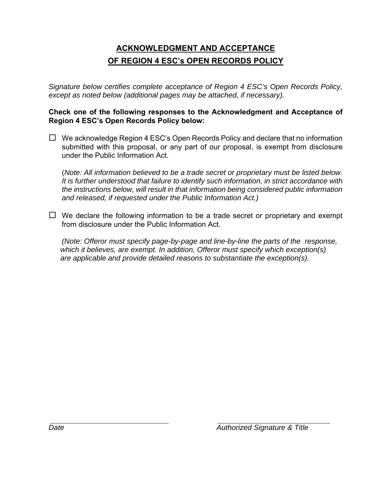# **ACKNOWLEDGMENT AND ACCEPTANCE OF REGION 4 ESC's OPEN RECORDS POLICY**

*Signature below certifies complete acceptance of Region 4 ESC's Open Records Policy, except as noted below (additional pages may be attached, if necessary).* 

## **Check one of the following responses to the Acknowledgment and Acceptance of Region 4 ESC's Open Records Policy below:**

 $\Box$  We acknowledge Region 4 ESC's Open Records Policy and declare that no information submitted with this proposal, or any part of our proposal, is exempt from disclosure under the Public Information Act.

(*Note: All information believed to be a trade secret or proprietary must be listed below. It is further understood that failure to identify such information, in strict accordance with the instructions below, will result in that information being considered public information and released, if requested under the Public Information Act.)*

 $\Box$  We declare the following information to be a trade secret or proprietary and exempt from disclosure under the Public Information Act.

*(Note: Offeror must specify page-by-page and line-by-line the parts of the response, which it believes, are exempt. In addition, Offeror must specify which exception(s) are applicable and provide detailed reasons to substantiate the exception(s).*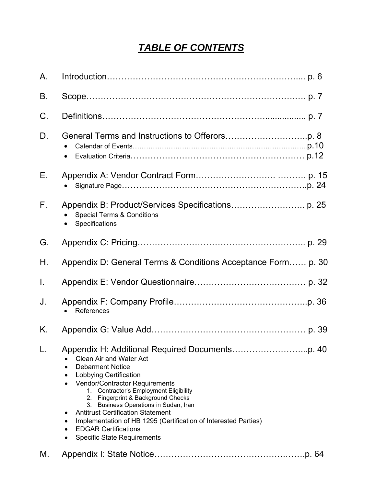# *TABLE OF CONTENTS*

| Α.           |                                                                                                                                                                                                                                                                                                                                                                                                                                                                                                |
|--------------|------------------------------------------------------------------------------------------------------------------------------------------------------------------------------------------------------------------------------------------------------------------------------------------------------------------------------------------------------------------------------------------------------------------------------------------------------------------------------------------------|
| Β.           |                                                                                                                                                                                                                                                                                                                                                                                                                                                                                                |
| C.           |                                                                                                                                                                                                                                                                                                                                                                                                                                                                                                |
| D.           | ٠                                                                                                                                                                                                                                                                                                                                                                                                                                                                                              |
| Е.           |                                                                                                                                                                                                                                                                                                                                                                                                                                                                                                |
| $F_{\rm{H}}$ | <b>Special Terms &amp; Conditions</b><br>Specifications                                                                                                                                                                                                                                                                                                                                                                                                                                        |
| G.           |                                                                                                                                                                                                                                                                                                                                                                                                                                                                                                |
| Η.           | Appendix D: General Terms & Conditions Acceptance Form p. 30                                                                                                                                                                                                                                                                                                                                                                                                                                   |
| T.           |                                                                                                                                                                                                                                                                                                                                                                                                                                                                                                |
| J.           | References                                                                                                                                                                                                                                                                                                                                                                                                                                                                                     |
| Κ.           |                                                                                                                                                                                                                                                                                                                                                                                                                                                                                                |
|              | <b>Clean Air and Water Act</b><br><b>Debarment Notice</b><br>$\bullet$<br><b>Lobbying Certification</b><br>٠<br><b>Vendor/Contractor Requirements</b><br>1. Contractor's Employment Eligibility<br>2. Fingerprint & Background Checks<br>3. Business Operations in Sudan, Iran<br><b>Antitrust Certification Statement</b><br>٠<br>Implementation of HB 1295 (Certification of Interested Parties)<br>٠<br><b>EDGAR Certifications</b><br>$\bullet$<br><b>Specific State Requirements</b><br>٠ |
| М.           |                                                                                                                                                                                                                                                                                                                                                                                                                                                                                                |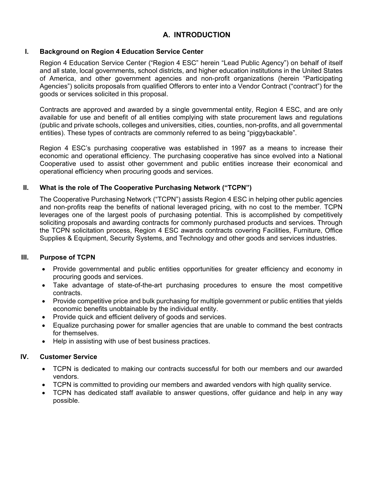## **A. INTRODUCTION**

### **I. Background on Region 4 Education Service Center**

Region 4 Education Service Center ("Region 4 ESC" herein "Lead Public Agency") on behalf of itself and all state, local governments, school districts, and higher education institutions in the United States of America, and other government agencies and non-profit organizations (herein "Participating Agencies") solicits proposals from qualified Offerors to enter into a Vendor Contract ("contract") for the goods or services solicited in this proposal.

Contracts are approved and awarded by a single governmental entity, Region 4 ESC, and are only available for use and benefit of all entities complying with state procurement laws and regulations (public and private schools, colleges and universities, cities, counties, non-profits, and all governmental entities). These types of contracts are commonly referred to as being "piggybackable".

Region 4 ESC's purchasing cooperative was established in 1997 as a means to increase their economic and operational efficiency. The purchasing cooperative has since evolved into a National Cooperative used to assist other government and public entities increase their economical and operational efficiency when procuring goods and services.

### **II. What is the role of The Cooperative Purchasing Network ("TCPN")**

The Cooperative Purchasing Network ("TCPN") assists Region 4 ESC in helping other public agencies and non-profits reap the benefits of national leveraged pricing, with no cost to the member. TCPN leverages one of the largest pools of purchasing potential. This is accomplished by competitively soliciting proposals and awarding contracts for commonly purchased products and services. Through the TCPN solicitation process, Region 4 ESC awards contracts covering Facilities, Furniture, Office Supplies & Equipment, Security Systems, and Technology and other goods and services industries.

### **III. Purpose of TCPN**

- Provide governmental and public entities opportunities for greater efficiency and economy in procuring goods and services.
- Take advantage of state-of-the-art purchasing procedures to ensure the most competitive contracts.
- Provide competitive price and bulk purchasing for multiple government or public entities that yields economic benefits unobtainable by the individual entity.
- Provide quick and efficient delivery of goods and services.
- Equalize purchasing power for smaller agencies that are unable to command the best contracts for themselves.
- Help in assisting with use of best business practices.

#### **IV. Customer Service**

- TCPN is dedicated to making our contracts successful for both our members and our awarded vendors.
- TCPN is committed to providing our members and awarded vendors with high quality service.
- TCPN has dedicated staff available to answer questions, offer guidance and help in any way possible.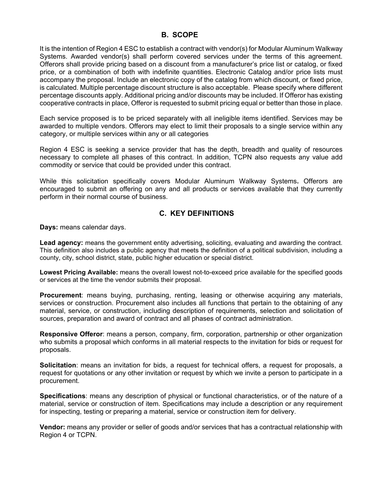## **B. SCOPE**

It is the intention of Region 4 ESC to establish a contract with vendor(s) for Modular Aluminum Walkway Systems. Awarded vendor(s) shall perform covered services under the terms of this agreement. Offerors shall provide pricing based on a discount from a manufacturer's price list or catalog, or fixed price, or a combination of both with indefinite quantities. Electronic Catalog and/or price lists must accompany the proposal. Include an electronic copy of the catalog from which discount, or fixed price, is calculated. Multiple percentage discount structure is also acceptable. Please specify where different percentage discounts apply. Additional pricing and/or discounts may be included. If Offeror has existing cooperative contracts in place, Offeror is requested to submit pricing equal or better than those in place.

Each service proposed is to be priced separately with all ineligible items identified. Services may be awarded to multiple vendors. Offerors may elect to limit their proposals to a single service within any category, or multiple services within any or all categories

Region 4 ESC is seeking a service provider that has the depth, breadth and quality of resources necessary to complete all phases of this contract. In addition, TCPN also requests any value add commodity or service that could be provided under this contract.

While this solicitation specifically covers Modular Aluminum Walkway Systems**.** Offerors are encouraged to submit an offering on any and all products or services available that they currently perform in their normal course of business.

## **C. KEY DEFINITIONS**

**Days:** means calendar days.

**Lead agency:** means the government entity advertising, soliciting, evaluating and awarding the contract. This definition also includes a public agency that meets the definition of a political subdivision, including a county, city, school district, state, public higher education or special district.

**Lowest Pricing Available:** means the overall lowest not-to-exceed price available for the specified goods or services at the time the vendor submits their proposal.

**Procurement**: means buying, purchasing, renting, leasing or otherwise acquiring any materials, services or construction. Procurement also includes all functions that pertain to the obtaining of any material, service, or construction, including description of requirements, selection and solicitation of sources, preparation and award of contract and all phases of contract administration.

**Responsive Offeror**: means a person, company, firm, corporation, partnership or other organization who submits a proposal which conforms in all material respects to the invitation for bids or request for proposals.

**Solicitation**: means an invitation for bids, a request for technical offers, a request for proposals, a request for quotations or any other invitation or request by which we invite a person to participate in a procurement.

**Specifications**: means any description of physical or functional characteristics, or of the nature of a material, service or construction of item. Specifications may include a description or any requirement for inspecting, testing or preparing a material, service or construction item for delivery.

**Vendor:** means any provider or seller of goods and/or services that has a contractual relationship with Region 4 or TCPN.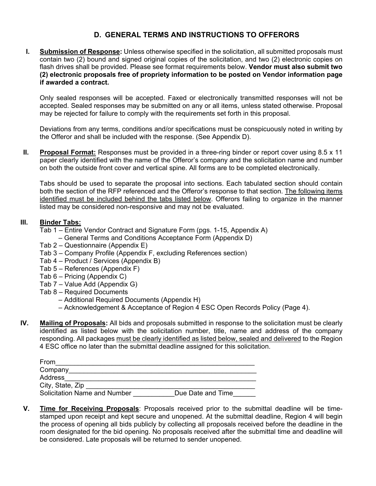## **D. GENERAL TERMS AND INSTRUCTIONS TO OFFERORS**

**I. Submission of Response:** Unless otherwise specified in the solicitation, all submitted proposals must contain two (2) bound and signed original copies of the solicitation, and two (2) electronic copies on flash drives shall be provided. Please see format requirements below. **Vendor must also submit two (2) electronic proposals free of propriety information to be posted on Vendor information page if awarded a contract.** 

Only sealed responses will be accepted. Faxed or electronically transmitted responses will not be accepted. Sealed responses may be submitted on any or all items, unless stated otherwise. Proposal may be rejected for failure to comply with the requirements set forth in this proposal.

Deviations from any terms, conditions and/or specifications must be conspicuously noted in writing by the Offeror and shall be included with the response. (See Appendix D).

**II. Proposal Format:** Responses must be provided in a three-ring binder or report cover using 8.5 x 11 paper clearly identified with the name of the Offeror's company and the solicitation name and number on both the outside front cover and vertical spine. All forms are to be completed electronically.

Tabs should be used to separate the proposal into sections. Each tabulated section should contain both the section of the RFP referenced and the Offeror's response to that section. The following items identified must be included behind the tabs listed below. Offerors failing to organize in the manner listed may be considered non-responsive and may not be evaluated.

#### **III. Binder Tabs:**

- Tab 1 Entire Vendor Contract and Signature Form (pgs. 1-15, Appendix A)
	- General Terms and Conditions Acceptance Form (Appendix D)
- Tab 2 Questionnaire (Appendix E)
- Tab 3 Company Profile (Appendix F, excluding References section)
- Tab 4 Product / Services (Appendix B)
- Tab 5 References (Appendix F)
- Tab 6 Pricing (Appendix C)
- Tab 7 Value Add (Appendix G)
- Tab 8 Required Documents
	- Additional Required Documents (Appendix H)
	- Acknowledgement & Acceptance of Region 4 ESC Open Records Policy (Page 4).
- **IV. Mailing of Proposals:** All bids and proposals submitted in response to the solicitation must be clearly identified as listed below with the solicitation number, title, name and address of the company responding. All packages must be clearly identified as listed below, sealed and delivered to the Region 4 ESC office no later than the submittal deadline assigned for this solicitation.

| From                         |                   |
|------------------------------|-------------------|
| Company                      |                   |
| Address                      |                   |
| City, State, Zip             |                   |
| Solicitation Name and Number | Due Date and Time |

**V. Time for Receiving Proposals**: Proposals received prior to the submittal deadline will be timestamped upon receipt and kept secure and unopened. At the submittal deadline, Region 4 will begin the process of opening all bids publicly by collecting all proposals received before the deadline in the room designated for the bid opening. No proposals received after the submittal time and deadline will be considered. Late proposals will be returned to sender unopened.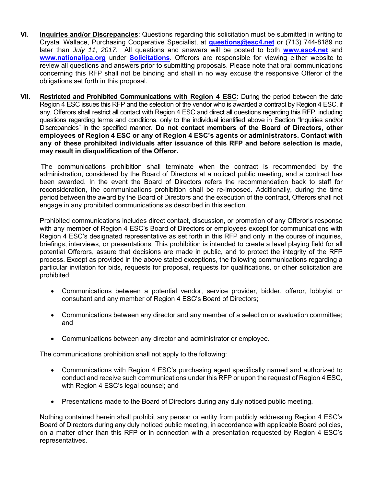- **VI. Inquiries and/or Discrepancies**: Questions regarding this solicitation must be submitted in writing to Crystal Wallace, Purchasing Cooperative Specialist, at **questions@esc4.net** or (713) 744-8189 no later than *July 11, 2017.* All questions and answers will be posted to both **www.esc4.net** and **www.nationalipa.org** under **Solicitations**. Offerors are responsible for viewing either website to review all questions and answers prior to submitting proposals. Please note that oral communications concerning this RFP shall not be binding and shall in no way excuse the responsive Offeror of the obligations set forth in this proposal.
- **VII. Restricted and Prohibited Communications with Region 4 ESC:** During the period between the date Region 4 ESC issues this RFP and the selection of the vendor who is awarded a contract by Region 4 ESC, if any, Offerors shall restrict all contact with Region 4 ESC and direct all questions regarding this RFP, including questions regarding terms and conditions, only to the individual identified above in Section "Inquiries and/or Discrepancies" in the specified manner. **Do not contact members of the Board of Directors, other employees of Region 4 ESC or any of Region 4 ESC's agents or administrators. Contact with any of these prohibited individuals after issuance of this RFP and before selection is made, may result in disqualification of the Offeror.**

The communications prohibition shall terminate when the contract is recommended by the administration, considered by the Board of Directors at a noticed public meeting, and a contract has been awarded. In the event the Board of Directors refers the recommendation back to staff for reconsideration, the communications prohibition shall be re-imposed. Additionally, during the time period between the award by the Board of Directors and the execution of the contract, Offerors shall not engage in any prohibited communications as described in this section.

Prohibited communications includes direct contact, discussion, or promotion of any Offeror's response with any member of Region 4 ESC's Board of Directors or employees except for communications with Region 4 ESC's designated representative as set forth in this RFP and only in the course of inquiries, briefings, interviews, or presentations. This prohibition is intended to create a level playing field for all potential Offerors, assure that decisions are made in public, and to protect the integrity of the RFP process. Except as provided in the above stated exceptions, the following communications regarding a particular invitation for bids, requests for proposal, requests for qualifications, or other solicitation are prohibited:

- Communications between a potential vendor, service provider, bidder, offeror, lobbyist or consultant and any member of Region 4 ESC's Board of Directors;
- Communications between any director and any member of a selection or evaluation committee; and
- Communications between any director and administrator or employee.

The communications prohibition shall not apply to the following:

- Communications with Region 4 ESC's purchasing agent specifically named and authorized to conduct and receive such communications under this RFP or upon the request of Region 4 ESC, with Region 4 ESC's legal counsel; and
- Presentations made to the Board of Directors during any duly noticed public meeting.

Nothing contained herein shall prohibit any person or entity from publicly addressing Region 4 ESC's Board of Directors during any duly noticed public meeting, in accordance with applicable Board policies, on a matter other than this RFP or in connection with a presentation requested by Region 4 ESC's representatives.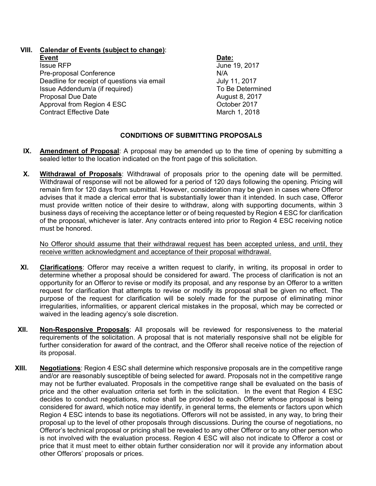## **VIII. Calendar of Events (subject to change)**:

**Event Date: Issue RFP** June 19, 2017 Pre-proposal Conference<br>Deadline for receipt of questions via email July 11, 2017 Deadline for receipt of questions via email France and July 11, 2017<br>Issue Addendum/a (if required) Issue Addendum/a (if required) Proposal Due Date **August 8, 2017** Approval from Region 4 ESC COMEXAGO CORPORATION CORPORATION CONTROLLER OCTOBER 2017 Contract Effective Date March 1, 2018

## **CONDITIONS OF SUBMITTING PROPOSALS**

- **IX. Amendment of Proposal**: A proposal may be amended up to the time of opening by submitting a sealed letter to the location indicated on the front page of this solicitation.
- **X. Withdrawal of Proposals**: Withdrawal of proposals prior to the opening date will be permitted. Withdrawal of response will not be allowed for a period of 120 days following the opening. Pricing will remain firm for 120 days from submittal. However, consideration may be given in cases where Offeror advises that it made a clerical error that is substantially lower than it intended. In such case, Offeror must provide written notice of their desire to withdraw, along with supporting documents, within 3 business days of receiving the acceptance letter or of being requested by Region 4 ESC for clarification of the proposal, whichever is later. Any contracts entered into prior to Region 4 ESC receiving notice must be honored.

No Offeror should assume that their withdrawal request has been accepted unless, and until, they receive written acknowledgment and acceptance of their proposal withdrawal.

- **XI. Clarifications**: Offeror may receive a written request to clarify, in writing, its proposal in order to determine whether a proposal should be considered for award. The process of clarification is not an opportunity for an Offeror to revise or modify its proposal, and any response by an Offeror to a written request for clarification that attempts to revise or modify its proposal shall be given no effect. The purpose of the request for clarification will be solely made for the purpose of eliminating minor irregularities, informalities, or apparent clerical mistakes in the proposal, which may be corrected or waived in the leading agency's sole discretion.
- **XII. Non-Responsive Proposals**: All proposals will be reviewed for responsiveness to the material requirements of the solicitation. A proposal that is not materially responsive shall not be eligible for further consideration for award of the contract, and the Offeror shall receive notice of the rejection of its proposal.
- **XIII. Negotiations**: Region 4 ESC shall determine which responsive proposals are in the competitive range and/or are reasonably susceptible of being selected for award. Proposals not in the competitive range may not be further evaluated. Proposals in the competitive range shall be evaluated on the basis of price and the other evaluation criteria set forth in the solicitation. In the event that Region 4 ESC decides to conduct negotiations, notice shall be provided to each Offeror whose proposal is being considered for award, which notice may identify, in general terms, the elements or factors upon which Region 4 ESC intends to base its negotiations. Offerors will not be assisted, in any way, to bring their proposal up to the level of other proposals through discussions. During the course of negotiations, no Offeror's technical proposal or pricing shall be revealed to any other Offeror or to any other person who is not involved with the evaluation process. Region 4 ESC will also not indicate to Offeror a cost or price that it must meet to either obtain further consideration nor will it provide any information about other Offerors' proposals or prices.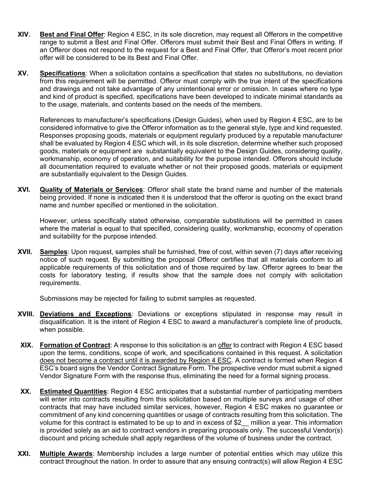- **XIV. Best and Final Offer**: Region 4 ESC, in its sole discretion, may request all Offerors in the competitive range to submit a Best and Final Offer. Offerors must submit their Best and Final Offers in writing. If an Offeror does not respond to the request for a Best and Final Offer, that Offeror's most recent prior offer will be considered to be its Best and Final Offer.
- **XV. Specifications**: When a solicitation contains a specification that states no substitutions, no deviation from this requirement will be permitted. Offeror must comply with the true intent of the specifications and drawings and not take advantage of any unintentional error or omission. In cases where no type and kind of product is specified, specifications have been developed to indicate minimal standards as to the usage, materials, and contents based on the needs of the members.

References to manufacturer's specifications (Design Guides), when used by Region 4 ESC, are to be considered informative to give the Offeror information as to the general style, type and kind requested. Responses proposing goods, materials or equipment regularly produced by a reputable manufacturer shall be evaluated by Region 4 ESC which will, in its sole discretion, determine whether such proposed goods, materials or equipment are substantially equivalent to the Design Guides, considering quality, workmanship, economy of operation, and suitability for the purpose intended. Offerors should include all documentation required to evaluate whether or not their proposed goods, materials or equipment are substantially equivalent to the Design Guides.

**XVI. Quality of Materials or Services**: Offeror shall state the brand name and number of the materials being provided. If none is indicated then it is understood that the offeror is quoting on the exact brand name and number specified or mentioned in the solicitation.

However, unless specifically stated otherwise, comparable substitutions will be permitted in cases where the material is equal to that specified, considering quality, workmanship, economy of operation and suitability for the purpose intended.

**XVII. Samples**: Upon request, samples shall be furnished, free of cost, within seven (7) days after receiving notice of such request. By submitting the proposal Offeror certifies that all materials conform to all applicable requirements of this solicitation and of those required by law. Offeror agrees to bear the costs for laboratory testing, if results show that the sample does not comply with solicitation requirements.

Submissions may be rejected for failing to submit samples as requested.

- **XVIII. Deviations and Exceptions**: Deviations or exceptions stipulated in response may result in disqualification. It is the intent of Region 4 ESC to award a manufacturer's complete line of products, when possible.
- **XIX. Formation of Contract**: A response to this solicitation is an offer to contract with Region 4 ESC based upon the terms, conditions, scope of work, and specifications contained in this request. A solicitation does not become a contract until it is awarded by Region 4 ESC. A contract is formed when Region 4 ESC's board signs the Vendor Contract Signature Form. The prospective vendor must submit a signed Vendor Signature Form with the response thus, eliminating the need for a formal signing process.
- **XX. Estimated Quantities**: Region 4 ESC anticipates that a substantial number of participating members will enter into contracts resulting from this solicitation based on multiple surveys and usage of other contracts that may have included similar services, however, Region 4 ESC makes no guarantee or commitment of any kind concerning quantities or usage of contracts resulting from this solicitation. The volume for this contract is estimated to be up to and in excess of \$2\_\_ million a year. This information is provided solely as an aid to contract vendors in preparing proposals only. The successful Vendor(s) discount and pricing schedule shall apply regardless of the volume of business under the contract.
- **XXI. Multiple Awards**: Membership includes a large number of potential entities which may utilize this contract throughout the nation. In order to assure that any ensuing contract(s) will allow Region 4 ESC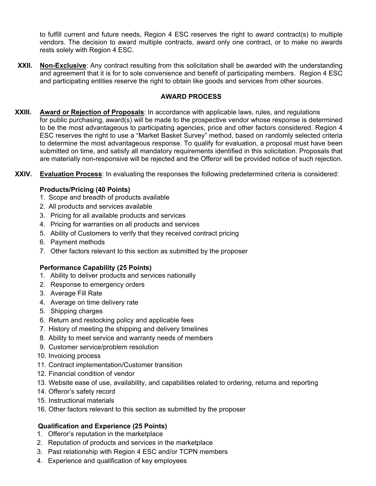to fulfill current and future needs, Region 4 ESC reserves the right to award contract(s) to multiple vendors. The decision to award multiple contracts, award only one contract, or to make no awards rests solely with Region 4 ESC.

**XXII. Non-Exclusive**: Any contract resulting from this solicitation shall be awarded with the understanding and agreement that it is for to sole convenience and benefit of participating members. Region 4 ESC and participating entities reserve the right to obtain like goods and services from other sources.

## **AWARD PROCESS**

- **XXIII. Award or Rejection of Proposals**: In accordance with applicable laws, rules, and regulations for public purchasing, award(s) will be made to the prospective vendor whose response is determined to be the most advantageous to participating agencies, price and other factors considered. Region 4 ESC reserves the right to use a "Market Basket Survey" method, based on randomly selected criteria to determine the most advantageous response. To qualify for evaluation, a proposal must have been submitted on time, and satisfy all mandatory requirements identified in this solicitation. Proposals that are materially non-responsive will be rejected and the Offeror will be provided notice of such rejection.
- **XXIV. Evaluation Process**: In evaluating the responses the following predetermined criteria is considered:

### **Products/Pricing (40 Points)**

- 1. Scope and breadth of products available
- 2. All products and services available
- 3. Pricing for all available products and services
- 4. Pricing for warranties on all products and services
- 5. Ability of Customers to verify that they received contract pricing
- 6. Payment methods
- 7. Other factors relevant to this section as submitted by the proposer

#### **Performance Capability (25 Points)**

- 1. Ability to deliver products and services nationally
- 2. Response to emergency orders
- 3. Average Fill Rate
- 4. Average on time delivery rate
- 5. Shipping charges
- 6. Return and restocking policy and applicable fees
- 7. History of meeting the shipping and delivery timelines
- 8. Ability to meet service and warranty needs of members
- 9. Customer service/problem resolution
- 10. Invoicing process
- 11. Contract implementation/Customer transition
- 12. Financial condition of vendor
- 13. Website ease of use, availability, and capabilities related to ordering, returns and reporting
- 14. Offeror's safety record
- 15. Instructional materials
- 16. Other factors relevant to this section as submitted by the proposer

### **Qualification and Experience (25 Points)**

- 1. Offeror's reputation in the marketplace
- 2. Reputation of products and services in the marketplace
- 3. Past relationship with Region 4 ESC and/or TCPN members
- 4. Experience and qualification of key employees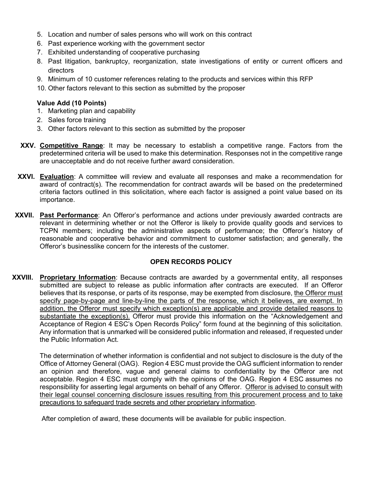- 5. Location and number of sales persons who will work on this contract
- 6. Past experience working with the government sector
- 7. Exhibited understanding of cooperative purchasing
- 8. Past litigation, bankruptcy, reorganization, state investigations of entity or current officers and directors
- 9. Minimum of 10 customer references relating to the products and services within this RFP
- 10. Other factors relevant to this section as submitted by the proposer

### **Value Add (10 Points)**

- 1. Marketing plan and capability
- 2. Sales force training
- 3. Other factors relevant to this section as submitted by the proposer
- **XXV. Competitive Range**: It may be necessary to establish a competitive range. Factors from the predetermined criteria will be used to make this determination. Responses not in the competitive range are unacceptable and do not receive further award consideration.
- **XXVI. Evaluation**: A committee will review and evaluate all responses and make a recommendation for award of contract(s). The recommendation for contract awards will be based on the predetermined criteria factors outlined in this solicitation, where each factor is assigned a point value based on its importance.
- **XXVII. Past Performance**: An Offeror's performance and actions under previously awarded contracts are relevant in determining whether or not the Offeror is likely to provide quality goods and services to TCPN members; including the administrative aspects of performance; the Offeror's history of reasonable and cooperative behavior and commitment to customer satisfaction; and generally, the Offeror's businesslike concern for the interests of the customer.

## **OPEN RECORDS POLICY**

**XXVIII. Proprietary Information**: Because contracts are awarded by a governmental entity, all responses submitted are subject to release as public information after contracts are executed. If an Offeror believes that its response, or parts of its response, may be exempted from disclosure, the Offeror must specify page-by-page and line-by-line the parts of the response, which it believes, are exempt. In addition, the Offeror must specify which exception(s) are applicable and provide detailed reasons to substantiate the exception(s). Offeror must provide this information on the "Acknowledgement and Acceptance of Region 4 ESC's Open Records Policy" form found at the beginning of this solicitation. Any information that is unmarked will be considered public information and released, if requested under the Public Information Act.

The determination of whether information is confidential and not subject to disclosure is the duty of the Office of Attorney General (OAG). Region 4 ESC must provide the OAG sufficient information to render an opinion and therefore, vague and general claims to confidentiality by the Offeror are not acceptable. Region 4 ESC must comply with the opinions of the OAG. Region 4 ESC assumes no responsibility for asserting legal arguments on behalf of any Offeror. Offeror is advised to consult with their legal counsel concerning disclosure issues resulting from this procurement process and to take precautions to safeguard trade secrets and other proprietary information.

After completion of award, these documents will be available for public inspection.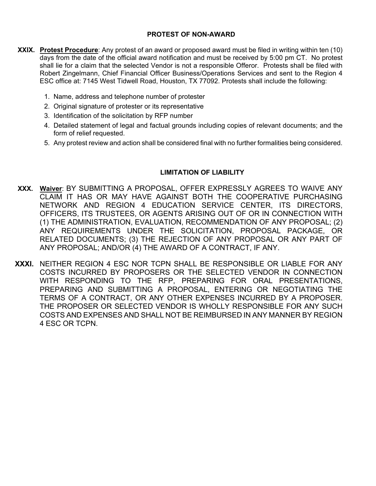### **PROTEST OF NON-AWARD**

- **XXIX. Protest Procedure**: Any protest of an award or proposed award must be filed in writing within ten (10) days from the date of the official award notification and must be received by 5:00 pm CT. No protest shall lie for a claim that the selected Vendor is not a responsible Offeror. Protests shall be filed with Robert Zingelmann, Chief Financial Officer Business/Operations Services and sent to the Region 4 ESC office at: 7145 West Tidwell Road, Houston, TX 77092. Protests shall include the following:
	- 1. Name, address and telephone number of protester
	- 2. Original signature of protester or its representative
	- 3. Identification of the solicitation by RFP number
	- 4. Detailed statement of legal and factual grounds including copies of relevant documents; and the form of relief requested.
	- 5. Any protest review and action shall be considered final with no further formalities being considered.

#### **LIMITATION OF LIABILITY**

- **XXX. Waiver**: BY SUBMITTING A PROPOSAL, OFFER EXPRESSLY AGREES TO WAIVE ANY CLAIM IT HAS OR MAY HAVE AGAINST BOTH THE COOPERATIVE PURCHASING NETWORK AND REGION 4 EDUCATION SERVICE CENTER, ITS DIRECTORS, OFFICERS, ITS TRUSTEES, OR AGENTS ARISING OUT OF OR IN CONNECTION WITH (1) THE ADMINISTRATION, EVALUATION, RECOMMENDATION OF ANY PROPOSAL; (2) ANY REQUIREMENTS UNDER THE SOLICITATION, PROPOSAL PACKAGE, OR RELATED DOCUMENTS; (3) THE REJECTION OF ANY PROPOSAL OR ANY PART OF ANY PROPOSAL; AND/OR (4) THE AWARD OF A CONTRACT, IF ANY.
- **XXXI.** NEITHER REGION 4 ESC NOR TCPN SHALL BE RESPONSIBLE OR LIABLE FOR ANY COSTS INCURRED BY PROPOSERS OR THE SELECTED VENDOR IN CONNECTION WITH RESPONDING TO THE RFP, PREPARING FOR ORAL PRESENTATIONS, PREPARING AND SUBMITTING A PROPOSAL, ENTERING OR NEGOTIATING THE TERMS OF A CONTRACT, OR ANY OTHER EXPENSES INCURRED BY A PROPOSER. THE PROPOSER OR SELECTED VENDOR IS WHOLLY RESPONSIBLE FOR ANY SUCH COSTS AND EXPENSES AND SHALL NOT BE REIMBURSED IN ANY MANNER BY REGION 4 ESC OR TCPN.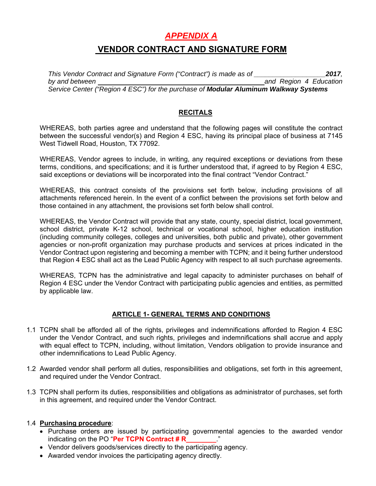## *APPENDIX A*

## **VENDOR CONTRACT AND SIGNATURE FORM**

*This Vendor Contract and Signature Form ("Contract") is made as of \_\_\_\_\_\_\_\_\_\_\_\_\_\_\_\_\_\_\_2017, by and between and Region 4 Education Service Center ("Region 4 ESC") for the purchase of Modular Aluminum Walkway Systems*

## **RECITALS**

WHEREAS, both parties agree and understand that the following pages will constitute the contract between the successful vendor(s) and Region 4 ESC, having its principal place of business at 7145 West Tidwell Road, Houston, TX 77092.

WHEREAS, Vendor agrees to include, in writing, any required exceptions or deviations from these terms, conditions, and specifications; and it is further understood that, if agreed to by Region 4 ESC, said exceptions or deviations will be incorporated into the final contract "Vendor Contract."

WHEREAS, this contract consists of the provisions set forth below, including provisions of all attachments referenced herein. In the event of a conflict between the provisions set forth below and those contained in any attachment, the provisions set forth below shall control.

WHEREAS, the Vendor Contract will provide that any state, county, special district, local government, school district, private K-12 school, technical or vocational school, higher education institution (including community colleges, colleges and universities, both public and private), other government agencies or non-profit organization may purchase products and services at prices indicated in the Vendor Contract upon registering and becoming a member with TCPN; and it being further understood that Region 4 ESC shall act as the Lead Public Agency with respect to all such purchase agreements.

WHEREAS, TCPN has the administrative and legal capacity to administer purchases on behalf of Region 4 ESC under the Vendor Contract with participating public agencies and entities, as permitted by applicable law.

### **ARTICLE 1- GENERAL TERMS AND CONDITIONS**

- 1.1 TCPN shall be afforded all of the rights, privileges and indemnifications afforded to Region 4 ESC under the Vendor Contract, and such rights, privileges and indemnifications shall accrue and apply with equal effect to TCPN, including, without limitation, Vendors obligation to provide insurance and other indemnifications to Lead Public Agency.
- 1.2 Awarded vendor shall perform all duties, responsibilities and obligations, set forth in this agreement, and required under the Vendor Contract.
- 1.3 TCPN shall perform its duties, responsibilities and obligations as administrator of purchases, set forth in this agreement, and required under the Vendor Contract.

### 1.4 **Purchasing procedure**:

- Purchase orders are issued by participating governmental agencies to the awarded vendor indicating on the PO "**Per TCPN Contract # R\_\_\_\_\_\_\_\_**."
- Vendor delivers goods/services directly to the participating agency.
- Awarded vendor invoices the participating agency directly.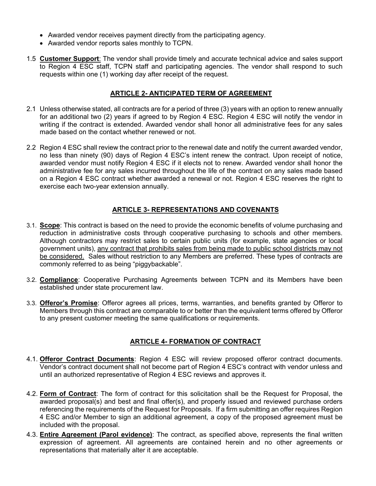- Awarded vendor receives payment directly from the participating agency.
- Awarded vendor reports sales monthly to TCPN.
- 1.5 **Customer Support**: The vendor shall provide timely and accurate technical advice and sales support to Region 4 ESC staff, TCPN staff and participating agencies. The vendor shall respond to such requests within one (1) working day after receipt of the request.

#### **ARTICLE 2- ANTICIPATED TERM OF AGREEMENT**

- 2.1 Unless otherwise stated, all contracts are for a period of three (3) years with an option to renew annually for an additional two (2) years if agreed to by Region 4 ESC. Region 4 ESC will notify the vendor in writing if the contract is extended. Awarded vendor shall honor all administrative fees for any sales made based on the contact whether renewed or not.
- 2.2 Region 4 ESC shall review the contract prior to the renewal date and notify the current awarded vendor, no less than ninety (90) days of Region 4 ESC's intent renew the contract. Upon receipt of notice, awarded vendor must notify Region 4 ESC if it elects not to renew. Awarded vendor shall honor the administrative fee for any sales incurred throughout the life of the contract on any sales made based on a Region 4 ESC contract whether awarded a renewal or not. Region 4 ESC reserves the right to exercise each two-year extension annually.

### **ARTICLE 3- REPRESENTATIONS AND COVENANTS**

- 3.1. **Scope**: This contract is based on the need to provide the economic benefits of volume purchasing and reduction in administrative costs through cooperative purchasing to schools and other members. Although contractors may restrict sales to certain public units (for example, state agencies or local government units), any contract that prohibits sales from being made to public school districts may not be considered. Sales without restriction to any Members are preferred. These types of contracts are commonly referred to as being "piggybackable".
- 3.2. **Compliance**: Cooperative Purchasing Agreements between TCPN and its Members have been established under state procurement law.
- 3.3. **Offeror's Promise**: Offeror agrees all prices, terms, warranties, and benefits granted by Offeror to Members through this contract are comparable to or better than the equivalent terms offered by Offeror to any present customer meeting the same qualifications or requirements.

### **ARTICLE 4- FORMATION OF CONTRACT**

- 4.1. **Offeror Contract Documents**: Region 4 ESC will review proposed offeror contract documents. Vendor's contract document shall not become part of Region 4 ESC's contract with vendor unless and until an authorized representative of Region 4 ESC reviews and approves it.
- 4.2. **Form of Contract**: The form of contract for this solicitation shall be the Request for Proposal, the awarded proposal(s) and best and final offer(s), and properly issued and reviewed purchase orders referencing the requirements of the Request for Proposals. If a firm submitting an offer requires Region 4 ESC and/or Member to sign an additional agreement, a copy of the proposed agreement must be included with the proposal.
- 4.3. **Entire Agreement (Parol evidence)**: The contract, as specified above, represents the final written expression of agreement. All agreements are contained herein and no other agreements or representations that materially alter it are acceptable.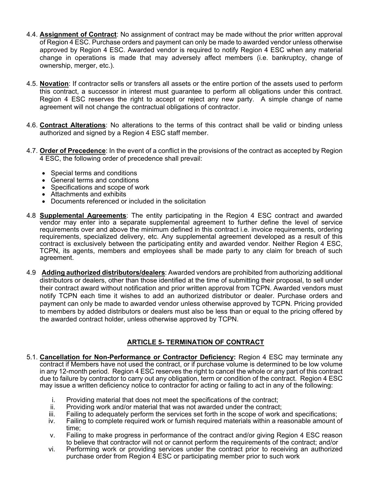- 4.4. **Assignment of Contract**: No assignment of contract may be made without the prior written approval of Region 4 ESC. Purchase orders and payment can only be made to awarded vendor unless otherwise approved by Region 4 ESC. Awarded vendor is required to notify Region 4 ESC when any material change in operations is made that may adversely affect members (i.e. bankruptcy, change of ownership, merger, etc.).
- 4.5. **Novation**: If contractor sells or transfers all assets or the entire portion of the assets used to perform this contract, a successor in interest must guarantee to perform all obligations under this contract. Region 4 ESC reserves the right to accept or reject any new party. A simple change of name agreement will not change the contractual obligations of contractor.
- 4.6. **Contract Alterations**: No alterations to the terms of this contract shall be valid or binding unless authorized and signed by a Region 4 ESC staff member.
- 4.7. **Order of Precedence**: In the event of a conflict in the provisions of the contract as accepted by Region 4 ESC, the following order of precedence shall prevail:
	- Special terms and conditions
	- General terms and conditions
	- Specifications and scope of work
	- Attachments and exhibits
	- Documents referenced or included in the solicitation
- 4.8 **Supplemental Agreements**: The entity participating in the Region 4 ESC contract and awarded vendor may enter into a separate supplemental agreement to further define the level of service requirements over and above the minimum defined in this contract i.e. invoice requirements, ordering requirements, specialized delivery, etc. Any supplemental agreement developed as a result of this contract is exclusively between the participating entity and awarded vendor. Neither Region 4 ESC, TCPN, its agents, members and employees shall be made party to any claim for breach of such agreement.
- 4.9 **Adding authorized distributors/dealers**: Awarded vendors are prohibited from authorizing additional distributors or dealers, other than those identified at the time of submitting their proposal, to sell under their contract award without notification and prior written approval from TCPN. Awarded vendors must notify TCPN each time it wishes to add an authorized distributor or dealer. Purchase orders and payment can only be made to awarded vendor unless otherwise approved by TCPN. Pricing provided to members by added distributors or dealers must also be less than or equal to the pricing offered by the awarded contract holder, unless otherwise approved by TCPN.

### **ARTICLE 5- TERMINATION OF CONTRACT**

- 5.1. **Cancellation for Non-Performance or Contractor Deficiency:** Region 4 ESC may terminate any contract if Members have not used the contract, or if purchase volume is determined to be low volume in any 12-month period. Region 4 ESC reserves the right to cancel the whole or any part of this contract due to failure by contractor to carry out any obligation, term or condition of the contract. Region 4 ESC may issue a written deficiency notice to contractor for acting or failing to act in any of the following:
	- i. Providing material that does not meet the specifications of the contract;
	- ii. Providing work and/or material that was not awarded under the contract;
	- iii. Failing to adequately perform the services set forth in the scope of work and specifications;
	- iv. Failing to complete required work or furnish required materials within a reasonable amount of time;
	- v. Failing to make progress in performance of the contract and/or giving Region 4 ESC reason to believe that contractor will not or cannot perform the requirements of the contract; and/or
	- vi. Performing work or providing services under the contract prior to receiving an authorized purchase order from Region 4 ESC or participating member prior to such work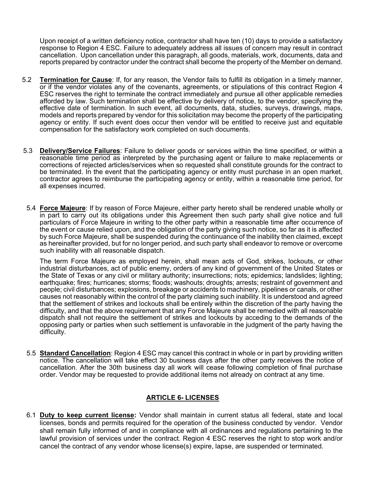Upon receipt of a written deficiency notice, contractor shall have ten (10) days to provide a satisfactory response to Region 4 ESC. Failure to adequately address all issues of concern may result in contract cancellation. Upon cancellation under this paragraph, all goods, materials, work, documents, data and reports prepared by contractor under the contract shall become the property of the Member on demand.

- 5.2 **Termination for Cause**: If, for any reason, the Vendor fails to fulfill its obligation in a timely manner, or if the vendor violates any of the covenants, agreements, or stipulations of this contract Region 4 ESC reserves the right to terminate the contract immediately and pursue all other applicable remedies afforded by law. Such termination shall be effective by delivery of notice, to the vendor, specifying the effective date of termination. In such event, all documents, data, studies, surveys, drawings, maps, models and reports prepared by vendor for this solicitation may become the property of the participating agency or entity. If such event does occur then vendor will be entitled to receive just and equitable compensation for the satisfactory work completed on such documents.
- 5.3 **Delivery/Service Failures**: Failure to deliver goods or services within the time specified, or within a reasonable time period as interpreted by the purchasing agent or failure to make replacements or corrections of rejected articles/services when so requested shall constitute grounds for the contract to be terminated. In the event that the participating agency or entity must purchase in an open market, contractor agrees to reimburse the participating agency or entity, within a reasonable time period, for all expenses incurred.
- 5.4 **Force Majeure**: If by reason of Force Majeure, either party hereto shall be rendered unable wholly or in part to carry out its obligations under this Agreement then such party shall give notice and full particulars of Force Majeure in writing to the other party within a reasonable time after occurrence of the event or cause relied upon, and the obligation of the party giving such notice, so far as it is affected by such Force Majeure, shall be suspended during the continuance of the inability then claimed, except as hereinafter provided, but for no longer period, and such party shall endeavor to remove or overcome such inability with all reasonable dispatch.

The term Force Majeure as employed herein, shall mean acts of God, strikes, lockouts, or other industrial disturbances, act of public enemy, orders of any kind of government of the United States or the State of Texas or any civil or military authority; insurrections; riots; epidemics; landslides; lighting; earthquake; fires; hurricanes; storms; floods; washouts; droughts; arrests; restraint of government and people; civil disturbances; explosions, breakage or accidents to machinery, pipelines or canals, or other causes not reasonably within the control of the party claiming such inability. It is understood and agreed that the settlement of strikes and lockouts shall be entirely within the discretion of the party having the difficulty, and that the above requirement that any Force Majeure shall be remedied with all reasonable dispatch shall not require the settlement of strikes and lockouts by acceding to the demands of the opposing party or parties when such settlement is unfavorable in the judgment of the party having the difficulty.

5.5 **Standard Cancellation**: Region 4 ESC may cancel this contract in whole or in part by providing written notice. The cancellation will take effect 30 business days after the other party receives the notice of cancellation. After the 30th business day all work will cease following completion of final purchase order. Vendor may be requested to provide additional items not already on contract at any time.

### **ARTICLE 6- LICENSES**

6.1 **Duty to keep current license:** Vendor shall maintain in current status all federal, state and local licenses, bonds and permits required for the operation of the business conducted by vendor. Vendor shall remain fully informed of and in compliance with all ordinances and regulations pertaining to the lawful provision of services under the contract. Region 4 ESC reserves the right to stop work and/or cancel the contract of any vendor whose license(s) expire, lapse, are suspended or terminated.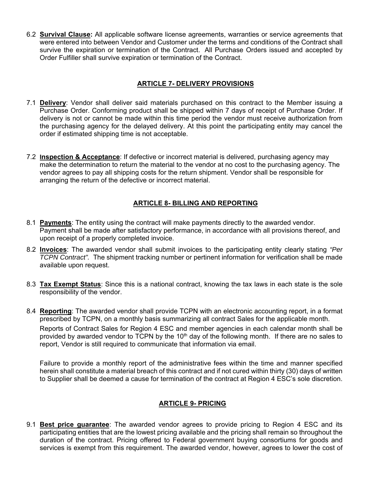6.2 **Survival Clause:** All applicable software license agreements, warranties or service agreements that were entered into between Vendor and Customer under the terms and conditions of the Contract shall survive the expiration or termination of the Contract. All Purchase Orders issued and accepted by Order Fulfiller shall survive expiration or termination of the Contract.

## **ARTICLE 7- DELIVERY PROVISIONS**

- 7.1 **Delivery**: Vendor shall deliver said materials purchased on this contract to the Member issuing a Purchase Order. Conforming product shall be shipped within 7 days of receipt of Purchase Order. If delivery is not or cannot be made within this time period the vendor must receive authorization from the purchasing agency for the delayed delivery. At this point the participating entity may cancel the order if estimated shipping time is not acceptable.
- 7.2 **Inspection & Acceptance**: If defective or incorrect material is delivered, purchasing agency may make the determination to return the material to the vendor at no cost to the purchasing agency. The vendor agrees to pay all shipping costs for the return shipment. Vendor shall be responsible for arranging the return of the defective or incorrect material.

## **ARTICLE 8- BILLING AND REPORTING**

- 8.1 **Payments**: The entity using the contract will make payments directly to the awarded vendor. Payment shall be made after satisfactory performance, in accordance with all provisions thereof, and upon receipt of a properly completed invoice.
- 8.2 **Invoices**: The awarded vendor shall submit invoices to the participating entity clearly stating *"Per TCPN Contract".* The shipment tracking number or pertinent information for verification shall be made available upon request.
- 8.3 **Tax Exempt Status**: Since this is a national contract, knowing the tax laws in each state is the sole responsibility of the vendor.
- 8.4 **Reporting**: The awarded vendor shall provide TCPN with an electronic accounting report, in a format prescribed by TCPN, on a monthly basis summarizing all contract Sales for the applicable month. Reports of Contract Sales for Region 4 ESC and member agencies in each calendar month shall be provided by awarded vendor to TCPN by the  $10<sup>th</sup>$  day of the following month. If there are no sales to report, Vendor is still required to communicate that information via email.

Failure to provide a monthly report of the administrative fees within the time and manner specified herein shall constitute a material breach of this contract and if not cured within thirty (30) days of written to Supplier shall be deemed a cause for termination of the contract at Region 4 ESC's sole discretion.

## **ARTICLE 9- PRICING**

9.1 **Best price guarantee**: The awarded vendor agrees to provide pricing to Region 4 ESC and its participating entities that are the lowest pricing available and the pricing shall remain so throughout the duration of the contract. Pricing offered to Federal government buying consortiums for goods and services is exempt from this requirement. The awarded vendor, however, agrees to lower the cost of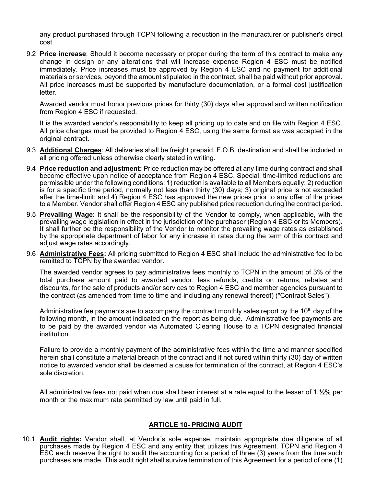any product purchased through TCPN following a reduction in the manufacturer or publisher's direct cost.

9.2 **Price increase**: Should it become necessary or proper during the term of this contract to make any change in design or any alterations that will increase expense Region 4 ESC must be notified immediately. Price increases must be approved by Region 4 ESC and no payment for additional materials or services, beyond the amount stipulated in the contract, shall be paid without prior approval. All price increases must be supported by manufacture documentation, or a formal cost justification letter.

Awarded vendor must honor previous prices for thirty (30) days after approval and written notification from Region 4 ESC if requested.

It is the awarded vendor's responsibility to keep all pricing up to date and on file with Region 4 ESC. All price changes must be provided to Region 4 ESC, using the same format as was accepted in the original contract.

- 9.3 **Additional Charges**: All deliveries shall be freight prepaid, F.O.B. destination and shall be included in all pricing offered unless otherwise clearly stated in writing.
- 9.4 **Price reduction and adjustment:** Price reduction may be offered at any time during contract and shall become effective upon notice of acceptance from Region 4 ESC. Special, time-limited reductions are permissible under the following conditions: 1) reduction is available to all Members equally; 2) reduction is for a specific time period, normally not less than thirty (30) days; 3) original price is not exceeded after the time-limit; and 4) Region 4 ESC has approved the new prices prior to any offer of the prices to a Member. Vendor shall offer Region 4 ESC any published price reduction during the contract period.
- 9.5 **Prevailing Wage**: It shall be the responsibility of the Vendor to comply, when applicable, with the prevailing wage legislation in effect in the jurisdiction of the purchaser (Region 4 ESC or its Members). It shall further be the responsibility of the Vendor to monitor the prevailing wage rates as established by the appropriate department of labor for any increase in rates during the term of this contract and adjust wage rates accordingly.
- 9.6 **Administrative Fees:** All pricing submitted to Region 4 ESC shall include the administrative fee to be remitted to TCPN by the awarded vendor.

The awarded vendor agrees to pay administrative fees monthly to TCPN in the amount of 3% of the total purchase amount paid to awarded vendor, less refunds, credits on returns, rebates and discounts, for the sale of products and/or services to Region 4 ESC and member agencies pursuant to the contract (as amended from time to time and including any renewal thereof) ("Contract Sales").

Administrative fee payments are to accompany the contract monthly sales report by the  $10<sup>th</sup>$  day of the following month, in the amount indicated on the report as being due. Administrative fee payments are to be paid by the awarded vendor via Automated Clearing House to a TCPN designated financial institution.

Failure to provide a monthly payment of the administrative fees within the time and manner specified herein shall constitute a material breach of the contract and if not cured within thirty (30) day of written notice to awarded vendor shall be deemed a cause for termination of the contract, at Region 4 ESC's sole discretion.

All administrative fees not paid when due shall bear interest at a rate equal to the lesser of 1  $\frac{1}{2}\%$  per month or the maximum rate permitted by law until paid in full.

#### **ARTICLE 10- PRICING AUDIT**

10.1 **Audit rights:** Vendor shall, at Vendor's sole expense, maintain appropriate due diligence of all purchases made by Region 4 ESC and any entity that utilizes this Agreement. TCPN and Region 4 ESC each reserve the right to audit the accounting for a period of three (3) years from the time such purchases are made. This audit right shall survive termination of this Agreement for a period of one (1)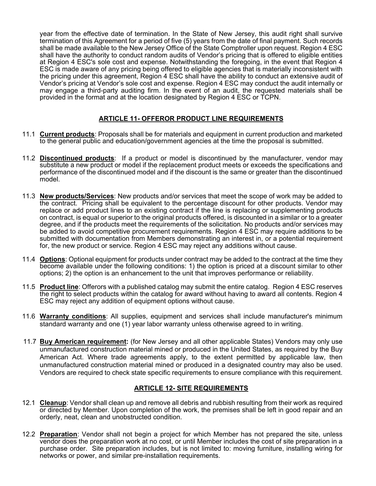year from the effective date of termination. In the State of New Jersey, this audit right shall survive termination of this Agreement for a period of five (5) years from the date of final payment. Such records shall be made available to the New Jersey Office of the State Comptroller upon request. Region 4 ESC shall have the authority to conduct random audits of Vendor's pricing that is offered to eligible entities at Region 4 ESC's sole cost and expense. Notwithstanding the foregoing, in the event that Region 4 ESC is made aware of any pricing being offered to eligible agencies that is materially inconsistent with the pricing under this agreement, Region 4 ESC shall have the ability to conduct an extensive audit of Vendor's pricing at Vendor's sole cost and expense. Region 4 ESC may conduct the audit internally or may engage a third-party auditing firm. In the event of an audit, the requested materials shall be provided in the format and at the location designated by Region 4 ESC or TCPN.

## **ARTICLE 11- OFFEROR PRODUCT LINE REQUIREMENTS**

- 11.1 **Current products**: Proposals shall be for materials and equipment in current production and marketed to the general public and education/government agencies at the time the proposal is submitted.
- 11.2 **Discontinued products**:If a product or model is discontinued by the manufacturer, vendor may substitute a new product or model if the replacement product meets or exceeds the specifications and performance of the discontinued model and if the discount is the same or greater than the discontinued model.
- 11.3 **New products/Services**: New products and/or services that meet the scope of work may be added to the contract. Pricing shall be equivalent to the percentage discount for other products. Vendor may replace or add product lines to an existing contract if the line is replacing or supplementing products on contract, is equal or superior to the original products offered, is discounted in a similar or to a greater degree, and if the products meet the requirements of the solicitation. No products and/or services may be added to avoid competitive procurement requirements. Region 4 ESC may require additions to be submitted with documentation from Members demonstrating an interest in, or a potential requirement for, the new product or service. Region 4 ESC may reject any additions without cause.
- 11.4 **Options**: Optional equipment for products under contract may be added to the contract at the time they become available under the following conditions: 1) the option is priced at a discount similar to other options; 2) the option is an enhancement to the unit that improves performance or reliability.
- 11.5 **Product line**: Offerors with a published catalog may submit the entire catalog. Region 4 ESC reserves the right to select products within the catalog for award without having to award all contents. Region 4 ESC may reject any addition of equipment options without cause.
- 11.6 **Warranty conditions**: All supplies, equipment and services shall include manufacturer's minimum standard warranty and one (1) year labor warranty unless otherwise agreed to in writing.
- 11.7 **Buy American requirement:** (for New Jersey and all other applicable States) Vendors may only use unmanufactured construction material mined or produced in the United States, as required by the Buy American Act. Where trade agreements apply, to the extent permitted by applicable law, then unmanufactured construction material mined or produced in a designated country may also be used. Vendors are required to check state specific requirements to ensure compliance with this requirement.

### **ARTICLE 12- SITE REQUIREMENTS**

- 12.1 **Cleanup**: Vendor shall clean up and remove all debris and rubbish resulting from their work as required or directed by Member. Upon completion of the work, the premises shall be left in good repair and an orderly, neat, clean and unobstructed condition.
- 12.2 **Preparation**: Vendor shall not begin a project for which Member has not prepared the site, unless vendor does the preparation work at no cost, or until Member includes the cost of site preparation in a purchase order. Site preparation includes, but is not limited to: moving furniture, installing wiring for networks or power, and similar pre-installation requirements.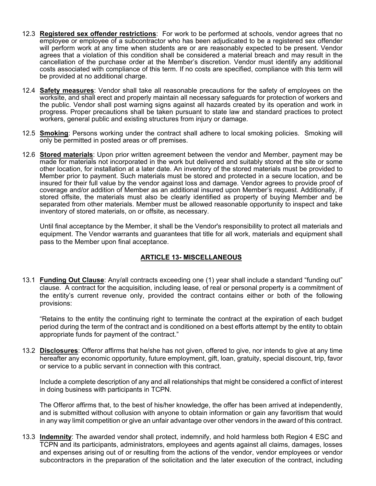- 12.3 **Registered sex offender restrictions**:For work to be performed at schools, vendor agrees that no employee or employee of a subcontractor who has been adjudicated to be a registered sex offender will perform work at any time when students are or are reasonably expected to be present. Vendor agrees that a violation of this condition shall be considered a material breach and may result in the cancellation of the purchase order at the Member's discretion. Vendor must identify any additional costs associated with compliance of this term. If no costs are specified, compliance with this term will be provided at no additional charge.
- 12.4 **Safety measures**: Vendor shall take all reasonable precautions for the safety of employees on the worksite, and shall erect and properly maintain all necessary safeguards for protection of workers and the public. Vendor shall post warning signs against all hazards created by its operation and work in progress. Proper precautions shall be taken pursuant to state law and standard practices to protect workers, general public and existing structures from injury or damage.
- 12.5 **Smoking**: Persons working under the contract shall adhere to local smoking policies. Smoking will only be permitted in posted areas or off premises.
- 12.6 **Stored materials**: Upon prior written agreement between the vendor and Member, payment may be made for materials not incorporated in the work but delivered and suitably stored at the site or some other location, for installation at a later date. An inventory of the stored materials must be provided to Member prior to payment. Such materials must be stored and protected in a secure location, and be insured for their full value by the vendor against loss and damage. Vendor agrees to provide proof of coverage and/or addition of Member as an additional insured upon Member's request. Additionally, if stored offsite, the materials must also be clearly identified as property of buying Member and be separated from other materials. Member must be allowed reasonable opportunity to inspect and take inventory of stored materials, on or offsite, as necessary.

Until final acceptance by the Member, it shall be the Vendor's responsibility to protect all materials and equipment. The Vendor warrants and guarantees that title for all work, materials and equipment shall pass to the Member upon final acceptance.

### **ARTICLE 13- MISCELLANEOUS**

13.1 **Funding Out Clause**: Any/all contracts exceeding one (1) year shall include a standard "funding out" clause. A contract for the acquisition, including lease, of real or personal property is a commitment of the entity's current revenue only, provided the contract contains either or both of the following provisions:

"Retains to the entity the continuing right to terminate the contract at the expiration of each budget period during the term of the contract and is conditioned on a best efforts attempt by the entity to obtain appropriate funds for payment of the contract."

13.2 **Disclosures**: Offeror affirms that he/she has not given, offered to give, nor intends to give at any time hereafter any economic opportunity, future employment, gift, loan, gratuity, special discount, trip, favor or service to a public servant in connection with this contract.

Include a complete description of any and all relationships that might be considered a conflict of interest in doing business with participants in TCPN.

The Offeror affirms that, to the best of his/her knowledge, the offer has been arrived at independently, and is submitted without collusion with anyone to obtain information or gain any favoritism that would in any way limit competition or give an unfair advantage over other vendors in the award of this contract.

13.3 **Indemnity**: The awarded vendor shall protect, indemnify, and hold harmless both Region 4 ESC and TCPN and its participants, administrators, employees and agents against all claims, damages, losses and expenses arising out of or resulting from the actions of the vendor, vendor employees or vendor subcontractors in the preparation of the solicitation and the later execution of the contract, including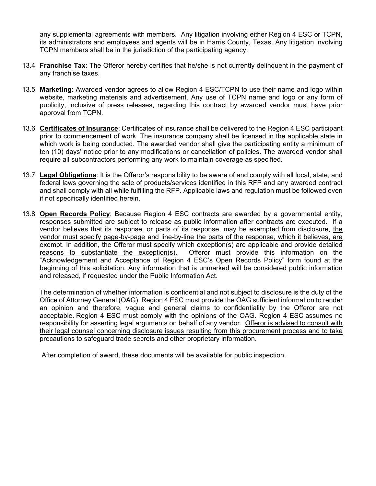any supplemental agreements with members. Any litigation involving either Region 4 ESC or TCPN, its administrators and employees and agents will be in Harris County, Texas. Any litigation involving TCPN members shall be in the jurisdiction of the participating agency.

- 13.4 **Franchise Tax**: The Offeror hereby certifies that he/she is not currently delinquent in the payment of any franchise taxes.
- 13.5 **Marketing**: Awarded vendor agrees to allow Region 4 ESC/TCPN to use their name and logo within website, marketing materials and advertisement. Any use of TCPN name and logo or any form of publicity, inclusive of press releases, regarding this contract by awarded vendor must have prior approval from TCPN.
- 13.6 **Certificates of Insurance**: Certificates of insurance shall be delivered to the Region 4 ESC participant prior to commencement of work. The insurance company shall be licensed in the applicable state in which work is being conducted. The awarded vendor shall give the participating entity a minimum of ten (10) days' notice prior to any modifications or cancellation of policies. The awarded vendor shall require all subcontractors performing any work to maintain coverage as specified.
- 13.7 **Legal Obligations**: It is the Offeror's responsibility to be aware of and comply with all local, state, and federal laws governing the sale of products/services identified in this RFP and any awarded contract and shall comply with all while fulfilling the RFP. Applicable laws and regulation must be followed even if not specifically identified herein.
- 13.8 **Open Records Policy**: Because Region 4 ESC contracts are awarded by a governmental entity, responses submitted are subject to release as public information after contracts are executed. If a vendor believes that its response, or parts of its response, may be exempted from disclosure, the vendor must specify page-by-page and line-by-line the parts of the response, which it believes, are exempt. In addition, the Offeror must specify which exception(s) are applicable and provide detailed reasons to substantiate the exception(s). Offeror must provide this information on the "Acknowledgement and Acceptance of Region 4 ESC's Open Records Policy" form found at the beginning of this solicitation. Any information that is unmarked will be considered public information and released, if requested under the Public Information Act.

The determination of whether information is confidential and not subject to disclosure is the duty of the Office of Attorney General (OAG). Region 4 ESC must provide the OAG sufficient information to render an opinion and therefore, vague and general claims to confidentiality by the Offeror are not acceptable. Region 4 ESC must comply with the opinions of the OAG. Region 4 ESC assumes no responsibility for asserting legal arguments on behalf of any vendor. Offeror is advised to consult with their legal counsel concerning disclosure issues resulting from this procurement process and to take precautions to safeguard trade secrets and other proprietary information.

After completion of award, these documents will be available for public inspection.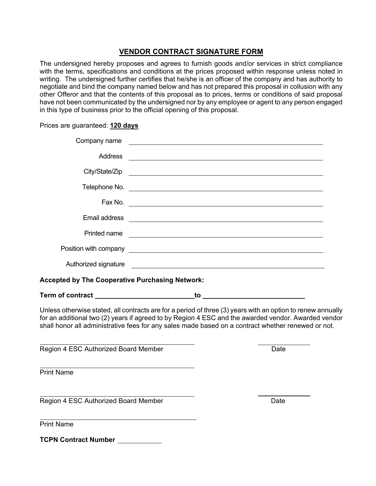## **VENDOR CONTRACT SIGNATURE FORM**

The undersigned hereby proposes and agrees to furnish goods and/or services in strict compliance with the terms, specifications and conditions at the prices proposed within response unless noted in writing. The undersigned further certifies that he/she is an officer of the company and has authority to negotiate and bind the company named below and has not prepared this proposal in collusion with any other Offeror and that the contents of this proposal as to prices, terms or conditions of said proposal have not been communicated by the undersigned nor by any employee or agent to any person engaged in this type of business prior to the official opening of this proposal.

Prices are guaranteed: **120 days**

| Company name                                                                                                                                                                                                                                                                                                             |                                                                                                                        |      |  |
|--------------------------------------------------------------------------------------------------------------------------------------------------------------------------------------------------------------------------------------------------------------------------------------------------------------------------|------------------------------------------------------------------------------------------------------------------------|------|--|
| <b>Address</b>                                                                                                                                                                                                                                                                                                           |                                                                                                                        |      |  |
| City/State/Zip                                                                                                                                                                                                                                                                                                           | <u> 1989 - Johann Stoff, deutscher Stoffen und der Stoffen und der Stoffen und der Stoffen und der Stoffen und der</u> |      |  |
|                                                                                                                                                                                                                                                                                                                          |                                                                                                                        |      |  |
|                                                                                                                                                                                                                                                                                                                          |                                                                                                                        |      |  |
| Email address                                                                                                                                                                                                                                                                                                            | <u> 1980 - Andrea Andrew Maria (h. 1980).</u>                                                                          |      |  |
| Printed name                                                                                                                                                                                                                                                                                                             | <u> 1989 - Johann John Stein, markin fizik eta idazlear (</u>                                                          |      |  |
|                                                                                                                                                                                                                                                                                                                          |                                                                                                                        |      |  |
| Authorized signature                                                                                                                                                                                                                                                                                                     |                                                                                                                        |      |  |
| <b>Accepted by The Cooperative Purchasing Network:</b>                                                                                                                                                                                                                                                                   |                                                                                                                        |      |  |
|                                                                                                                                                                                                                                                                                                                          |                                                                                                                        |      |  |
| Unless otherwise stated, all contracts are for a period of three (3) years with an option to renew annually<br>for an additional two (2) years if agreed to by Region 4 ESC and the awarded vendor. Awarded vendor<br>shall honor all administrative fees for any sales made based on a contract whether renewed or not. |                                                                                                                        |      |  |
| Region 4 ESC Authorized Board Member                                                                                                                                                                                                                                                                                     |                                                                                                                        | Date |  |
| <b>Print Name</b>                                                                                                                                                                                                                                                                                                        |                                                                                                                        |      |  |
| Region 4 ESC Authorized Board Member                                                                                                                                                                                                                                                                                     |                                                                                                                        | Date |  |
| <b>Print Name</b>                                                                                                                                                                                                                                                                                                        |                                                                                                                        |      |  |

**TCPN Contract Number**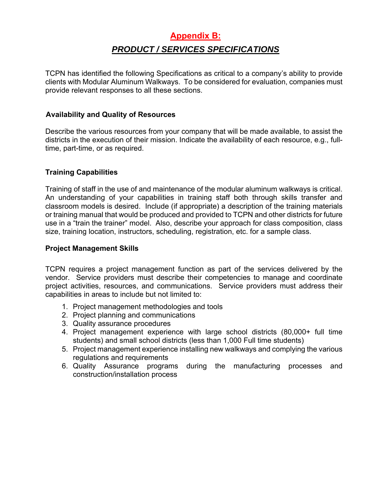# **Appendix B:**  *PRODUCT / SERVICES SPECIFICATIONS*

TCPN has identified the following Specifications as critical to a company's ability to provide clients with Modular Aluminum Walkways. To be considered for evaluation, companies must provide relevant responses to all these sections.

## **Availability and Quality of Resources**

Describe the various resources from your company that will be made available, to assist the districts in the execution of their mission. Indicate the availability of each resource, e.g., fulltime, part-time, or as required.

## **Training Capabilities**

Training of staff in the use of and maintenance of the modular aluminum walkways is critical. An understanding of your capabilities in training staff both through skills transfer and classroom models is desired. Include (if appropriate) a description of the training materials or training manual that would be produced and provided to TCPN and other districts for future use in a "train the trainer" model. Also, describe your approach for class composition, class size, training location, instructors, scheduling, registration, etc. for a sample class.

## **Project Management Skills**

TCPN requires a project management function as part of the services delivered by the vendor. Service providers must describe their competencies to manage and coordinate project activities, resources, and communications. Service providers must address their capabilities in areas to include but not limited to:

- 1. Project management methodologies and tools
- 2. Project planning and communications
- 3. Quality assurance procedures
- 4. Project management experience with large school districts (80,000+ full time students) and small school districts (less than 1,000 Full time students)
- 5. Project management experience installing new walkways and complying the various regulations and requirements
- 6. Quality Assurance programs during the manufacturing processes and construction/installation process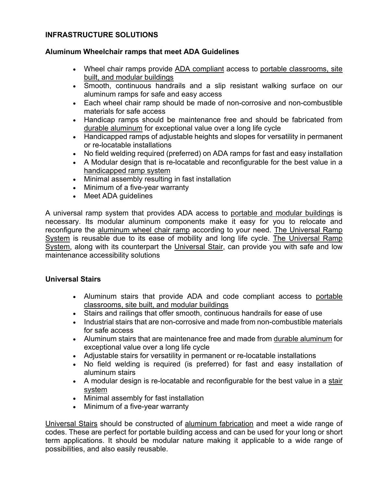## **INFRASTRUCTURE SOLUTIONS**

## **Aluminum Wheelchair ramps that meet ADA Guidelines**

- Wheel chair ramps provide ADA compliant access to portable classrooms, site built, and modular buildings
- Smooth, continuous handrails and a slip resistant walking surface on our aluminum ramps for safe and easy access
- Each wheel chair ramp should be made of non-corrosive and non-combustible materials for safe access
- Handicap ramps should be maintenance free and should be fabricated from durable aluminum for exceptional value over a long life cycle
- Handicapped ramps of adjustable heights and slopes for versatility in permanent or re-locatable installations
- No field welding required (preferred) on ADA ramps for fast and easy installation
- A Modular design that is re-locatable and reconfigurable for the best value in a handicapped ramp system
- Minimal assembly resulting in fast installation
- Minimum of a five-year warranty
- Meet ADA quidelines

A universal ramp system that provides ADA access to portable and modular buildings is necessary. Its modular aluminum components make it easy for you to relocate and reconfigure the aluminum wheel chair ramp according to your need. The Universal Ramp System is reusable due to its ease of mobility and long life cycle. The Universal Ramp System, along with its counterpart the Universal Stair, can provide you with safe and low maintenance accessibility solutions

## **Universal Stairs**

- Aluminum stairs that provide ADA and code compliant access to portable classrooms, site built, and modular buildings
- Stairs and railings that offer smooth, continuous handrails for ease of use
- Industrial stairs that are non-corrosive and made from non-combustible materials for safe access
- Aluminum stairs that are maintenance free and made from durable aluminum for exceptional value over a long life cycle
- Adjustable stairs for versatility in permanent or re-locatable installations
- No field welding is required (is preferred) for fast and easy installation of aluminum stairs
- A modular design is re-locatable and reconfigurable for the best value in a stair system
- Minimal assembly for fast installation
- Minimum of a five-year warranty

Universal Stairs should be constructed of aluminum fabrication and meet a wide range of codes. These are perfect for portable building access and can be used for your long or short term applications. It should be modular nature making it applicable to a wide range of possibilities, and also easily reusable.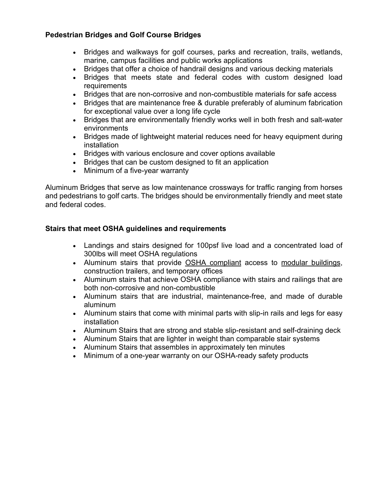## **Pedestrian Bridges and Golf Course Bridges**

- Bridges and walkways for golf courses, parks and recreation, trails, wetlands, marine, campus facilities and public works applications
- Bridges that offer a choice of handrail designs and various decking materials
- Bridges that meets state and federal codes with custom designed load requirements
- Bridges that are non-corrosive and non-combustible materials for safe access
- Bridges that are maintenance free & durable preferably of aluminum fabrication for exceptional value over a long life cycle
- Bridges that are environmentally friendly works well in both fresh and salt-water environments
- Bridges made of lightweight material reduces need for heavy equipment during installation
- Bridges with various enclosure and cover options available
- Bridges that can be custom designed to fit an application
- Minimum of a five-year warranty

Aluminum Bridges that serve as low maintenance crossways for traffic ranging from horses and pedestrians to golf carts. The bridges should be environmentally friendly and meet state and federal codes.

## **Stairs that meet OSHA guidelines and requirements**

- Landings and stairs designed for 100psf live load and a concentrated load of 300lbs will meet OSHA regulations
- Aluminum stairs that provide OSHA compliant access to modular buildings, construction trailers, and temporary offices
- Aluminum stairs that achieve OSHA compliance with stairs and railings that are both non-corrosive and non-combustible
- Aluminum stairs that are industrial, maintenance-free, and made of durable aluminum
- Aluminum stairs that come with minimal parts with slip-in rails and legs for easy installation
- Aluminum Stairs that are strong and stable slip-resistant and self-draining deck
- Aluminum Stairs that are lighter in weight than comparable stair systems
- Aluminum Stairs that assembles in approximately ten minutes
- Minimum of a one-year warranty on our OSHA-ready safety products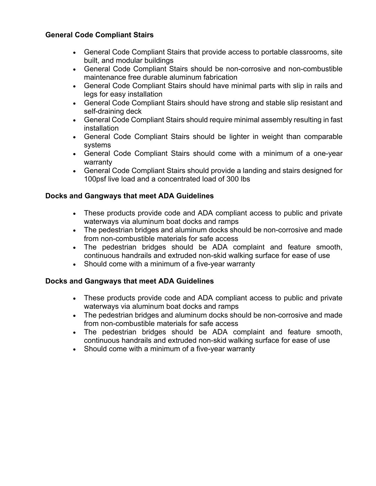## **General Code Compliant Stairs**

- General Code Compliant Stairs that provide access to portable classrooms, site built, and modular buildings
- General Code Compliant Stairs should be non-corrosive and non-combustible maintenance free durable aluminum fabrication
- General Code Compliant Stairs should have minimal parts with slip in rails and legs for easy installation
- General Code Compliant Stairs should have strong and stable slip resistant and self-draining deck
- General Code Compliant Stairs should require minimal assembly resulting in fast installation
- General Code Compliant Stairs should be lighter in weight than comparable systems
- General Code Compliant Stairs should come with a minimum of a one-year warranty
- General Code Compliant Stairs should provide a landing and stairs designed for 100psf live load and a concentrated load of 300 lbs

## **Docks and Gangways that meet ADA Guidelines**

- These products provide code and ADA compliant access to public and private waterways via aluminum boat docks and ramps
- The pedestrian bridges and aluminum docks should be non-corrosive and made from non-combustible materials for safe access
- The pedestrian bridges should be ADA complaint and feature smooth, continuous handrails and extruded non-skid walking surface for ease of use
- Should come with a minimum of a five-year warranty

## **Docks and Gangways that meet ADA Guidelines**

- These products provide code and ADA compliant access to public and private waterways via aluminum boat docks and ramps
- The pedestrian bridges and aluminum docks should be non-corrosive and made from non-combustible materials for safe access
- The pedestrian bridges should be ADA complaint and feature smooth, continuous handrails and extruded non-skid walking surface for ease of use
- Should come with a minimum of a five-year warranty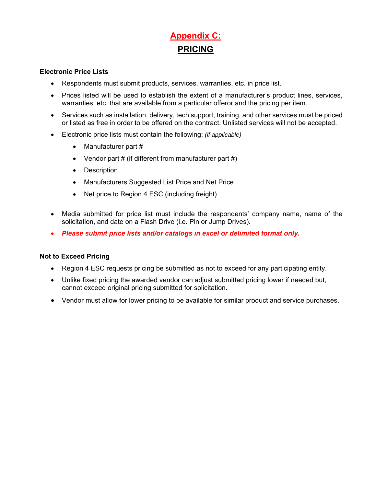# **Appendix C: PRICING**

### **Electronic Price Lists**

- Respondents must submit products, services, warranties, etc. in price list.
- Prices listed will be used to establish the extent of a manufacturer's product lines, services, warranties, etc. that are available from a particular offeror and the pricing per item.
- Services such as installation, delivery, tech support, training, and other services must be priced or listed as free in order to be offered on the contract. Unlisted services will not be accepted.
- Electronic price lists must contain the following: *(if applicable)*
	- Manufacturer part #
	- Vendor part  $#$  (if different from manufacturer part  $#$ )
	- Description
	- Manufacturers Suggested List Price and Net Price
	- Net price to Region 4 ESC (including freight)
- Media submitted for price list must include the respondents' company name, name of the solicitation, and date on a Flash Drive (i.e. Pin or Jump Drives).
- *Please submit price lists and/or catalogs in excel or delimited format only.*

#### **Not to Exceed Pricing**

- Region 4 ESC requests pricing be submitted as not to exceed for any participating entity.
- Unlike fixed pricing the awarded vendor can adjust submitted pricing lower if needed but, cannot exceed original pricing submitted for solicitation.
- Vendor must allow for lower pricing to be available for similar product and service purchases.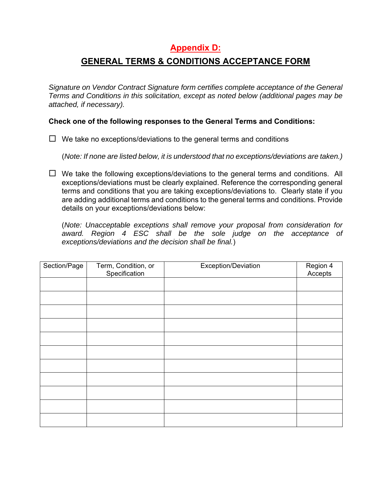# **Appendix D:**

## **GENERAL TERMS & CONDITIONS ACCEPTANCE FORM**

*Signature on Vendor Contract Signature form certifies complete acceptance of the General Terms and Conditions in this solicitation, except as noted below (additional pages may be attached, if necessary).* 

**Check one of the following responses to the General Terms and Conditions:** 

 $\Box$  We take no exceptions/deviations to the general terms and conditions

(*Note: If none are listed below, it is understood that no exceptions/deviations are taken.)*

 $\Box$  We take the following exceptions/deviations to the general terms and conditions. All exceptions/deviations must be clearly explained. Reference the corresponding general terms and conditions that you are taking exceptions/deviations to. Clearly state if you are adding additional terms and conditions to the general terms and conditions. Provide details on your exceptions/deviations below:

(*Note: Unacceptable exceptions shall remove your proposal from consideration for award. Region 4 ESC shall be the sole judge on the acceptance of exceptions/deviations and the decision shall be final.*)

| Section/Page | Term, Condition, or<br>Specification | Exception/Deviation | Region 4<br>Accepts |
|--------------|--------------------------------------|---------------------|---------------------|
|              |                                      |                     |                     |
|              |                                      |                     |                     |
|              |                                      |                     |                     |
|              |                                      |                     |                     |
|              |                                      |                     |                     |
|              |                                      |                     |                     |
|              |                                      |                     |                     |
|              |                                      |                     |                     |
|              |                                      |                     |                     |
|              |                                      |                     |                     |
|              |                                      |                     |                     |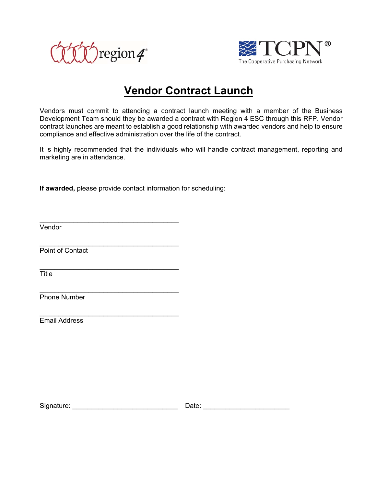



# **Vendor Contract Launch**

Vendors must commit to attending a contract launch meeting with a member of the Business Development Team should they be awarded a contract with Region 4 ESC through this RFP. Vendor contract launches are meant to establish a good relationship with awarded vendors and help to ensure compliance and effective administration over the life of the contract.

It is highly recommended that the individuals who will handle contract management, reporting and marketing are in attendance.

**If awarded,** please provide contact information for scheduling:

 $\_$ 

 $\_$ 

\_\_\_\_\_\_\_\_\_\_\_\_\_\_\_\_\_\_\_\_\_\_\_\_\_\_\_\_\_\_\_\_\_\_\_\_\_

 $\_$ 

Vendor

Point of Contact

**Title** 

Phone Number

Email Address

Signature: \_\_\_\_\_\_\_\_\_\_\_\_\_\_\_\_\_\_\_\_\_\_\_\_\_\_\_\_ Date: \_\_\_\_\_\_\_\_\_\_\_\_\_\_\_\_\_\_\_\_\_\_\_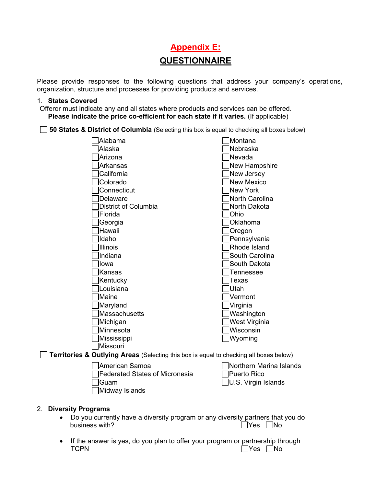# **Appendix E: QUESTIONNAIRE**

Please provide responses to the following questions that address your company's operations, organization, structure and processes for providing products and services.

#### 1. **States Covered**

Offeror must indicate any and all states where products and services can be offered. **Please indicate the price co-efficient for each state if it varies.** (If applicable)

**50 States & District of Columbia** (Selecting this box is equal to checking all boxes below)

| Alabama                                                                                | Montana              |
|----------------------------------------------------------------------------------------|----------------------|
| Alaska                                                                                 | Nebraska             |
| Arizona                                                                                | Nevada               |
| <b>Arkansas</b>                                                                        | <b>New Hampshire</b> |
| California                                                                             | New Jersey           |
| Colorado                                                                               | <b>New Mexico</b>    |
| Connecticut                                                                            | New York             |
| <b>Delaware</b>                                                                        | North Carolina       |
| District of Columbia                                                                   | North Dakota         |
| Florida                                                                                | Ohio                 |
| Georgia                                                                                | Oklahoma             |
| Hawaii                                                                                 | Oregon               |
| Idaho                                                                                  | Pennsylvania         |
| <b>Illinois</b>                                                                        | Rhode Island         |
| Indiana                                                                                | South Carolina       |
| lowa                                                                                   | South Dakota         |
| <b>Kansas</b>                                                                          | <b>Tennessee</b>     |
| Kentucky                                                                               | Texas                |
| Louisiana                                                                              | Utah                 |
| Maine                                                                                  | Vermont              |
| Maryland                                                                               | Virginia             |
| Massachusetts                                                                          | Washington           |
| Michigan                                                                               | West Virginia        |
| Minnesota                                                                              | Wisconsin            |
| Mississippi                                                                            | Wyoming              |
| lMissouri                                                                              |                      |
| Territories & Outlying Areas (Selecting this box is equal to checking all boxes below) |                      |
|                                                                                        | $\Box$               |

| □ American Samoa                 | □ Northern Marina Islands  |
|----------------------------------|----------------------------|
| □ Federated States of Micronesia | Puerto Rico                |
| ⊟Guam                            | $\Box$ U.S. Virgin Islands |
| □Midway Islands                  |                            |

#### 2. **Diversity Programs**

- Do you currently have a diversity program or any diversity partners that you do business with? Description of the North State of the North State of the North State of the North State of the No
- If the answer is yes, do you plan to offer your program or partnership through  $\Box$  TCPN  $\Box$   $\Box$  Yes  $\Box$  No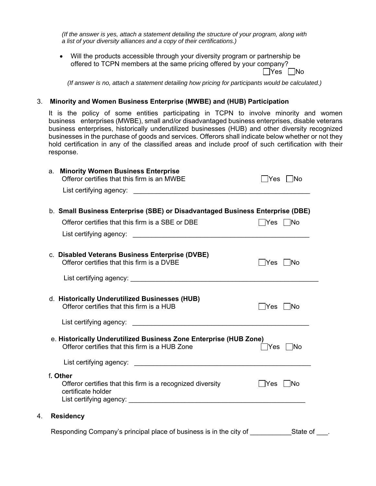*(If the answer is yes, attach a statement detailing the structure of your program, along with a list of your diversity alliances and a copy of their certifications.)* 

 Will the products accessible through your diversity program or partnership be offered to TCPN members at the same pricing offered by your company?  $\Box$ Yes  $\Box$ No

*(If answer is no, attach a statement detailing how pricing for participants would be calculated.)*

#### 3. **Minority and Women Business Enterprise (MWBE) and (HUB) Participation**

It is the policy of some entities participating in TCPN to involve minority and women business enterprises (MWBE), small and/or disadvantaged business enterprises, disable veterans business enterprises, historically underutilized businesses (HUB) and other diversity recognized businesses in the purchase of goods and services. Offerors shall indicate below whether or not they hold certification in any of the classified areas and include proof of such certification with their response.

| <b>Minority Women Business Enterprise</b><br>a.<br>Offeror certifies that this firm is an MWBE | ∣ ∣Yes                                                                                                                                                                                                                         | ∣ ∣No                                           |
|------------------------------------------------------------------------------------------------|--------------------------------------------------------------------------------------------------------------------------------------------------------------------------------------------------------------------------------|-------------------------------------------------|
|                                                                                                |                                                                                                                                                                                                                                |                                                 |
|                                                                                                | b. Small Business Enterprise (SBE) or Disadvantaged Business Enterprise (DBE)                                                                                                                                                  |                                                 |
| Offeror certifies that this firm is a SBE or DBE                                               |                                                                                                                                                                                                                                | $\overline{\ }$ Yes $\overline{\phantom{a}}$ No |
|                                                                                                |                                                                                                                                                                                                                                |                                                 |
| c. Disabled Veterans Business Enterprise (DVBE)<br>Offeror certifies that this firm is a DVBE  |                                                                                                                                                                                                                                | $\overline{\ }$ Yes $\overline{\phantom{a}}$ No |
|                                                                                                | List certifying agency: the control of the control of the control of the control of the control of the control of the control of the control of the control of the control of the control of the control of the control of the |                                                 |
| d. Historically Underutilized Businesses (HUB)<br>Offeror certifies that this firm is a HUB    |                                                                                                                                                                                                                                | $\bigcap$ Yes $\bigcap$ No                      |
|                                                                                                |                                                                                                                                                                                                                                |                                                 |
| Offeror certifies that this firm is a HUB Zone                                                 | e. Historically Underutilized Business Zone Enterprise (HUB Zone)<br><b>Yes</b>                                                                                                                                                | ∣ No                                            |
|                                                                                                |                                                                                                                                                                                                                                |                                                 |
| f. Other<br>Offeror certifies that this firm is a recognized diversity<br>certificate holder   | Yes                                                                                                                                                                                                                            | $\Box$ No                                       |
| <b>Residency</b><br>4.                                                                         |                                                                                                                                                                                                                                |                                                 |
|                                                                                                | Responding Company's principal place of business is in the city of                                                                                                                                                             | State of                                        |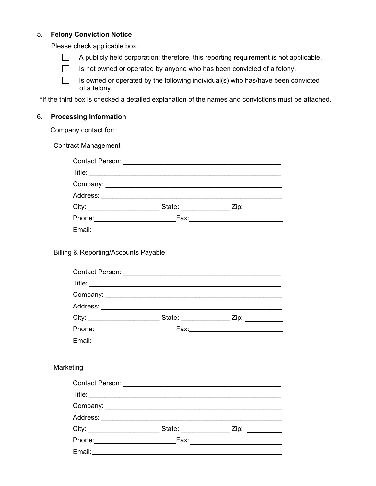#### 5. **Felony Conviction Notice**

Please check applicable box:

- $\Box$  A publicly held corporation; therefore, this reporting requirement is not applicable.
- $\Box$  Is not owned or operated by anyone who has been convicted of a felony.
- $\Box$  Is owned or operated by the following individual(s) who has/have been convicted of a felony.

\*If the third box is checked a detailed explanation of the names and convictions must be attached.

#### 6. **Processing Information**

Company contact for:

Contract Management

| Title: __________________________     |  |
|---------------------------------------|--|
|                                       |  |
|                                       |  |
| City:                                 |  |
| Phone: <u>_______________________</u> |  |
| Email:                                |  |

## Billing & Reporting/Accounts Payable

| Contact Person: <u>_______________________________</u> |                        |                                                                                                                                                                                                                                |
|--------------------------------------------------------|------------------------|--------------------------------------------------------------------------------------------------------------------------------------------------------------------------------------------------------------------------------|
|                                                        |                        |                                                                                                                                                                                                                                |
|                                                        |                        |                                                                                                                                                                                                                                |
| Address: <u>_____________</u>                          |                        |                                                                                                                                                                                                                                |
| City:                                                  | State: <u>________</u> | Zip: the contract of the contract of the contract of the contract of the contract of the contract of the contract of the contract of the contract of the contract of the contract of the contract of the contract of the contr |
| Phone: <u>______</u> _______                           |                        |                                                                                                                                                                                                                                |
| Email:                                                 |                        |                                                                                                                                                                                                                                |

#### **Marketing**

|                                         | Contact Person: ________________________________ |                                                  |
|-----------------------------------------|--------------------------------------------------|--------------------------------------------------|
|                                         |                                                  |                                                  |
|                                         |                                                  |                                                  |
| Address: ______________________________ |                                                  |                                                  |
|                                         |                                                  | State: _______________________ Zip: ____________ |
| Phone: ________________________         | Fax:                                             |                                                  |
|                                         |                                                  |                                                  |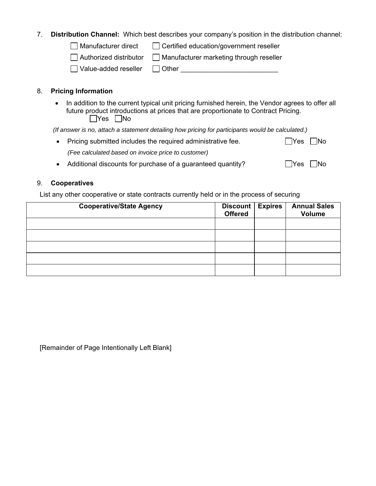### 7. **Distribution Channel:** Which best describes your company's position in the distribution channel:

 $\Box$  Manufacturer direct  $\Box$  Certified education/government reseller

 $\Box$  Authorized distributor  $\Box$  Manufacturer marketing through reseller

Value-added reseller Other \_\_\_\_\_\_\_\_\_\_\_\_\_\_\_\_\_\_\_\_\_\_\_\_\_\_

## 8. **Pricing Information**

• In addition to the current typical unit pricing furnished herein, the Vendor agrees to offer all future product introductions at prices that are proportionate to Contract Pricing.  $\Box$ Yes  $\Box$ No

*(If answer is no, attach a statement detailing how pricing for participants would be calculated.)* 

| • Pricing submitted includes the required administrative fee. | $\Box$ Yes $\Box$ No |  |
|---------------------------------------------------------------|----------------------|--|
| (Fee calculated based on invoice price to customer)           |                      |  |
|                                                               |                      |  |

|  | • Additional discounts for purchase of a guaranteed quantity? |  |  | $\Box$ Yes $\Box$ No |  |
|--|---------------------------------------------------------------|--|--|----------------------|--|
|--|---------------------------------------------------------------|--|--|----------------------|--|

## 9. **Cooperatives**

List any other cooperative or state contracts currently held or in the process of securing

| <b>Cooperative/State Agency</b> | Discount  <br><b>Offered</b> | <b>Expires</b> | <b>Annual Sales</b><br>Volume |
|---------------------------------|------------------------------|----------------|-------------------------------|
|                                 |                              |                |                               |
|                                 |                              |                |                               |
|                                 |                              |                |                               |
|                                 |                              |                |                               |
|                                 |                              |                |                               |

[Remainder of Page Intentionally Left Blank]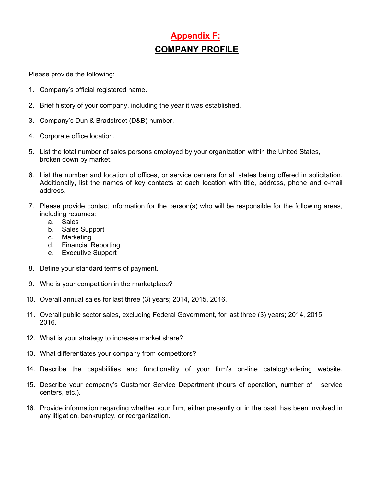# **Appendix F: COMPANY PROFILE**

Please provide the following:

- 1. Company's official registered name.
- 2. Brief history of your company, including the year it was established.
- 3. Company's Dun & Bradstreet (D&B) number.
- 4. Corporate office location.
- 5. List the total number of sales persons employed by your organization within the United States, broken down by market.
- 6. List the number and location of offices, or service centers for all states being offered in solicitation. Additionally, list the names of key contacts at each location with title, address, phone and e-mail address.
- 7. Please provide contact information for the person(s) who will be responsible for the following areas, including resumes:
	- a. Sales
	- b. Sales Support
	- c. Marketing
	- d. Financial Reporting
	- e. Executive Support
- 8. Define your standard terms of payment.
- 9. Who is your competition in the marketplace?
- 10. Overall annual sales for last three (3) years; 2014, 2015, 2016.
- 11. Overall public sector sales, excluding Federal Government, for last three (3) years; 2014, 2015, 2016.
- 12. What is your strategy to increase market share?
- 13. What differentiates your company from competitors?
- 14. Describe the capabilities and functionality of your firm's on-line catalog/ordering website.
- 15. Describe your company's Customer Service Department (hours of operation, number of service centers, etc.).
- 16. Provide information regarding whether your firm, either presently or in the past, has been involved in any litigation, bankruptcy, or reorganization.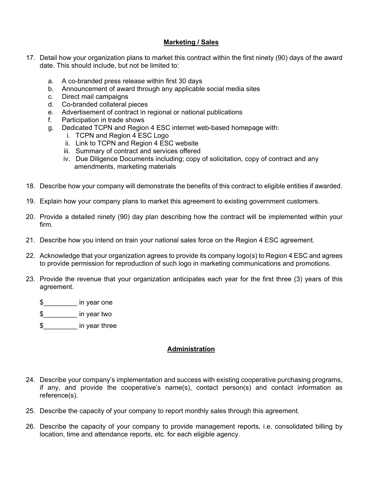#### **Marketing / Sales**

- 17. Detail how your organization plans to market this contract within the first ninety (90) days of the award date. This should include, but not be limited to:
	- a. A co-branded press release within first 30 days
	- b. Announcement of award through any applicable social media sites
	- c. Direct mail campaigns
	- d. Co-branded collateral pieces
	- e. Advertisement of contract in regional or national publications
	- f. Participation in trade shows
	- g. Dedicated TCPN and Region 4 ESC internet web-based homepage with:
		- i. TCPN and Region 4 ESC Logo
		- ii. Link to TCPN and Region 4 ESC website
		- iii. Summary of contract and services offered
		- iv. Due Diligence Documents including; copy of solicitation, copy of contract and any amendments, marketing materials
- 18. Describe how your company will demonstrate the benefits of this contract to eligible entities if awarded.
- 19. Explain how your company plans to market this agreement to existing government customers.
- 20. Provide a detailed ninety (90) day plan describing how the contract will be implemented within your firm.
- 21. Describe how you intend on train your national sales force on the Region 4 ESC agreement.
- 22. Acknowledge that your organization agrees to provide its company logo(s) to Region 4 ESC and agrees to provide permission for reproduction of such logo in marketing communications and promotions.
- 23. Provide the revenue that your organization anticipates each year for the first three (3) years of this agreement.
	- $\frac{1}{2}$  in year one
	- \$\_\_\_\_\_\_\_\_\_ in year two
	- \$\_\_\_\_\_\_\_\_\_ in year three

### **Administration**

- 24. Describe your company's implementation and success with existing cooperative purchasing programs, if any, and provide the cooperative's name(s), contact person(s) and contact information as reference(s).
- 25. Describe the capacity of your company to report monthly sales through this agreement.
- 26. Describe the capacity of your company to provide management reports, i.e. consolidated billing by location, time and attendance reports, etc. for each eligible agency.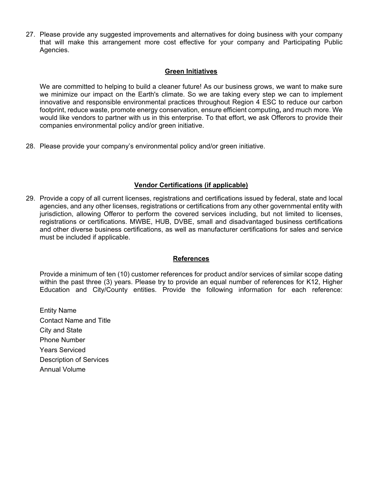27. Please provide any suggested improvements and alternatives for doing business with your company that will make this arrangement more cost effective for your company and Participating Public Agencies.

#### **Green Initiatives**

We are committed to helping to build a cleaner future! As our business grows, we want to make sure we minimize our impact on the Earth's climate. So we are taking every step we can to implement innovative and responsible environmental practices throughout Region 4 ESC to reduce our carbon footprint, reduce waste, promote energy conservation, ensure efficient computing**,** and much more. We would like vendors to partner with us in this enterprise. To that effort, we ask Offerors to provide their companies environmental policy and/or green initiative.

28. Please provide your company's environmental policy and/or green initiative.

### **Vendor Certifications (if applicable)**

29. Provide a copy of all current licenses, registrations and certifications issued by federal, state and local agencies, and any other licenses, registrations or certifications from any other governmental entity with jurisdiction, allowing Offeror to perform the covered services including, but not limited to licenses, registrations or certifications. MWBE, HUB, DVBE, small and disadvantaged business certifications and other diverse business certifications, as well as manufacturer certifications for sales and service must be included if applicable.

#### **References**

Provide a minimum of ten (10) customer references for product and/or services of similar scope dating within the past three (3) years. Please try to provide an equal number of references for K12, Higher Education and City/County entities. Provide the following information for each reference:

Entity Name Contact Name and Title City and State Phone Number Years Serviced Description of Services Annual Volume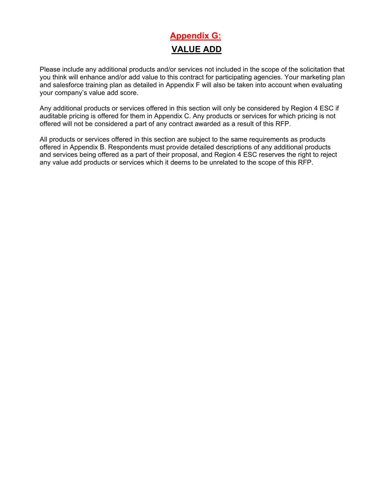## **Appendix G: VALUE ADD**

Please include any additional products and/or services not included in the scope of the solicitation that you think will enhance and/or add value to this contract for participating agencies. Your marketing plan and salesforce training plan as detailed in Appendix F will also be taken into account when evaluating your company's value add score.

Any additional products or services offered in this section will only be considered by Region 4 ESC if auditable pricing is offered for them in Appendix C. Any products or services for which pricing is not offered will not be considered a part of any contract awarded as a result of this RFP.

All products or services offered in this section are subject to the same requirements as products offered in Appendix B. Respondents must provide detailed descriptions of any additional products and services being offered as a part of their proposal, and Region 4 ESC reserves the right to reject any value add products or services which it deems to be unrelated to the scope of this RFP.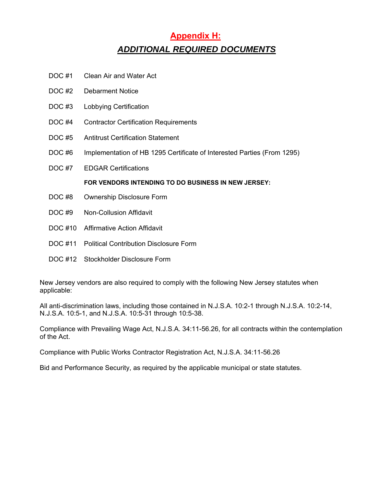### **Appendix H:**  *ADDITIONAL REQUIRED DOCUMENTS*

- DOC #1 Clean Air and Water Act
- DOC #2 Debarment Notice
- DOC #3 Lobbying Certification
- DOC #4 Contractor Certification Requirements
- DOC #5 Antitrust Certification Statement
- DOC #6 Implementation of HB 1295 Certificate of Interested Parties (From 1295)
- DOC #7 EDGAR Certifications

#### **FOR VENDORS INTENDING TO DO BUSINESS IN NEW JERSEY:**

- DOC #8 Ownership Disclosure Form
- DOC #9 Non-Collusion Affidavit
- DOC #10 Affirmative Action Affidavit
- DOC #11 Political Contribution Disclosure Form
- DOC #12 Stockholder Disclosure Form

New Jersey vendors are also required to comply with the following New Jersey statutes when applicable:

All anti-discrimination laws, including those contained in N.J.S.A. 10:2-1 through N.J.S.A. 10:2-14, N.J.S.A. 10:5-1, and N.J.S.A. 10:5-31 through 10:5-38.

Compliance with Prevailing Wage Act, N.J.S.A. 34:11-56.26, for all contracts within the contemplation of the Act.

Compliance with Public Works Contractor Registration Act, N.J.S.A. 34:11-56.26

Bid and Performance Security, as required by the applicable municipal or state statutes.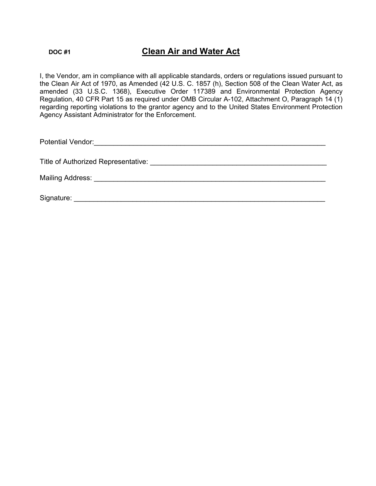### **DOC #1 Clean Air and Water Act**

I, the Vendor, am in compliance with all applicable standards, orders or regulations issued pursuant to the Clean Air Act of 1970, as Amended (42 U.S. C. 1857 (h), Section 508 of the Clean Water Act, as amended (33 U.S.C. 1368), Executive Order 117389 and Environmental Protection Agency Regulation, 40 CFR Part 15 as required under OMB Circular A-102, Attachment O, Paragraph 14 (1) regarding reporting violations to the grantor agency and to the United States Environment Protection Agency Assistant Administrator for the Enforcement.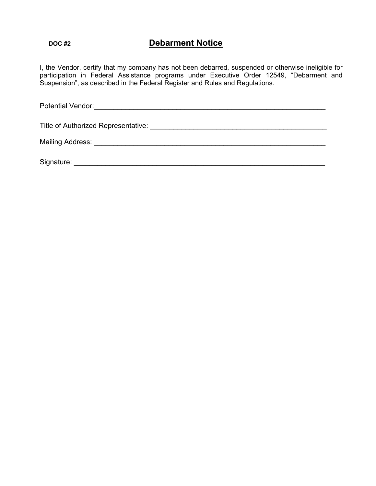### **Debarment Notice Debarment Notice**

I, the Vendor, certify that my company has not been debarred, suspended or otherwise ineligible for participation in Federal Assistance programs under Executive Order 12549, "Debarment and Suspension", as described in the Federal Register and Rules and Regulations.

| Title of Authorized Representative: The contract of Authorized Representative: |
|--------------------------------------------------------------------------------|
|                                                                                |
| Signature:                                                                     |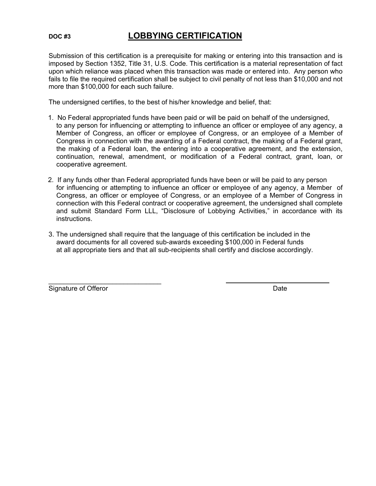### **DOC #3 LOBBYING CERTIFICATION**

Submission of this certification is a prerequisite for making or entering into this transaction and is imposed by Section 1352, Title 31, U.S. Code. This certification is a material representation of fact upon which reliance was placed when this transaction was made or entered into. Any person who fails to file the required certification shall be subject to civil penalty of not less than \$10,000 and not more than \$100,000 for each such failure.

The undersigned certifies, to the best of his/her knowledge and belief, that:

- 1. No Federal appropriated funds have been paid or will be paid on behalf of the undersigned, to any person for influencing or attempting to influence an officer or employee of any agency, a Member of Congress, an officer or employee of Congress, or an employee of a Member of Congress in connection with the awarding of a Federal contract, the making of a Federal grant, the making of a Federal loan, the entering into a cooperative agreement, and the extension, continuation, renewal, amendment, or modification of a Federal contract, grant, loan, or cooperative agreement.
- 2. If any funds other than Federal appropriated funds have been or will be paid to any person for influencing or attempting to influence an officer or employee of any agency, a Member of Congress, an officer or employee of Congress, or an employee of a Member of Congress in connection with this Federal contract or cooperative agreement, the undersigned shall complete and submit Standard Form LLL, "Disclosure of Lobbying Activities," in accordance with its instructions.
- 3. The undersigned shall require that the language of this certification be included in the award documents for all covered sub-awards exceeding \$100,000 in Federal funds at all appropriate tiers and that all sub-recipients shall certify and disclose accordingly.

Signature of Offeror **Date** 

 $\mathcal{L}_\text{max}$  , where  $\mathcal{L}_\text{max}$  is the set of the set of the set of the set of the set of the set of the set of the set of the set of the set of the set of the set of the set of the set of the set of the set of the se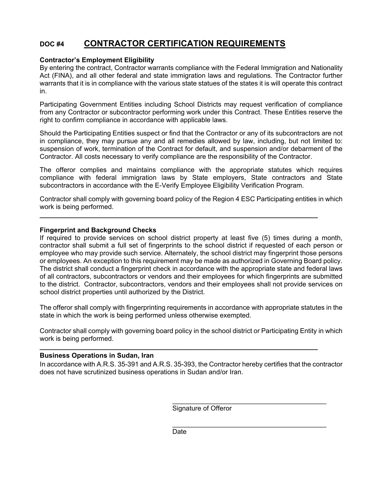### **DOC #4 CONTRACTOR CERTIFICATION REQUIREMENTS**

#### **Contractor's Employment Eligibility**

By entering the contract, Contractor warrants compliance with the Federal Immigration and Nationality Act (FINA), and all other federal and state immigration laws and regulations. The Contractor further warrants that it is in compliance with the various state statues of the states it is will operate this contract in.

Participating Government Entities including School Districts may request verification of compliance from any Contractor or subcontractor performing work under this Contract. These Entities reserve the right to confirm compliance in accordance with applicable laws.

Should the Participating Entities suspect or find that the Contractor or any of its subcontractors are not in compliance, they may pursue any and all remedies allowed by law, including, but not limited to: suspension of work, termination of the Contract for default, and suspension and/or debarment of the Contractor. All costs necessary to verify compliance are the responsibility of the Contractor.

The offeror complies and maintains compliance with the appropriate statutes which requires compliance with federal immigration laws by State employers, State contractors and State subcontractors in accordance with the E-Verify Employee Eligibility Verification Program.

Contractor shall comply with governing board policy of the Region 4 ESC Participating entities in which work is being performed.

**\_\_\_\_\_\_\_\_\_\_\_\_\_\_\_\_\_\_\_\_\_\_\_\_\_\_\_\_\_\_\_\_\_\_\_\_\_\_\_\_\_\_\_\_\_\_\_\_\_\_\_\_\_\_\_\_\_\_\_\_\_\_\_\_\_\_\_\_\_\_\_\_\_\_** 

### **Fingerprint and Background Checks**

If required to provide services on school district property at least five (5) times during a month, contractor shall submit a full set of fingerprints to the school district if requested of each person or employee who may provide such service. Alternately, the school district may fingerprint those persons or employees. An exception to this requirement may be made as authorized in Governing Board policy. The district shall conduct a fingerprint check in accordance with the appropriate state and federal laws of all contractors, subcontractors or vendors and their employees for which fingerprints are submitted to the district. Contractor, subcontractors, vendors and their employees shall not provide services on school district properties until authorized by the District.

The offeror shall comply with fingerprinting requirements in accordance with appropriate statutes in the state in which the work is being performed unless otherwise exempted.

Contractor shall comply with governing board policy in the school district or Participating Entity in which work is being performed.

**\_\_\_\_\_\_\_\_\_\_\_\_\_\_\_\_\_\_\_\_\_\_\_\_\_\_\_\_\_\_\_\_\_\_\_\_\_\_\_\_\_\_\_\_\_\_\_\_\_\_\_\_\_\_\_\_\_\_\_\_\_\_\_\_\_\_\_\_\_\_\_\_\_\_** 

#### **Business Operations in Sudan, Iran**

In accordance with A.R.S. 35-391 and A.R.S. 35-393, the Contractor hereby certifies that the contractor does not have scrutinized business operations in Sudan and/or Iran.

 $\frac{1}{\sqrt{2}}$  ,  $\frac{1}{\sqrt{2}}$  ,  $\frac{1}{\sqrt{2}}$  ,  $\frac{1}{\sqrt{2}}$  ,  $\frac{1}{\sqrt{2}}$  ,  $\frac{1}{\sqrt{2}}$  ,  $\frac{1}{\sqrt{2}}$  ,  $\frac{1}{\sqrt{2}}$  ,  $\frac{1}{\sqrt{2}}$  ,  $\frac{1}{\sqrt{2}}$  ,  $\frac{1}{\sqrt{2}}$  ,  $\frac{1}{\sqrt{2}}$  ,  $\frac{1}{\sqrt{2}}$  ,  $\frac{1}{\sqrt{2}}$  ,  $\frac{1}{\sqrt{2}}$ 

 $\frac{1}{\sqrt{2}}$  ,  $\frac{1}{\sqrt{2}}$  ,  $\frac{1}{\sqrt{2}}$  ,  $\frac{1}{\sqrt{2}}$  ,  $\frac{1}{\sqrt{2}}$  ,  $\frac{1}{\sqrt{2}}$  ,  $\frac{1}{\sqrt{2}}$  ,  $\frac{1}{\sqrt{2}}$  ,  $\frac{1}{\sqrt{2}}$  ,  $\frac{1}{\sqrt{2}}$  ,  $\frac{1}{\sqrt{2}}$  ,  $\frac{1}{\sqrt{2}}$  ,  $\frac{1}{\sqrt{2}}$  ,  $\frac{1}{\sqrt{2}}$  ,  $\frac{1}{\sqrt{2}}$ 

Signature of Offeror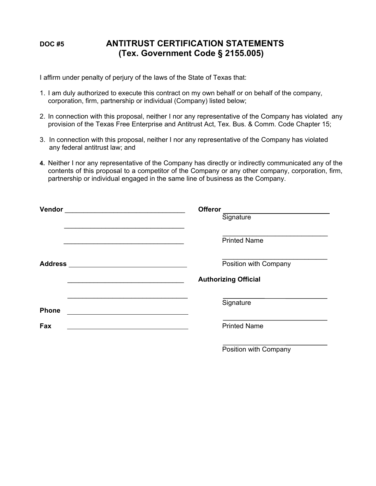### **DOC #5 ANTITRUST CERTIFICATION STATEMENTS (Tex. Government Code § 2155.005)**

I affirm under penalty of perjury of the laws of the State of Texas that:

- 1. I am duly authorized to execute this contract on my own behalf or on behalf of the company, corporation, firm, partnership or individual (Company) listed below;
- 2. In connection with this proposal, neither I nor any representative of the Company has violated any provision of the Texas Free Enterprise and Antitrust Act, Tex. Bus. & Comm. Code Chapter 15;
- 3. In connection with this proposal, neither I nor any representative of the Company has violated any federal antitrust law; and
- **4.** Neither I nor any representative of the Company has directly or indirectly communicated any of the contents of this proposal to a competitor of the Company or any other company, corporation, firm, partnership or individual engaged in the same line of business as the Company.

| <b>Offeror</b><br><u> 1989 - Jan Stern Stern Stern Stern Stern Stern Stern Stern Stern Stern Stern Stern Stern Stern Stern Stern St</u><br>Signature |
|------------------------------------------------------------------------------------------------------------------------------------------------------|
| <b>Printed Name</b>                                                                                                                                  |
| Position with Company                                                                                                                                |
| <b>Authorizing Official</b>                                                                                                                          |
| Signature                                                                                                                                            |
| <b>Printed Name</b>                                                                                                                                  |
|                                                                                                                                                      |

Position with Company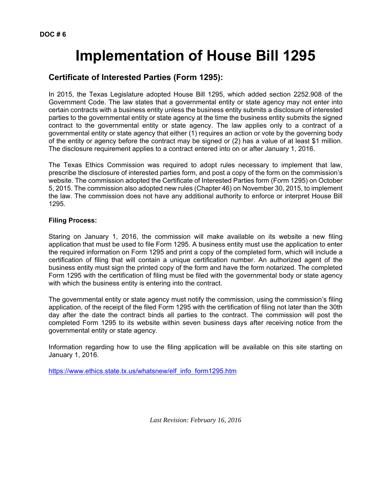# **Implementation of House Bill 1295**

### **Certificate of Interested Parties (Form 1295):**

In 2015, the Texas Legislature adopted House Bill 1295, which added section 2252.908 of the Government Code. The law states that a governmental entity or state agency may not enter into certain contracts with a business entity unless the business entity submits a disclosure of interested parties to the governmental entity or state agency at the time the business entity submits the signed contract to the governmental entity or state agency. The law applies only to a contract of a governmental entity or state agency that either (1) requires an action or vote by the governing body of the entity or agency before the contract may be signed or (2) has a value of at least \$1 million. The disclosure requirement applies to a contract entered into on or after January 1, 2016.

The Texas Ethics Commission was required to adopt rules necessary to implement that law, prescribe the disclosure of interested parties form, and post a copy of the form on the commission's website. The commission adopted the Certificate of Interested Parties form (Form 1295) on October 5, 2015. The commission also adopted new rules (Chapter 46) on November 30, 2015, to implement the law. The commission does not have any additional authority to enforce or interpret House Bill 1295.

#### **Filing Process:**

Staring on January 1, 2016, the commission will make available on its website a new filing application that must be used to file Form 1295. A business entity must use the application to enter the required information on Form 1295 and print a copy of the completed form, which will include a certification of filing that will contain a unique certification number. An authorized agent of the business entity must sign the printed copy of the form and have the form notarized. The completed Form 1295 with the certification of filing must be filed with the governmental body or state agency with which the business entity is entering into the contract.

The governmental entity or state agency must notify the commission, using the commission's filing application, of the receipt of the filed Form 1295 with the certification of filing not later than the 30th day after the date the contract binds all parties to the contract. The commission will post the completed Form 1295 to its website within seven business days after receiving notice from the governmental entity or state agency.

Information regarding how to use the filing application will be available on this site starting on January 1, 2016.

https://www.ethics.state.tx.us/whatsnew/elf\_info\_form1295.htm

*Last Revision: February 16, 2016*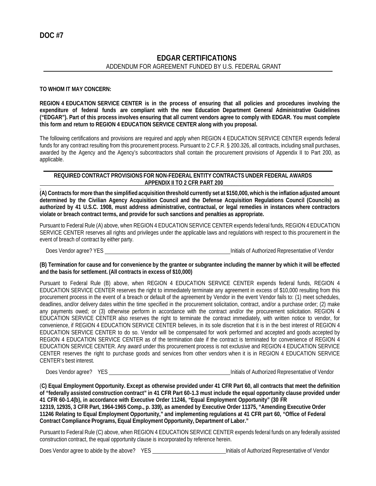### **EDGAR CERTIFICATIONS** ADDENDUM FOR AGREEMENT FUNDED BY U.S. FEDERAL GRANT

#### **TO WHOM IT MAY CONCERN:**

**REGION 4 EDUCATION SERVICE CENTER is in the process of ensuring that all policies and procedures involving the expenditure of federal funds are compliant with the new Education Department General Administrative Guidelines ("EDGAR"). Part of this process involves ensuring that all current vendors agree to comply with EDGAR. You must complete this form and return to REGION 4 EDUCATION SERVICE CENTER along with you proposal.**

The following certifications and provisions are required and apply when REGION 4 EDUCATION SERVICE CENTER expends federal funds for any contract resulting from this procurement process. Pursuant to 2 C.F.R. § 200.326, all contracts, including small purchases, awarded by the Agency and the Agency's subcontractors shall contain the procurement provisions of Appendix II to Part 200, as applicable.

#### **REQUIRED CONTRACT PROVISIONS FOR NON-FEDERAL ENTITY CONTRACTS UNDER FEDERAL AWARDS APPENDIX II TO 2 CFR PART 200**\_\_\_\_\_\_\_\_\_\_\_\_\_\_\_\_\_\_\_\_\_\_\_\_\_\_\_\_\_\_\_\_\_\_\_\_\_\_\_\_

\_ **(A) Contracts for more than the simplified acquisition threshold currently set at \$150,000, which is the inflation adjusted amount determined by the Civilian Agency Acquisition Council and the Defense Acquisition Regulations Council (Councils) as authorized by 41 U.S.C. 1908, must address administrative, contractual, or legal remedies in instances where contractors violate or breach contract terms, and provide for such sanctions and penalties as appropriate.**

Pursuant to Federal Rule (A) above, when REGION 4 EDUCATION SERVICE CENTER expends federal funds, REGION 4 EDUCATION SERVICE CENTER reserves all rights and privileges under the applicable laws and regulations with respect to this procurement in the event of breach of contract by either party.

Does Vendor agree? YES Initials of Authorized Representative of Vendor

**(B) Termination for cause and for convenience by the grantee or subgrantee including the manner by which it will be effected and the basis for settlement. (All contracts in excess of \$10,000)**

Pursuant to Federal Rule (B) above, when REGION 4 EDUCATION SERVICE CENTER expends federal funds, REGION 4 EDUCATION SERVICE CENTER reserves the right to immediately terminate any agreement in excess of \$10,000 resulting from this procurement process in the event of a breach or default of the agreement by Vendor in the event Vendor fails to: (1) meet schedules, deadlines, and/or delivery dates within the time specified in the procurement solicitation, contract, and/or a purchase order; (2) make any payments owed; or (3) otherwise perform in accordance with the contract and/or the procurement solicitation. REGION 4 EDUCATION SERVICE CENTER also reserves the right to terminate the contract immediately, with written notice to vendor, for convenience, if REGION 4 EDUCATION SERVICE CENTER believes, in its sole discretion that it is in the best interest of REGION 4 EDUCATION SERVICE CENTER to do so. Vendor will be compensated for work performed and accepted and goods accepted by REGION 4 EDUCATION SERVICE CENTER as of the termination date if the contract is terminated for convenience of REGION 4 EDUCATION SERVICE CENTER. Any award under this procurement process is not exclusive and REGION 4 EDUCATION SERVICE CENTER reserves the right to purchase goods and services from other vendors when it is in REGION 4 EDUCATION SERVICE CENTER's best interest.

Does Vendor agree? YES Initials of Authorized Representative of Vendor

(**C) Equal Employment Opportunity. Except as otherwise provided under 41 CFR Part 60, all contracts that meet the definition of "federally assisted construction contract" in 41 CFR Part 60-1.3 must include the equal opportunity clause provided under 41 CFR 60-1.4(b), in accordance with Executive Order 11246, "Equal Employment Opportunity" (30 FR 12319, 12935, 3 CFR Part, 1964-1965 Comp., p. 339), as amended by Executive Order 11375, "Amending Executive Order 11246 Relating to Equal Employment Opportunity," and implementing regulations at 41 CFR part 60, "Office of Federal Contract Compliance Programs, Equal Employment Opportunity, Department of Labor."**

Pursuant to Federal Rule (C) above, when REGION 4 EDUCATION SERVICE CENTER expends federal funds on any federally assisted construction contract, the equal opportunity clause is incorporated by reference herein.

Does Vendor agree to abide by the above? YES Initials of Authorized Representative of Vendor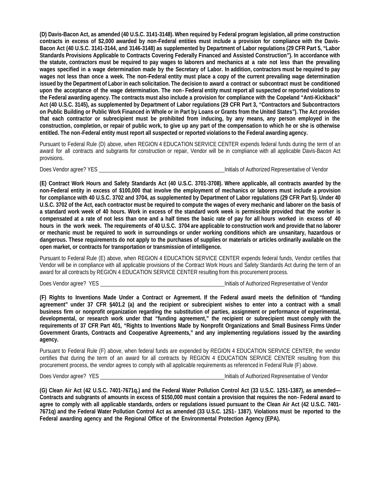**(D) Davis-Bacon Act, as amended (40 U.S.C. 3141-3148). When required by Federal program legislation, all prime construction contracts in excess of \$2,000 awarded by non-Federal entities must include a provision for compliance with the Davis-Bacon Act (40 U.S.C. 3141-3144, and 3146-3148) as supplemented by Department of Labor regulations (29 CFR Part 5, "Labor Standards Provisions Applicable to Contracts Covering Federally Financed and Assisted Construction"). In accordance with the statute, contractors must be required to pay wages to laborers and mechanics at a rate not less than the prevailing wages specified in a wage determination made by the Secretary of Labor. In addition, contractors must be required to pay wages not less than once a week. The non-Federal entity must place a copy of the current prevailing wage determination issued by the Department of Labor in each solicitation. The decision to award a contract or subcontract must be conditioned upon the acceptance of the wage determination. The non - Federal entity must report all suspected or reported violations to the Federal awarding agency. The contracts must also include a provision for compliance with the Copeland "Anti-Kickback" Act (40 U.S.C. 3145), as supplemented by Department of Labor regulations (29 CFR Part 3, "Contractors and Subcontractors on Public Building or Public Work Financed in Whole or in Part by Loans or Grants from the United States"). The Act provides that each contractor or subrecipient must be prohibited from inducing, by any means, any person employed in the construction, completion, or repair of public work, to give up any part of the compensation to which he or she is otherwise entitled. The non -Federal entity must report all suspected or reported violations to the Federal awarding agency.**

Pursuant to Federal Rule (D) above, when REGION 4 EDUCATION SERVICE CENTER expends federal funds during the term of an award for all contracts and subgrants for construction or repair, Vendor will be in compliance with all applicable Davis-Bacon Act provisions.

Does Vendor agree? YES **Initials of Authorized Representative of Vendor** 

**(E) Contract Work Hours and Safety Standards Act (40 U.S.C. 3701-3708). Where applicable, all contracts awarded by the non-Federal entity in excess of \$100,000 that involve the employment of mechanics or laborers must include a provision for compliance with 40 U.S.C. 3702 and 3704, as supplemented by Department of Labor regulations (29 CFR Part 5). Under 40 U.S.C. 3702 of the Act, each contractor must be required to compute the wages of every mechanic and laborer on the basis of a standard work week of 40 hours. Work in excess of the standard work week is permissible provided that the worker is compensated at a rate of not less than one and a half times the basic rate of pay for all hours worked in excess of 40 hours in the work week. The requirements of 40 U.S.C. 3704 are applicable to construction work and provide that no laborer or mechanic must be required to work in surroundings or under working conditions which are unsanitary, hazardous or dangerous. These requirements do not apply to the purchases of supplies or materials or articles ordinarily available on the open market, or contracts for transportation or transmission of intelligence.**

Pursuant to Federal Rule (E) above, when REGION 4 EDUCATION SERVICE CENTER expends federal funds, Vendor certifies that Vendor will be in compliance with all applicable provisions of the Contract Work Hours and Safety Standards Act during the term of an award for all contracts by REGION 4 EDUCATION SERVICE CENTER resulting from this procurement process.

Does Vendor agree? YES **Initials of Authorized Representative of Vendor Initials of Authorized Representative of Vendor** 

**(F) Rights to Inventions Made Under a Contract or Agreement. If the Federal award meets the definition of "funding agreement" under 37 CFR §401.2 (a) and the recipient or subrecipient wishes to enter into a contract with a small business firm or nonprofit organization regarding the substitution of parties, assignment or performance of experimental, developmental, or research work under that "funding agreement," the recipient or subrecipient must comply with the requirements of 37 CFR Part 401, "Rights to Inventions Made by Nonprofit Organizations and Small Business Firms Under Government Grants, Contracts and Cooperative Agreements," and any implementing regulations issued by the awarding agency.**

Pursuant to Federal Rule (F) above, when federal funds are expended by REGION 4 EDUCATION SERVICE CENTER, the vendor certifies that during the term of an award for all contracts by REGION 4 EDUCATION SERVICE CENTER resulting from this procurement process, the vendor agrees to comply with all applicable requirements as referenced in Federal Rule (F) above.

Does Vendor agree? YES Initials of Authorized Representative of Vendor

**(G) Clean Air Act (42 U.S.C. 7401-7671q.) and the Federal Water Pollution Control Act (33 U.S.C. 1251-1387), as amended— Contracts and subgrants of amounts in excess of \$150,000 must contain a provision that requires the non - Federal award to agree to comply with all applicable standards, orders or regulations issued pursuant to the Clean Air Act (42 U.S.C. 7401- 7671q) and the Federal Water Pollution Control Act as amended (33 U.S.C. 1251- 1387). Violations must be reported to the Federal awarding agency and the Regional Office of the Environmental Protection Agency (EPA).**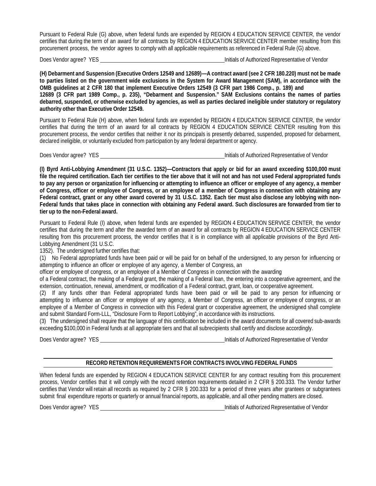Pursuant to Federal Rule (G) above, when federal funds are expended by REGION 4 EDUCATION SERVICE CENTER, the vendor certifies that during the term of an award for all contracts by REGION 4 EDUCATION SERVICE CENTER member resulting from this procurement process, the vendor agrees to comply with all applicable requirements as referenced in Federal Rule (G) above.

Does Vendor agree? YES **Initials of Authorized Representative of Vendor Initials of Authorized Representative of Vendor** 

**(H) Debarment and Suspension (Executive Orders 12549 and 12689)—A contract award (see 2 CFR 180.220) must not be made to parties listed on the government wide exclusions in the System for Award Management (SAM), in accordance with the OMB guidelines at 2 CFR 180 that implement Executive Orders 12549 (3 CFR part 1986 Comp., p. 189) and 12689 (3 CFR part 1989 Comp., p. 235), "Debarment and Suspension." SAM Exclusions contains the names of parties debarred, suspended, or otherwise excluded by agencies, as well as parties declared ineligible under statutory or regulatory authority other than Executive Order 12549.**

Pursuant to Federal Rule (H) above, when federal funds are expended by REGION 4 EDUCATION SERVICE CENTER, the vendor certifies that during the term of an award for all contracts by REGION 4 EDUCATION SERVICE CENTER resulting from this procurement process, the vendor certifies that neither it nor its principals is presently debarred, suspended, proposed for debarment, declared ineligible, or voluntarily excluded from participation by any federal department or agency.

Does Vendor agree? YES **Initials of Authorized Representative of Vendor Containers** and *S* Initials of Authorized Representative of Vendor

**(I) Byrd Anti-Lobbying Amendment (31 U.S.C. 1352)—Contractors that apply or bid for an award exceeding \$100,000 must file the required certification. Each tier certifies to the tier above that it will not and has not used Federal appropriated funds to pay any person or organization for influencing or attempting to influence an officer or employee of any agency, a member of Congress, officer or employee of Congress, or an employee of a member of Congress in connection with obtaining any Federal contract, grant or any other award covered by 31 U.S.C. 1352. Each tier must also disclose any lobbying with non-Federal funds that takes place in connection with obtaining any Federal award. Such disclosures are forwarded from tier to tier up to the non-Federal award.**

Pursuant to Federal Rule (I) above, when federal funds are expended by REGION 4 EDUCATION SERVICE CENTER, the vendor certifies that during the term and after the awarded term of an award for all contracts by REGION 4 EDUCATION SERVICE CENTER resulting from this procurement process, the vendor certifies that it is in compliance with all applicable provisions of the Byrd Anti-Lobbying Amendment (31 U.S.C.

1352). The undersigned further certifies that:

(1) No Federal appropriated funds have been paid or will be paid for on behalf of the undersigned, to any person for influencing or attempting to influence an officer or employee of any agency, a Member of Congress, an

officer or employee of congress, or an employee of a Member of Congress in connection with the awarding

of a Federal contract, the making of a Federal grant, the making of a Federal loan, the entering into a cooperative agreement, and the extension, continuation, renewal, amendment, or modification of a Federal contract, grant, loan, or cooperative agreement.

(2) If any funds other than Federal appropriated funds have been paid or will be paid to any person for influencing or attempting to influence an officer or employee of any agency, a Member of Congress, an officer or employee of congress, or an employee of a Member of Congress in connection with this Federal grant or cooperative agreement, the undersigned shall complete and submit Standard Form-LLL, "Disclosure Form to Report Lobbying", in accordance with its instructions.

(3) The undersigned shall require that the language of this certification be included in the award documents for all covered sub-awards exceeding \$100,000 in Federal funds at all appropriate tiers and that all subrecipients shall certify and disclose accordingly.

Does Vendor agree? YES **Initials of Authorized Representative of Vendor Initials of Authorized Representative of Vendor** 

#### **RECORD RETENTION REQUIREMENTS FOR CONTRACTS INVOLVING FEDERAL FUNDS**

When federal funds are expended by REGION 4 EDUCATION SERVICE CENTER for any contract resulting from this procurement process, Vendor certifies that it will comply with the record retention requirements detailed in 2 CFR § 200.333. The Vendor further certifies that Vendor will retain all records as required by 2 CFR § 200.333 for a period of three years after grantees or subgrantees submit final expenditure reports or quarterly or annual financial reports, as applicable, and all other pending matters are closed.

Does Vendor agree? YES **Initials of Authorized Representative of Vendor Initials of Authorized Representative of Vendor**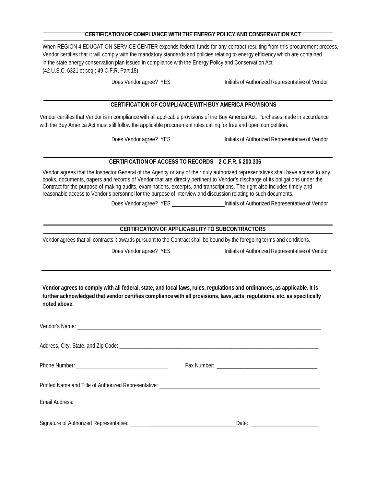#### **CERTIFICATION OF COMPLIANCE WITH THE ENERGY POLICY AND CONSERVATION ACT**

When REGION 4 EDUCATION SERVICE CENTER expends federal funds for any contract resulting from this procurement process, Vendor certifies that it will comply with the mandatory standards and policies relating to energy efficiency which are contained in the state energy conservation plan issued in compliance with the Energy Policy and Conservation Act (42 U.S.C. 6321 et seq.; 49 C.F.R. Part 18).

Does Vendor agree? YES **Initials of Authorized Representative of Vendor** 

#### **CERTIFICATION OF COMPLIANCE WITH BUY AMERICA PROVISIONS**

Vendor certifies that Vendor is in compliance with all applicable provisions of the Buy America Act. Purchases made in accordance with the Buy America Act must still follow the applicable procurement rules calling for free and open competition.

Does Vendor agree? YES **Initials of Authorized Representative of Vendor** 

#### **CERTIFICATION OF ACCESS TO RECORDS – 2 C.F.R. § 200.336**

Vendor agrees that the Inspector General of the Agency or any of their duly authorized representatives shall have access to any books, documents, papers and records of Vendor that are directly pertinent to Vendor's discharge of its obligations under the Contract for the purpose of making audits, examinations, excerpts, and transcriptions. The right also includes timely and reasonable access to Vendor's personnel for the purpose of interview and discussion relating to such documents.

Does Vendor agree? YES Initials of Authorized Representative of Vendor

#### **CERTIFICATION OF APPLICABILITY TO SUBCONTRACTORS**

Vendor agrees that all contracts it awards pursuant to the Contract shall be bound by the foregoing terms and conditions.

Does Vendor agree? YES **Initials of Authorized Representative of Vendor** 

**Vendor agrees to comply with all federal, state, and local laws, rules, regulations and ordinances, as applicable. It is further acknowledged that vendor certifies compliance with all provisions, laws, acts, regulations, etc. as specifically noted above.**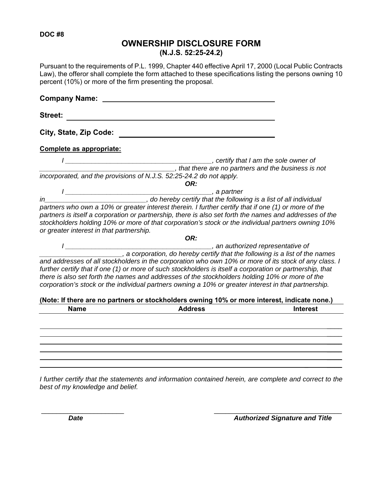#### **DOC #8**

### **OWNERSHIP DISCLOSURE FORM (N.J.S. 52:25-24.2)**

Pursuant to the requirements of P.L. 1999, Chapter 440 effective April 17, 2000 (Local Public Contracts Law), the offeror shall complete the form attached to these specifications listing the persons owning 10 percent (10%) or more of the firm presenting the proposal.

| <b>Company Name:</b>                           |                                                                                                                                                                                                                                                                                                                                                                                                                                                                                                                                               |                 |
|------------------------------------------------|-----------------------------------------------------------------------------------------------------------------------------------------------------------------------------------------------------------------------------------------------------------------------------------------------------------------------------------------------------------------------------------------------------------------------------------------------------------------------------------------------------------------------------------------------|-----------------|
| <b>Street:</b>                                 |                                                                                                                                                                                                                                                                                                                                                                                                                                                                                                                                               |                 |
| City, State, Zip Code:                         |                                                                                                                                                                                                                                                                                                                                                                                                                                                                                                                                               |                 |
| Complete as appropriate:                       |                                                                                                                                                                                                                                                                                                                                                                                                                                                                                                                                               |                 |
|                                                | ertify that I am the sole owner of example are more that I for the sole owner of the sole of the business is not<br>that there are no partners and the business is not<br>incorporated, and the provisions of N.J.S. 52:25-24.2 do not apply.                                                                                                                                                                                                                                                                                                 |                 |
|                                                | OR:                                                                                                                                                                                                                                                                                                                                                                                                                                                                                                                                           |                 |
|                                                |                                                                                                                                                                                                                                                                                                                                                                                                                                                                                                                                               |                 |
| in<br>or greater interest in that partnership. | partners who own a 10% or greater interest therein. I further certify that if one (1) or more of the<br>partners is itself a corporation or partnership, there is also set forth the names and addresses of the<br>stockholders holding 10% or more of that corporation's stock or the individual partners owning 10%                                                                                                                                                                                                                         |                 |
|                                                | OR:                                                                                                                                                                                                                                                                                                                                                                                                                                                                                                                                           |                 |
|                                                | an authorized representative of<br>a corporation, do hereby certify that the following is a list of the names<br>and addresses of all stockholders in the corporation who own 10% or more of its stock of any class. I<br>further certify that if one (1) or more of such stockholders is itself a corporation or partnership, that<br>there is also set forth the names and addresses of the stockholders holding 10% or more of the<br>corporation's stock or the individual partners owning a 10% or greater interest in that partnership. |                 |
|                                                | (Note: If there are no partners or stockholders owning 10% or more interest, indicate none.)                                                                                                                                                                                                                                                                                                                                                                                                                                                  |                 |
| <b>Name</b>                                    | <b>Address</b>                                                                                                                                                                                                                                                                                                                                                                                                                                                                                                                                | <b>Interest</b> |
|                                                |                                                                                                                                                                                                                                                                                                                                                                                                                                                                                                                                               |                 |
|                                                |                                                                                                                                                                                                                                                                                                                                                                                                                                                                                                                                               |                 |

*I further certify that the statements and information contained herein, are complete and correct to the best of my knowledge and belief.* 

 $\mathcal{L} = \{ \mathcal{L} \mid \mathcal{L} \in \mathcal{L} \}$  , where  $\mathcal{L} = \{ \mathcal{L} \mid \mathcal{L} \in \mathcal{L} \}$  , where  $\mathcal{L} = \{ \mathcal{L} \mid \mathcal{L} \in \mathcal{L} \}$ 

**Date Date**  *Date Date Date Date Authorized Signature and Title* 

 $\frac{1}{2}$  $\mathcal{L}$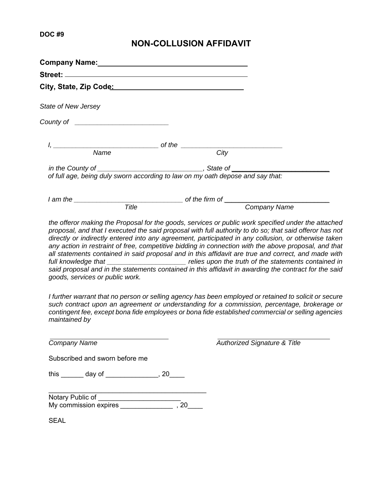### **NON-COLLUSION AFFIDAVIT**

| State of New Jersey                                                            |                     |  |
|--------------------------------------------------------------------------------|---------------------|--|
|                                                                                |                     |  |
|                                                                                |                     |  |
| Name                                                                           | City                |  |
| of full age, being duly sworn according to law on my oath depose and say that: |                     |  |
|                                                                                |                     |  |
| Title                                                                          | <b>Company Name</b> |  |

*the offeror making the Proposal for the goods, services or public work specified under the attached proposal, and that I executed the said proposal with full authority to do so; that said offeror has not directly or indirectly entered into any agreement, participated in any collusion, or otherwise taken*  any action in restraint of free, competitive bidding in connection with the above proposal, and that *all statements contained in said proposal and in this affidavit are true and correct, and made with full knowledge that \_\_\_\_\_\_\_\_\_\_\_\_\_\_\_\_\_\_\_\_\_ relies upon the truth of the statements contained in said proposal and in the statements contained in this affidavit in awarding the contract for the said goods, services or public work.* 

*I further warrant that no person or selling agency has been employed or retained to solicit or secure such contract upon an agreement or understanding for a commission, percentage, brokerage or contingent fee, except bona fide employees or bona fide established commercial or selling agencies maintained by* 

*Company Name Authorized Signature & Title* 

Subscribed and sworn before me

this \_\_\_\_\_\_ day of \_\_\_\_\_\_\_\_\_\_\_\_\_, 20\_\_\_\_

Notary Public of \_\_\_\_\_\_\_\_\_\_\_\_\_\_\_\_\_\_\_\_\_\_\_\_\_ My commission expires  $\frac{1}{2}$ , 20

SEAL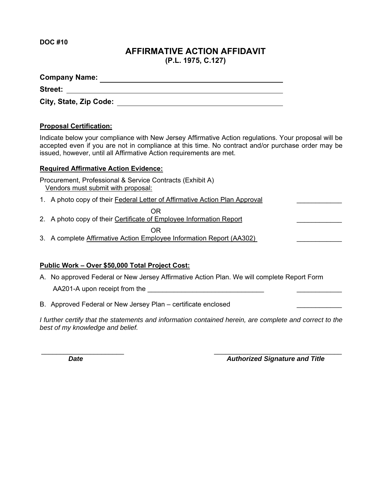**DOC #10** 

### **AFFIRMATIVE ACTION AFFIDAVIT (P.L. 1975, C.127)**

**Company Name: Street:** 

 **City, State, Zip Code:** 

### **Proposal Certification:**

Indicate below your compliance with New Jersey Affirmative Action regulations. Your proposal will be accepted even if you are not in compliance at this time. No contract and/or purchase order may be issued, however, until all Affirmative Action requirements are met.

### **Required Affirmative Action Evidence:**

Procurement, Professional & Service Contracts (Exhibit A) Vendors must submit with proposal:

1. A photo copy of their Federal Letter of Affirmative Action Plan Approval

2. A photo copy of their Certificate of Employee Information Report

**OR** Service Service Service Service Service Service Service Service Service Service Service Service Service Service Service Service Service Service Service Service Service Service Service Service Service Service Service S 3. A complete Affirmative Action Employee Information Report (AA302)

### **Public Work – Over \$50,000 Total Project Cost:**

A. No approved Federal or New Jersey Affirmative Action Plan. We will complete Report Form

AA201-A upon receipt from the **EXALUATE:** 

B. Approved Federal or New Jersey Plan – certificate enclosed

*I* further certify that the statements and information contained herein, are complete and correct to the *best of my knowledge and belief.* 

*Date* **Date** *Date Date Authorized Signature and Title*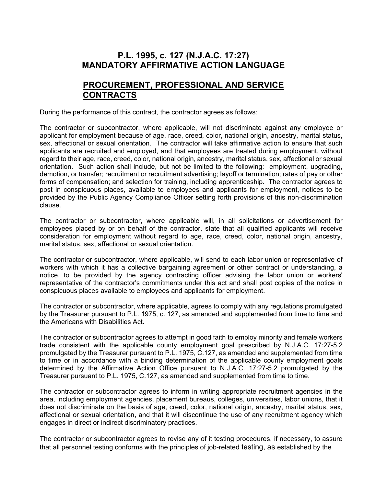### **P.L. 1995, c. 127 (N.J.A.C. 17:27) MANDATORY AFFIRMATIVE ACTION LANGUAGE**

### **PROCUREMENT, PROFESSIONAL AND SERVICE CONTRACTS**

During the performance of this contract, the contractor agrees as follows:

The contractor or subcontractor, where applicable, will not discriminate against any employee or applicant for employment because of age, race, creed, color, national origin, ancestry, marital status, sex, affectional or sexual orientation. The contractor will take affirmative action to ensure that such applicants are recruited and employed, and that employees are treated during employment, without regard to their age, race, creed, color, national origin, ancestry, marital status, sex, affectional or sexual orientation. Such action shall include, but not be limited to the following: employment, upgrading, demotion, or transfer; recruitment or recruitment advertising; layoff or termination; rates of pay or other forms of compensation; and selection for training, including apprenticeship. The contractor agrees to post in conspicuous places, available to employees and applicants for employment, notices to be provided by the Public Agency Compliance Officer setting forth provisions of this non-discrimination clause.

The contractor or subcontractor, where applicable will, in all solicitations or advertisement for employees placed by or on behalf of the contractor, state that all qualified applicants will receive consideration for employment without regard to age, race, creed, color, national origin, ancestry, marital status, sex, affectional or sexual orientation.

The contractor or subcontractor, where applicable, will send to each labor union or representative of workers with which it has a collective bargaining agreement or other contract or understanding, a notice, to be provided by the agency contracting officer advising the labor union or workers' representative of the contractor's commitments under this act and shall post copies of the notice in conspicuous places available to employees and applicants for employment.

The contractor or subcontractor, where applicable, agrees to comply with any regulations promulgated by the Treasurer pursuant to P.L. 1975, c. 127, as amended and supplemented from time to time and the Americans with Disabilities Act.

The contractor or subcontractor agrees to attempt in good faith to employ minority and female workers trade consistent with the applicable county employment goal prescribed by N.J.A.C. 17:27-5.2 promulgated by the Treasurer pursuant to P.L. 1975, C.127, as amended and supplemented from time to time or in accordance with a binding determination of the applicable county employment goals determined by the Affirmative Action Office pursuant to N.J.A.C. 17:27-5.2 promulgated by the Treasurer pursuant to P.L. 1975, C.127, as amended and supplemented from time to time.

The contractor or subcontractor agrees to inform in writing appropriate recruitment agencies in the area, including employment agencies, placement bureaus, colleges, universities, labor unions, that it does not discriminate on the basis of age, creed, color, national origin, ancestry, marital status, sex, affectional or sexual orientation, and that it will discontinue the use of any recruitment agency which engages in direct or indirect discriminatory practices.

The contractor or subcontractor agrees to revise any of it testing procedures, if necessary, to assure that all personnel testing conforms with the principles of job-related testing, as established by the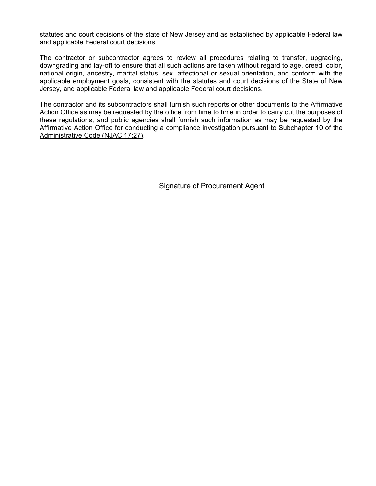statutes and court decisions of the state of New Jersey and as established by applicable Federal law and applicable Federal court decisions.

The contractor or subcontractor agrees to review all procedures relating to transfer, upgrading, downgrading and lay-off to ensure that all such actions are taken without regard to age, creed, color, national origin, ancestry, marital status, sex, affectional or sexual orientation, and conform with the applicable employment goals, consistent with the statutes and court decisions of the State of New Jersey, and applicable Federal law and applicable Federal court decisions.

The contractor and its subcontractors shall furnish such reports or other documents to the Affirmative Action Office as may be requested by the office from time to time in order to carry out the purposes of these regulations, and public agencies shall furnish such information as may be requested by the Affirmative Action Office for conducting a compliance investigation pursuant to Subchapter 10 of the Administrative Code (NJAC 17:27).

Signature of Procurement Agent

\_\_\_\_\_\_\_\_\_\_\_\_\_\_\_\_\_\_\_\_\_\_\_\_\_\_\_\_\_\_\_\_\_\_\_\_\_\_\_\_\_\_\_\_\_\_\_\_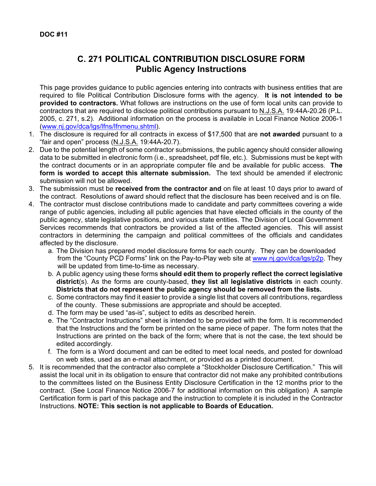### **C. 271 POLITICAL CONTRIBUTION DISCLOSURE FORM Public Agency Instructions**

This page provides guidance to public agencies entering into contracts with business entities that are required to file Political Contribution Disclosure forms with the agency. **It is not intended to be provided to contractors.** What follows are instructions on the use of form local units can provide to contractors that are required to disclose political contributions pursuant to N.J.S.A. 19:44A-20.26 (P.L. 2005, c. 271, s.2). Additional information on the process is available in Local Finance Notice 2006-1 (www.nj.gov/dca/lgs/lfns/lfnmenu.shtml).

- 1. The disclosure is required for all contracts in excess of \$17,500 that are **not awarded** pursuant to a "fair and open" process (N.J.S.A. 19:44A-20.7).
- 2. Due to the potential length of some contractor submissions, the public agency should consider allowing data to be submitted in electronic form (i.e., spreadsheet, pdf file, etc.). Submissions must be kept with the contract documents or in an appropriate computer file and be available for public access. **The form is worded to accept this alternate submission.** The text should be amended if electronic submission will not be allowed.
- 3. The submission must be **received from the contractor and** on file at least 10 days prior to award of the contract. Resolutions of award should reflect that the disclosure has been received and is on file.
- 4. The contractor must disclose contributions made to candidate and party committees covering a wide range of public agencies, including all public agencies that have elected officials in the county of the public agency, state legislative positions, and various state entities. The Division of Local Government Services recommends that contractors be provided a list of the affected agencies. This will assist contractors in determining the campaign and political committees of the officials and candidates affected by the disclosure.
	- a. The Division has prepared model disclosure forms for each county. They can be downloaded from the "County PCD Forms" link on the Pay-to-Play web site at www.nj.gov/dca/lgs/p2p. They will be updated from time-to-time as necessary.
	- b. A public agency using these forms **should edit them to properly reflect the correct legislative district**(s). As the forms are county-based, **they list all legislative districts** in each county. **Districts that do not represent the public agency should be removed from the lists.**
	- c. Some contractors may find it easier to provide a single list that covers all contributions, regardless of the county. These submissions are appropriate and should be accepted.
	- d. The form may be used "as-is", subject to edits as described herein.
	- e. The "Contractor Instructions" sheet is intended to be provided with the form. It is recommended that the Instructions and the form be printed on the same piece of paper. The form notes that the Instructions are printed on the back of the form; where that is not the case, the text should be edited accordingly.
	- f. The form is a Word document and can be edited to meet local needs, and posted for download on web sites, used as an e-mail attachment, or provided as a printed document.
- 5. It is recommended that the contractor also complete a "Stockholder Disclosure Certification." This will assist the local unit in its obligation to ensure that contractor did not make any prohibited contributions to the committees listed on the Business Entity Disclosure Certification in the 12 months prior to the contract. (See Local Finance Notice 2006-7 for additional information on this obligation) A sample Certification form is part of this package and the instruction to complete it is included in the Contractor Instructions. **NOTE: This section is not applicable to Boards of Education.**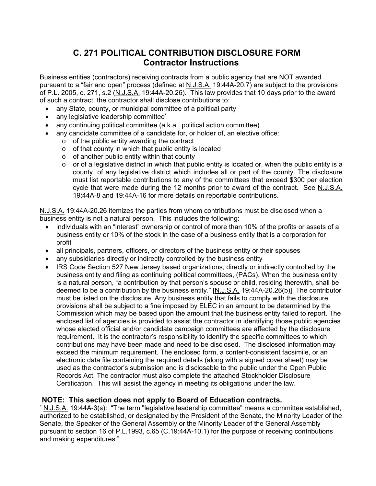### **C. 271 POLITICAL CONTRIBUTION DISCLOSURE FORM Contractor Instructions**

Business entities (contractors) receiving contracts from a public agency that are NOT awarded pursuant to a "fair and open" process (defined at N.J.S.A. 19:44A-20.7) are subject to the provisions of P.L. 2005, c. 271, s.2 (N.J.S.A. 19:44A-20.26). This law provides that 10 days prior to the award of such a contract, the contractor shall disclose contributions to:

- any State, county, or municipal committee of a political party
- any legislative leadership committee**\***
- any continuing political committee (a.k.a., political action committee)
- any candidate committee of a candidate for, or holder of, an elective office:
	- $\circ$  of the public entity awarding the contract
	- o of that county in which that public entity is located
	- o of another public entity within that county
	- $\circ$  or of a legislative district in which that public entity is located or, when the public entity is a county, of any legislative district which includes all or part of the county. The disclosure must list reportable contributions to any of the committees that exceed \$300 per election cycle that were made during the 12 months prior to award of the contract. See N.J.S.A. 19:44A-8 and 19:44A-16 for more details on reportable contributions.

N.J.S.A. 19:44A-20.26 itemizes the parties from whom contributions must be disclosed when a business entity is not a natural person. This includes the following:

- individuals with an "interest" ownership or control of more than 10% of the profits or assets of a business entity or 10% of the stock in the case of a business entity that is a corporation for profit
- all principals, partners, officers, or directors of the business entity or their spouses
- any subsidiaries directly or indirectly controlled by the business entity
- IRS Code Section 527 New Jersey based organizations, directly or indirectly controlled by the business entity and filing as continuing political committees, (PACs). When the business entity is a natural person, "a contribution by that person's spouse or child, residing therewith, shall be deemed to be a contribution by the business entity." [N.J.S.A. 19:44A-20.26(b)] The contributor must be listed on the disclosure. Any business entity that fails to comply with the disclosure provisions shall be subject to a fine imposed by ELEC in an amount to be determined by the Commission which may be based upon the amount that the business entity failed to report. The enclosed list of agencies is provided to assist the contractor in identifying those public agencies whose elected official and/or candidate campaign committees are affected by the disclosure requirement. It is the contractor's responsibility to identify the specific committees to which contributions may have been made and need to be disclosed. The disclosed information may exceed the minimum requirement. The enclosed form, a content-consistent facsimile, or an electronic data file containing the required details (along with a signed cover sheet) may be used as the contractor's submission and is disclosable to the public under the Open Public Records Act. The contractor must also complete the attached Stockholder Disclosure Certification. This will assist the agency in meeting its obligations under the law.

### **NOTE: This section does not apply to Board of Education contracts.**

\* <u>N.J.S.A.</u> 19:44A-3(s): "The term "legislative leadership committee" means a committee established, authorized to be established, or designated by the President of the Senate, the Minority Leader of the Senate, the Speaker of the General Assembly or the Minority Leader of the General Assembly pursuant to section 16 of P.L.1993, c.65 (C.19:44A-10.1) for the purpose of receiving contributions and making expenditures."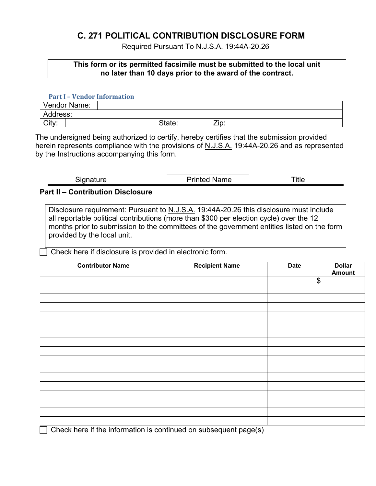### **C. 271 POLITICAL CONTRIBUTION DISCLOSURE FORM**

Required Pursuant To N.J.S.A. 19:44A-20.26

### **This form or its permitted facsimile must be submitted to the local unit no later than 10 days prior to the award of the contract.**

#### **Part I – Vendor Information**

| Vendor Name: |  |        |      |
|--------------|--|--------|------|
| Address:     |  |        |      |
| City:        |  | State: | Zip: |

The undersigned being authorized to certify, hereby certifies that the submission provided herein represents compliance with the provisions of N.J.S.A. 19:44A-20.26 and as represented by the Instructions accompanying this form.

| - |  |
|---|--|
|   |  |
|   |  |

#### **Part II – Contribution Disclosure**

Disclosure requirement: Pursuant to N.J.S.A. 19:44A-20.26 this disclosure must include all reportable political contributions (more than \$300 per election cycle) over the 12 months prior to submission to the committees of the government entities listed on the form provided by the local unit.

Check here if disclosure is provided in electronic form.

| <b>Contributor Name</b> | <b>Recipient Name</b> | <b>Date</b> | <b>Dollar</b><br>Amount |
|-------------------------|-----------------------|-------------|-------------------------|
|                         |                       |             | $\boldsymbol{\$}$       |
|                         |                       |             |                         |
|                         |                       |             |                         |
|                         |                       |             |                         |
|                         |                       |             |                         |
|                         |                       |             |                         |
|                         |                       |             |                         |
|                         |                       |             |                         |
|                         |                       |             |                         |
|                         |                       |             |                         |
|                         |                       |             |                         |
|                         |                       |             |                         |
|                         |                       |             |                         |
|                         |                       |             |                         |
|                         |                       |             |                         |
|                         |                       |             |                         |
|                         |                       |             |                         |

 $\Box$  Check here if the information is continued on subsequent page(s)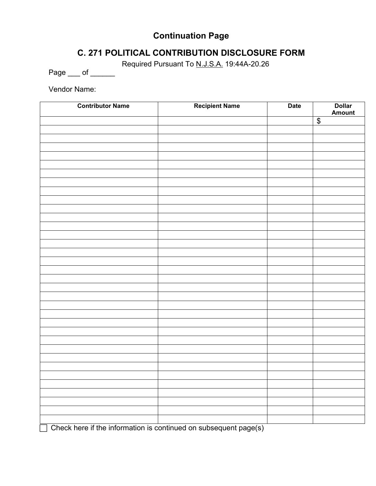### **Continuation Page**

### **C. 271 POLITICAL CONTRIBUTION DISCLOSURE FORM**

Required Pursuant To N.J.S.A. 19:44A-20.26

Page \_\_\_ of \_\_\_\_\_\_

Vendor Name:

| <b>Contributor Name</b> | <b>Recipient Name</b> | <b>Date</b> | Dollar<br>Amount    |
|-------------------------|-----------------------|-------------|---------------------|
|                         |                       |             | $\overline{\theta}$ |
|                         |                       |             |                     |
|                         |                       |             |                     |
|                         |                       |             |                     |
|                         |                       |             |                     |
|                         |                       |             |                     |
|                         |                       |             |                     |
|                         |                       |             |                     |
|                         |                       |             |                     |
|                         |                       |             |                     |
|                         |                       |             |                     |
|                         |                       |             |                     |
|                         |                       |             |                     |
|                         |                       |             |                     |
|                         |                       |             |                     |
|                         |                       |             |                     |
|                         |                       |             |                     |
|                         |                       |             |                     |
|                         |                       |             |                     |
|                         |                       |             |                     |
|                         |                       |             |                     |
|                         |                       |             |                     |
|                         |                       |             |                     |
|                         |                       |             |                     |
|                         |                       |             |                     |
|                         |                       |             |                     |
|                         |                       |             |                     |
|                         |                       |             |                     |
|                         |                       |             |                     |
|                         |                       |             |                     |
|                         |                       |             |                     |
|                         |                       |             |                     |
|                         |                       |             |                     |
|                         |                       |             |                     |
|                         |                       |             |                     |

 $\Box$  Check here if the information is continued on subsequent page(s)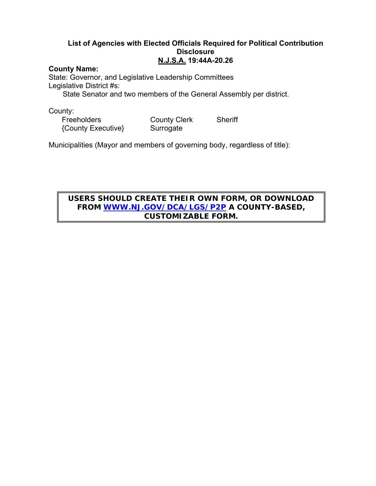### **List of Agencies with Elected Officials Required for Political Contribution Disclosure N.J.S.A. 19:44A-20.26**

#### **County Name:**

State: Governor, and Legislative Leadership Committees Legislative District #s:

State Senator and two members of the General Assembly per district.

County:<br>Freeholders

{County Executive} Surrogate

County Clerk Sheriff

Municipalities (Mayor and members of governing body, regardless of title):

### **USERS SHOULD CREATE THEIR OWN FORM, OR DOWNLOAD FROM WWW.NJ.GOV/DCA/LGS/P2P A COUNTY-BASED, CUSTOMIZABLE FORM.**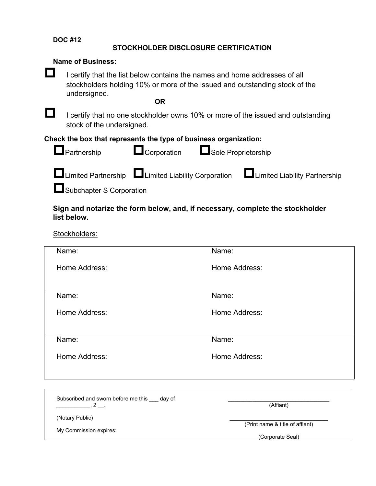**DOC #12**

### **STOCKHOLDER DISCLOSURE CERTIFICATION**

| <b>Name of Business:</b>                                                                                                                                                               |                                                                  |       |                                                                                  |  |
|----------------------------------------------------------------------------------------------------------------------------------------------------------------------------------------|------------------------------------------------------------------|-------|----------------------------------------------------------------------------------|--|
| I certify that the list below contains the names and home addresses of all<br>stockholders holding 10% or more of the issued and outstanding stock of the<br>undersigned.<br><b>OR</b> |                                                                  |       |                                                                                  |  |
| stock of the undersigned.                                                                                                                                                              |                                                                  |       | I certify that no one stockholder owns 10% or more of the issued and outstanding |  |
|                                                                                                                                                                                        | Check the box that represents the type of business organization: |       |                                                                                  |  |
| $\blacksquare$ Partnership                                                                                                                                                             | Corporation <b>Confidence</b> Sole Proprietorship                |       |                                                                                  |  |
|                                                                                                                                                                                        | $\Box$ Limited Partnership $\Box$ Limited Liability Corporation  |       | Limited Liability Partnership                                                    |  |
| Subchapter S Corporation                                                                                                                                                               |                                                                  |       |                                                                                  |  |
| list below.                                                                                                                                                                            |                                                                  |       | Sign and notarize the form below, and, if necessary, complete the stockholder    |  |
| Stockholders:                                                                                                                                                                          |                                                                  |       |                                                                                  |  |
| Name:                                                                                                                                                                                  |                                                                  | Name: |                                                                                  |  |
| Home Address:                                                                                                                                                                          |                                                                  |       | Home Address:                                                                    |  |
| Name:                                                                                                                                                                                  |                                                                  | Name: |                                                                                  |  |

Home Address: Home Address:

Name: Name: Name: Name: Name: Name: Name: Name: Name: Name: Name: Name: Name: Name: Name: Name: Name: Name: Name: Name: Name: Name: Name: Name: Name: Name: Name: Name: Name: Name: Name: Name: Name: Name: Name: Name: Name:

Home Address: Home Address:

Subscribed and sworn before me this \_\_\_ day of  $\overline{\phantom{a}}$ , 2  $\overline{\phantom{a}}$ .

**\_\_\_\_\_\_\_\_\_\_\_\_\_\_\_\_\_\_\_\_\_\_\_\_\_\_\_\_\_\_\_\_\_**  (Affiant)

(Notary Public)

**\_\_\_\_\_\_\_\_\_\_\_\_\_\_\_\_\_\_\_\_\_\_\_\_\_\_\_\_\_\_\_\_**  (Print name & title of affiant)

My Commission expires:

(Corporate Seal)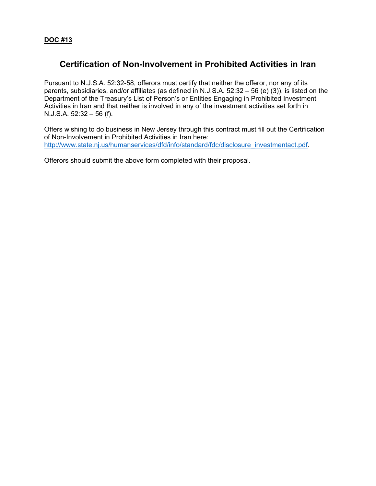### **Certification of Non-Involvement in Prohibited Activities in Iran**

Pursuant to N.J.S.A. 52:32-58, offerors must certify that neither the offeror, nor any of its parents, subsidiaries, and/or affiliates (as defined in N.J.S.A. 52:32 – 56 (e) (3)), is listed on the Department of the Treasury's List of Person's or Entities Engaging in Prohibited Investment Activities in Iran and that neither is involved in any of the investment activities set forth in N.J.S.A.  $52:32 - 56$  (f).

Offers wishing to do business in New Jersey through this contract must fill out the Certification of Non-Involvement in Prohibited Activities in Iran here: http://www.state.nj.us/humanservices/dfd/info/standard/fdc/disclosure\_investmentact.pdf.

Offerors should submit the above form completed with their proposal.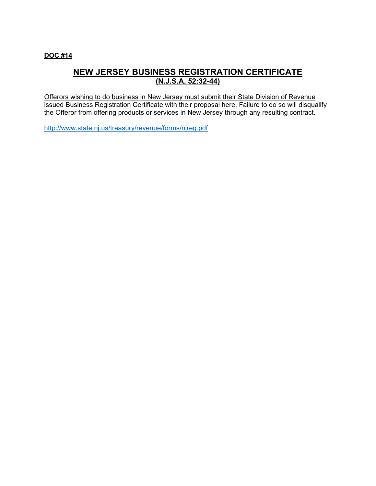### **DOC #14**

### **NEW JERSEY BUSINESS REGISTRATION CERTIFICATE (N.J.S.A. 52:32-44)**

Offerors wishing to do business in New Jersey must submit their State Division of Revenue issued Business Registration Certificate with their proposal here. Failure to do so will disqualify the Offeror from offering products or services in New Jersey through any resulting contract.

http://www.state.nj.us/treasury/revenue/forms/njreg.pdf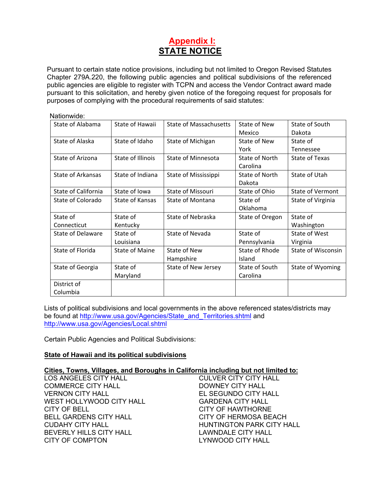### **Appendix I: STATE NOTICE**

Pursuant to certain state notice provisions, including but not limited to Oregon Revised Statutes Chapter 279A.220, the following public agencies and political subdivisions of the referenced public agencies are eligible to register with TCPN and access the Vendor Contract award made pursuant to this solicitation, and hereby given notice of the foregoing request for proposals for purposes of complying with the procedural requirements of said statutes:

| Nationwide:              |                       |                               |                 |                           |
|--------------------------|-----------------------|-------------------------------|-----------------|---------------------------|
| State of Alabama         | State of Hawaii       | <b>State of Massachusetts</b> | State of New    | State of South            |
|                          |                       |                               | Mexico          | Dakota                    |
| State of Alaska          | State of Idaho        | State of Michigan             | State of New    | State of                  |
|                          |                       |                               | York            | Tennessee                 |
| State of Arizona         | State of Illinois     | State of Minnesota            | State of North  | State of Texas            |
|                          |                       |                               | Carolina        |                           |
| State of Arkansas        | State of Indiana      | State of Mississippi          | State of North  | State of Utah             |
|                          |                       |                               | Dakota          |                           |
| State of California      | State of Iowa         | State of Missouri             | State of Ohio   | <b>State of Vermont</b>   |
| State of Colorado        | State of Kansas       | State of Montana              | State of        | State of Virginia         |
|                          |                       |                               | Oklahoma        |                           |
| State of                 | State of              | <b>State of Nebraska</b>      | State of Oregon | State of                  |
| Connecticut              | Kentucky              |                               |                 | Washington                |
| <b>State of Delaware</b> | State of              | State of Nevada               | State of        | State of West             |
|                          | Louisiana             |                               | Pennsylvania    | Virginia                  |
| State of Florida         | <b>State of Maine</b> | State of New                  | State of Rhode  | <b>State of Wisconsin</b> |
|                          |                       | Hampshire                     | Island          |                           |
| State of Georgia         | State of              | State of New Jersey           | State of South  | State of Wyoming          |
|                          | Maryland              |                               | Carolina        |                           |
| District of              |                       |                               |                 |                           |
| Columbia                 |                       |                               |                 |                           |

Lists of political subdivisions and local governments in the above referenced states/districts may be found at http://www.usa.gov/Agencies/State\_and\_Territories.shtml and http://www.usa.gov/Agencies/Local.shtml

Certain Public Agencies and Political Subdivisions:

#### **State of Hawaii and its political subdivisions**

#### **Cities, Towns, Villages, and Boroughs in California including but not limited to:**

LOS ANGELES CITY HALL COMMERCE CITY HALL VERNON CITY HALL WEST HOLLYWOOD CITY HALL CITY OF BELL BELL GARDENS CITY HALL CUDAHY CITY HALL BEVERLY HILLS CITY HALL CITY OF COMPTON

CULVER CITY CITY HALL DOWNEY CITY HALL EL SEGUNDO CITY HALL GARDENA CITY HALL CITY OF HAWTHORNE CITY OF HERMOSA BEACH HUNTINGTON PARK CITY HALL LAWNDALE CITY HALL LYNWOOD CITY HALL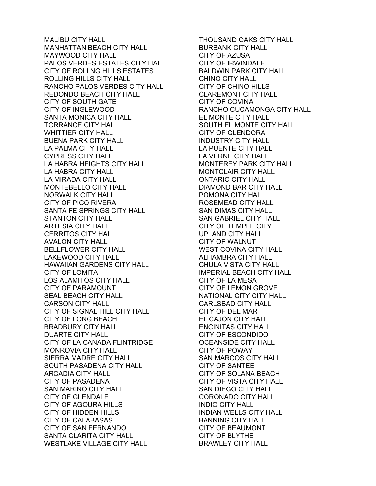MALIBU CITY HALL MANHATTAN BEACH CITY HALL MAYWOOD CITY HALL PALOS VERDES ESTATES CITY HALL CITY OF ROLLNG HILLS ESTATES ROLLING HILLS CITY HALL RANCHO PALOS VERDES CITY HALL REDONDO BEACH CITY HALL CITY OF SOUTH GATE CITY OF INGLEWOOD SANTA MONICA CITY HALL TORRANCE CITY HALL WHITTIER CITY HALL BUENA PARK CITY HALL LA PALMA CITY HALL CYPRESS CITY HALL LA HABRA HEIGHTS CITY HALL LA HABRA CITY HALL LA MIRADA CITY HALL MONTEBELLO CITY HALL NORWALK CITY HALL CITY OF PICO RIVERA SANTA FE SPRINGS CITY HALL STANTON CITY HALL ARTESIA CITY HALL CERRITOS CITY HALL AVALON CITY HALL BELLFLOWER CITY HALL LAKEWOOD CITY HALL HAWAIIAN GARDENS CITY HALL CITY OF LOMITA LOS ALAMITOS CITY HALL CITY OF PARAMOUNT SEAL BEACH CITY HALL CARSON CITY HALL CITY OF SIGNAL HILL CITY HALL CITY OF LONG BEACH BRADBURY CITY HALL DUARTE CITY HALL CITY OF LA CANADA FLINTRIDGE MONROVIA CITY HALL SIERRA MADRE CITY HALL SOUTH PASADENA CITY HALL ARCADIA CITY HALL CITY OF PASADENA SAN MARINO CITY HALL CITY OF GLENDALE CITY OF AGOURA HILLS CITY OF HIDDEN HILLS CITY OF CALABASAS CITY OF SAN FERNANDO SANTA CLARITA CITY HALL WESTLAKE VILLAGE CITY HALL

THOUSAND OAKS CITY HALL BURBANK CITY HALL CITY OF AZUSA CITY OF IRWINDALE BALDWIN PARK CITY HALL CHINO CITY HALL CITY OF CHINO HILLS CLAREMONT CITY HALL CITY OF COVINA RANCHO CUCAMONGA CITY HALL EL MONTE CITY HALL SOUTH EL MONTE CITY HALL CITY OF GLENDORA INDUSTRY CITY HALL LA PUENTE CITY HALL LA VERNE CITY HALL MONTEREY PARK CITY HALL MONTCLAIR CITY HALL ONTARIO CITY HALL DIAMOND BAR CITY HALL POMONA CITY HALL ROSEMEAD CITY HALL SAN DIMAS CITY HALL SAN GABRIEL CITY HALL CITY OF TEMPLE CITY UPLAND CITY HALL CITY OF WALNUT WEST COVINA CITY HALL ALHAMBRA CITY HALL CHULA VISTA CITY HALL IMPERIAL BEACH CITY HALL CITY OF LA MESA CITY OF LEMON GROVE NATIONAL CITY CITY HALL CARLSBAD CITY HALL CITY OF DEL MAR EL CAJON CITY HALL ENCINITAS CITY HALL CITY OF ESCONDIDO OCEANSIDE CITY HALL CITY OF POWAY SAN MARCOS CITY HALL CITY OF SANTEE CITY OF SOLANA BEACH CITY OF VISTA CITY HALL SAN DIEGO CITY HALL CORONADO CITY HALL INDIO CITY HALL INDIAN WELLS CITY HALL BANNING CITY HALL CITY OF BEAUMONT CITY OF BLYTHE BRAWLEY CITY HALL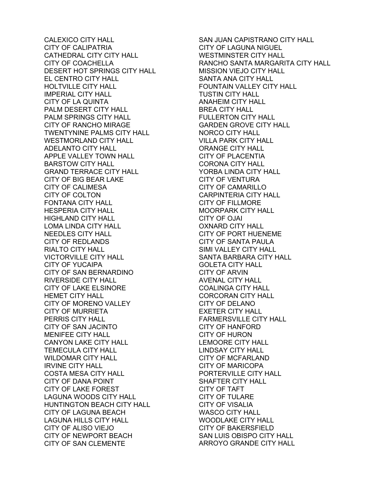CALEXICO CITY HALL CITY OF CALIPATRIA CATHEDRAL CITY CITY HALL CITY OF COACHELLA DESERT HOT SPRINGS CITY HALL EL CENTRO CITY HALL HOLTVILLE CITY HALL IMPERIAL CITY HALL CITY OF LA QUINTA PALM DESERT CITY HALL PALM SPRINGS CITY HALL CITY OF RANCHO MIRAGE TWENTYNINE PALMS CITY HALL WESTMORLAND CITY HALL ADELANTO CITY HALL APPLE VALLEY TOWN HALL BARSTOW CITY HALL GRAND TERRACE CITY HALL CITY OF BIG BEAR LAKE CITY OF CALIMESA CITY OF COLTON FONTANA CITY HALL HESPERIA CITY HALL HIGHLAND CITY HALL LOMA LINDA CITY HALL NEEDLES CITY HALL CITY OF REDLANDS RIALTO CITY HALL VICTORVILLE CITY HALL CITY OF YUCAIPA CITY OF SAN BERNARDINO RIVERSIDE CITY HALL CITY OF LAKE ELSINORE HEMET CITY HALL CITY OF MORENO VALLEY CITY OF MURRIETA PERRIS CITY HALL CITY OF SAN JACINTO MENIFEE CITY HALL CANYON LAKE CITY HALL TEMECULA CITY HALL WILDOMAR CITY HALL IRVINE CITY HALL COSTA MESA CITY HALL CITY OF DANA POINT CITY OF LAKE FOREST LAGUNA WOODS CITY HALL HUNTINGTON BEACH CITY HALL CITY OF LAGUNA BEACH LAGUNA HILLS CITY HALL CITY OF ALISO VIEJO CITY OF NEWPORT BEACH CITY OF SAN CLEMENTE

SAN JUAN CAPISTRANO CITY HALL CITY OF LAGUNA NIGUEL WESTMINSTER CITY HALL RANCHO SANTA MARGARITA CITY HALL MISSION VIEJO CITY HALL SANTA ANA CITY HALL FOUNTAIN VALLEY CITY HALL TUSTIN CITY HALL ANAHEIM CITY HALL BREA CITY HALL FULLERTON CITY HALL GARDEN GROVE CITY HALL NORCO CITY HALL VILLA PARK CITY HALL ORANGE CITY HALL CITY OF PLACENTIA CORONA CITY HALL YORBA LINDA CITY HALL CITY OF VENTURA CITY OF CAMARILLO CARPINTERIA CITY HALL CITY OF FILLMORE MOORPARK CITY HALL CITY OF OJAI OXNARD CITY HALL CITY OF PORT HUENEME CITY OF SANTA PAULA SIMI VALLEY CITY HALL SANTA BARBARA CITY HALL GOLETA CITY HALL CITY OF ARVIN AVENAL CITY HALL COALINGA CITY HALL CORCORAN CITY HALL CITY OF DELANO EXETER CITY HALL FARMERSVILLE CITY HALL CITY OF HANFORD CITY OF HURON LEMOORE CITY HALL LINDSAY CITY HALL CITY OF MCFARLAND CITY OF MARICOPA PORTERVILLE CITY HALL SHAFTER CITY HALL CITY OF TAFT CITY OF TULARE CITY OF VISALIA WASCO CITY HALL WOODLAKE CITY HALL CITY OF BAKERSFIELD SAN LUIS OBISPO CITY HALL ARROYO GRANDE CITY HALL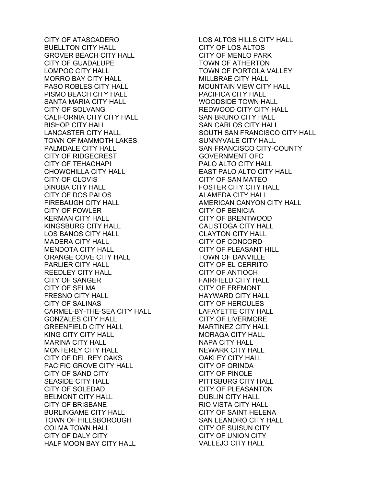CITY OF ATASCADERO BUELLTON CITY HALL GROVER BEACH CITY HALL CITY OF GUADALUPE LOMPOC CITY HALL MORRO BAY CITY HALL PASO ROBLES CITY HALL PISMO BEACH CITY HALL SANTA MARIA CITY HALL CITY OF SOLVANG CALIFORNIA CITY CITY HALL BISHOP CITY HALL LANCASTER CITY HALL TOWN OF MAMMOTH LAKES PALMDALE CITY HALL CITY OF RIDGECREST CITY OF TEHACHAPI CHOWCHILLA CITY HALL CITY OF CLOVIS DINUBA CITY HALL CITY OF DOS PALOS FIREBAUGH CITY HALL CITY OF FOWLER KERMAN CITY HALL KINGSBURG CITY HALL LOS BANOS CITY HALL MADERA CITY HALL MENDOTA CITY HALL ORANGE COVE CITY HALL PARLIER CITY HALL REEDLEY CITY HALL CITY OF SANGER CITY OF SELMA FRESNO CITY HALL CITY OF SALINAS CARMEL-BY-THE-SEA CITY HALL GONZALES CITY HALL GREENFIELD CITY HALL KING CITY CITY HALL MARINA CITY HALL MONTEREY CITY HALL CITY OF DEL REY OAKS PACIFIC GROVE CITY HALL CITY OF SAND CITY SEASIDE CITY HALL CITY OF SOLEDAD BELMONT CITY HALL CITY OF BRISBANE BURLINGAME CITY HALL TOWN OF HILLSBOROUGH COLMA TOWN HALL CITY OF DALY CITY HALF MOON BAY CITY HALL

LOS ALTOS HILLS CITY HALL CITY OF LOS ALTOS CITY OF MENLO PARK TOWN OF ATHERTON TOWN OF PORTOLA VALLEY MILLBRAE CITY HALL MOUNTAIN VIEW CITY HALL PACIFICA CITY HALL WOODSIDE TOWN HALL REDWOOD CITY CITY HALL SAN BRUNO CITY HALL SAN CARLOS CITY HALL SOUTH SAN FRANCISCO CITY HALL SUNNYVALE CITY HALL SAN FRANCISCO CITY-COUNTY GOVERNMENT OFC PALO ALTO CITY HALL EAST PALO ALTO CITY HALL CITY OF SAN MATEO FOSTER CITY CITY HALL ALAMEDA CITY HALL AMERICAN CANYON CITY HALL CITY OF BENICIA CITY OF BRENTWOOD CALISTOGA CITY HALL CLAYTON CITY HALL CITY OF CONCORD CITY OF PLEASANT HILL TOWN OF DANVILLE CITY OF EL CERRITO CITY OF ANTIOCH FAIRFIELD CITY HALL CITY OF FREMONT HAYWARD CITY HALL CITY OF HERCULES LAFAYETTE CITY HALL CITY OF LIVERMORE MARTINEZ CITY HALL MORAGA CITY HALL NAPA CITY HALL NEWARK CITY HALL OAKLEY CITY HALL CITY OF ORINDA CITY OF PINOLE PITTSBURG CITY HALL CITY OF PLEASANTON DUBLIN CITY HALL RIO VISTA CITY HALL CITY OF SAINT HELENA SAN LEANDRO CITY HALL CITY OF SUISUN CITY CITY OF UNION CITY VALLEJO CITY HALL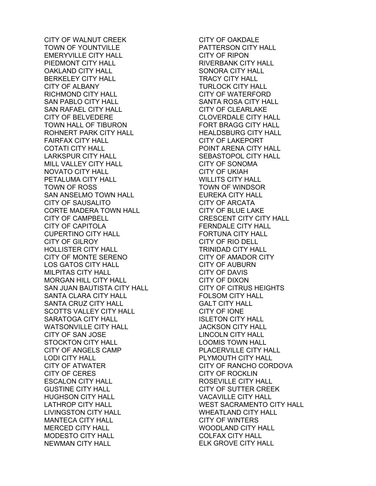CITY OF WALNUT CREEK TOWN OF YOUNTVILLE EMERYVILLE CITY HALL PIEDMONT CITY HALL OAKLAND CITY HALL BERKELEY CITY HALL CITY OF ALBANY RICHMOND CITY HALL SAN PABLO CITY HALL SAN RAFAEL CITY HALL CITY OF BELVEDERE TOWN HALL OF TIBURON ROHNERT PARK CITY HALL FAIRFAX CITY HALL COTATI CITY HALL LARKSPUR CITY HALL MILL VALLEY CITY HALL NOVATO CITY HALL PETALUMA CITY HALL TOWN OF ROSS SAN ANSELMO TOWN HALL CITY OF SAUSALITO CORTE MADERA TOWN HALL CITY OF CAMPBELL CITY OF CAPITOLA CUPERTINO CITY HALL CITY OF GILROY HOLLISTER CITY HALL CITY OF MONTE SERENO LOS GATOS CITY HALL MILPITAS CITY HALL MORGAN HILL CITY HALL SAN JUAN BAUTISTA CITY HALL SANTA CLARA CITY HALL SANTA CRUZ CITY HALL SCOTTS VALLEY CITY HALL SARATOGA CITY HALL WATSONVILLE CITY HALL CITY OF SAN JOSE STOCKTON CITY HALL CITY OF ANGELS CAMP LODI CITY HALL CITY OF ATWATER CITY OF CERES ESCALON CITY HALL GUSTINE CITY HALL HUGHSON CITY HALL LATHROP CITY HALL LIVINGSTON CITY HALL MANTECA CITY HALL MERCED CITY HALL MODESTO CITY HALL NEWMAN CITY HALL

CITY OF OAKDALE PATTERSON CITY HALL CITY OF RIPON RIVERBANK CITY HALL SONORA CITY HALL TRACY CITY HALL TURLOCK CITY HALL CITY OF WATERFORD SANTA ROSA CITY HALL CITY OF CLEARLAKE CLOVERDALE CITY HALL FORT BRAGG CITY HALL HEALDSBURG CITY HALL CITY OF LAKEPORT POINT ARENA CITY HALL SEBASTOPOL CITY HALL CITY OF SONOMA CITY OF UKIAH WILLITS CITY HALL TOWN OF WINDSOR EUREKA CITY HALL CITY OF ARCATA CITY OF BLUE LAKE CRESCENT CITY CITY HALL FERNDALE CITY HALL FORTUNA CITY HALL CITY OF RIO DELL TRINIDAD CITY HALL CITY OF AMADOR CITY CITY OF AUBURN CITY OF DAVIS CITY OF DIXON CITY OF CITRUS HEIGHTS FOLSOM CITY HALL GALT CITY HALL CITY OF IONE ISLETON CITY HALL JACKSON CITY HALL LINCOLN CITY HALL LOOMIS TOWN HALL PLACERVILLE CITY HALL PLYMOUTH CITY HALL CITY OF RANCHO CORDOVA CITY OF ROCKLIN ROSEVILLE CITY HALL CITY OF SUTTER CREEK VACAVILLE CITY HALL WEST SACRAMENTO CITY HALL WHEATLAND CITY HALL CITY OF WINTERS WOODLAND CITY HALL COLFAX CITY HALL ELK GROVE CITY HALL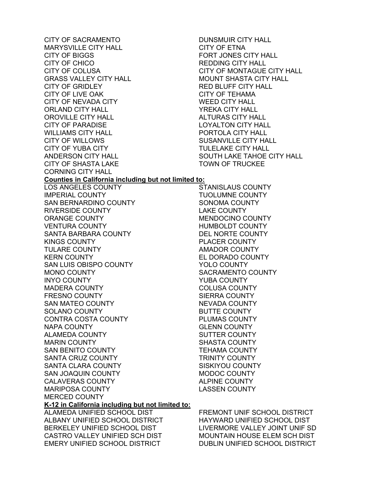CITY OF SACRAMENTO MARYSVILLE CITY HALL CITY OF BIGGS CITY OF CHICO CITY OF COLUSA GRASS VALLEY CITY HALL CITY OF GRIDLEY CITY OF LIVE OAK CITY OF NEVADA CITY ORLAND CITY HALL OROVILLE CITY HALL CITY OF PARADISE WILLIAMS CITY HALL CITY OF WILLOWS CITY OF YUBA CITY ANDERSON CITY HALL CITY OF SHASTA LAKE CORNING CITY HALL DUNSMUIR CITY HALL CITY OF ETNA FORT JONES CITY HALL REDDING CITY HALL CITY OF MONTAGUE CITY HALL MOUNT SHASTA CITY HALL RED BLUFF CITY HALL CITY OF TEHAMA WEED CITY HALL YREKA CITY HALL ALTURAS CITY HALL LOYALTON CITY HALL PORTOLA CITY HALL SUSANVILLE CITY HALL TULELAKE CITY HALL SOUTH LAKE TAHOE CITY HALL TOWN OF TRUCKEE **Counties in California including but not limited to:**  LOS ANGELES COUNTY IMPERIAL COUNTY SAN BERNARDINO COUNTY RIVERSIDE COUNTY ORANGE COUNTY VENTURA COUNTY SANTA BARBARA COUNTY KINGS COUNTY TULARE COUNTY KERN COUNTY SAN LUIS OBISPO COUNTY MONO COUNTY INYO COUNTY MADERA COUNTY FRESNO COUNTY SAN MATEO COUNTY SOLANO COUNTY CONTRA COSTA COUNTY NAPA COUNTY ALAMEDA COUNTY MARIN COUNTY SAN BENITO COUNTY SANTA CRUZ COUNTY SANTA CLARA COUNTY SAN JOAQUIN COUNTY CALAVERAS COUNTY MARIPOSA COUNTY MERCED COUNTY STANISLAUS COUNTY TUOLUMNE COUNTY SONOMA COUNTY LAKE COUNTY MENDOCINO COUNTY HUMBOLDT COUNTY DEL NORTE COUNTY PLACER COUNTY AMADOR COUNTY EL DORADO COUNTY YOLO COUNTY YUBA COUNTY COLUSA COUNTY SIERRA COUNTY NEVADA COUNTY BUTTE COUNTY PLUMAS COUNTY GLENN COUNTY SUTTER COUNTY SHASTA COUNTY TEHAMA COUNTY TRINITY COUNTY SISKIYOU COUNTY MODOC COUNTY ALPINE COUNTY LASSEN COUNTY **K-12 in California including but not limited to:**  ALAMEDA UNIFIED SCHOOL DIST ALBANY UNIFIED SCHOOL DISTRICT BERKELEY UNIFIED SCHOOL DIST CASTRO VALLEY UNIFIED SCH DIST EMERY UNIFIED SCHOOL DISTRICT

SACRAMENTO COUNTY

FREMONT UNIF SCHOOL DISTRICT HAYWARD UNIFIED SCHOOL DIST LIVERMORE VALLEY JOINT UNIF SD MOUNTAIN HOUSE ELEM SCH DIST DUBLIN UNIFIED SCHOOL DISTRICT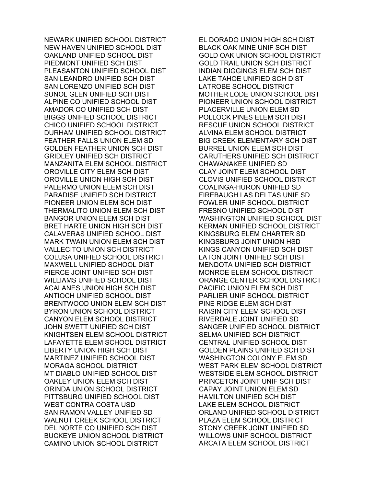NEWARK UNIFIED SCHOOL DISTRICT NEW HAVEN UNIFIED SCHOOL DIST OAKLAND UNIFIED SCHOOL DIST PIEDMONT UNIFIED SCH DIST PLEASANTON UNIFIED SCHOOL DIST SAN LEANDRO UNIFIED SCH DIST SAN LORENZO UNIFIED SCH DIST SUNOL GLEN UNIFIED SCH DIST ALPINE CO UNIFIED SCHOOL DIST AMADOR CO UNIFIED SCH DIST BIGGS UNIFIED SCHOOL DISTRICT CHICO UNIFIED SCHOOL DISTRICT DURHAM UNIFIED SCHOOL DISTRICT FEATHER FALLS UNION ELEM SD GOLDEN FEATHER UNION SCH DIST GRIDLEY UNIFIED SCH DISTRICT MANZANITA ELEM SCHOOL DISTRICT OROVILLE CITY ELEM SCH DIST OROVILLE UNION HIGH SCH DIST PALERMO UNION ELEM SCH DIST PARADISE UNIFIED SCH DISTRICT PIONEER UNION ELEM SCH DIST THERMALITO UNION ELEM SCH DIST BANGOR UNION ELEM SCH DIST BRET HARTE UNION HIGH SCH DIST CALAVERAS UNIFIED SCHOOL DIST MARK TWAIN UNION ELEM SCH DIST VALLECITO UNION SCH DISTRICT COLUSA UNIFIED SCHOOL DISTRICT MAXWELL UNIFIED SCHOOL DIST PIERCE JOINT UNIFIED SCH DIST WILLIAMS UNIFIED SCHOOL DIST ACALANES UNION HIGH SCH DIST ANTIOCH UNIFIED SCHOOL DIST BRENTWOOD UNION ELEM SCH DIST BYRON UNION SCHOOL DISTRICT CANYON ELEM SCHOOL DISTRICT JOHN SWETT UNIFIED SCH DIST KNIGHTSEN ELEM SCHOOL DISTRICT LAFAYETTE ELEM SCHOOL DISTRICT LIBERTY UNION HIGH SCH DIST MARTINEZ UNIFIED SCHOOL DIST MORAGA SCHOOL DISTRICT MT DIABLO UNIFIED SCHOOL DIST OAKLEY UNION ELEM SCH DIST ORINDA UNION SCHOOL DISTRICT PITTSBURG UNIFIED SCHOOL DIST WEST CONTRA COSTA USD SAN RAMON VALLEY UNIFIED SD WALNUT CREEK SCHOOL DISTRICT DEL NORTE CO UNIFIED SCH DIST BUCKEYE UNION SCHOOL DISTRICT CAMINO UNION SCHOOL DISTRICT

EL DORADO UNION HIGH SCH DIST BLACK OAK MINE UNIF SCH DIST GOLD OAK UNION SCHOOL DISTRICT GOLD TRAIL UNION SCH DISTRICT INDIAN DIGGINGS ELEM SCH DIST LAKE TAHOE UNIFIED SCH DIST LATROBE SCHOOL DISTRICT MOTHER LODE UNION SCHOOL DIST PIONEER UNION SCHOOL DISTRICT PLACERVILLE UNION ELEM SD POLLOCK PINES ELEM SCH DIST RESCUE UNION SCHOOL DISTRICT ALVINA ELEM SCHOOL DISTRICT BIG CREEK ELEMENTARY SCH DIST BURREL UNION ELEM SCH DIST CARUTHERS UNIFIED SCH DISTRICT CHAWANAKEE UNIFIED SD CLAY JOINT ELEM SCHOOL DIST CLOVIS UNIFIED SCHOOL DISTRICT COALINGA-HURON UNIFIED SD FIREBAUGH LAS DELTAS UNIF SD FOWLER UNIF SCHOOL DISTRICT FRESNO UNIFIED SCHOOL DIST WASHINGTON UNIFIED SCHOOL DIST KERMAN UNIFIED SCHOOL DISTRICT KINGSBURG ELEM CHARTER SD KINGSBURG JOINT UNION HSD KINGS CANYON UNIFIED SCH DIST LATON JOINT UNIFIED SCH DIST MENDOTA UNIFIED SCH DISTRICT MONROE ELEM SCHOOL DISTRICT ORANGE CENTER SCHOOL DISTRICT PACIFIC UNION ELEM SCH DIST PARLIER UNIF SCHOOL DISTRICT PINE RIDGE ELEM SCH DIST RAISIN CITY ELEM SCHOOL DIST RIVERDALE JOINT UNIFIED SD SANGER UNIFIED SCHOOL DISTRICT SELMA UNIFIED SCH DISTRICT CENTRAL UNIFIED SCHOOL DIST GOLDEN PLAINS UNIFIED SCH DIST WASHINGTON COLONY ELEM SD WEST PARK ELEM SCHOOL DISTRICT WESTSIDE ELEM SCHOOL DISTRICT PRINCETON JOINT UNIF SCH DIST CAPAY JOINT UNION ELEM SD HAMILTON UNIFIED SCH DIST LAKE ELEM SCHOOL DISTRICT ORLAND UNIFIED SCHOOL DISTRICT PLAZA ELEM SCHOOL DISTRICT STONY CREEK JOINT UNIFIED SD WILLOWS UNIF SCHOOL DISTRICT ARCATA ELEM SCHOOL DISTRICT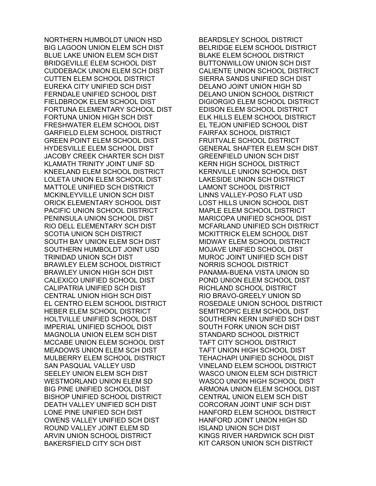NORTHERN HUMBOLDT UNION HSD BIG LAGOON UNION ELEM SCH DIST BLUE LAKE UNION ELEM SCH DIST BRIDGEVILLE ELEM SCHOOL DIST CUDDEBACK UNION ELEM SCH DIST CUTTEN ELEM SCHOOL DISTRICT EUREKA CITY UNIFIED SCH DIST FERNDALE UNIFIED SCHOOL DIST FIELDBROOK ELEM SCHOOL DIST FORTUNA ELEMENTARY SCHOOL DIST FORTUNA UNION HIGH SCH DIST FRESHWATER ELEM SCHOOL DIST GARFIELD ELEM SCHOOL DISTRICT GREEN POINT ELEM SCHOOL DIST HYDESVILLE ELEM SCHOOL DIST JACOBY CREEK CHARTER SCH DIST KLAMATH TRINITY JOINT UNIF SD KNEELAND ELEM SCHOOL DISTRICT LOLETA UNION ELEM SCHOOL DIST MATTOLE UNIFIED SCH DISTRICT MCKINLEYVILLE UNION SCH DIST ORICK ELEMENTARY SCHOOL DIST PACIFIC UNION SCHOOL DISTRICT PENINSULA UNION SCHOOL DIST RIO DELL ELEMENTARY SCH DIST SCOTIA UNION SCH DISTRICT SOUTH BAY UNION ELEM SCH DIST SOUTHERN HUMBOLDT JOINT USD TRINIDAD UNION SCH DIST BRAWLEY ELEM SCHOOL DISTRICT BRAWLEY UNION HIGH SCH DIST CALEXICO UNIFIED SCHOOL DIST CALIPATRIA UNIFIED SCH DIST CENTRAL UNION HIGH SCH DIST EL CENTRO ELEM SCHOOL DISTRICT HEBER ELEM SCHOOL DISTRICT HOLTVILLE UNIFIED SCHOOL DIST IMPERIAL UNIFIED SCHOOL DIST MAGNOLIA UNION ELEM SCH DIST MCCABE UNION ELEM SCHOOL DIST MEADOWS UNION ELEM SCH DIST MULBERRY ELEM SCHOOL DISTRICT SAN PASQUAL VALLEY USD SEELEY UNION ELEM SCH DIST WESTMORLAND UNION ELEM SD BIG PINE UNIFIED SCHOOL DIST BISHOP UNIFIED SCHOOL DISTRICT DEATH VALLEY UNIFIED SCH DIST LONE PINE UNIFIED SCH DIST OWENS VALLEY UNIFIED SCH DIST ROUND VALLEY JOINT ELEM SD ARVIN UNION SCHOOL DISTRICT BAKERSFIELD CITY SCH DIST

BEARDSLEY SCHOOL DISTRICT BELRIDGE ELEM SCHOOL DISTRICT BLAKE ELEM SCHOOL DISTRICT BUTTONWILLOW UNION SCH DIST CALIENTE UNION SCHOOL DISTRICT SIERRA SANDS UNIFIED SCH DIST DELANO JOINT UNION HIGH SD DELANO UNION SCHOOL DISTRICT DIGIORGIO ELEM SCHOOL DISTRICT EDISON ELEM SCHOOL DISTRICT ELK HILLS ELEM SCHOOL DISTRICT EL TEJON UNIFIED SCHOOL DIST FAIRFAX SCHOOL DISTRICT FRUITVALE SCHOOL DISTRICT GENERAL SHAFTER ELEM SCH DIST GREENFIELD UNION SCH DIST KERN HIGH SCHOOL DISTRICT KERNVILLE UNION SCHOOL DIST LAKESIDE UNION SCH DISTRICT LAMONT SCHOOL DISTRICT LINNS VALLEY-POSO FLAT USD LOST HILLS UNION SCHOOL DIST MAPLE ELEM SCHOOL DISTRICT MARICOPA UNIFIED SCHOOL DIST MCFARLAND UNIFIED SCH DISTRICT MCKITTRICK ELEM SCHOOL DIST MIDWAY ELEM SCHOOL DISTRICT MOJAVE UNIFIED SCHOOL DIST MUROC JOINT UNIFIED SCH DIST NORRIS SCHOOL DISTRICT PANAMA-BUENA VISTA UNION SD POND UNION ELEM SCHOOL DIST RICHLAND SCHOOL DISTRICT RIO BRAVO-GREELY UNION SD ROSEDALE UNION SCHOOL DISTRICT SEMITROPIC ELEM SCHOOL DIST SOUTHERN KERN UNIFIED SCH DIST SOUTH FORK UNION SCH DIST STANDARD SCHOOL DISTRICT TAFT CITY SCHOOL DISTRICT TAFT UNION HIGH SCHOOL DIST TEHACHAPI UNIFIED SCHOOL DIST VINELAND ELEM SCHOOL DISTRICT WASCO UNION ELEM SCH DISTRICT WASCO UNION HIGH SCHOOL DIST ARMONA UNION ELEM SCHOOL DIST CENTRAL UNION ELEM SCH DIST CORCORAN JOINT UNIF SCH DIST HANFORD ELEM SCHOOL DISTRICT HANFORD JOINT UNION HIGH SD ISLAND UNION SCH DIST KINGS RIVER HARDWICK SCH DIST KIT CARSON UNION SCH DISTRICT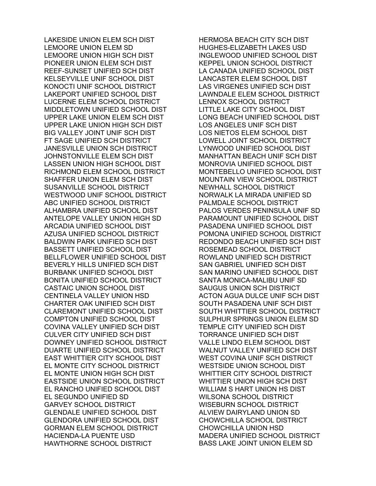LAKESIDE UNION ELEM SCH DIST LEMOORE UNION ELEM SD LEMOORE UNION HIGH SCH DIST PIONEER UNION ELEM SCH DIST REEF-SUNSET UNIFIED SCH DIST KELSEYVILLE UNIF SCHOOL DIST KONOCTI UNIF SCHOOL DISTRICT LAKEPORT UNIFIED SCHOOL DIST LUCERNE ELEM SCHOOL DISTRICT MIDDLETOWN UNIFIED SCHOOL DIST UPPER LAKE UNION ELEM SCH DIST UPPER LAKE UNION HIGH SCH DIST BIG VALLEY JOINT UNIF SCH DIST FT SAGE UNIFIED SCH DISTRICT JANESVILLE UNION SCH DISTRICT JOHNSTONVILLE ELEM SCH DIST LASSEN UNION HIGH SCHOOL DIST RICHMOND ELEM SCHOOL DISTRICT SHAFFER UNION ELEM SCH DIST SUSANVILLE SCHOOL DISTRICT WESTWOOD UNIF SCHOOL DISTRICT ABC UNIFIED SCHOOL DISTRICT ALHAMBRA UNIFIED SCHOOL DIST ANTELOPE VALLEY UNION HIGH SD ARCADIA UNIFIED SCHOOL DIST AZUSA UNIFIED SCHOOL DISTRICT BALDWIN PARK UNIFIED SCH DIST BASSETT UNIFIED SCHOOL DIST BELLFLOWER UNIFIED SCHOOL DIST BEVERLY HILLS UNIFIED SCH DIST BURBANK UNIFIED SCHOOL DIST BONITA UNIFIED SCHOOL DISTRICT CASTAIC UNION SCHOOL DIST CENTINELA VALLEY UNION HSD CHARTER OAK UNIFIED SCH DIST CLAREMONT UNIFIED SCHOOL DIST COMPTON UNIFIED SCHOOL DIST COVINA VALLEY UNIFIED SCH DIST CULVER CITY UNIFIED SCH DIST DOWNEY UNIFIED SCHOOL DISTRICT DUARTE UNIFIED SCHOOL DISTRICT EAST WHITTIER CITY SCHOOL DIST EL MONTE CITY SCHOOL DISTRICT EL MONTE UNION HIGH SCH DIST EASTSIDE UNION SCHOOL DISTRICT EL RANCHO UNIFIED SCHOOL DIST EL SEGUNDO UNIFIED SD GARVEY SCHOOL DISTRICT GLENDALE UNIFIED SCHOOL DIST GLENDORA UNIFIED SCHOOL DIST GORMAN ELEM SCHOOL DISTRICT HACIENDA-LA PUENTE USD HAWTHORNE SCHOOL DISTRICT

HERMOSA BEACH CITY SCH DIST HUGHES-ELIZABETH LAKES USD INGLEWOOD UNIFIED SCHOOL DIST KEPPEL UNION SCHOOL DISTRICT LA CANADA UNIFIED SCHOOL DIST LANCASTER ELEM SCHOOL DIST LAS VIRGENES UNIFIED SCH DIST LAWNDALE ELEM SCHOOL DISTRICT LENNOX SCHOOL DISTRICT LITTLE LAKE CITY SCHOOL DIST LONG BEACH UNIFIED SCHOOL DIST LOS ANGELES UNIF SCH DIST LOS NIETOS ELEM SCHOOL DIST LOWELL JOINT SCHOOL DISTRICT LYNWOOD UNIFIED SCHOOL DIST MANHATTAN BEACH UNIF SCH DIST MONROVIA UNIFIED SCHOOL DIST MONTEBELLO UNIFIED SCHOOL DIST MOUNTAIN VIEW SCHOOL DISTRICT NEWHALL SCHOOL DISTRICT NORWALK LA MIRADA UNIFIED SD PALMDALE SCHOOL DISTRICT PALOS VERDES PENINSULA UNIF SD PARAMOUNT UNIFIED SCHOOL DIST PASADENA UNIFIED SCHOOL DIST POMONA UNIFIED SCHOOL DISTRICT REDONDO BEACH UNIFIED SCH DIST ROSEMEAD SCHOOL DISTRICT ROWLAND UNIFIED SCH DISTRICT SAN GABRIEL UNIFIED SCH DIST SAN MARINO UNIFIED SCHOOL DIST SANTA MONICA-MALIBU UNIF SD SAUGUS UNION SCH DISTRICT ACTON AGUA DULCE UNIF SCH DIST SOUTH PASADENA UNIF SCH DIST SOUTH WHITTIER SCHOOL DISTRICT SULPHUR SPRINGS UNION ELEM SD TEMPLE CITY UNIFIED SCH DIST TORRANCE UNIFIED SCH DIST VALLE LINDO ELEM SCHOOL DIST WALNUT VALLEY UNIFIED SCH DIST WEST COVINA UNIF SCH DISTRICT WESTSIDE UNION SCHOOL DIST WHITTIER CITY SCHOOL DISTRICT WHITTIER UNION HIGH SCH DIST WILLIAM S HART UNION HS DIST WILSONA SCHOOL DISTRICT WISEBURN SCHOOL DISTRICT ALVIEW DAIRYLAND UNION SD CHOWCHILLA SCHOOL DISTRICT CHOWCHILLA UNION HSD MADERA UNIFIED SCHOOL DISTRICT BASS LAKE JOINT UNION ELEM SD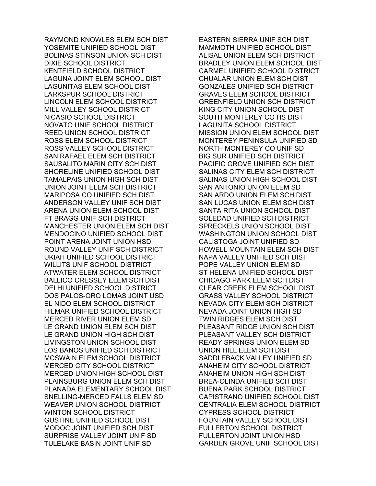RAYMOND KNOWLES ELEM SCH DIST YOSEMITE UNIFIED SCHOOL DIST BOLINAS STINSON UNION SCH DIST DIXIE SCHOOL DISTRICT KENTFIELD SCHOOL DISTRICT LAGUNA JOINT ELEM SCHOOL DIST LAGUNITAS ELEM SCHOOL DIST LARKSPUR SCHOOL DISTRICT LINCOLN ELEM SCHOOL DISTRICT MILL VALLEY SCHOOL DISTRICT NICASIO SCHOOL DISTRICT NOVATO UNIF SCHOOL DISTRICT REED UNION SCHOOL DISTRICT ROSS ELEM SCHOOL DISTRICT ROSS VALLEY SCHOOL DISTRICT SAN RAFAEL ELEM SCH DISTRICT SAUSALITO MARIN CITY SCH DIST SHORELINE UNIFIED SCHOOL DIST TAMALPAIS UNION HIGH SCH DIST UNION JOINT ELEM SCH DISTRICT MARIPOSA CO UNIFIED SCH DIST ANDERSON VALLEY UNIF SCH DIST ARENA UNION ELEM SCHOOL DIST FT BRAGG UNIF SCH DISTRICT MANCHESTER UNION ELEM SCH DIST MENDOCINO UNIFIED SCHOOL DIST POINT ARENA JOINT UNION HSD ROUND VALLEY UNIF SCH DISTRICT UKIAH UNIFIED SCHOOL DISTRICT WILLITS UNIF SCHOOL DISTRICT ATWATER ELEM SCHOOL DISTRICT BALLICO CRESSEY ELEM SCH DIST DELHI UNIFIED SCHOOL DISTRICT DOS PALOS-ORO LOMAS JOINT USD EL NIDO ELEM SCHOOL DISTRICT HILMAR UNIFIED SCHOOL DISTRICT MERCED RIVER UNION ELEM SD LE GRAND UNION ELEM SCH DIST LE GRAND UNION HIGH SCH DIST LIVINGSTON UNION SCHOOL DIST LOS BANOS UNIFIED SCH DISTRICT MCSWAIN ELEM SCHOOL DISTRICT MERCED CITY SCHOOL DISTRICT MERCED UNION HIGH SCHOOL DIST PLAINSBURG UNION ELEM SCH DIST PLANADA ELEMENTARY SCHOOL DIST SNELLING-MERCED FALLS ELEM SD WEAVER UNION SCHOOL DISTRICT WINTON SCHOOL DISTRICT GUSTINE UNIFIED SCHOOL DIST MODOC JOINT UNIFIED SCH DIST SURPRISE VALLEY JOINT UNIF SD TULELAKE BASIN JOINT UNIF SD

EASTERN SIERRA UNIF SCH DIST MAMMOTH UNIFIED SCHOOL DIST ALISAL UNION ELEM SCH DISTRICT BRADLEY UNION ELEM SCHOOL DIST CARMEL UNIFIED SCHOOL DISTRICT CHUALAR UNION ELEM SCH DIST GONZALES UNIFIED SCH DISTRICT GRAVES ELEM SCHOOL DISTRICT GREENFIELD UNION SCH DISTRICT KING CITY UNION SCHOOL DIST SOUTH MONTEREY CO HS DIST LAGUNITA SCHOOL DISTRICT MISSION UNION ELEM SCHOOL DIST MONTEREY PENINSULA UNIFIED SD NORTH MONTEREY CO UNIF SD BIG SUR UNIFIED SCH DISTRICT PACIFIC GROVE UNIFIED SCH DIST SALINAS CITY ELEM SCH DISTRICT SALINAS UNION HIGH SCHOOL DIST SAN ANTONIO UNION ELEM SD SAN ARDO UNION ELEM SCH DIST SAN LUCAS UNION ELEM SCH DIST SANTA RITA UNION SCHOOL DIST SOLEDAD UNIFIED SCH DISTRICT SPRECKELS UNION SCHOOL DIST WASHINGTON UNION SCHOOL DIST CALISTOGA JOINT UNIFIED SD HOWELL MOUNTAIN ELEM SCH DIST NAPA VALLEY UNIFIED SCH DIST POPE VALLEY UNION ELEM SD ST HELENA UNIFIED SCHOOL DIST CHICAGO PARK ELEM SCH DIST CLEAR CREEK ELEM SCHOOL DIST GRASS VALLEY SCHOOL DISTRICT NEVADA CITY ELEM SCH DISTRICT NEVADA JOINT UNION HIGH SD TWIN RIDGES ELEM SCH DIST PLEASANT RIDGE UNION SCH DIST PLEASANT VALLEY SCH DISTRICT READY SPRINGS UNION ELEM SD UNION HILL ELEM SCH DIST SADDLEBACK VALLEY UNIFIED SD ANAHEIM CITY SCHOOL DISTRICT ANAHEIM UNION HIGH SCH DIST BREA-OLINDA UNIFIED SCH DIST BUENA PARK SCHOOL DISTRICT CAPISTRANO UNIFIED SCHOOL DIST CENTRALIA ELEM SCHOOL DISTRICT CYPRESS SCHOOL DISTRICT FOUNTAIN VALLEY SCHOOL DIST FULLERTON SCHOOL DISTRICT FULLERTON JOINT UNION HSD GARDEN GROVE UNIF SCHOOL DIST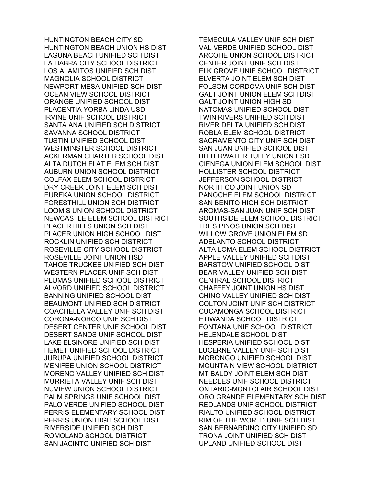HUNTINGTON BEACH CITY SD HUNTINGTON BEACH UNION HS DIST LAGUNA BEACH UNIFIED SCH DIST LA HABRA CITY SCHOOL DISTRICT LOS ALAMITOS UNIFIED SCH DIST MAGNOLIA SCHOOL DISTRICT NEWPORT MESA UNIFIED SCH DIST OCEAN VIEW SCHOOL DISTRICT ORANGE UNIFIED SCHOOL DIST PLACENTIA YORBA LINDA USD IRVINE UNIF SCHOOL DISTRICT SANTA ANA UNIFIED SCH DISTRICT SAVANNA SCHOOL DISTRICT TUSTIN UNIFIED SCHOOL DIST WESTMINSTER SCHOOL DISTRICT ACKERMAN CHARTER SCHOOL DIST ALTA DUTCH FLAT ELEM SCH DIST AUBURN UNION SCHOOL DISTRICT COLFAX ELEM SCHOOL DISTRICT DRY CREEK JOINT ELEM SCH DIST EUREKA UNION SCHOOL DISTRICT FORESTHILL UNION SCH DISTRICT LOOMIS UNION SCHOOL DISTRICT NEWCASTLE ELEM SCHOOL DISTRICT PLACER HILLS UNION SCH DIST PLACER UNION HIGH SCHOOL DIST ROCKLIN UNIFIED SCH DISTRICT ROSEVILLE CITY SCHOOL DISTRICT ROSEVILLE JOINT UNION HSD TAHOE TRUCKEE UNIFIED SCH DIST WESTERN PLACER UNIF SCH DIST PLUMAS UNIFIED SCHOOL DISTRICT ALVORD UNIFIED SCHOOL DISTRICT BANNING UNIFIED SCHOOL DIST BEAUMONT UNIFIED SCH DISTRICT COACHELLA VALLEY UNIF SCH DIST CORONA-NORCO UNIF SCH DIST DESERT CENTER UNIF SCHOOL DIST DESERT SANDS UNIF SCHOOL DIST LAKE ELSINORE UNIFIED SCH DIST HEMET UNIFIED SCHOOL DISTRICT JURUPA UNIFIED SCHOOL DISTRICT MENIFEE UNION SCHOOL DISTRICT MORENO VALLEY UNIFIED SCH DIST MURRIETA VALLEY UNIF SCH DIST NUVIEW UNION SCHOOL DISTRICT PALM SPRINGS UNIF SCHOOL DIST PALO VERDE UNIFIED SCHOOL DIST PERRIS ELEMENTARY SCHOOL DIST PERRIS UNION HIGH SCHOOL DIST RIVERSIDE UNIFIED SCH DIST ROMOLAND SCHOOL DISTRICT SAN JACINTO UNIFIED SCH DIST

TEMECULA VALLEY UNIF SCH DIST VAL VERDE UNIFIED SCHOOL DIST ARCOHE UNION SCHOOL DISTRICT CENTER JOINT UNIF SCH DIST ELK GROVE UNIF SCHOOL DISTRICT ELVERTA JOINT ELEM SCH DIST FOLSOM-CORDOVA UNIF SCH DIST GALT JOINT UNION ELEM SCH DIST GALT JOINT UNION HIGH SD NATOMAS UNIFIED SCHOOL DIST TWIN RIVERS UNIFIED SCH DIST RIVER DELTA UNIFIED SCH DIST ROBLA ELEM SCHOOL DISTRICT SACRAMENTO CITY UNIF SCH DIST SAN JUAN UNIFIED SCHOOL DIST BITTERWATER TULLY UNION ESD CIENEGA UNION ELEM SCHOOL DIST HOLLISTER SCHOOL DISTRICT JEFFERSON SCHOOL DISTRICT NORTH CO JOINT UNION SD PANOCHE ELEM SCHOOL DISTRICT SAN BENITO HIGH SCH DISTRICT AROMAS-SAN JUAN UNIF SCH DIST SOUTHSIDE ELEM SCHOOL DISTRICT TRES PINOS UNION SCH DIST WILLOW GROVE UNION ELEM SD ADELANTO SCHOOL DISTRICT ALTA LOMA ELEM SCHOOL DISTRICT APPLE VALLEY UNIFIED SCH DIST BARSTOW UNIFIED SCHOOL DIST BEAR VALLEY UNIFIED SCH DIST CENTRAL SCHOOL DISTRICT CHAFFEY JOINT UNION HS DIST CHINO VALLEY UNIFIED SCH DIST COLTON JOINT UNIF SCH DISTRICT CUCAMONGA SCHOOL DISTRICT ETIWANDA SCHOOL DISTRICT FONTANA UNIF SCHOOL DISTRICT HELENDALE SCHOOL DIST HESPERIA UNIFIED SCHOOL DIST LUCERNE VALLEY UNIF SCH DIST MORONGO UNIFIED SCHOOL DIST MOUNTAIN VIEW SCHOOL DISTRICT MT BALDY JOINT ELEM SCH DIST NEEDLES UNIF SCHOOL DISTRICT ONTARIO-MONTCLAIR SCHOOL DIST ORO GRANDE ELEMENTARY SCH DIST REDLANDS UNIF SCHOOL DISTRICT RIALTO UNIFIED SCHOOL DISTRICT RIM OF THE WORLD UNIF SCH DIST SAN BERNARDINO CITY UNIFIED SD TRONA JOINT UNIFIED SCH DIST UPLAND UNIFIED SCHOOL DIST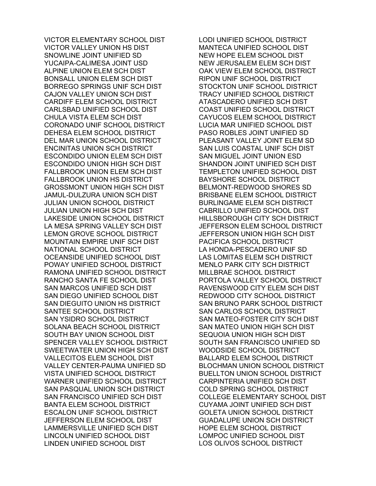VICTOR ELEMENTARY SCHOOL DIST VICTOR VALLEY UNION HS DIST SNOWLINE JOINT UNIFIED SD YUCAIPA-CALIMESA JOINT USD ALPINE UNION ELEM SCH DIST BONSALL UNION ELEM SCH DIST BORREGO SPRINGS UNIF SCH DIST CAJON VALLEY UNION SCH DIST CARDIFF ELEM SCHOOL DISTRICT CARLSBAD UNIFIED SCHOOL DIST CHULA VISTA ELEM SCH DIST CORONADO UNIF SCHOOL DISTRICT DEHESA ELEM SCHOOL DISTRICT DEL MAR UNION SCHOOL DISTRICT ENCINITAS UNION SCH DISTRICT ESCONDIDO UNION ELEM SCH DIST ESCONDIDO UNION HIGH SCH DIST FALLBROOK UNION ELEM SCH DIST FALLBROOK UNION HS DISTRICT GROSSMONT UNION HIGH SCH DIST JAMUL-DULZURA UNION SCH DIST JULIAN UNION SCHOOL DISTRICT JULIAN UNION HIGH SCH DIST LAKESIDE UNION SCHOOL DISTRICT LA MESA SPRING VALLEY SCH DIST LEMON GROVE SCHOOL DISTRICT MOUNTAIN EMPIRE UNIF SCH DIST NATIONAL SCHOOL DISTRICT OCEANSIDE UNIFIED SCHOOL DIST POWAY UNIFIED SCHOOL DISTRICT RAMONA UNIFIED SCHOOL DISTRICT RANCHO SANTA FE SCHOOL DIST SAN MARCOS UNIFIED SCH DIST SAN DIEGO UNIFIED SCHOOL DIST SAN DIEGUITO UNION HS DISTRICT SANTEE SCHOOL DISTRICT SAN YSIDRO SCHOOL DISTRICT SOLANA BEACH SCHOOL DISTRICT SOUTH BAY UNION SCHOOL DIST SPENCER VALLEY SCHOOL DISTRICT SWEETWATER UNION HIGH SCH DIST VALLECITOS ELEM SCHOOL DIST VALLEY CENTER-PAUMA UNIFIED SD VISTA UNIFIED SCHOOL DISTRICT WARNER UNIFIED SCHOOL DISTRICT SAN PASQUAL UNION SCH DISTRICT SAN FRANCISCO UNIFIED SCH DIST BANTA ELEM SCHOOL DISTRICT ESCALON UNIF SCHOOL DISTRICT JEFFERSON ELEM SCHOOL DIST LAMMERSVILLE UNIFIED SCH DIST LINCOLN UNIFIED SCHOOL DIST LINDEN UNIFIED SCHOOL DIST

LODI UNIFIED SCHOOL DISTRICT MANTECA UNIFIED SCHOOL DIST NEW HOPE ELEM SCHOOL DIST NEW JERUSALEM ELEM SCH DIST OAK VIEW ELEM SCHOOL DISTRICT RIPON UNIF SCHOOL DISTRICT STOCKTON UNIF SCHOOL DISTRICT TRACY UNIFIED SCHOOL DISTRICT ATASCADERO UNIFIED SCH DIST COAST UNIFIED SCHOOL DISTRICT CAYUCOS ELEM SCHOOL DISTRICT LUCIA MAR UNIFIED SCHOOL DIST PASO ROBLES JOINT UNIFIED SD PLEASANT VALLEY JOINT ELEM SD SAN LUIS COASTAL UNIF SCH DIST SAN MIGUEL JOINT UNION ESD SHANDON JOINT UNIFIED SCH DIST TEMPLETON UNIFIED SCHOOL DIST BAYSHORE SCHOOL DISTRICT BELMONT-REDWOOD SHORES SD BRISBANE ELEM SCHOOL DISTRICT BURLINGAME ELEM SCH DISTRICT CABRILLO UNIFIED SCHOOL DIST HILLSBOROUGH CITY SCH DISTRICT JEFFERSON ELEM SCHOOL DISTRICT JEFFERSON UNION HIGH SCH DIST PACIFICA SCHOOL DISTRICT LA HONDA-PESCADERO UNIF SD LAS LOMITAS ELEM SCH DISTRICT MENLO PARK CITY SCH DISTRICT MILLBRAE SCHOOL DISTRICT PORTOLA VALLEY SCHOOL DISTRICT RAVENSWOOD CITY ELEM SCH DIST REDWOOD CITY SCHOOL DISTRICT SAN BRUNO PARK SCHOOL DISTRICT SAN CARLOS SCHOOL DISTRICT SAN MATEO-FOSTER CITY SCH DIST SAN MATEO UNION HIGH SCH DIST SEQUOIA UNION HIGH SCH DIST SOUTH SAN FRANCISCO UNIFIED SD WOODSIDE SCHOOL DISTRICT BALLARD ELEM SCHOOL DISTRICT BLOCHMAN UNION SCHOOL DISTRICT BUELLTON UNION SCHOOL DISTRICT CARPINTERIA UNIFIED SCH DIST COLD SPRING SCHOOL DISTRICT COLLEGE ELEMENTARY SCHOOL DIST CUYAMA JOINT UNIFIED SCH DIST GOLETA UNION SCHOOL DISTRICT GUADALUPE UNION SCH DISTRICT HOPE ELEM SCHOOL DISTRICT LOMPOC UNIFIED SCHOOL DIST LOS OLIVOS SCHOOL DISTRICT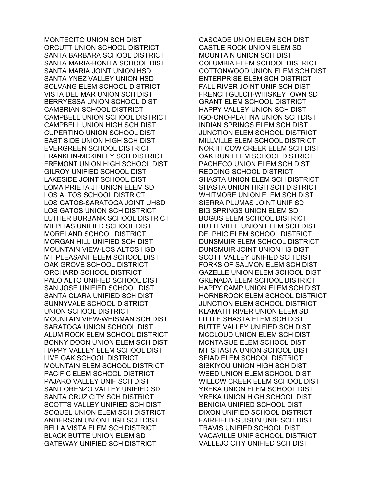MONTECITO UNION SCH DIST ORCUTT UNION SCHOOL DISTRICT SANTA BARBARA SCHOOL DISTRICT SANTA MARIA-BONITA SCHOOL DIST SANTA MARIA JOINT UNION HSD SANTA YNEZ VALLEY UNION HSD SOLVANG ELEM SCHOOL DISTRICT VISTA DEL MAR UNION SCH DIST BERRYESSA UNION SCHOOL DIST CAMBRIAN SCHOOL DISTRICT CAMPBELL UNION SCHOOL DISTRICT CAMPBELL UNION HIGH SCH DIST CUPERTINO UNION SCHOOL DIST EAST SIDE UNION HIGH SCH DIST EVERGREEN SCHOOL DISTRICT FRANKLIN-MCKINLEY SCH DISTRICT FREMONT UNION HIGH SCHOOL DIST GILROY UNIFIED SCHOOL DIST LAKESIDE JOINT SCHOOL DIST LOMA PRIETA JT UNION ELEM SD LOS ALTOS SCHOOL DISTRICT LOS GATOS-SARATOGA JOINT UHSD LOS GATOS UNION SCH DISTRICT LUTHER BURBANK SCHOOL DISTRICT MILPITAS UNIFIED SCHOOL DIST MORELAND SCHOOL DISTRICT MORGAN HILL UNIFIED SCH DIST MOUNTAIN VIEW-LOS ALTOS HSD MT PLEASANT ELEM SCHOOL DIST OAK GROVE SCHOOL DISTRICT ORCHARD SCHOOL DISTRICT PALO ALTO UNIFIED SCHOOL DIST SAN JOSE UNIFIED SCHOOL DIST SANTA CLARA UNIFIED SCH DIST SUNNYVALE SCHOOL DISTRICT UNION SCHOOL DISTRICT MOUNTAIN VIEW-WHISMAN SCH DIST SARATOGA UNION SCHOOL DIST ALUM ROCK ELEM SCHOOL DISTRICT BONNY DOON UNION ELEM SCH DIST HAPPY VALLEY ELEM SCHOOL DIST LIVE OAK SCHOOL DISTRICT MOUNTAIN ELEM SCHOOL DISTRICT PACIFIC ELEM SCHOOL DISTRICT PAJARO VALLEY UNIF SCH DIST SAN LORENZO VALLEY UNIFIED SD SANTA CRUZ CITY SCH DISTRICT SCOTTS VALLEY UNIFIED SCH DIST SOQUEL UNION ELEM SCH DISTRICT ANDERSON UNION HIGH SCH DIST BELLA VISTA ELEM SCH DISTRICT BLACK BUTTE UNION ELEM SD GATEWAY UNIFIED SCH DISTRICT

CASCADE UNION ELEM SCH DIST CASTLE ROCK UNION ELEM SD MOUNTAIN UNION SCH DIST COLUMBIA ELEM SCHOOL DISTRICT COTTONWOOD UNION ELEM SCH DIST ENTERPRISE ELEM SCH DISTRICT FALL RIVER JOINT UNIF SCH DIST FRENCH GULCH-WHISKEYTOWN SD GRANT ELEM SCHOOL DISTRICT HAPPY VALLEY UNION SCH DIST IGO-ONO-PLATINA UNION SCH DIST INDIAN SPRINGS ELEM SCH DIST JUNCTION ELEM SCHOOL DISTRICT MILLVILLE ELEM SCHOOL DISTRICT NORTH COW CREEK ELEM SCH DIST OAK RUN ELEM SCHOOL DISTRICT PACHECO UNION ELEM SCH DIST REDDING SCHOOL DISTRICT SHASTA UNION ELEM SCH DISTRICT SHASTA UNION HIGH SCH DISTRICT WHITMORE UNION ELEM SCH DIST SIERRA PLUMAS JOINT UNIF SD BIG SPRINGS UNION ELEM SD BOGUS ELEM SCHOOL DISTRICT BUTTEVILLE UNION ELEM SCH DIST DELPHIC ELEM SCHOOL DISTRICT DUNSMUIR ELEM SCHOOL DISTRICT DUNSMUIR JOINT UNION HS DIST SCOTT VALLEY UNIFIED SCH DIST FORKS OF SALMON ELEM SCH DIST GAZELLE UNION ELEM SCHOOL DIST GRENADA ELEM SCHOOL DISTRICT HAPPY CAMP UNION ELEM SCH DIST HORNBROOK ELEM SCHOOL DISTRICT JUNCTION ELEM SCHOOL DISTRICT KLAMATH RIVER UNION ELEM SD LITTLE SHASTA ELEM SCH DIST BUTTE VALLEY UNIFIED SCH DIST MCCLOUD UNION ELEM SCH DIST MONTAGUE ELEM SCHOOL DIST MT SHASTA UNION SCHOOL DIST SEIAD ELEM SCHOOL DISTRICT SISKIYOU UNION HIGH SCH DIST WEED UNION ELEM SCHOOL DIST WILLOW CREEK ELEM SCHOOL DIST YREKA UNION ELEM SCHOOL DIST YREKA UNION HIGH SCHOOL DIST BENICIA UNIFIED SCHOOL DIST DIXON UNIFIED SCHOOL DISTRICT FAIRFIELD-SUISUN UNIF SCH DIST TRAVIS UNIFIED SCHOOL DIST VACAVILLE UNIF SCHOOL DISTRICT VALLEJO CITY UNIFIED SCH DIST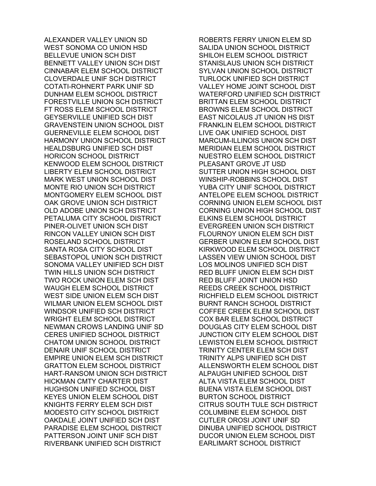ALEXANDER VALLEY UNION SD WEST SONOMA CO UNION HSD BELLEVUE UNION SCH DIST BENNETT VALLEY UNION SCH DIST CINNABAR ELEM SCHOOL DISTRICT CLOVERDALE UNIF SCH DISTRICT COTATI-ROHNERT PARK UNIF SD DUNHAM ELEM SCHOOL DISTRICT FORESTVILLE UNION SCH DISTRICT FT ROSS ELEM SCHOOL DISTRICT GEYSERVILLE UNIFIED SCH DIST GRAVENSTEIN UNION SCHOOL DIST GUERNEVILLE ELEM SCHOOL DIST HARMONY UNION SCHOOL DISTRICT HEALDSBURG UNIFIED SCH DIST HORICON SCHOOL DISTRICT KENWOOD ELEM SCHOOL DISTRICT LIBERTY ELEM SCHOOL DISTRICT MARK WEST UNION SCHOOL DIST MONTE RIO UNION SCH DISTRICT MONTGOMERY ELEM SCHOOL DIST OAK GROVE UNION SCH DISTRICT OLD ADOBE UNION SCH DISTRICT PETALUMA CITY SCHOOL DISTRICT PINER-OLIVET UNION SCH DIST RINCON VALLEY UNION SCH DIST ROSELAND SCHOOL DISTRICT SANTA ROSA CITY SCHOOL DIST SEBASTOPOL UNION SCH DISTRICT SONOMA VALLEY UNIFIED SCH DIST TWIN HILLS UNION SCH DISTRICT TWO ROCK UNION ELEM SCH DIST WAUGH ELEM SCHOOL DISTRICT WEST SIDE UNION ELEM SCH DIST WILMAR UNION ELEM SCHOOL DIST WINDSOR UNIFIED SCH DISTRICT WRIGHT ELEM SCHOOL DISTRICT NEWMAN CROWS LANDING UNIF SD CERES UNIFIED SCHOOL DISTRICT CHATOM UNION SCHOOL DISTRICT DENAIR UNIF SCHOOL DISTRICT EMPIRE UNION ELEM SCH DISTRICT GRATTON ELEM SCHOOL DISTRICT HART-RANSOM UNION SCH DISTRICT HICKMAN CMTY CHARTER DIST HUGHSON UNIFIED SCHOOL DIST KEYES UNION ELEM SCHOOL DIST KNIGHTS FERRY ELEM SCH DIST MODESTO CITY SCHOOL DISTRICT OAKDALE JOINT UNIFIED SCH DIST PARADISE ELEM SCHOOL DISTRICT PATTERSON JOINT UNIF SCH DIST RIVERBANK UNIFIED SCH DISTRICT

ROBERTS FERRY UNION ELEM SD SALIDA UNION SCHOOL DISTRICT SHILOH ELEM SCHOOL DISTRICT STANISLAUS UNION SCH DISTRICT SYLVAN UNION SCHOOL DISTRICT TURLOCK UNIFIED SCH DISTRICT VALLEY HOME JOINT SCHOOL DIST WATERFORD UNIFIED SCH DISTRICT BRITTAN ELEM SCHOOL DISTRICT BROWNS ELEM SCHOOL DISTRICT EAST NICOLAUS JT UNION HS DIST FRANKLIN ELEM SCHOOL DISTRICT LIVE OAK UNIFIED SCHOOL DIST MARCUM-ILLINOIS UNION SCH DIST MERIDIAN ELEM SCHOOL DISTRICT NUESTRO ELEM SCHOOL DISTRICT PLEASANT GROVE JT USD SUTTER UNION HIGH SCHOOL DIST WINSHIP-ROBBINS SCHOOL DIST YUBA CITY UNIF SCHOOL DISTRICT ANTELOPE ELEM SCHOOL DISTRICT CORNING UNION ELEM SCHOOL DIST CORNING UNION HIGH SCHOOL DIST ELKINS ELEM SCHOOL DISTRICT EVERGREEN UNION SCH DISTRICT FLOURNOY UNION ELEM SCH DIST GERBER UNION ELEM SCHOOL DIST KIRKWOOD ELEM SCHOOL DISTRICT LASSEN VIEW UNION SCHOOL DIST LOS MOLINOS UNIFIED SCH DIST RED BLUFF UNION ELEM SCH DIST RED BLUFF JOINT UNION HSD REEDS CREEK SCHOOL DISTRICT RICHFIELD ELEM SCHOOL DISTRICT BURNT RANCH SCHOOL DISTRICT COFFEE CREEK ELEM SCHOOL DIST COX BAR ELEM SCHOOL DISTRICT DOUGLAS CITY ELEM SCHOOL DIST JUNCTION CITY ELEM SCHOOL DIST LEWISTON ELEM SCHOOL DISTRICT TRINITY CENTER ELEM SCH DIST TRINITY ALPS UNIFIED SCH DIST ALLENSWORTH ELEM SCHOOL DIST ALPAUGH UNIFIED SCHOOL DIST ALTA VISTA ELEM SCHOOL DIST BUENA VISTA ELEM SCHOOL DIST BURTON SCHOOL DISTRICT CITRUS SOUTH TULE SCH DISTRICT COLUMBINE ELEM SCHOOL DIST CUTLER OROSI JOINT UNIF SD DINUBA UNIFIED SCHOOL DISTRICT DUCOR UNION ELEM SCHOOL DIST EARLIMART SCHOOL DISTRICT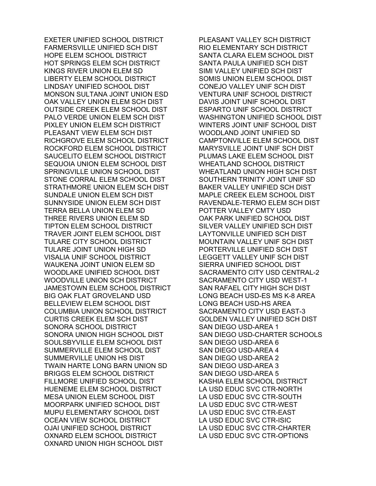EXETER UNIFIED SCHOOL DISTRICT FARMERSVILLE UNIFIED SCH DIST HOPE ELEM SCHOOL DISTRICT HOT SPRINGS ELEM SCH DISTRICT KINGS RIVER UNION ELEM SD LIBERTY ELEM SCHOOL DISTRICT LINDSAY UNIFIED SCHOOL DIST MONSON SULTANA JOINT UNION ESD OAK VALLEY UNION ELEM SCH DIST OUTSIDE CREEK ELEM SCHOOL DIST PALO VERDE UNION ELEM SCH DIST PIXLEY UNION ELEM SCH DISTRICT PLEASANT VIEW ELEM SCH DIST RICHGROVE ELEM SCHOOL DISTRICT ROCKFORD ELEM SCHOOL DISTRICT SAUCELITO ELEM SCHOOL DISTRICT SEQUOIA UNION ELEM SCHOOL DIST SPRINGVILLE UNION SCHOOL DIST STONE CORRAL ELEM SCHOOL DIST STRATHMORE UNION ELEM SCH DIST SUNDALE UNION ELEM SCH DIST SUNNYSIDE UNION ELEM SCH DIST TERRA BELLA UNION ELEM SD THREE RIVERS UNION ELEM SD TIPTON ELEM SCHOOL DISTRICT TRAVER JOINT ELEM SCHOOL DIST TULARE CITY SCHOOL DISTRICT TULARE JOINT UNION HIGH SD VISALIA UNIF SCHOOL DISTRICT WAUKENA JOINT UNION ELEM SD WOODLAKE UNIFIED SCHOOL DIST WOODVILLE UNION SCH DISTRICT JAMESTOWN ELEM SCHOOL DISTRICT BIG OAK FLAT GROVELAND USD BELLEVIEW ELEM SCHOOL DIST COLUMBIA UNION SCHOOL DISTRICT CURTIS CREEK ELEM SCH DIST SONORA SCHOOL DISTRICT SONORA UNION HIGH SCHOOL DIST SOULSBYVILLE ELEM SCHOOL DIST SUMMERVILLE ELEM SCHOOL DIST SUMMERVILLE UNION HS DIST TWAIN HARTE LONG BARN UNION SD BRIGGS ELEM SCHOOL DISTRICT FILLMORE UNIFIED SCHOOL DIST HUENEME ELEM SCHOOL DISTRICT MESA UNION ELEM SCHOOL DIST MOORPARK UNIFIED SCHOOL DIST MUPU ELEMENTARY SCHOOL DIST OCEAN VIEW SCHOOL DISTRICT OJAI UNIFIED SCHOOL DISTRICT OXNARD ELEM SCHOOL DISTRICT OXNARD UNION HIGH SCHOOL DIST

PLEASANT VALLEY SCH DISTRICT RIO ELEMENTARY SCH DISTRICT SANTA CLARA ELEM SCHOOL DIST SANTA PAULA UNIFIED SCH DIST SIMI VALLEY UNIFIED SCH DIST SOMIS UNION ELEM SCHOOL DIST CONEJO VALLEY UNIF SCH DIST VENTURA UNIF SCHOOL DISTRICT DAVIS JOINT UNIF SCHOOL DIST ESPARTO UNIF SCHOOL DISTRICT WASHINGTON UNIFIED SCHOOL DIST WINTERS JOINT UNIF SCHOOL DIST WOODLAND JOINT UNIFIED SD CAMPTONVILLE ELEM SCHOOL DIST MARYSVILLE JOINT UNIF SCH DIST PLUMAS LAKE ELEM SCHOOL DIST WHEATLAND SCHOOL DISTRICT WHEATLAND UNION HIGH SCH DIST SOUTHERN TRINITY JOINT UNIF SD BAKER VALLEY UNIFIED SCH DIST MAPLE CREEK ELEM SCHOOL DIST RAVENDALE-TERMO ELEM SCH DIST POTTER VALLEY CMTY USD OAK PARK UNIFIED SCHOOL DIST SILVER VALLEY UNIFIED SCH DIST LAYTONVILLE UNIFIED SCH DIST MOUNTAIN VALLEY UNIF SCH DIST PORTERVILLE UNIFIED SCH DIST LEGGETT VALLEY UNIF SCH DIST SIERRA UNIFIED SCHOOL DIST SACRAMENTO CITY USD CENTRAL-2 SACRAMENTO CITY USD WEST-1 SAN RAFAEL CITY HIGH SCH DIST LONG BEACH USD-ES MS K-8 AREA LONG BEACH USD-HS AREA SACRAMENTO CITY USD EAST-3 GOLDEN VALLEY UNIFIED SCH DIST SAN DIEGO USD-AREA 1 SAN DIEGO USD-CHARTER SCHOOLS SAN DIEGO USD-AREA 6 SAN DIEGO USD-AREA 4 SAN DIEGO USD-AREA 2 SAN DIEGO USD-AREA 3 SAN DIEGO USD-AREA 5 KASHIA ELEM SCHOOL DISTRICT LA USD EDUC SVC CTR-NORTH LA USD EDUC SVC CTR-SOUTH LA USD EDUC SVC CTR-WEST LA USD EDUC SVC CTR-EAST LA USD EDUC SVC CTR-ISIC LA USD EDUC SVC CTR-CHARTER LA USD EDUC SVC CTR-OPTIONS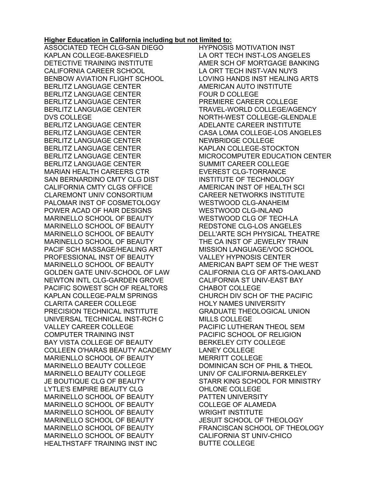## **Higher Education in California including but not limited to:**

ASSOCIATED TECH CLG-SAN DIEGO KAPLAN COLLEGE-BAKESFIELD DETECTIVE TRAINING INSTITUTE CALIFORNIA CAREER SCHOOL BENBOW AVIATION FLIGHT SCHOOL BERLITZ LANGUAGE CENTER BERLITZ LANGUAGE CENTER BERLITZ LANGUAGE CENTER BERLITZ LANGUAGE CENTER DVS COLLEGE BERLITZ LANGUAGE CENTER BERLITZ LANGUAGE CENTER BERLITZ LANGUAGE CENTER BERLITZ LANGUAGE CENTER BERLITZ LANGUAGE CENTER BERLITZ LANGUAGE CENTER MARIAN HEALTH CAREERS CTR SAN BERNARDINO CMTY CLG DIST CALIFORNIA CMTY CLGS OFFICE CLAREMONT UNIV CONSORTIUM PALOMAR INST OF COSMETOLOGY POWER ACAD OF HAIR DESIGNS MARINELLO SCHOOL OF BEAUTY MARINELLO SCHOOL OF BEAUTY MARINELLO SCHOOL OF BEAUTY MARINELLO SCHOOL OF BEAUTY PACIF SCH MASSAGE/HEALING ART PROFESSIONAL INST OF BEAUTY MARINELLO SCHOOL OF BEAUTY GOLDEN GATE UNIV-SCHOOL OF LAW NEWTON INTL CLG-GARDEN GROVE PACIFIC SOWEST SCH OF REALTORS KAPLAN COLLEGE-PALM SPRINGS CLARITA CAREER COLLEGE PRECISION TECHNICAL INSTITUTE UNIVERSAL TECHNICAL INST-RCH C VALLEY CAREER COLLEGE COMPUTER TRAINING INST BAY VISTA COLLEGE OF BEAUTY COLLEEN O'HARAS BEAUTY ACADEMY MARIENLLO SCHOOL OF BEAUTY MARINELLO BEAUTY COLLEGE MARINELLO BEAUTY COLLEGE JE BOUTIQUE CLG OF BEAUTY LYTLE'S EMPIRE BEAUTY CLG MARINELLO SCHOOL OF BEAUTY MARINELLO SCHOOL OF BEAUTY MARINELLO SCHOOL OF BEAUTY MARINELLO SCHOOL OF BEAUTY MARINELLO SCHOOL OF BEAUTY MARINELLO SCHOOL OF BEAUTY HEALTHSTAFF TRAINING INST INC

HYPNOSIS MOTIVATION INST LA ORT TECH INST-LOS ANGELES AMER SCH OF MORTGAGE BANKING LA ORT TECH INST-VAN NUYS LOVING HANDS INST HEALING ARTS AMERICAN AUTO INSTITUTE FOUR D COLLEGE PREMIERE CAREER COLLEGE TRAVEL-WORLD COLLEGE/AGENCY NORTH-WEST COLLEGE-GLENDALE ADELANTE CAREER INSTITUTE CASA LOMA COLLEGE-LOS ANGELES NEWBRIDGE COLLEGE KAPLAN COLLEGE-STOCKTON MICROCOMPUTER EDUCATION CENTER SUMMIT CAREER COLLEGE EVEREST CLG-TORRANCE INSTITUTE OF TECHNOLOGY AMERICAN INST OF HEALTH SCI CAREER NETWORKS INSTITUTE WESTWOOD CLG-ANAHEIM WESTWOOD CLG-INLAND WESTWOOD CLG OF TECH-LA REDSTONE CLG-LOS ANGELES DELL'ARTE SCH PHYSICAL THEATRE THE CA INST OF JEWELRY TRAIN MISSION LANGUAGE/VOC SCHOOL VALLEY HYPNOSIS CENTER AMERICAN BAPT SEM OF THE WEST CALIFORNIA CLG OF ARTS-OAKLAND CALIFORNIA ST UNIV-EAST BAY CHABOT COLLEGE CHURCH DIV SCH OF THE PACIFIC HOLY NAMES UNIVERSITY GRADUATE THEOLOGICAL UNION MILLS COLLEGE PACIFIC LUTHERAN THEOL SEM PACIFIC SCHOOL OF RELIGION BERKELEY CITY COLLEGE LANEY COLLEGE MERRITT COLLEGE DOMINICAN SCH OF PHIL & THEOL UNIV OF CALIFORNIA-BERKELEY STARR KING SCHOOL FOR MINISTRY OHLONE COLLEGE PATTEN UNIVERSITY COLLEGE OF ALAMEDA WRIGHT INSTITUTE JESUIT SCHOOL OF THEOLOGY FRANCISCAN SCHOOL OF THEOLOGY CALIFORNIA ST UNIV-CHICO BUTTE COLLEGE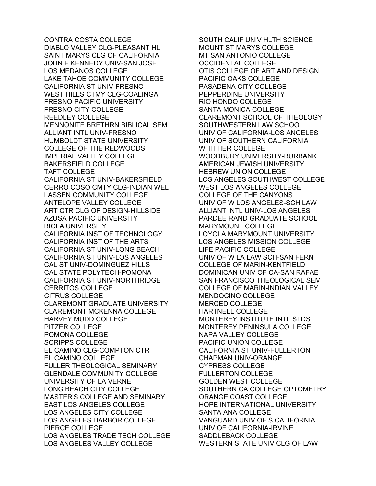CONTRA COSTA COLLEGE DIABLO VALLEY CLG-PLEASANT HL SAINT MARYS CLG OF CALIFORNIA JOHN F KENNEDY UNIV-SAN JOSE LOS MEDANOS COLLEGE LAKE TAHOE COMMUNITY COLLEGE CALIFORNIA ST UNIV-FRESNO WEST HILLS CTMY CLG-COALINGA FRESNO PACIFIC UNIVERSITY FRESNO CITY COLLEGE REEDLEY COLLEGE MENNONITE BRETHRN BIBLICAL SEM ALLIANT INTL UNIV-FRESNO HUMBOLDT STATE UNIVERSITY COLLEGE OF THE REDWOODS IMPERIAL VALLEY COLLEGE BAKERSFIELD COLLEGE TAFT COLLEGE CALIFORNIA ST UNIV-BAKERSFIELD CERRO COSO CMTY CLG-INDIAN WEL LASSEN COMMUNITY COLLEGE ANTELOPE VALLEY COLLEGE ART CTR CLG OF DESIGN-HILLSIDE AZUSA PACIFIC UNIVERSITY BIOLA UNIVERSITY CALIFORNIA INST OF TECHNOLOGY CALIFORNIA INST OF THE ARTS CALIFORNIA ST UNIV-LONG BEACH CALIFORNIA ST UNIV-LOS ANGELES CAL ST UNIV-DOMINGUEZ HILLS CAL STATE POLYTECH-POMONA CALIFORNIA ST UNIV-NORTHRIDGE CERRITOS COLLEGE CITRUS COLLEGE CLAREMONT GRADUATE UNIVERSITY CLAREMONT MCKENNA COLLEGE HARVEY MUDD COLLEGE PITZER COLLEGE POMONA COLLEGE SCRIPPS COLLEGE EL CAMINO CLG-COMPTON CTR EL CAMINO COLLEGE FULLER THEOLOGICAL SEMINARY GLENDALE COMMUNITY COLLEGE UNIVERSITY OF LA VERNE LONG BEACH CITY COLLEGE MASTER'S COLLEGE AND SEMINARY EAST LOS ANGELES COLLEGE LOS ANGELES CITY COLLEGE LOS ANGELES HARBOR COLLEGE PIERCE COLLEGE LOS ANGELES TRADE TECH COLLEGE LOS ANGELES VALLEY COLLEGE

SOUTH CALIF UNIV HLTH SCIENCE MOUNT ST MARYS COLLEGE MT SAN ANTONIO COLLEGE OCCIDENTAL COLLEGE OTIS COLLEGE OF ART AND DESIGN PACIFIC OAKS COLLEGE PASADENA CITY COLLEGE PEPPERDINE UNIVERSITY RIO HONDO COLLEGE SANTA MONICA COLLEGE CLAREMONT SCHOOL OF THEOLOGY SOUTHWESTERN LAW SCHOOL UNIV OF CALIFORNIA-LOS ANGELES UNIV OF SOUTHERN CALIFORNIA WHITTIER COLLEGE WOODBURY UNIVERSITY-BURBANK AMERICAN JEWISH UNIVERSITY HEBREW UNION COLLEGE LOS ANGELES SOUTHWEST COLLEGE WEST LOS ANGELES COLLEGE COLLEGE OF THE CANYONS UNIV OF W LOS ANGELES-SCH LAW ALLIANT INTL UNIV-LOS ANGELES PARDEE RAND GRADUATE SCHOOL MARYMOUNT COLLEGE LOYOLA MARYMOUNT UNIVERSITY LOS ANGELES MISSION COLLEGE LIFE PACIFIC COLLEGE UNIV OF W LA LAW SCH-SAN FERN COLLEGE OF MARIN-KENTFIELD DOMINICAN UNIV OF CA-SAN RAFAE SAN FRANCISCO THEOLOGICAL SEM COLLEGE OF MARIN-INDIAN VALLEY MENDOCINO COLLEGE MERCED COLLEGE HARTNELL COLLEGE MONTEREY INSTITUTE INTL STDS MONTEREY PENINSULA COLLEGE NAPA VALLEY COLLEGE PACIFIC UNION COLLEGE CALIFORNIA ST UNIV-FULLERTON CHAPMAN UNIV-ORANGE CYPRESS COLLEGE FULLERTON COLLEGE GOLDEN WEST COLLEGE SOUTHERN CA COLLEGE OPTOMETRY ORANGE COAST COLLEGE HOPE INTERNATIONAL UNIVERSITY SANTA ANA COLLEGE VANGUARD UNIV OF S CALIFORNIA UNIV OF CALIFORNIA-IRVINE SADDLEBACK COLLEGE WESTERN STATE UNIV CLG OF LAW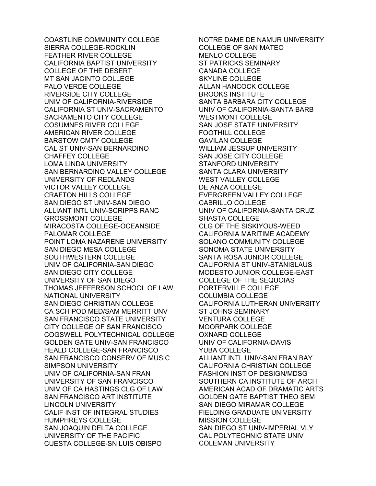COASTLINE COMMUNITY COLLEGE SIERRA COLLEGE-ROCKLIN FEATHER RIVER COLLEGE CALIFORNIA BAPTIST UNIVERSITY COLLEGE OF THE DESERT MT SAN JACINTO COLLEGE PALO VERDE COLLEGE RIVERSIDE CITY COLLEGE UNIV OF CALIFORNIA-RIVERSIDE CALIFORNIA ST UNIV-SACRAMENTO SACRAMENTO CITY COLLEGE COSUMNES RIVER COLLEGE AMERICAN RIVER COLLEGE BARSTOW CMTY COLLEGE CAL ST UNIV-SAN BERNARDINO CHAFFEY COLLEGE LOMA LINDA UNIVERSITY SAN BERNARDINO VALLEY COLLEGE UNIVERSITY OF REDLANDS VICTOR VALLEY COLLEGE CRAFTON HILLS COLLEGE SAN DIEGO ST UNIV-SAN DIEGO ALLIANT INTL UNIV-SCRIPPS RANC GROSSMONT COLLEGE MIRACOSTA COLLEGE-OCEANSIDE PALOMAR COLLEGE POINT LOMA NAZARENE UNIVERSITY SAN DIEGO MESA COLLEGE SOUTHWESTERN COLLEGE UNIV OF CALIFORNIA-SAN DIEGO SAN DIEGO CITY COLLEGE UNIVERSITY OF SAN DIEGO THOMAS JEFFERSON SCHOOL OF LAW NATIONAL UNIVERSITY SAN DIEGO CHRISTIAN COLLEGE CA SCH POD MED/SAM MERRITT UNV SAN FRANCISCO STATE UNIVERSITY CITY COLLEGE OF SAN FRANCISCO COGSWELL POLYTECHNICAL COLLEGE GOLDEN GATE UNIV-SAN FRANCISCO HEALD COLLEGE-SAN FRANCISCO SAN FRANCISCO CONSERV OF MUSIC SIMPSON UNIVERSITY UNIV OF CALIFORNIA-SAN FRAN UNIVERSITY OF SAN FRANCISCO UNIV OF CA HASTINGS CLG OF LAW SAN FRANCISCO ART INSTITUTE LINCOLN UNIVERSITY CALIF INST OF INTEGRAL STUDIES HUMPHREYS COLLEGE SAN JOAQUIN DELTA COLLEGE UNIVERSITY OF THE PACIFIC CUESTA COLLEGE-SN LUIS OBISPO

NOTRE DAME DE NAMUR UNIVERSITY COLLEGE OF SAN MATEO MENLO COLLEGE ST PATRICKS SEMINARY CANADA COLLEGE SKYLINE COLLEGE ALLAN HANCOCK COLLEGE BROOKS INSTITUTE SANTA BARBARA CITY COLLEGE UNIV OF CALIFORNIA-SANTA BARB WESTMONT COLLEGE SAN JOSE STATE UNIVERSITY FOOTHILL COLLEGE GAVILAN COLLEGE WILLIAM JESSUP UNIVERSITY SAN JOSE CITY COLLEGE STANFORD UNIVERSITY SANTA CLARA UNIVERSITY WEST VALLEY COLLEGE DE ANZA COLLEGE EVERGREEN VALLEY COLLEGE CABRILLO COLLEGE UNIV OF CALIFORNIA-SANTA CRUZ SHASTA COLLEGE CLG OF THE SISKIYOUS-WEED CALIFORNIA MARITIME ACADEMY SOLANO COMMUNITY COLLEGE SONOMA STATE UNIVERSITY SANTA ROSA JUNIOR COLLEGE CALIFORNIA ST UNIV-STANISLAUS MODESTO JUNIOR COLLEGE-EAST COLLEGE OF THE SEQUOIAS PORTERVILLE COLLEGE COLUMBIA COLLEGE CALIFORNIA LUTHERAN UNIVERSITY ST JOHNS SEMINARY VENTURA COLLEGE MOORPARK COLLEGE OXNARD COLLEGE UNIV OF CALIFORNIA-DAVIS YUBA COLLEGE ALLIANT INTL UNIV-SAN FRAN BAY CALIFORNIA CHRISTIAN COLLEGE FASHION INST OF DESIGN/MDSG SOUTHERN CA INSTITUTE OF ARCH AMERICAN ACAD OF DRAMATIC ARTS GOLDEN GATE BAPTIST THEO SEM SAN DIEGO MIRAMAR COLLEGE FIELDING GRADUATE UNIVERSITY MISSION COLLEGE SAN DIEGO ST UNIV-IMPERIAL VLY CAL POLYTECHNIC STATE UNIV COLEMAN UNIVERSITY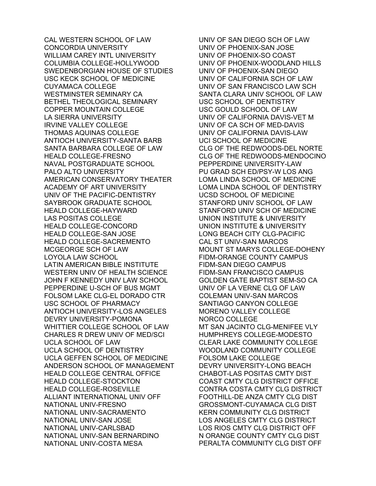CAL WESTERN SCHOOL OF LAW CONCORDIA UNIVERSITY WILLIAM CAREY INTL UNIVERSITY COLUMBIA COLLEGE-HOLLYWOOD SWEDENBORGIAN HOUSE OF STUDIES USC KECK SCHOOL OF MEDICINE CUYAMACA COLLEGE WESTMINSTER SEMINARY CA BETHEL THEOLOGICAL SEMINARY COPPER MOUNTAIN COLLEGE LA SIERRA UNIVERSITY IRVINE VALLEY COLLEGE THOMAS AQUINAS COLLEGE ANTIOCH UNIVERSITY-SANTA BARB SANTA BARBARA COLLEGE OF LAW HEALD COLLEGE-FRESNO NAVAL POSTGRADUATE SCHOOL PALO ALTO UNIVERSITY AMERICAN CONSERVATORY THEATER ACADEMY OF ART UNIVERSITY UNIV OF THE PACIFIC-DENTISTRY SAYBROOK GRADUATE SCHOOL HEALD COLLEGE-HAYWARD LAS POSITAS COLLEGE HEALD COLLEGE-CONCORD HEALD COLLEGE-SAN JOSE HEALD COLLEGE-SACREMENTO MCGEORGE SCH OF LAW LOYOLA LAW SCHOOL LATIN AMERICAN BIBLE INSTITUTE WESTERN UNIV OF HEALTH SCIENCE JOHN F KENNEDY UNIV LAW SCHOOL PEPPERDINE U-SCH OF BUS MGMT FOLSOM LAKE CLG-EL DORADO CTR USC SCHOOL OF PHARMACY ANTIOCH UNIVERSITY-LOS ANGELES DEVRY UNIVERSITY-POMONA WHITTIER COLLEGE SCHOOL OF LAW CHARLES R DREW UNIV OF MED/SCI UCLA SCHOOL OF LAW UCLA SCHOOL OF DENTISTRY UCLA GEFFEN SCHOOL OF MEDICINE ANDERSON SCHOOL OF MANAGEMENT HEALD COLLEGE CENTRAL OFFICE HEALD COLLEGE-STOCKTON HEALD COLLEGE-ROSEVILLE ALLIANT INTERNATIONAL UNIV OFF NATIONAL UNIV-FRESNO NATIONAL UNIV-SACRAMENTO NATIONAL UNIV-SAN JOSE NATIONAL UNIV-CARLSBAD NATIONAL UNIV-SAN BERNARDINO NATIONAL UNIV-COSTA MESA

UNIV OF SAN DIEGO SCH OF LAW UNIV OF PHOENIX-SAN JOSE UNIV OF PHOENIX-SO COAST UNIV OF PHOENIX-WOODLAND HILLS UNIV OF PHOENIX-SAN DIEGO UNIV OF CALIFORNIA SCH OF LAW UNIV OF SAN FRANCISCO LAW SCH SANTA CLARA UNIV SCHOOL OF LAW USC SCHOOL OF DENTISTRY USC GOULD SCHOOL OF LAW UNIV OF CALIFORNIA DAVIS-VET M UNIV OF CA SCH OF MED-DAVIS UNIV OF CALIFORNIA DAVIS-LAW UCI SCHOOL OF MEDICINE CLG OF THE REDWOODS-DEL NORTE CLG OF THE REDWOODS-MENDOCINO PEPPERDINE UNIVERSITY-LAW PU GRAD SCH ED/PSY-W LOS ANG LOMA LINDA SCHOOL OF MEDICINE LOMA LINDA SCHOOL OF DENTISTRY UCSD SCHOOL OF MEDICINE STANFORD UNIV SCHOOL OF LAW STANFORD UNIV SCH OF MEDICINE UNION INSTITUTE & UNIVERSITY UNION INSTITUTE & UNIVERSITY LONG BEACH CITY CLG-PACIFIC CAL ST UNIV-SAN MARCOS MOUNT ST MARYS COLLEGE-DOHENY FIDM-ORANGE COUNTY CAMPUS FIDM-SAN DIEGO CAMPUS FIDM-SAN FRANCISCO CAMPUS GOLDEN GATE BAPTIST SEM-SO CA UNIV OF LA VERNE CLG OF LAW COLEMAN UNIV-SAN MARCOS SANTIAGO CANYON COLLEGE MORENO VALLEY COLLEGE NORCO COLLEGE MT SAN JACINTO CLG-MENIFEE VLY HUMPHREYS COLLEGE-MODESTO CLEAR LAKE COMMUNITY COLLEGE WOODLAND COMMUNITY COLLEGE FOLSOM LAKE COLLEGE DEVRY UNIVERSITY-LONG BEACH CHABOT-LAS POSITAS CMTY DIST COAST CMTY CLG DISTRICT OFFICE CONTRA COSTA CMTY CLG DISTRICT FOOTHILL-DE ANZA CMTY CLG DIST GROSSMONT-CUYAMACA CLG DIST KERN COMMUNITY CLG DISTRICT LOS ANGELES CMTY CLG DISTRICT LOS RIOS CMTY CLG DISTRICT OFF N ORANGE COUNTY CMTY CLG DIST PERALTA COMMUNITY CLG DIST OFF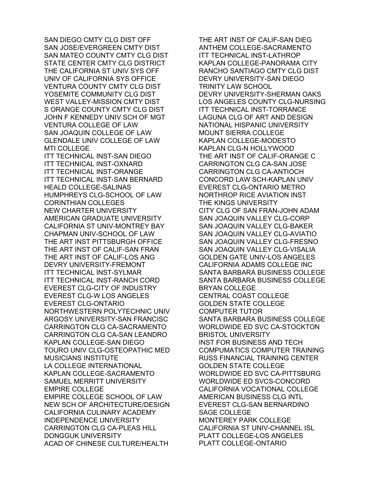SAN DIEGO CMTY CLG DIST OFF SAN JOSE/EVERGREEN CMTY DIST SAN MATEO COUNTY CMTY CLG DIST STATE CENTER CMTY CLG DISTRICT THE CALIFORNIA ST UNIV SYS OFF UNIV OF CALIFORNIA SYS OFFICE VENTURA COUNTY CMTY CLG DIST YOSEMITE COMMUNITY CLG DIST WEST VALLEY-MISSION CMTY DIST S ORANGE COUNTY CMTY CLG DIST JOHN F KENNEDY UNIV SCH OF MGT VENTURA COLLEGE OF LAW SAN JOAQUIN COLLEGE OF LAW GLENDALE UNIV COLLEGE OF LAW MTI COLLEGE ITT TECHNICAL INST-SAN DIEGO ITT TECHNICAL INST-OXNARD ITT TECHNICAL INST-ORANGE ITT TECHNICAL INST-SAN BERNARD HEALD COLLEGE-SALINAS HUMPHREYS CLG-SCHOOL OF LAW CORINTHIAN COLLEGES NEW CHARTER UNIVERSITY AMERICAN GRADUATE UNIVERSITY CALIFORNIA ST UNIV-MONTREY BAY CHAPMAN UNIV-SCHOOL OF LAW THE ART INST PITTSBURGH OFFICE THE ART INST OF CALIF-SAN FRAN THE ART INST OF CALIF-LOS ANG DEVRY UNIVERSITY-FREMONT ITT TECHNICAL INST-SYLMAR ITT TECHNICAL INST-RANCH CORD EVEREST CLG-CITY OF INDUSTRY EVEREST CLG-W LOS ANGELES EVEREST CLG-ONTARIO NORTHWESTERN POLYTECHNIC UNIV ARGOSY UNIVERSITY-SAN FRANCISC CARRINGTON CLG CA-SACRAMENTO CARRINGTON CLG CA-SAN LEANDRO KAPLAN COLLEGE-SAN DIEGO TOURO UNIV CLG-OSTEOPATHIC MED MUSICIANS INSTITUTE LA COLLEGE INTERNATIONAL KAPLAN COLLEGE-SACRAMENTO SAMUEL MERRITT UNIVERSITY EMPIRE COLLEGE EMPIRE COLLEGE SCHOOL OF LAW NEW SCH OF ARCHITECTURE/DESIGN CALIFORNIA CULINARY ACADEMY INDEPENDENCE UNIVERSITY CARRINGTON CLG CA-PLEAS HILL DONGGUK UNIVERSITY ACAD OF CHINESE CULTURE/HEALTH

THE ART INST OF CALIF-SAN DIEG ANTHEM COLLEGE-SACRAMENTO ITT TECHNICAL INST-LATHROP KAPLAN COLLEGE-PANORAMA CITY RANCHO SANTIAGO CMTY CLG DIST DEVRY UNIVERSITY-SAN DIEGO TRINITY LAW SCHOOL DEVRY UNIVERSITY-SHERMAN OAKS LOS ANGELES COUNTY CLG-NURSING ITT TECHNICAL INST-TORRANCE LAGUNA CLG OF ART AND DESIGN NATIONAL HISPANIC UNIVERSITY MOUNT SIERRA COLLEGE KAPLAN COLLEGE-MODESTO KAPLAN CLG-N HOLLYWOOD THE ART INST OF CALIF-ORANGE C CARRINGTON CLG CA-SAN JOSE CARRINGTON CLG CA-ANTIOCH CONCORD LAW SCH-KAPLAN UNIV EVEREST CLG-ONTARIO METRO NORTHROP RICE AVIATION INST THE KINGS UNIVERSITY CITY CLG OF SAN FRAN-JOHN ADAM SAN JOAQUIN VALLEY CLG-CORP SAN JOAQUIN VALLEY CLG-BAKER SAN JOAQUIN VALLEY CLG-AVIATIO SAN JOAQUIN VALLEY CLG-FRESNO SAN JOAQUIN VALLEY CLG-VISALIA GOLDEN GATE UNIV-LOS ANGELES CALIFORNIA ADAMS COLLEGE INC SANTA BARBARA BUSINESS COLLEGE SANTA BARBARA BUSINESS COLLEGE BRYAN COLLEGE CENTRAL COAST COLLEGE GOLDEN STATE COLLEGE COMPUTER TUTOR SANTA BARBARA BUSINESS COLLEGE WORLDWIDE ED SVC CA-STOCKTON BRISTOL UNIVERSITY INST FOR BUSINESS AND TECH COMPUMATICS COMPUTER TRAINING RUSS FINANCIAL TRAINING CENTER GOLDEN STATE COLLEGE WORLDWIDE ED SVC CA-PITTSBURG WORLDWIDE ED SVCS-CONCORD CALIFORNIA VOCATIONAL COLLEGE AMERICAN BUSINESS CLG INTL EVEREST CLG-SAN BERNARDINO SAGE COLLEGE MONTEREY PARK COLLEGE CALIFORNIA ST UNIV-CHANNEL ISL PLATT COLLEGE-LOS ANGELES PLATT COLLEGE-ONTARIO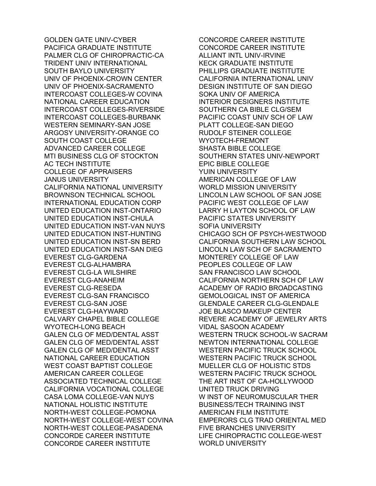GOLDEN GATE UNIV-CYBER PACIFICA GRADUATE INSTITUTE PALMER CLG OF CHIROPRACTIC-CA TRIDENT UNIV INTERNATIONAL SOUTH BAYLO UNIVERSITY UNIV OF PHOENIX-CROWN CENTER UNIV OF PHOENIX-SACRAMENTO INTERCOAST COLLEGES-W COVINA NATIONAL CAREER EDUCATION INTERCOAST COLLEGES-RIVERSIDE INTERCOAST COLLEGES-BURBANK WESTERN SEMINARY-SAN JOSE ARGOSY UNIVERSITY-ORANGE CO SOUTH COAST COLLEGE ADVANCED CAREER COLLEGE MTI BUSINESS CLG OF STOCKTON AC TECH INSTITUTE COLLEGE OF APPRAISERS JANUS UNIVERSITY CALIFORNIA NATIONAL UNIVERSITY BROWNSON TECHNICAL SCHOOL INTERNATIONAL EDUCATION CORP UNITED EDUCATION INST-ONTARIO UNITED EDUCATION INST-CHULA UNITED EDUCATION INST-VAN NUYS UNITED EDUCATION INST-HUNTING UNITED EDUCATION INST-SN BERD UNITED EDUCATION INST-SAN DIEG EVEREST CLG-GARDENA EVEREST CLG-ALHAMBRA EVEREST CLG-LA WILSHIRE EVEREST CLG-ANAHEIM EVEREST CLG-RESEDA EVEREST CLG-SAN FRANCISCO EVEREST CLG-SAN JOSE EVEREST CLG-HAYWARD CALVARY CHAPEL BIBLE COLLEGE WYOTECH-LONG BEACH GALEN CLG OF MED/DENTAL ASST GALEN CLG OF MED/DENTAL ASST GALEN CLG OF MED/DENTAL ASST NATIONAL CAREER EDUCATION WEST COAST BAPTIST COLLEGE AMERICAN CAREER COLLEGE ASSOCIATED TECHNICAL COLLEGE CALIFORNIA VOCATIONAL COLLEGE CASA LOMA COLLEGE-VAN NUYS NATIONAL HOLISTIC INSTITUTE NORTH-WEST COLLEGE-POMONA NORTH-WEST COLLEGE-WEST COVINA NORTH-WEST COLLEGE-PASADENA CONCORDE CAREER INSTITUTE CONCORDE CAREER INSTITUTE

CONCORDE CAREER INSTITUTE CONCORDE CAREER INSTITUTE ALLIANT INTL UNIV-IRVINE KECK GRADUATE INSTITUTE PHILLIPS GRADUATE INSTITUTE CALIFORNIA INTERNATIONAL UNIV DESIGN INSTITUTE OF SAN DIEGO SOKA UNIV OF AMERICA INTERIOR DESIGNERS INSTITUTE SOUTHERN CA BIBLE CLG/SEM PACIFIC COAST UNIV SCH OF LAW PLATT COLLEGE-SAN DIEGO RUDOLF STEINER COLLEGE WYOTECH-FREMONT SHASTA BIBLE COLLEGE SOUTHERN STATES UNIV-NEWPORT EPIC BIBLE COLLEGE YUIN UNIVERSITY AMERICAN COLLEGE OF LAW WORLD MISSION UNIVERSITY LINCOLN LAW SCHOOL OF SAN JOSE PACIFIC WEST COLLEGE OF LAW LARRY H LAYTON SCHOOL OF LAW PACIFIC STATES UNIVERSITY SOFIA UNIVERSITY CHICAGO SCH OF PSYCH-WESTWOOD CALIFORNIA SOUTHERN LAW SCHOOL LINCOLN LAW SCH OF SACRAMENTO MONTEREY COLLEGE OF LAW PEOPLES COLLEGE OF LAW SAN FRANCISCO LAW SCHOOL CALIFORNIA NORTHERN SCH OF LAW ACADEMY OF RADIO BROADCASTING GEMOLOGICAL INST OF AMERICA GLENDALE CAREER CLG-GLENDALE JOE BLASCO MAKEUP CENTER REVERE ACADEMY OF JEWELRY ARTS VIDAL SASOON ACADEMY WESTERN TRUCK SCHOOL-W SACRAM NEWTON INTERNATIONAL COLLEGE WESTERN PACIFIC TRUCK SCHOOL WESTERN PACIFIC TRUCK SCHOOL MUELLER CLG OF HOLISTIC STDS WESTERN PACIFIC TRUCK SCHOOL THE ART INST OF CA-HOLLYWOOD UNITED TRUCK DRIVING W INST OF NEUROMUSCULAR THER BUSINESS/TECH TRAINING INST AMERICAN FILM INSTITUTE EMPERORS CLG TRAD ORIENTAL MED FIVE BRANCHES UNIVERSITY LIFE CHIROPRACTIC COLLEGE-WEST WORLD UNIVERSITY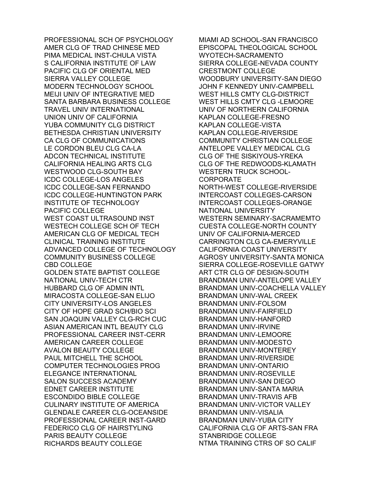PROFESSIONAL SCH OF PSYCHOLOGY AMER CLG OF TRAD CHINESE MED PIMA MEDICAL INST-CHULA VISTA S CALIFORNIA INSTITUTE OF LAW PACIFIC CLG OF ORIENTAL MED SIERRA VALLEY COLLEGE MODERN TECHNOLOGY SCHOOL MEIJI UNIV OF INTEGRATIVE MED SANTA BARBARA BUSINESS COLLEGE TRAVEL UNIV INTERNATIONAL UNION UNIV OF CALIFORNIA YUBA COMMUNITY CLG DISTRICT BETHESDA CHRISTIAN UNIVERSITY CA CLG OF COMMUNICATIONS LE CORDON BLEU CLG CA-LA ADCON TECHNICAL INSTITUTE CALIFORNIA HEALING ARTS CLG WESTWOOD CLG-SOUTH BAY ICDC COLLEGE-LOS ANGELES ICDC COLLEGE-SAN FERNANDO ICDC COLLEGE-HUNTINGTON PARK INSTITUTE OF TECHNOLOGY PACIFIC COLLEGE WEST COAST ULTRASOUND INST WESTECH COLLEGE SCH OF TECH AMERICAN CLG OF MEDICAL TECH CLINICAL TRAINING INSTITUTE ADVANCED COLLEGE OF TECHNOLOGY COMMUNITY BUSINESS COLLEGE CBD COLLEGE GOLDEN STATE BAPTIST COLLEGE NATIONAL UNIV-TECH CTR HUBBARD CLG OF ADMIN INTL MIRACOSTA COLLEGE-SAN ELIJO CITY UNIVERSITY-LOS ANGELES CITY OF HOPE GRAD SCH/BIO SCI SAN JOAQUIN VALLEY CLG-RCH CUC ASIAN AMERICAN INTL BEAUTY CLG PROFESSIONAL CAREER INST-CERR AMERICAN CAREER COLLEGE AVALON BEAUTY COLLEGE PAUL MITCHELL THE SCHOOL COMPUTER TECHNOLOGIES PROG ELEGANCE INTERNATIONAL SALON SUCCESS ACADEMY EDNET CAREER INSTITUTE ESCONDIDO BIBLE COLLEGE CULINARY INSTITUTE OF AMERICA GLENDALE CAREER CLG-OCEANSIDE PROFESSIONAL CAREER INST-GARD FEDERICO CLG OF HAIRSTYLING PARIS BEAUTY COLLEGE RICHARDS BEAUTY COLLEGE

MIAMI AD SCHOOL-SAN FRANCISCO EPISCOPAL THEOLOGICAL SCHOOL WYOTECH-SACRAMENTO SIERRA COLLEGE-NEVADA COUNTY CRESTMONT COLLEGE WOODBURY UNIVERSITY-SAN DIEGO JOHN F KENNEDY UNIV-CAMPBELL WEST HILLS CMTY CLG-DISTRICT WEST HILLS CMTY CLG -LEMOORE UNIV OF NORTHERN CALIFORNIA KAPLAN COLLEGE-FRESNO KAPLAN COLLEGE-VISTA KAPLAN COLLEGE-RIVERSIDE COMMUNITY CHRISTIAN COLLEGE ANTELOPE VALLEY MEDICAL CLG CLG OF THE SISKIYOUS-YREKA CLG OF THE REDWOODS-KLAMATH WESTERN TRUCK SCHOOL-**CORPORATE** NORTH-WEST COLLEGE-RIVERSIDE INTERCOAST COLLEGES-CARSON INTERCOAST COLLEGES-ORANGE NATIONAL UNIVERSITY WESTERN SEMINARY-SACRAMEMTO CUESTA COLLEGE-NORTH COUNTY UNIV OF CALIFORNIA-MERCED CARRINGTON CLG CA-EMERYVILLE CALIFORNIA COAST UNIVERSITY AGROSY UNIVERSITY-SANTA MONICA SIERRA COLLEGE-ROSEVILLE GATWY ART CTR CLG OF DESIGN-SOUTH BRANDMAN UNIV-ANTELOPE VALLEY BRANDMAN UNIV-COACHELLA VALLEY BRANDMAN UNIV-WAL CREEK BRANDMAN UNIV-FOLSOM BRANDMAN UNIV-FAIRFIELD BRANDMAN UNIV-HANFORD BRANDMAN UNIV-IRVINE BRANDMAN UNIV-LEMOORE BRANDMAN UNIV-MODESTO BRANDMAN UNIV-MONTEREY BRANDMAN UNIV-RIVERSIDE BRANDMAN UNIV-ONTARIO BRANDMAN UNIV-ROSEVILLE BRANDMAN UNIV-SAN DIEGO BRANDMAN UNIV-SANTA MARIA BRANDMAN UNIV-TRAVIS AFB BRANDMAN UNIV-VICTOR VALLEY BRANDMAN UNIV-VISALIA BRANDMAN UNIV-YUBA CITY CALIFORNIA CLG OF ARTS-SAN FRA STANBRIDGE COLLEGE NTMA TRAINING CTRS OF SO CALIF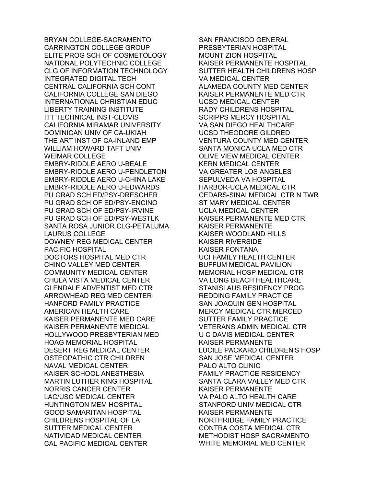BRYAN COLLEGE-SACRAMENTO CARRINGTON COLLEGE GROUP ELITE PROG SCH OF COSMETOLOGY NATIONAL POLYTECHNIC COLLEGE CLG OF INFORMATION TECHNOLOGY INTEGRATED DIGITAL TECH CENTRAL CALIFORNIA SCH CONT CALIFORNIA COLLEGE SAN DIEGO INTERNATIONAL CHRISTIAN EDUC LIBERTY TRAINING INSTITUTE ITT TECHNICAL INST-CLOVIS CALIFORNIA MIRAMAR UNIVERSITY DOMINICAN UNIV OF CA-UKIAH THE ART INST OF CA-INLAND EMP WILLIAM HOWARD TAFT UNIV WEIMAR COLLEGE EMBRY-RIDDLE AERO U-BEALE EMBRY-RIDDLE AERO U-PENDLETON EMBRY-RIDDLE AERO U-CHINA LAKE EMBRY-RIDDLE AERO U-EDWARDS PU GRAD SCH ED/PSY-DRESCHER PU GRAD SCH OF ED/PSY-ENCINO PU GRAD SCH OF ED/PSY-IRVINE PU GRAD SCH OF ED/PSY-WESTLK SANTA ROSA JUNIOR CLG-PETALUMA LAURUS COLLEGE DOWNEY REG MEDICAL CENTER PACIFIC HOSPITAL DOCTORS HOSPITAL MED CTR CHINO VALLEY MED CENTER COMMUNITY MEDICAL CENTER CHULA VISTA MEDICAL CENTER GLENDALE ADVENTIST MED CTR ARROWHEAD REG MED CENTER HANFORD FAMILY PRACTICE AMERICAN HEALTH CARE KAISER PERMANENTE MED CARE KAISER PERMANENTE MEDICAL HOLLYWOOD PRESBYTERIAN MED HOAG MEMORIAL HOSPITAL DESERT REG MEDICAL CENTER OSTEOPATHIC CTR CHILDREN NAVAL MEDICAL CENTER KAISER SCHOOL ANESTHESIA MARTIN LUTHER KING HOSPITAL NORRIS CANCER CENTER LAC/USC MEDICAL CENTER HUNTINGTON MEM HOSPITAL GOOD SAMARITAN HOSPITAL CHILDRENS HOSPITAL OF LA SUTTER MEDICAL CENTER NATIVIDAD MEDICAL CENTER CAL PACIFIC MEDICAL CENTER

SAN FRANCISCO GENERAL PRESBYTERIAN HOSPITAL MOUNT ZION HOSPITAL KAISER PERMANENTE HOSPITAL SUTTER HEALTH CHILDRENS HOSP VA MEDICAL CENTER ALAMEDA COUNTY MED CENTER KAISER PERMANENTE MED CTR UCSD MEDICAL CENTER RADY CHILDRENS HOSPITAL SCRIPPS MERCY HOSPITAL VA SAN DIEGO HEALTHCARE UCSD THEODORE GILDRED VENTURA COUNTY MED CENTER SANTA MONICA UCLA MED CTR OLIVE VIEW MEDICAL CENTER KERN MEDICAL CENTER VA GREATER LOS ANGELES SEPULVEDA VA HOSPITAL HARBOR-UCLA MEDICAL CTR CEDARS-SINAI MEDICAL CTR N TWR ST MARY MEDICAL CENTER UCLA MEDICAL CENTER KAISER PERMANENTE MED CTR KAISER PERMANENTE KAISER WOODLAND HILLS KAISER RIVERSIDE KAISER FONTANA UCI FAMILY HEALTH CENTER BUFFUM MEDICAL PAVILION MEMORIAL HOSP MEDICAL CTR VA LONG BEACH HEALTHCARE STANISLAUS RESIDENCY PROG REDDING FAMILY PRACTICE SAN JOAQUIN GEN HOSPITAL MERCY MEDICAL CTR MERCED SUTTER FAMILY PRACTICE VETERANS ADMIN MEDICAL CTR U C DAVIS MEDICAL CENTER KAISER PERMANENTE LUCILE PACKARD CHILDREN'S HOSP SAN JOSE MEDICAL CENTER PALO ALTO CLINIC FAMILY PRACTICE RESIDENCY SANTA CLARA VALLEY MED CTR KAISER PERMANENTE VA PALO ALTO HEALTH CARE STANFORD UNIV MEDICAL CTR KAISER PERMANENTE NORTHRIDGE FAMILY PRACTICE CONTRA COSTA MEDICAL CTR METHODIST HOSP SACRAMENTO WHITE MEMORIAL MED CENTER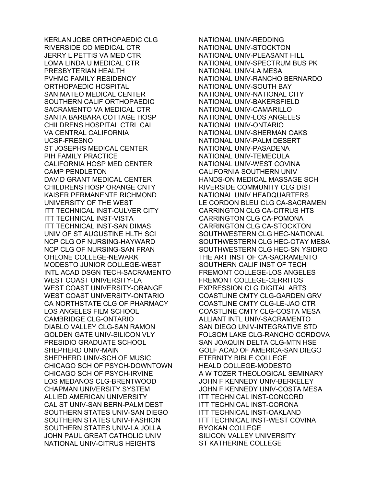KERLAN JOBE ORTHOPAEDIC CLG RIVERSIDE CO MEDICAL CTR JERRY L PETTIS VA MED CTR LOMA LINDA U MEDICAL CTR PRESBYTERIAN HEALTH PVHMC FAMILY RESIDENCY ORTHOPAEDIC HOSPITAL SAN MATEO MEDICAL CENTER SOUTHERN CALIF ORTHOPAEDIC SACRAMENTO VA MEDICAL CTR SANTA BARBARA COTTAGE HOSP CHILDRENS HOSPITAL CTRL CAL VA CENTRAL CALIFORNIA UCSF-FRESNO ST JOSEPHS MEDICAL CENTER PIH FAMILY PRACTICE CALIFORNIA HOSP MED CENTER CAMP PENDLETON DAVID GRANT MEDICAL CENTER CHILDRENS HOSP ORANGE CNTY KAISER PERMANENTE RICHMOND UNIVERSITY OF THE WEST ITT TECHNICAL INST-CULVER CITY ITT TECHNICAL INST-VISTA ITT TECHNICAL INST-SAN DIMAS UNIV OF ST AUGUSTINE HLTH SCI NCP CLG OF NURSING-HAYWARD NCP CLG OF NURSING-SAN FRAN OHLONE COLLEGE-NEWARK MODESTO JUNIOR COLLEGE-WEST INTL ACAD DSGN TECH-SACRAMENTO WEST COAST UNIVERSITY-LA WEST COAST UNIVERSITY-ORANGE WEST COAST UNIVERSITY-ONTARIO CA NORTHSTATE CLG OF PHARMACY LOS ANGELES FILM SCHOOL CAMBRIDGE CLG-ONTARIO DIABLO VALLEY CLG-SAN RAMON GOLDEN GATE UNIV-SILICON VLY PRESIDIO GRADUATE SCHOOL SHEPHERD UNIV-MAIN SHEPHERD UNIV-SCH OF MUSIC CHICAGO SCH OF PSYCH-DOWNTOWN CHICAGO SCH OF PSYCH-IRVINE LOS MEDANOS CLG-BRENTWOOD CHAPMAN UNIVERSITY SYSTEM ALLIED AMERICAN UNIVERSITY CAL ST UNIV-SAN BERN-PALM DEST SOUTHERN STATES UNIV-SAN DIEGO SOUTHERN STATES UNIV-FASHION SOUTHERN STATES UNIV-LA JOLLA JOHN PAUL GREAT CATHOLIC UNIV NATIONAL UNIV-CITRUS HEIGHTS

NATIONAL UNIV-REDDING NATIONAL UNIV-STOCKTON NATIONAL UNIV-PLEASANT HILL NATIONAL UNIV-SPECTRUM BUS PK NATIONAL UNIV-LA MESA NATIONAL UNIV-RANCHO BERNARDO NATIONAL UNIV-SOUTH BAY NATIONAL UNIV-NATIONAL CITY NATIONAL UNIV-BAKERSFIELD NATIONAL UNIV-CAMARILLO NATIONAL UNIV-LOS ANGELES NATIONAL UNIV-ONTARIO NATIONAL UNIV-SHERMAN OAKS NATIONAL UNIV-PALM DESERT NATIONAL UNIV-PASADENA NATIONAL UNIV-TEMECULA NATIONAL UNIV-WEST COVINA CALIFORNIA SOUTHERN UNIV HANDS-ON MEDICAL MASSAGE SCH RIVERSIDE COMMUNITY CLG DIST NATIONAL UNIV HEADQUARTERS LE CORDON BLEU CLG CA-SACRAMEN CARRINGTON CLG CA-CITRUS HTS CARRINGTON CLG CA-POMONA CARRINGTON CLG CA-STOCKTON SOUTHWESTERN CLG HEC-NATIONAL SOUTHWESTERN CLG HEC-OTAY MESA SOUTHWESTERN CLG HEC-SN YSIDRO THE ART INST OF CA-SACRAMENTO SOUTHERN CALIF INST OF TECH FREMONT COLLEGE-LOS ANGELES FREMONT COLLEGE-CERRITOS EXPRESSION CLG DIGITAL ARTS COASTLINE CMTY CLG-GARDEN GRV COASTLINE CMTY CLG-LE-JAO CTR COASTLINE CMTY CLG-COSTA MESA ALLIANT INTL UNIV-SACRAMENTO SAN DIEGO UNIV-INTEGRATIVE STD FOLSOM LAKE CLG-RANCHO CORDOVA SAN JOAQUIN DELTA CLG-MTN HSE GOLF ACAD OF AMERICA-SAN DIEGO ETERNITY BIBLE COLLEGE HEALD COLLEGE-MODESTO A W TOZER THEOLOGICAL SEMINARY JOHN F KENNEDY UNIV-BERKELEY JOHN F KENNEDY UNIV-COSTA MESA ITT TECHNICAL INST-CONCORD ITT TECHNICAL INST-CORONA ITT TECHNICAL INST-OAKLAND ITT TECHNICAL INST-WEST COVINA RYOKAN COLLEGE SILICON VALLEY UNIVERSITY ST KATHERINE COLLEGE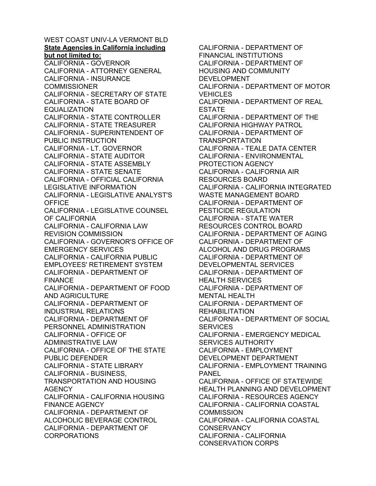WEST COAST UNIV-LA VERMONT BLD **State Agencies in California including but not limited to:**  CALIFORNIA - GOVERNOR CALIFORNIA - ATTORNEY GENERAL CALIFORNIA - INSURANCE **COMMISSIONER** CALIFORNIA - SECRETARY OF STATE CALIFORNIA - STATE BOARD OF EQUALIZATION CALIFORNIA - STATE CONTROLLER CALIFORNIA - STATE TREASURER CALIFORNIA - SUPERINTENDENT OF PUBLIC INSTRUCTION CALIFORNIA - LT. GOVERNOR CALIFORNIA - STATE AUDITOR CALIFORNIA - STATE ASSEMBLY CALIFORNIA - STATE SENATE CALIFORNIA - OFFICIAL CALIFORNIA LEGISLATIVE INFORMATION CALIFORNIA - LEGISLATIVE ANALYST'S **OFFICE** CALIFORNIA - LEGISLATIVE COUNSEL OF CALIFORNIA CALIFORNIA - CALIFORNIA LAW REVISION COMMISSION CALIFORNIA - GOVERNOR'S OFFICE OF EMERGENCY SERVICES CALIFORNIA - CALIFORNIA PUBLIC EMPLOYEES' RETIREMENT SYSTEM CALIFORNIA - DEPARTMENT OF FINANCE CALIFORNIA - DEPARTMENT OF FOOD AND AGRICULTURE CALIFORNIA - DEPARTMENT OF INDUSTRIAL RELATIONS CALIFORNIA - DEPARTMENT OF PERSONNEL ADMINISTRATION CALIFORNIA - OFFICE OF ADMINISTRATIVE LAW CALIFORNIA - OFFICE OF THE STATE PUBLIC DEFENDER CALIFORNIA - STATE LIBRARY CALIFORNIA - BUSINESS, TRANSPORTATION AND HOUSING AGENCY CALIFORNIA - CALIFORNIA HOUSING FINANCE AGENCY CALIFORNIA - DEPARTMENT OF ALCOHOLIC BEVERAGE CONTROL CALIFORNIA - DEPARTMENT OF CORPORATIONS

CALIFORNIA - DEPARTMENT OF FINANCIAL INSTITUTIONS CALIFORNIA - DEPARTMENT OF HOUSING AND COMMUNITY DEVELOPMENT CALIFORNIA - DEPARTMENT OF MOTOR **VEHICLES** CALIFORNIA - DEPARTMENT OF REAL ESTATE CALIFORNIA - DEPARTMENT OF THE CALIFORNIA HIGHWAY PATROL CALIFORNIA - DEPARTMENT OF TRANSPORTATION CALIFORNIA - TEALE DATA CENTER CALIFORNIA - ENVIRONMENTAL PROTECTION AGENCY CALIFORNIA - CALIFORNIA AIR RESOURCES BOARD CALIFORNIA - CALIFORNIA INTEGRATED WASTE MANAGEMENT BOARD CALIFORNIA - DEPARTMENT OF PESTICIDE REGULATION CALIFORNIA - STATE WATER RESOURCES CONTROL BOARD CALIFORNIA - DEPARTMENT OF AGING CALIFORNIA - DEPARTMENT OF ALCOHOL AND DRUG PROGRAMS CALIFORNIA - DEPARTMENT OF DEVELOPMENTAL SERVICES CALIFORNIA - DEPARTMENT OF HEALTH SERVICES CALIFORNIA - DEPARTMENT OF MENTAL HEALTH CALIFORNIA - DEPARTMENT OF REHABILITATION CALIFORNIA - DEPARTMENT OF SOCIAL **SERVICES** CALIFORNIA - EMERGENCY MEDICAL SERVICES AUTHORITY CALIFORNIA - EMPLOYMENT DEVELOPMENT DEPARTMENT CALIFORNIA - EMPLOYMENT TRAINING PANEL CALIFORNIA - OFFICE OF STATEWIDE HEALTH PLANNING AND DEVELOPMENT CALIFORNIA - RESOURCES AGENCY CALIFORNIA - CALIFORNIA COASTAL **COMMISSION** CALIFORNIA - CALIFORNIA COASTAL **CONSERVANCY** CALIFORNIA - CALIFORNIA CONSERVATION CORPS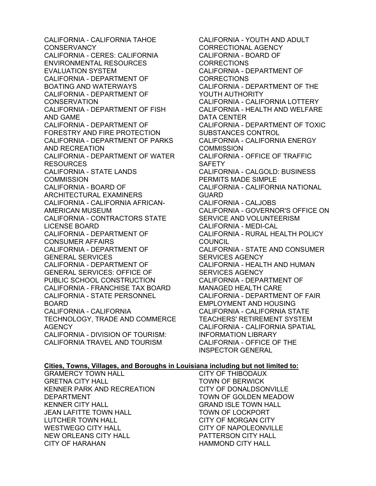CALIFORNIA - CALIFORNIA TAHOE **CONSERVANCY** CALIFORNIA - CERES: CALIFORNIA ENVIRONMENTAL RESOURCES EVALUATION SYSTEM CALIFORNIA - DEPARTMENT OF BOATING AND WATERWAYS CALIFORNIA - DEPARTMENT OF **CONSERVATION** CALIFORNIA - DEPARTMENT OF FISH AND GAME CALIFORNIA - DEPARTMENT OF FORESTRY AND FIRE PROTECTION CALIFORNIA - DEPARTMENT OF PARKS AND RECREATION CALIFORNIA - DEPARTMENT OF WATER RESOURCES CALIFORNIA - STATE LANDS **COMMISSION** CALIFORNIA - BOARD OF ARCHITECTURAL EXAMINERS CALIFORNIA - CALIFORNIA AFRICAN-AMERICAN MUSEUM CALIFORNIA - CONTRACTORS STATE LICENSE BOARD CALIFORNIA - DEPARTMENT OF CONSUMER AFFAIRS CALIFORNIA - DEPARTMENT OF GENERAL SERVICES CALIFORNIA - DEPARTMENT OF GENERAL SERVICES: OFFICE OF PUBLIC SCHOOL CONSTRUCTION CALIFORNIA - FRANCHISE TAX BOARD CALIFORNIA - STATE PERSONNEL BOARD CALIFORNIA - CALIFORNIA TECHNOLOGY, TRADE AND COMMERCE **AGENCY** CALIFORNIA - DIVISION OF TOURISM: CALIFORNIA TRAVEL AND TOURISM

CALIFORNIA - YOUTH AND ADULT CORRECTIONAL AGENCY CALIFORNIA - BOARD OF **CORRECTIONS** CALIFORNIA - DEPARTMENT OF CORRECTIONS CALIFORNIA - DEPARTMENT OF THE YOUTH AUTHORITY CALIFORNIA - CALIFORNIA LOTTERY CALIFORNIA - HEALTH AND WELFARE DATA CENTER CALIFORNIA - DEPARTMENT OF TOXIC SUBSTANCES CONTROL CALIFORNIA - CALIFORNIA ENERGY **COMMISSION** CALIFORNIA - OFFICE OF TRAFFIC SAFETY CALIFORNIA - CALGOLD: BUSINESS PERMITS MADE SIMPLE CALIFORNIA - CALIFORNIA NATIONAL GUARD CALIFORNIA - CALJOBS CALIFORNIA - GOVERNOR'S OFFICE ON SERVICE AND VOLUNTEERISM CALIFORNIA - MEDI-CAL CALIFORNIA - RURAL HEALTH POLICY COUNCIL CALIFORNIA - STATE AND CONSUMER SERVICES AGENCY CALIFORNIA - HEALTH AND HUMAN SERVICES AGENCY CALIFORNIA - DEPARTMENT OF MANAGED HEALTH CARE CALIFORNIA - DEPARTMENT OF FAIR EMPLOYMENT AND HOUSING CALIFORNIA - CALIFORNIA STATE TEACHERS' RETIREMENT SYSTEM CALIFORNIA - CALIFORNIA SPATIAL INFORMATION LIBRARY CALIFORNIA - OFFICE OF THE INSPECTOR GENERAL

## **Cities, Towns, Villages, and Boroughs in Louisiana including but not limited to:**

GRAMERCY TOWN HALL GRETNA CITY HALL KENNER PARK AND RECREATION DEPARTMENT KENNER CITY HALL JEAN LAFITTE TOWN HALL LUTCHER TOWN HALL WESTWEGO CITY HALL NEW ORLEANS CITY HALL CITY OF HARAHAN

CITY OF THIBODAUX TOWN OF BERWICK CITY OF DONALDSONVILLE TOWN OF GOLDEN MEADOW GRAND ISLE TOWN HALL TOWN OF LOCKPORT CITY OF MORGAN CITY CITY OF NAPOLEONVILLE PATTERSON CITY HALL HAMMOND CITY HALL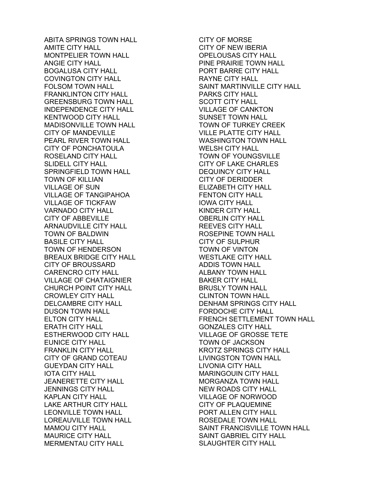ABITA SPRINGS TOWN HALL AMITE CITY HALL MONTPELIER TOWN HALL ANGIE CITY HALL BOGALUSA CITY HALL COVINGTON CITY HALL FOLSOM TOWN HALL FRANKLINTON CITY HALL GREENSBURG TOWN HALL INDEPENDENCE CITY HALL KENTWOOD CITY HALL MADISONVILLE TOWN HALL CITY OF MANDEVILLE PEARL RIVER TOWN HALL CITY OF PONCHATOULA ROSELAND CITY HALL SLIDELL CITY HALL SPRINGFIELD TOWN HALL TOWN OF KILLIAN VILLAGE OF SUN VILLAGE OF TANGIPAHOA VILLAGE OF TICKFAW VARNADO CITY HALL CITY OF ABBEVILLE ARNAUDVILLE CITY HALL TOWN OF BALDWIN BASILE CITY HALL TOWN OF HENDERSON BREAUX BRIDGE CITY HALL CITY OF BROUSSARD CARENCRO CITY HALL VILLAGE OF CHATAIGNIER CHURCH POINT CITY HALL CROWLEY CITY HALL DELCAMBRE CITY HALL DUSON TOWN HALL ELTON CITY HALL ERATH CITY HALL ESTHERWOOD CITY HALL EUNICE CITY HALL FRANKLIN CITY HALL CITY OF GRAND COTEAU GUEYDAN CITY HALL IOTA CITY HALL JEANERETTE CITY HALL JENNINGS CITY HALL KAPLAN CITY HALL LAKE ARTHUR CITY HALL LEONVILLE TOWN HALL LOREAUVILLE TOWN HALL MAMOU CITY HALL MAURICE CITY HALL MERMENTAU CITY HALL

CITY OF MORSE CITY OF NEW IBERIA OPELOUSAS CITY HALL PINE PRAIRIE TOWN HALL PORT BARRE CITY HALL RAYNE CITY HALL SAINT MARTINVILLE CITY HALL PARKS CITY HALL SCOTT CITY HALL VILLAGE OF CANKTON SUNSET TOWN HALL TOWN OF TURKEY CREEK VILLE PLATTE CITY HALL WASHINGTON TOWN HALL WELSH CITY HALL TOWN OF YOUNGSVILLE CITY OF LAKE CHARLES DEQUINCY CITY HALL CITY OF DERIDDER ELIZABETH CITY HALL FENTON CITY HALL IOWA CITY HALL KINDER CITY HALL OBERLIN CITY HALL REEVES CITY HALL ROSEPINE TOWN HALL CITY OF SULPHUR TOWN OF VINTON WESTLAKE CITY HALL ADDIS TOWN HALL ALBANY TOWN HALL BAKER CITY HALL BRUSLY TOWN HALL CLINTON TOWN HALL DENHAM SPRINGS CITY HALL FORDOCHE CITY HALL FRENCH SETTLEMENT TOWN HALL GONZALES CITY HALL VILLAGE OF GROSSE TETE TOWN OF JACKSON KROTZ SPRINGS CITY HALL LIVINGSTON TOWN HALL LIVONIA CITY HALL MARINGOUIN CITY HALL MORGANZA TOWN HALL NEW ROADS CITY HALL VILLAGE OF NORWOOD CITY OF PLAQUEMINE PORT ALLEN CITY HALL ROSEDALE TOWN HALL SAINT FRANCISVILLE TOWN HALL SAINT GABRIEL CITY HALL SLAUGHTER CITY HALL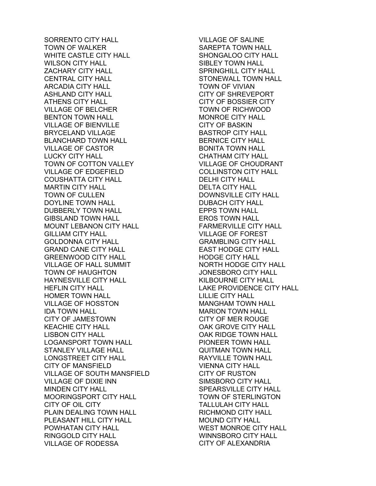SORRENTO CITY HALL TOWN OF WALKER WHITE CASTLE CITY HALL WILSON CITY HALL ZACHARY CITY HALL CENTRAL CITY HALL ARCADIA CITY HALL ASHLAND CITY HALL ATHENS CITY HALL VILLAGE OF BELCHER BENTON TOWN HALL VILLAGE OF BIENVILLE BRYCELAND VILLAGE BLANCHARD TOWN HALL VILLAGE OF CASTOR LUCKY CITY HALL TOWN OF COTTON VALLEY VILLAGE OF EDGEFIELD COUSHATTA CITY HALL MARTIN CITY HALL TOWN OF CULLEN DOYLINE TOWN HALL DUBBERLY TOWN HALL GIBSLAND TOWN HALL MOUNT LEBANON CITY HALL GILLIAM CITY HALL GOLDONNA CITY HALL GRAND CANE CITY HALL GREENWOOD CITY HALL VILLAGE OF HALL SUMMIT TOWN OF HAUGHTON HAYNESVILLE CITY HALL HEFLIN CITY HALL HOMER TOWN HALL VILLAGE OF HOSSTON IDA TOWN HALL CITY OF JAMESTOWN KEACHIE CITY HALL LISBON CITY HALL LOGANSPORT TOWN HALL STANLEY VILLAGE HALL LONGSTREET CITY HALL CITY OF MANSFIELD VILLAGE OF SOUTH MANSFIELD VILLAGE OF DIXIE INN MINDEN CITY HALL MOORINGSPORT CITY HALL CITY OF OIL CITY PLAIN DEALING TOWN HALL PLEASANT HILL CITY HALL POWHATAN CITY HALL RINGGOLD CITY HALL VILLAGE OF RODESSA

VILLAGE OF SALINE SAREPTA TOWN HALL SHONGALOO CITY HALL SIBLEY TOWN HALL SPRINGHILL CITY HALL STONEWALL TOWN HALL TOWN OF VIVIAN CITY OF SHREVEPORT CITY OF BOSSIER CITY TOWN OF RICHWOOD MONROE CITY HALL CITY OF BASKIN BASTROP CITY HALL BERNICE CITY HALL BONITA TOWN HALL CHATHAM CITY HALL VILLAGE OF CHOUDRANT COLLINSTON CITY HALL DELHI CITY HALL DELTA CITY HALL DOWNSVILLE CITY HALL DUBACH CITY HALL EPPS TOWN HALL EROS TOWN HALL FARMERVILLE CITY HALL VILLAGE OF FOREST GRAMBLING CITY HALL EAST HODGE CITY HALL HODGE CITY HALL NORTH HODGE CITY HALL JONESBORO CITY HALL KILBOURNE CITY HALL LAKE PROVIDENCE CITY HALL LILLIE CITY HALL MANGHAM TOWN HALL MARION TOWN HALL CITY OF MER ROUGE OAK GROVE CITY HALL OAK RIDGE TOWN HALL PIONEER TOWN HALL QUITMAN TOWN HALL RAYVILLE TOWN HALL VIENNA CITY HALL CITY OF RUSTON SIMSBORO CITY HALL SPEARSVILLE CITY HALL TOWN OF STERLINGTON TALLULAH CITY HALL RICHMOND CITY HALL MOUND CITY HALL WEST MONROE CITY HALL WINNSBORO CITY HALL CITY OF ALEXANDRIA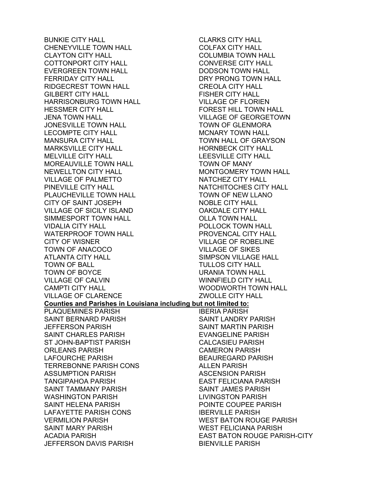BUNKIE CITY HALL CHENEYVILLE TOWN HALL CLAYTON CITY HALL COTTONPORT CITY HALL EVERGREEN TOWN HALL FERRIDAY CITY HALL RIDGECREST TOWN HALL GILBERT CITY HALL HARRISONBURG TOWN HALL HESSMER CITY HALL JENA TOWN HALL JONESVILLE TOWN HALL LECOMPTE CITY HALL MANSURA CITY HALL MARKSVILLE CITY HALL MELVILLE CITY HALL MOREAUVILLE TOWN HALL NEWELLTON CITY HALL VILLAGE OF PALMETTO PINEVILLE CITY HALL PLAUCHEVILLE TOWN HALL CITY OF SAINT JOSEPH VILLAGE OF SICILY ISLAND SIMMESPORT TOWN HALL VIDALIA CITY HALL WATERPROOF TOWN HALL CITY OF WISNER TOWN OF ANACOCO ATLANTA CITY HALL TOWN OF BALL TOWN OF BOYCE VILLAGE OF CALVIN CAMPTI CITY HALL VILLAGE OF CLARENCE **Counties and Parishes in Louisiana including but not limited to:**  PLAQUEMINES PARISH SAINT BERNARD PARISH JEFFERSON PARISH SAINT CHARLES PARISH ST JOHN-BAPTIST PARISH ORLEANS PARISH LAFOURCHE PARISH TERREBONNE PARISH CONS ASSUMPTION PARISH TANGIPAHOA PARISH SAINT TAMMANY PARISH WASHINGTON PARISH SAINT HELENA PARISH LAFAYETTE PARISH CONS VERMILION PARISH SAINT MARY PARISH ACADIA PARISH JEFFERSON DAVIS PARISH

CLARKS CITY HALL COLFAX CITY HALL COLUMBIA TOWN HALL CONVERSE CITY HALL DODSON TOWN HALL DRY PRONG TOWN HALL CREOLA CITY HALL FISHER CITY HALL VILLAGE OF FLORIEN FOREST HILL TOWN HALL VILLAGE OF GEORGETOWN TOWN OF GLENMORA MCNARY TOWN HALL TOWN HALL OF GRAYSON HORNBECK CITY HALL LEESVILLE CITY HALL TOWN OF MANY MONTGOMERY TOWN HALL NATCHEZ CITY HALL NATCHITOCHES CITY HALL TOWN OF NEW LLANO NOBLE CITY HALL OAKDALE CITY HALL OLLA TOWN HALL POLLOCK TOWN HALL PROVENCAL CITY HALL VILLAGE OF ROBELINE VILLAGE OF SIKES SIMPSON VILLAGE HALL TULLOS CITY HALL URANIA TOWN HALL WINNFIELD CITY HALL WOODWORTH TOWN HALL ZWOLLE CITY HALL IBERIA PARISH SAINT LANDRY PARISH SAINT MARTIN PARISH EVANGELINE PARISH CALCASIEU PARISH CAMERON PARISH BEAUREGARD PARISH ALLEN PARISH ASCENSION PARISH EAST FELICIANA PARISH SAINT JAMES PARISH LIVINGSTON PARISH POINTE COUPEE PARISH IBERVILLE PARISH WEST BATON ROUGE PARISH WEST FELICIANA PARISH EAST BATON ROUGE PARISH-CITY BIENVILLE PARISH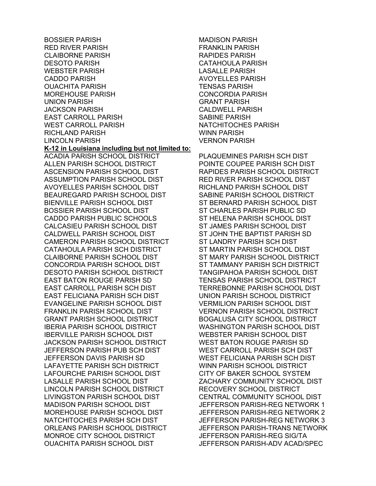BOSSIER PARISH RED RIVER PARISH CLAIBORNE PARISH DESOTO PARISH WEBSTER PARISH CADDO PARISH OUACHITA PARISH MOREHOUSE PARISH UNION PARISH JACKSON PARISH EAST CARROLL PARISH WEST CARROLL PARISH RICHLAND PARISH LINCOLN PARISH **K-12 in Louisiana including but not limited to:**  ACADIA PARISH SCHOOL DISTRICT ALLEN PARISH SCHOOL DISTRICT ASCENSION PARISH SCHOOL DIST ASSUMPTION PARISH SCHOOL DIST AVOYELLES PARISH SCHOOL DIST BEAUREGARD PARISH SCHOOL DIST BIENVILLE PARISH SCHOOL DIST BOSSIER PARISH SCHOOL DIST CADDO PARISH PUBLIC SCHOOLS CALCASIEU PARISH SCHOOL DIST CALDWELL PARISH SCHOOL DIST CAMERON PARISH SCHOOL DISTRICT CATAHOULA PARISH SCH DISTRICT CLAIBORNE PARISH SCHOOL DIST CONCORDIA PARISH SCHOOL DIST DESOTO PARISH SCHOOL DISTRICT EAST BATON ROUGE PARISH SD EAST CARROLL PARISH SCH DIST EAST FELICIANA PARISH SCH DIST EVANGELINE PARISH SCHOOL DIST FRANKLIN PARISH SCHOOL DIST GRANT PARISH SCHOOL DISTRICT IBERIA PARISH SCHOOL DISTRICT IBERVILLE PARISH SCHOOL DIST JACKSON PARISH SCHOOL DISTRICT JEFFERSON PARISH PUB SCH DIST JEFFERSON DAVIS PARISH SD LAFAYETTE PARISH SCH DISTRICT LAFOURCHE PARISH SCHOOL DIST LASALLE PARISH SCHOOL DIST LINCOLN PARISH SCHOOL DISTRICT LIVINGSTON PARISH SCHOOL DIST MADISON PARISH SCHOOL DIST MOREHOUSE PARISH SCHOOL DIST NATCHITOCHES PARISH SCH DIST ORLEANS PARISH SCHOOL DISTRICT MONROE CITY SCHOOL DISTRICT OUACHITA PARISH SCHOOL DIST

MADISON PARISH FRANKLIN PARISH RAPIDES PARISH CATAHOULA PARISH LASALLE PARISH AVOYELLES PARISH TENSAS PARISH CONCORDIA PARISH GRANT PARISH CALDWELL PARISH SABINE PARISH NATCHITOCHES PARISH WINN PARISH VERNON PARISH

PLAQUEMINES PARISH SCH DIST POINTE COUPEE PARISH SCH DIST RAPIDES PARISH SCHOOL DISTRICT RED RIVER PARISH SCHOOL DIST RICHLAND PARISH SCHOOL DIST SABINE PARISH SCHOOL DISTRICT ST BERNARD PARISH SCHOOL DIST ST CHARLES PARISH PUBLIC SD ST HELENA PARISH SCHOOL DIST ST JAMES PARISH SCHOOL DIST ST JOHN THE BAPTIST PARISH SD ST LANDRY PARISH SCH DIST ST MARTIN PARISH SCHOOL DIST ST MARY PARISH SCHOOL DISTRICT ST TAMMANY PARISH SCH DISTRICT TANGIPAHOA PARISH SCHOOL DIST TENSAS PARISH SCHOOL DISTRICT TERREBONNE PARISH SCHOOL DIST UNION PARISH SCHOOL DISTRICT VERMILION PARISH SCHOOL DIST VERNON PARISH SCHOOL DISTRICT BOGALUSA CITY SCHOOL DISTRICT WASHINGTON PARISH SCHOOL DIST WEBSTER PARISH SCHOOL DIST WEST BATON ROUGE PARISH SD WEST CARROLL PARISH SCH DIST WEST FELICIANA PARISH SCH DIST WINN PARISH SCHOOL DISTRICT CITY OF BAKER SCHOOL SYSTEM ZACHARY COMMUNITY SCHOOL DIST RECOVERY SCHOOL DISTRICT CENTRAL COMMUNITY SCHOOL DIST JEFFERSON PARISH-REG NETWORK 1 JEFFERSON PARISH-REG NETWORK 2 JEFFERSON PARISH-REG NETWORK 3 JEFFERSON PARISH-TRANS NETWORK JEFFERSON PARISH-REG SIG/TA JEFFERSON PARISH-ADV ACAD/SPEC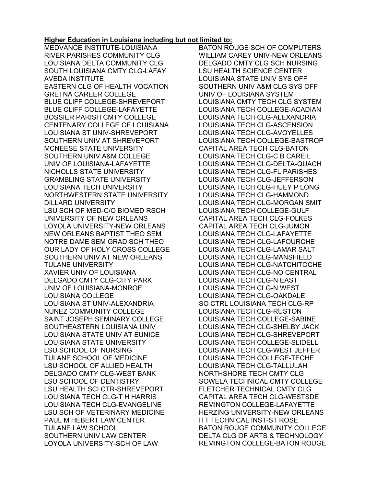## **Higher Education in Louisiana including but not limited to:**

MEDVANCE INSTITUTE-LOUISIANA RIVER PARISHES COMMUNITY CLG LOUISIANA DELTA COMMUNITY CLG SOUTH LOUISIANA CMTY CLG-LAFAY AVEDA INSTITUTE EASTERN CLG OF HEALTH VOCATION GRETNA CAREER COLLEGE BLUE CLIFF COLLEGE-SHREVEPORT BLUE CLIFF COLLEGE-LAFAYETTE BOSSIER PARISH CMTY COLLEGE CENTENARY COLLEGE OF LOUISIANA LOUISIANA ST UNIV-SHREVEPORT SOUTHERN UNIV AT SHREVEPORT MCNEESE STATE UNIVERSITY SOUTHERN UNIV A&M COLLEGE UNIV OF LOUISIANA-LAFAYETTE NICHOLLS STATE UNIVERSITY GRAMBLING STATE UNIVERSITY LOUISIANA TECH UNIVERSITY NORTHWESTERN STATE UNIVERSITY DILLARD UNIVERSITY LSU SCH OF MED-C/O BIOMED RSCH UNIVERSITY OF NEW ORLEANS LOYOLA UNIVERSITY-NEW ORLEANS NEW ORLEANS BAPTIST THEO SEM NOTRE DAME SEM GRAD SCH THEO OUR LADY OF HOLY CROSS COLLEGE SOUTHERN UNIV AT NEW ORLEANS TULANE UNIVERSITY XAVIER UNIV OF LOUISIANA DELGADO CMTY CLG-CITY PARK UNIV OF LOUISIANA-MONROE LOUISIANA COLLEGE LOUISIANA ST UNIV-ALEXANDRIA NUNEZ COMMUNITY COLLEGE SAINT JOSEPH SEMINARY COLLEGE SOUTHEASTERN LOUISIANA UNIV LOUISIANA STATE UNIV AT EUNICE LOUISIANA STATE UNIVERSITY LSU SCHOOL OF NURSING TULANE SCHOOL OF MEDICINE LSU SCHOOL OF ALLIED HEALTH DELGADO CMTY CLG-WEST BANK LSU SCHOOL OF DENTISTRY LSU HEALTH SCI CTR-SHREVEPORT LOUISIANA TECH CLG-T H HARRIS LOUISIANA TECH CLG-EVANGELINE LSU SCH OF VETERINARY MEDICINE PAUL M HEBERT LAW CENTER TULANE LAW SCHOOL SOUTHERN UNIV LAW CENTER LOYOLA UNIVERSITY-SCH OF LAW

BATON ROUGE SCH OF COMPUTERS WILLIAM CAREY UNIV-NEW ORLEANS DELGADO CMTY CLG SCH NURSING LSU HEALTH SCIENCE CENTER LOUISIANA STATE UNIV SYS OFF SOUTHERN UNIV A&M CLG SYS OFF UNIV OF LOUISIANA SYSTEM LOUISIANA CMTY TECH CLG SYSTEM LOUISIANA TECH COLLEGE-ACADIAN LOUISIANA TECH CLG-ALEXANDRIA LOUISIANA TECH CLG-ASCENSION LOUISIANA TECH CLG-AVOYELLES LOUISIANA TECH COLLEGE-BASTROP CAPITAL AREA TECH CLG-BATON LOUISIANA TECH CLG-C B CAREIL LOUISIANA TECH CLG-DELTA-QUACH LOUISIANA TECH CLG-FL PARISHES LOUISIANA TECH CLG-JEFFERSON LOUISIANA TECH CLG-HUEY P LONG LOUISIANA TECH CLG-HAMMOND LOUISIANA TECH CLG-MORGAN SMIT LOUISIANA TECH COLLEGE-GULF CAPITAL AREA TECH CLG-FOLKES CAPITAL AREA TECH CLG-JUMON LOUISIANA TECH CLG-LAFAYETTE LOUISIANA TECH CLG-LAFOURCHE LOUISIANA TECH CLG-LAMAR SALT LOUISIANA TECH CLG-MANSFIELD LOUISIANA TECH CLG-NATCHITOCHE LOUISIANA TECH CLG-NO CENTRAL LOUISIANA TECH CLG-N EAST LOUISIANA TECH CLG-N WEST LOUISIANA TECH CLG-OAKDALE SO CTRL LOUISIANA TECH CLG-RP LOUISIANA TECH CLG-RUSTON LOUISIANA TECH COLLEGE-SABINE LOUISIANA TECH CLG-SHELBY JACK LOUISIANA TECH CLG-SHREVEPORT LOUISIANA TECH COLLEGE-SLIDELL LOUISIANA TECH CLG-WEST JEFFER LOUISIANA TECH COLLEGE-TECHE LOUISIANA TECH CLG-TALLULAH NORTHSHORE TECH CMTY CLG SOWELA TECHNICAL CMTY COLLEGE FLETCHER TECHNICAL CMTY CLG CAPITAL AREA TECH CLG-WESTSDE REMINGTON COLLEGE-LAFAYETTE HERZING UNIVERSITY-NEW ORLEANS ITT TECHNICAL INST-ST ROSE BATON ROUGE COMMUNITY COLLEGE DELTA CLG OF ARTS & TECHNOLOGY REMINGTON COLLEGE-BATON ROUGE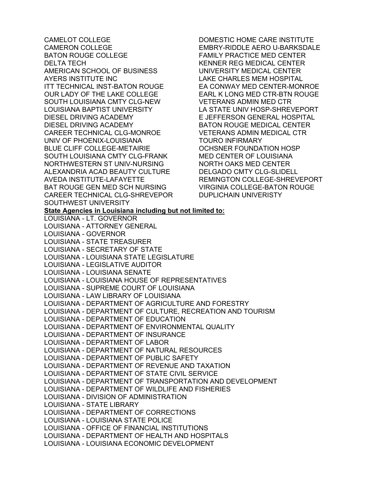CAMELOT COLLEGE CAMERON COLLEGE BATON ROUGE COLLEGE DELTA TECH AMERICAN SCHOOL OF BUSINESS AYERS INSTITUTE INC ITT TECHNICAL INST-BATON ROUGE OUR LADY OF THE LAKE COLLEGE SOUTH LOUISIANA CMTY CLG-NEW LOUISIANA BAPTIST UNIVERSITY DIESEL DRIVING ACADEMY DIESEL DRIVING ACADEMY CAREER TECHNICAL CLG-MONROE UNIV OF PHOENIX-LOUISIANA BLUE CLIFF COLLEGE-METAIRIE SOUTH LOUISIANA CMTY CLG-FRANK NORTHWESTERN ST UNIV-NURSING ALEXANDRIA ACAD BEAUTY CULTURE AVEDA INSTITUTE-LAFAYETTE BAT ROUGE GEN MED SCH NURSING CAREER TECHNICAL CLG-SHREVEPOR SOUTHWEST UNIVERSITY DOMESTIC HOME CARE INSTITUTE EMBRY-RIDDLE AERO U-BARKSDALE FAMILY PRACTICE MED CENTER KENNER REG MEDICAL CENTER UNIVERSITY MEDICAL CENTER LAKE CHARLES MEM HOSPITAL EA CONWAY MED CENTER-MONROE EARL K LONG MED CTR-BTN ROUGE VETERANS ADMIN MED CTR LA STATE UNIV HOSP-SHREVEPORT E JEFFERSON GENERAL HOSPITAL BATON ROUGE MEDICAL CENTER VETERANS ADMIN MEDICAL CTR TOURO INFIRMARY OCHSNER FOUNDATION HOSP MED CENTER OF LOUISIANA NORTH OAKS MED CENTER DELGADO CMTY CLG-SLIDELL REMINGTON COLLEGE-SHREVEPORT VIRGINIA COLLEGE-BATON ROUGE DUPLICHAIN UNIVERISTY **State Agencies in Louisiana including but not limited to:**  LOUISIANA - LT. GOVERNOR LOUISIANA - ATTORNEY GENERAL LOUISIANA - GOVERNOR LOUISIANA - STATE TREASURER LOUISIANA - SECRETARY OF STATE LOUISIANA - LOUISIANA STATE LEGISLATURE LOUISIANA - LEGISLATIVE AUDITOR LOUISIANA - LOUISIANA SENATE LOUISIANA - LOUISIANA HOUSE OF REPRESENTATIVES LOUISIANA - SUPREME COURT OF LOUISIANA LOUISIANA - LAW LIBRARY OF LOUISIANA LOUISIANA - DEPARTMENT OF AGRICULTURE AND FORESTRY LOUISIANA - DEPARTMENT OF CULTURE, RECREATION AND TOURISM LOUISIANA - DEPARTMENT OF EDUCATION LOUISIANA - DEPARTMENT OF ENVIRONMENTAL QUALITY LOUISIANA - DEPARTMENT OF INSURANCE LOUISIANA - DEPARTMENT OF LABOR LOUISIANA - DEPARTMENT OF NATURAL RESOURCES LOUISIANA - DEPARTMENT OF PUBLIC SAFETY LOUISIANA - DEPARTMENT OF REVENUE AND TAXATION LOUISIANA - DEPARTMENT OF STATE CIVIL SERVICE LOUISIANA - DEPARTMENT OF TRANSPORTATION AND DEVELOPMENT LOUISIANA - DEPARTMENT OF WILDLIFE AND FISHERIES LOUISIANA - DIVISION OF ADMINISTRATION LOUISIANA - STATE LIBRARY LOUISIANA - DEPARTMENT OF CORRECTIONS LOUISIANA - LOUISIANA STATE POLICE LOUISIANA - OFFICE OF FINANCIAL INSTITUTIONS LOUISIANA - DEPARTMENT OF HEALTH AND HOSPITALS LOUISIANA - LOUISIANA ECONOMIC DEVELOPMENT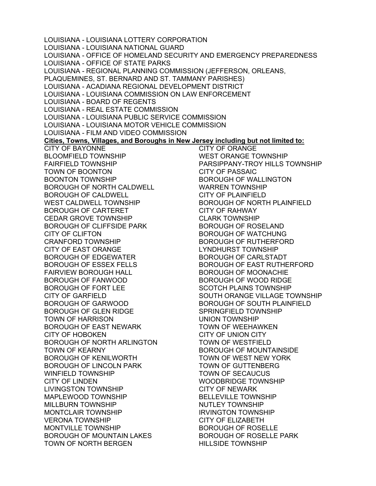LOUISIANA - LOUISIANA LOTTERY CORPORATION LOUISIANA - LOUISIANA NATIONAL GUARD LOUISIANA - OFFICE OF HOMELAND SECURITY AND EMERGENCY PREPAREDNESS LOUISIANA - OFFICE OF STATE PARKS LOUISIANA - REGIONAL PLANNING COMMISSION (JEFFERSON, ORLEANS, PLAQUEMINES, ST. BERNARD AND ST. TAMMANY PARISHES) LOUISIANA - ACADIANA REGIONAL DEVELOPMENT DISTRICT LOUISIANA - LOUISIANA COMMISSION ON LAW ENFORCEMENT LOUISIANA - BOARD OF REGENTS LOUISIANA - REAL ESTATE COMMISSION LOUISIANA - LOUISIANA PUBLIC SERVICE COMMISSION LOUISIANA - LOUISIANA MOTOR VEHICLE COMMISSION LOUISIANA - FILM AND VIDEO COMMISSION **Cities, Towns, Villages, and Boroughs in New Jersey including but not limited to:**  CITY OF BAYONNE BLOOMFIELD TOWNSHIP FAIRFIELD TOWNSHIP TOWN OF BOONTON BOONTON TOWNSHIP BOROUGH OF NORTH CALDWELL BOROUGH OF CALDWELL WEST CALDWELL TOWNSHIP BOROUGH OF CARTERET CEDAR GROVE TOWNSHIP BOROUGH OF CLIFFSIDE PARK CITY OF CLIFTON CRANFORD TOWNSHIP CITY OF EAST ORANGE BOROUGH OF EDGEWATER BOROUGH OF ESSEX FELLS FAIRVIEW BOROUGH HALL BOROUGH OF FANWOOD BOROUGH OF FORT LEE CITY OF GARFIELD BOROUGH OF GARWOOD BOROUGH OF GLEN RIDGE TOWN OF HARRISON BOROUGH OF EAST NEWARK CITY OF HOBOKEN BOROUGH OF NORTH ARLINGTON TOWN OF KEARNY BOROUGH OF KENILWORTH BOROUGH OF LINCOLN PARK WINFIELD TOWNSHIP CITY OF LINDEN LIVINGSTON TOWNSHIP MAPLEWOOD TOWNSHIP MILLBURN TOWNSHIP MONTCLAIR TOWNSHIP VERONA TOWNSHIP MONTVILLE TOWNSHIP BOROUGH OF MOUNTAIN LAKES TOWN OF NORTH BERGEN CITY OF ORANGE WEST ORANGE TOWNSHIP PARSIPPANY-TROY HILLS TOWNSHIP CITY OF PASSAIC BOROUGH OF WALLINGTON WARREN TOWNSHIP CITY OF PLAINFIELD BOROUGH OF NORTH PLAINFIELD CITY OF RAHWAY CLARK TOWNSHIP BOROUGH OF ROSELAND BOROUGH OF WATCHUNG BOROUGH OF RUTHERFORD LYNDHURST TOWNSHIP BOROUGH OF CARLSTADT BOROUGH OF EAST RUTHERFORD BOROUGH OF MOONACHIE BOROUGH OF WOOD RIDGE SCOTCH PLAINS TOWNSHIP SOUTH ORANGE VILLAGE TOWNSHIP BOROUGH OF SOUTH PLAINFIELD SPRINGFIELD TOWNSHIP UNION TOWNSHIP TOWN OF WEEHAWKEN CITY OF UNION CITY TOWN OF WESTFIELD BOROUGH OF MOUNTAINSIDE TOWN OF WEST NEW YORK TOWN OF GUTTENBERG TOWN OF SECAUCUS WOODBRIDGE TOWNSHIP CITY OF NEWARK BELLEVILLE TOWNSHIP NUTLEY TOWNSHIP IRVINGTON TOWNSHIP CITY OF ELIZABETH BOROUGH OF ROSELLE BOROUGH OF ROSELLE PARK HILLSIDE TOWNSHIP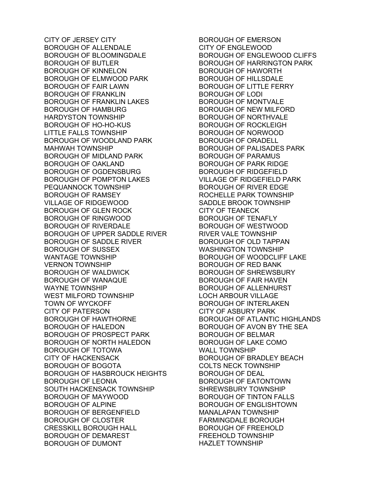CITY OF JERSEY CITY BOROUGH OF ALLENDALE BOROUGH OF BLOOMINGDALE BOROUGH OF BUTLER BOROUGH OF KINNELON BOROUGH OF ELMWOOD PARK BOROUGH OF FAIR LAWN BOROUGH OF FRANKLIN BOROUGH OF FRANKLIN LAKES BOROUGH OF HAMBURG HARDYSTON TOWNSHIP BOROUGH OF HO-HO-KUS LITTLE FALLS TOWNSHIP BOROUGH OF WOODLAND PARK MAHWAH TOWNSHIP BOROUGH OF MIDLAND PARK BOROUGH OF OAKLAND BOROUGH OF OGDENSBURG BOROUGH OF POMPTON LAKES PEQUANNOCK TOWNSHIP BOROUGH OF RAMSEY VILLAGE OF RIDGEWOOD BOROUGH OF GLEN ROCK BOROUGH OF RINGWOOD BOROUGH OF RIVERDALE BOROUGH OF UPPER SADDLE RIVER BOROUGH OF SADDLE RIVER BOROUGH OF SUSSEX WANTAGE TOWNSHIP VERNON TOWNSHIP BOROUGH OF WALDWICK BOROUGH OF WANAQUE WAYNE TOWNSHIP WEST MILFORD TOWNSHIP TOWN OF WYCKOFF CITY OF PATERSON BOROUGH OF HAWTHORNE BOROUGH OF HALEDON BOROUGH OF PROSPECT PARK BOROUGH OF NORTH HALEDON BOROUGH OF TOTOWA CITY OF HACKENSACK BOROUGH OF BOGOTA BOROUGH OF HASBROUCK HEIGHTS BOROUGH OF LEONIA SOUTH HACKENSACK TOWNSHIP BOROUGH OF MAYWOOD BOROUGH OF ALPINE BOROUGH OF BERGENFIELD BOROUGH OF CLOSTER CRESSKILL BOROUGH HALL BOROUGH OF DEMAREST BOROUGH OF DUMONT

BOROUGH OF EMERSON CITY OF ENGLEWOOD BOROUGH OF ENGLEWOOD CLIFFS BOROUGH OF HARRINGTON PARK BOROUGH OF HAWORTH BOROUGH OF HILLSDALE BOROUGH OF LITTLE FERRY BOROUGH OF LODI BOROUGH OF MONTVALE BOROUGH OF NEW MILFORD BOROUGH OF NORTHVALE BOROUGH OF ROCKLEIGH BOROUGH OF NORWOOD BOROUGH OF ORADELL BOROUGH OF PALISADES PARK BOROUGH OF PARAMUS BOROUGH OF PARK RIDGE BOROUGH OF RIDGEFIELD VILLAGE OF RIDGEFIELD PARK BOROUGH OF RIVER EDGE ROCHELLE PARK TOWNSHIP SADDLE BROOK TOWNSHIP CITY OF TEANECK BOROUGH OF TENAFLY BOROUGH OF WESTWOOD RIVER VALE TOWNSHIP BOROUGH OF OLD TAPPAN WASHINGTON TOWNSHIP BOROUGH OF WOODCLIFF LAKE BOROUGH OF RED BANK BOROUGH OF SHREWSBURY BOROUGH OF FAIR HAVEN BOROUGH OF ALLENHURST LOCH ARBOUR VILLAGE BOROUGH OF INTERLAKEN CITY OF ASBURY PARK BOROUGH OF ATLANTIC HIGHLANDS BOROUGH OF AVON BY THE SEA BOROUGH OF BELMAR BOROUGH OF LAKE COMO WALL TOWNSHIP BOROUGH OF BRADLEY BEACH COLTS NECK TOWNSHIP BOROUGH OF DEAL BOROUGH OF EATONTOWN SHREWSBURY TOWNSHIP BOROUGH OF TINTON FALLS BOROUGH OF ENGLISHTOWN MANALAPAN TOWNSHIP FARMINGDALE BOROUGH BOROUGH OF FREEHOLD FREEHOLD TOWNSHIP HAZLET TOWNSHIP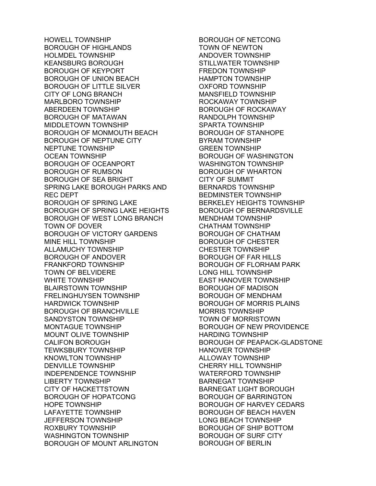HOWELL TOWNSHIP BOROUGH OF HIGHLANDS HOLMDEL TOWNSHIP KEANSBURG BOROUGH BOROUGH OF KEYPORT BOROUGH OF UNION BEACH BOROUGH OF LITTLE SILVER CITY OF LONG BRANCH MARLBORO TOWNSHIP ABERDEEN TOWNSHIP BOROUGH OF MATAWAN MIDDLETOWN TOWNSHIP BOROUGH OF MONMOUTH BEACH BOROUGH OF NEPTUNE CITY NEPTUNE TOWNSHIP OCEAN TOWNSHIP BOROUGH OF OCEANPORT BOROUGH OF RUMSON BOROUGH OF SEA BRIGHT SPRING LAKE BOROUGH PARKS AND REC DEPT BOROUGH OF SPRING LAKE BOROUGH OF SPRING LAKE HEIGHTS BOROUGH OF WEST LONG BRANCH TOWN OF DOVER BOROUGH OF VICTORY GARDENS MINE HILL TOWNSHIP ALLAMUCHY TOWNSHIP BOROUGH OF ANDOVER FRANKFORD TOWNSHIP TOWN OF BELVIDERE WHITE TOWNSHIP BLAIRSTOWN TOWNSHIP FRELINGHUYSEN TOWNSHIP HARDWICK TOWNSHIP BOROUGH OF BRANCHVILLE SANDYSTON TOWNSHIP MONTAGUE TOWNSHIP MOUNT OLIVE TOWNSHIP CALIFON BOROUGH TEWKSBURY TOWNSHIP KNOWLTON TOWNSHIP DENVILLE TOWNSHIP INDEPENDENCE TOWNSHIP LIBERTY TOWNSHIP CITY OF HACKETTSTOWN BOROUGH OF HOPATCONG HOPE TOWNSHIP LAFAYETTE TOWNSHIP JEFFERSON TOWNSHIP ROXBURY TOWNSHIP WASHINGTON TOWNSHIP BOROUGH OF MOUNT ARLINGTON

BOROUGH OF NETCONG TOWN OF NEWTON ANDOVER TOWNSHIP STILLWATER TOWNSHIP FREDON TOWNSHIP HAMPTON TOWNSHIP OXFORD TOWNSHIP MANSFIELD TOWNSHIP ROCKAWAY TOWNSHIP BOROUGH OF ROCKAWAY RANDOLPH TOWNSHIP SPARTA TOWNSHIP BOROUGH OF STANHOPE BYRAM TOWNSHIP GREEN TOWNSHIP BOROUGH OF WASHINGTON WASHINGTON TOWNSHIP BOROUGH OF WHARTON CITY OF SUMMIT BERNARDS TOWNSHIP BEDMINSTER TOWNSHIP BERKELEY HEIGHTS TOWNSHIP BOROUGH OF BERNARDSVILLE MENDHAM TOWNSHIP CHATHAM TOWNSHIP BOROUGH OF CHATHAM BOROUGH OF CHESTER CHESTER TOWNSHIP BOROUGH OF FAR HILLS BOROUGH OF FLORHAM PARK LONG HILL TOWNSHIP EAST HANOVER TOWNSHIP BOROUGH OF MADISON BOROUGH OF MENDHAM BOROUGH OF MORRIS PLAINS MORRIS TOWNSHIP TOWN OF MORRISTOWN BOROUGH OF NEW PROVIDENCE HARDING TOWNSHIP BOROUGH OF PEAPACK-GLADSTONE HANOVER TOWNSHIP ALLOWAY TOWNSHIP CHERRY HILL TOWNSHIP WATERFORD TOWNSHIP BARNEGAT TOWNSHIP BARNEGAT LIGHT BOROUGH BOROUGH OF BARRINGTON BOROUGH OF HARVEY CEDARS BOROUGH OF BEACH HAVEN LONG BEACH TOWNSHIP BOROUGH OF SHIP BOTTOM BOROUGH OF SURF CITY BOROUGH OF BERLIN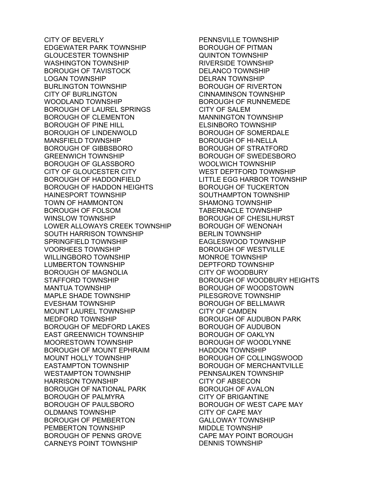CITY OF BEVERLY EDGEWATER PARK TOWNSHIP GLOUCESTER TOWNSHIP WASHINGTON TOWNSHIP BOROUGH OF TAVISTOCK LOGAN TOWNSHIP BURLINGTON TOWNSHIP CITY OF BURLINGTON WOODLAND TOWNSHIP BOROUGH OF LAUREL SPRINGS BOROUGH OF CLEMENTON BOROUGH OF PINE HILL BOROUGH OF LINDENWOLD MANSFIELD TOWNSHIP BOROUGH OF GIBBSBORO GREENWICH TOWNSHIP BOROUGH OF GLASSBORO CITY OF GLOUCESTER CITY BOROUGH OF HADDONFIELD BOROUGH OF HADDON HEIGHTS HAINESPORT TOWNSHIP TOWN OF HAMMONTON BOROUGH OF FOLSOM WINSLOW TOWNSHIP LOWER ALLOWAYS CREEK TOWNSHIP SOUTH HARRISON TOWNSHIP SPRINGFIELD TOWNSHIP VOORHEES TOWNSHIP WILLINGBORO TOWNSHIP LUMBERTON TOWNSHIP BOROUGH OF MAGNOLIA STAFFORD TOWNSHIP MANTUA TOWNSHIP MAPLE SHADE TOWNSHIP EVESHAM TOWNSHIP MOUNT LAUREL TOWNSHIP MEDFORD TOWNSHIP BOROUGH OF MEDFORD LAKES EAST GREENWICH TOWNSHIP MOORESTOWN TOWNSHIP BOROUGH OF MOUNT EPHRAIM MOUNT HOLLY TOWNSHIP EASTAMPTON TOWNSHIP WESTAMPTON TOWNSHIP HARRISON TOWNSHIP BOROUGH OF NATIONAL PARK BOROUGH OF PALMYRA BOROUGH OF PAULSBORO OLDMANS TOWNSHIP BOROUGH OF PEMBERTON PEMBERTON TOWNSHIP BOROUGH OF PENNS GROVE CARNEYS POINT TOWNSHIP

PENNSVILLE TOWNSHIP BOROUGH OF PITMAN QUINTON TOWNSHIP RIVERSIDE TOWNSHIP DELANCO TOWNSHIP DELRAN TOWNSHIP BOROUGH OF RIVERTON CINNAMINSON TOWNSHIP BOROUGH OF RUNNEMEDE CITY OF SALEM MANNINGTON TOWNSHIP ELSINBORO TOWNSHIP BOROUGH OF SOMERDALE BOROUGH OF HI-NELLA BOROUGH OF STRATFORD BOROUGH OF SWEDESBORO WOOLWICH TOWNSHIP WEST DEPTFORD TOWNSHIP LITTLE EGG HARBOR TOWNSHIP BOROUGH OF TUCKERTON SOUTHAMPTON TOWNSHIP SHAMONG TOWNSHIP TABERNACLE TOWNSHIP BOROUGH OF CHESILHURST BOROUGH OF WENONAH BERLIN TOWNSHIP EAGLESWOOD TOWNSHIP BOROUGH OF WESTVILLE MONROE TOWNSHIP DEPTFORD TOWNSHIP CITY OF WOODBURY BOROUGH OF WOODBURY HEIGHTS BOROUGH OF WOODSTOWN PILESGROVE TOWNSHIP BOROUGH OF BELLMAWR CITY OF CAMDEN BOROUGH OF AUDUBON PARK BOROUGH OF AUDUBON BOROUGH OF OAKLYN BOROUGH OF WOODLYNNE HADDON TOWNSHIP BOROUGH OF COLLINGSWOOD BOROUGH OF MERCHANTVILLE PENNSAUKEN TOWNSHIP CITY OF ABSECON BOROUGH OF AVALON CITY OF BRIGANTINE BOROUGH OF WEST CAPE MAY CITY OF CAPE MAY GALLOWAY TOWNSHIP MIDDLE TOWNSHIP CAPE MAY POINT BOROUGH DENNIS TOWNSHIP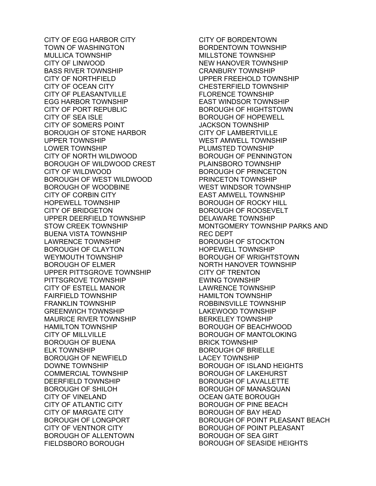CITY OF EGG HARBOR CITY TOWN OF WASHINGTON MULLICA TOWNSHIP CITY OF LINWOOD BASS RIVER TOWNSHIP CITY OF NORTHFIELD CITY OF OCEAN CITY CITY OF PLEASANTVILLE EGG HARBOR TOWNSHIP CITY OF PORT REPUBLIC CITY OF SEA ISLE CITY OF SOMERS POINT BOROUGH OF STONE HARBOR UPPER TOWNSHIP LOWER TOWNSHIP CITY OF NORTH WILDWOOD BOROUGH OF WILDWOOD CREST CITY OF WILDWOOD BOROUGH OF WEST WILDWOOD BOROUGH OF WOODBINE CITY OF CORBIN CITY HOPEWELL TOWNSHIP CITY OF BRIDGETON UPPER DEERFIELD TOWNSHIP STOW CREEK TOWNSHIP BUENA VISTA TOWNSHIP LAWRENCE TOWNSHIP BOROUGH OF CLAYTON WEYMOUTH TOWNSHIP BOROUGH OF ELMER UPPER PITTSGROVE TOWNSHIP PITTSGROVE TOWNSHIP CITY OF ESTELL MANOR FAIRFIELD TOWNSHIP FRANKLIN TOWNSHIP GREENWICH TOWNSHIP MAURICE RIVER TOWNSHIP HAMILTON TOWNSHIP CITY OF MILLVILLE BOROUGH OF BUENA ELK TOWNSHIP BOROUGH OF NEWFIELD DOWNE TOWNSHIP COMMERCIAL TOWNSHIP DEERFIELD TOWNSHIP BOROUGH OF SHILOH CITY OF VINELAND CITY OF ATLANTIC CITY CITY OF MARGATE CITY BOROUGH OF LONGPORT CITY OF VENTNOR CITY BOROUGH OF ALLENTOWN FIELDSBORO BOROUGH

CITY OF BORDENTOWN BORDENTOWN TOWNSHIP MILL STONE TOWNSHIP NEW HANOVER TOWNSHIP CRANBURY TOWNSHIP UPPER FREEHOLD TOWNSHIP CHESTERFIELD TOWNSHIP FLORENCE TOWNSHIP EAST WINDSOR TOWNSHIP BOROUGH OF HIGHTSTOWN BOROUGH OF HOPEWELL JACKSON TOWNSHIP CITY OF LAMBERTVILLE WEST AMWELL TOWNSHIP PLUMSTED TOWNSHIP BOROUGH OF PENNINGTON PLAINSBORO TOWNSHIP BOROUGH OF PRINCETON PRINCETON TOWNSHIP WEST WINDSOR TOWNSHIP EAST AMWELL TOWNSHIP BOROUGH OF ROCKY HILL BOROUGH OF ROOSEVELT DELAWARE TOWNSHIP MONTGOMERY TOWNSHIP PARKS AND REC DEPT BOROUGH OF STOCKTON HOPEWELL TOWNSHIP BOROUGH OF WRIGHTSTOWN NORTH HANOVER TOWNSHIP CITY OF TRENTON EWING TOWNSHIP LAWRENCE TOWNSHIP HAMILTON TOWNSHIP ROBBINSVILLE TOWNSHIP LAKEWOOD TOWNSHIP BERKELEY TOWNSHIP BOROUGH OF BEACHWOOD BOROUGH OF MANTOLOKING BRICK TOWNSHIP BOROUGH OF BRIELLE LACEY TOWNSHIP BOROUGH OF ISLAND HEIGHTS BOROUGH OF LAKEHURST BOROUGH OF LAVALLETTE BOROUGH OF MANASQUAN OCEAN GATE BOROUGH BOROUGH OF PINE BEACH BOROUGH OF BAY HEAD BOROUGH OF POINT PLEASANT BEACH BOROUGH OF POINT PLEASANT BOROUGH OF SEA GIRT BOROUGH OF SEASIDE HEIGHTS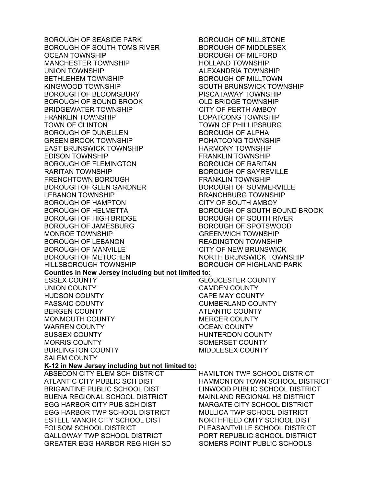BOROUGH OF SEASIDE PARK BOROUGH OF SOUTH TOMS RIVER OCEAN TOWNSHIP MANCHESTER TOWNSHIP UNION TOWNSHIP BETHLEHEM TOWNSHIP KINGWOOD TOWNSHIP BOROUGH OF BLOOMSBURY BOROUGH OF BOUND BROOK BRIDGEWATER TOWNSHIP FRANKLIN TOWNSHIP TOWN OF CLINTON BOROUGH OF DUNELLEN GREEN BROOK TOWNSHIP EAST BRUNSWICK TOWNSHIP EDISON TOWNSHIP BOROUGH OF FLEMINGTON RARITAN TOWNSHIP FRENCHTOWN BOROUGH BOROUGH OF GLEN GARDNER LEBANON TOWNSHIP BOROUGH OF HAMPTON BOROUGH OF HELMETTA BOROUGH OF HIGH BRIDGE BOROUGH OF JAMESBURG MONROE TOWNSHIP BOROUGH OF LEBANON BOROUGH OF MANVILLE BOROUGH OF METUCHEN HILLSBOROUGH TOWNSHIP BOROUGH OF MILLSTONE BOROUGH OF MIDDLESEX BOROUGH OF MILFORD HOLLAND TOWNSHIP ALEXANDRIA TOWNSHIP BOROUGH OF MILLTOWN SOUTH BRUNSWICK TOWNSHIP PISCATAWAY TOWNSHIP OLD BRIDGE TOWNSHIP CITY OF PERTH AMBOY LOPATCONG TOWNSHIP TOWN OF PHILLIPSBURG BOROUGH OF ALPHA POHATCONG TOWNSHIP HARMONY TOWNSHIP FRANKLIN TOWNSHIP BOROUGH OF RARITAN BOROUGH OF SAYREVILLE FRANKLIN TOWNSHIP BOROUGH OF SUMMERVILLE BRANCHBURG TOWNSHIP CITY OF SOUTH AMBOY BOROUGH OF SOUTH BOUND BROOK BOROUGH OF SOUTH RIVER BOROUGH OF SPOTSWOOD GREENWICH TOWNSHIP READINGTON TOWNSHIP CITY OF NEW BRUNSWICK NORTH BRUNSWICK TOWNSHIP BOROUGH OF HIGHLAND PARK **Counties in New Jersey including but not limited to:**  ESSEX COUNTY UNION COUNTY HUDSON COUNTY PASSAIC COUNTY BERGEN COUNTY MONMOUTH COUNTY WARREN COUNTY SUSSEX COUNTY MORRIS COUNTY BURLINGTON COUNTY SALEM COUNTY **K-12 in New Jersey including but not limited to:**  ABSECON CITY ELEM SCH DISTRICT ATLANTIC CITY PUBLIC SCH DIST BRIGANTINE PUBLIC SCHOOL DIST BUENA REGIONAL SCHOOL DISTRICT EGG HARBOR CITY PUB SCH DIST EGG HARBOR TWP SCHOOL DISTRICT ESTELL MANOR CITY SCHOOL DIST FOLSOM SCHOOL DISTRICT GALLOWAY TWP SCHOOL DISTRICT GREATER EGG HARBOR REG HIGH SD

HAMILTON TWP SCHOOL DISTRICT HAMMONTON TOWN SCHOOL DISTRICT LINWOOD PUBLIC SCHOOL DISTRICT MAINLAND REGIONAL HS DISTRICT MARGATE CITY SCHOOL DISTRICT MULLICA TWP SCHOOL DISTRICT NORTHFIELD CMTY SCHOOL DIST PLEASANTVILLE SCHOOL DISTRICT PORT REPUBLIC SCHOOL DISTRICT SOMERS POINT PUBLIC SCHOOLS

GLOUCESTER COUNTY CAMDEN COUNTY CAPE MAY COUNTY CUMBERLAND COUNTY ATLANTIC COUNTY MERCER COUNTY OCEAN COUNTY HUNTERDON COUNTY SOMERSET COUNTY MIDDLESEX COUNTY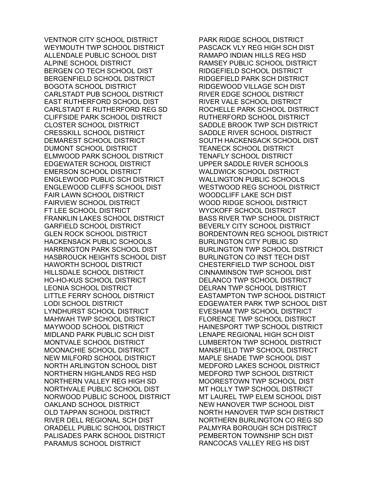VENTNOR CITY SCHOOL DISTRICT WEYMOUTH TWP SCHOOL DISTRICT ALLENDALE PUBLIC SCHOOL DIST ALPINE SCHOOL DISTRICT BERGEN CO TECH SCHOOL DIST BERGENFIELD SCHOOL DISTRICT BOGOTA SCHOOL DISTRICT CARLSTADT PUB SCHOOL DISTRICT EAST RUTHERFORD SCHOOL DIST CARLSTADT E RUTHERFORD REG SD CLIFFSIDE PARK SCHOOL DISTRICT CLOSTER SCHOOL DISTRICT CRESSKILL SCHOOL DISTRICT DEMAREST SCHOOL DISTRICT DUMONT SCHOOL DISTRICT ELMWOOD PARK SCHOOL DISTRICT EDGEWATER SCHOOL DISTRICT EMERSON SCHOOL DISTRICT ENGLEWOOD PUBLIC SCH DISTRICT ENGLEWOOD CLIFFS SCHOOL DIST FAIR LAWN SCHOOL DISTRICT FAIRVIEW SCHOOL DISTRICT FT LEE SCHOOL DISTRICT FRANKLIN LAKES SCHOOL DISTRICT GARFIELD SCHOOL DISTRICT GLEN ROCK SCHOOL DISTRICT HACKENSACK PUBLIC SCHOOLS HARRINGTON PARK SCHOOL DIST HASBROUCK HEIGHTS SCHOOL DIST HAWORTH SCHOOL DISTRICT HILLSDALE SCHOOL DISTRICT HO-HO-KUS SCHOOL DISTRICT LEONIA SCHOOL DISTRICT LITTLE FERRY SCHOOL DISTRICT LODI SCHOOL DISTRICT LYNDHURST SCHOOL DISTRICT MAHWAH TWP SCHOOL DISTRICT MAYWOOD SCHOOL DISTRICT MIDLAND PARK PUBLIC SCH DIST MONTVALE SCHOOL DISTRICT MOONACHIE SCHOOL DISTRICT NEW MILFORD SCHOOL DISTRICT NORTH ARLINGTON SCHOOL DIST NORTHERN HIGHLANDS REG HSD NORTHERN VALLEY REG HIGH SD NORTHVALE PUBLIC SCHOOL DIST NORWOOD PUBLIC SCHOOL DISTRICT OAKLAND SCHOOL DISTRICT OLD TAPPAN SCHOOL DISTRICT RIVER DELL REGIONAL SCH DIST ORADELL PUBLIC SCHOOL DISTRICT PALISADES PARK SCHOOL DISTRICT PARAMUS SCHOOL DISTRICT

PARK RIDGE SCHOOL DISTRICT PASCACK VLY REG HIGH SCH DIST RAMAPO INDIAN HILLS REG HSD RAMSEY PUBLIC SCHOOL DISTRICT RIDGEFIELD SCHOOL DISTRICT RIDGEFIELD PARK SCH DISTRICT RIDGEWOOD VILLAGE SCH DIST RIVER EDGE SCHOOL DISTRICT RIVER VALE SCHOOL DISTRICT ROCHELLE PARK SCHOOL DISTRICT RUTHERFORD SCHOOL DISTRICT SADDLE BROOK TWP SCH DISTRICT SADDLE RIVER SCHOOL DISTRICT SOUTH HACKENSACK SCHOOL DIST TEANECK SCHOOL DISTRICT TENAFLY SCHOOL DISTRICT UPPER SADDLE RIVER SCHOOLS WALDWICK SCHOOL DISTRICT WALLINGTON PUBLIC SCHOOLS WESTWOOD REG SCHOOL DISTRICT WOODCLIFF LAKE SCH DIST WOOD RIDGE SCHOOL DISTRICT WYCKOFF SCHOOL DISTRICT BASS RIVER TWP SCHOOL DISTRICT BEVERLY CITY SCHOOL DISTRICT BORDENTOWN REG SCHOOL DISTRICT BURLINGTON CITY PUBLIC SD BURLINGTON TWP SCHOOL DISTRICT BURLINGTON CO INST TECH DIST CHESTERFIELD TWP SCHOOL DIST CINNAMINSON TWP SCHOOL DIST DELANCO TWP SCHOOL DISTRICT DELRAN TWP SCHOOL DISTRICT EASTAMPTON TWP SCHOOL DISTRICT EDGEWATER PARK TWP SCHOOL DIST EVESHAM TWP SCHOOL DISTRICT FLORENCE TWP SCHOOL DISTRICT HAINESPORT TWP SCHOOL DISTRICT LENAPE REGIONAL HIGH SCH DIST LUMBERTON TWP SCHOOL DISTRICT MANSFIELD TWP SCHOOL DISTRICT MAPLE SHADE TWP SCHOOL DIST MEDFORD LAKES SCHOOL DISTRICT MEDFORD TWP SCHOOL DISTRICT MOORESTOWN TWP SCHOOL DIST MT HOLLY TWP SCHOOL DISTRICT MT LAUREL TWP ELEM SCHOOL DIST NEW HANOVER TWP SCHOOL DIST NORTH HANOVER TWP SCH DISTRICT NORTHERN BURLINGTON CO REG SD PALMYRA BOROUGH SCH DISTRICT PEMBERTON TOWNSHIP SCH DIST RANCOCAS VALLEY REG HS DIST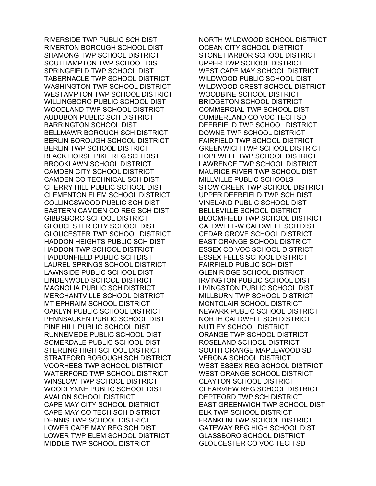RIVERSIDE TWP PUBLIC SCH DIST RIVERTON BOROUGH SCHOOL DIST SHAMONG TWP SCHOOL DISTRICT SOUTHAMPTON TWP SCHOOL DIST SPRINGFIELD TWP SCHOOL DIST TABERNACLE TWP SCHOOL DISTRICT WASHINGTON TWP SCHOOL DISTRICT WESTAMPTON TWP SCHOOL DISTRICT WILLINGBORO PUBLIC SCHOOL DIST WOODLAND TWP SCHOOL DISTRICT AUDUBON PUBLIC SCH DISTRICT BARRINGTON SCHOOL DIST BELLMAWR BOROUGH SCH DISTRICT BERLIN BOROUGH SCHOOL DISTRICT BERLIN TWP SCHOOL DISTRICT BLACK HORSE PIKE REG SCH DIST BROOKLAWN SCHOOL DISTRICT CAMDEN CITY SCHOOL DISTRICT CAMDEN CO TECHNICAL SCH DIST CHERRY HILL PUBLIC SCHOOL DIST CLEMENTON ELEM SCHOOL DISTRICT COLLINGSWOOD PUBLIC SCH DIST EASTERN CAMDEN CO REG SCH DIST GIBBSBORO SCHOOL DISTRICT GLOUCESTER CITY SCHOOL DIST GLOUCESTER TWP SCHOOL DISTRICT HADDON HEIGHTS PUBLIC SCH DIST HADDON TWP SCHOOL DISTRICT HADDONFIELD PUBLIC SCH DIST LAUREL SPRINGS SCHOOL DISTRICT LAWNSIDE PUBLIC SCHOOL DIST LINDENWOLD SCHOOL DISTRICT MAGNOLIA PUBLIC SCH DISTRICT MERCHANTVILLE SCHOOL DISTRICT MT EPHRAIM SCHOOL DISTRICT OAKLYN PUBLIC SCHOOL DISTRICT PENNSAUKEN PUBLIC SCHOOL DIST PINE HILL PUBLIC SCHOOL DIST RUNNEMEDE PUBLIC SCHOOL DIST SOMERDALE PUBLIC SCHOOL DIST STERLING HIGH SCHOOL DISTRICT STRATFORD BOROUGH SCH DISTRICT VOORHEES TWP SCHOOL DISTRICT WATERFORD TWP SCHOOL DISTRICT WINSLOW TWP SCHOOL DISTRICT WOODLYNNE PUBLIC SCHOOL DIST AVALON SCHOOL DISTRICT CAPE MAY CITY SCHOOL DISTRICT CAPE MAY CO TECH SCH DISTRICT DENNIS TWP SCHOOL DISTRICT LOWER CAPE MAY REG SCH DIST LOWER TWP ELEM SCHOOL DISTRICT MIDDLE TWP SCHOOL DISTRICT

NORTH WILDWOOD SCHOOL DISTRICT OCEAN CITY SCHOOL DISTRICT STONE HARBOR SCHOOL DISTRICT UPPER TWP SCHOOL DISTRICT WEST CAPE MAY SCHOOL DISTRICT WILDWOOD PUBLIC SCHOOL DIST WILDWOOD CREST SCHOOL DISTRICT WOODBINE SCHOOL DISTRICT BRIDGETON SCHOOL DISTRICT COMMERCIAL TWP SCHOOL DIST CUMBERLAND CO VOC TECH SD DEERFIELD TWP SCHOOL DISTRICT DOWNE TWP SCHOOL DISTRICT FAIRFIELD TWP SCHOOL DISTRICT GREENWICH TWP SCHOOL DISTRICT HOPEWELL TWP SCHOOL DISTRICT LAWRENCE TWP SCHOOL DISTRICT MAURICE RIVER TWP SCHOOL DIST MILLVILLE PUBLIC SCHOOLS STOW CREEK TWP SCHOOL DISTRICT UPPER DEERFIELD TWP SCH DIST VINELAND PUBLIC SCHOOL DIST BELLEVILLE SCHOOL DISTRICT BLOOMFIELD TWP SCHOOL DISTRICT CALDWELL-W CALDWELL SCH DIST CEDAR GROVE SCHOOL DISTRICT EAST ORANGE SCHOOL DISTRICT ESSEX CO VOC SCHOOL DISTRICT ESSEX FELLS SCHOOL DISTRICT FAIRFIELD PUBLIC SCH DIST GLEN RIDGE SCHOOL DISTRICT IRVINGTON PUBLIC SCHOOL DIST LIVINGSTON PUBLIC SCHOOL DIST MILLBURN TWP SCHOOL DISTRICT MONTCLAIR SCHOOL DISTRICT NEWARK PUBLIC SCHOOL DISTRICT NORTH CALDWELL SCH DISTRICT NUTLEY SCHOOL DISTRICT ORANGE TWP SCHOOL DISTRICT ROSELAND SCHOOL DISTRICT SOUTH ORANGE MAPLEWOOD SD VERONA SCHOOL DISTRICT WEST ESSEX REG SCHOOL DISTRICT WEST ORANGE SCHOOL DISTRICT CLAYTON SCHOOL DISTRICT CLEARVIEW REG SCHOOL DISTRICT DEPTFORD TWP SCH DISTRICT EAST GREENWICH TWP SCHOOL DIST ELK TWP SCHOOL DISTRICT FRANKLIN TWP SCHOOL DISTRICT GATEWAY REG HIGH SCHOOL DIST GLASSBORO SCHOOL DISTRICT GLOUCESTER CO VOC TECH SD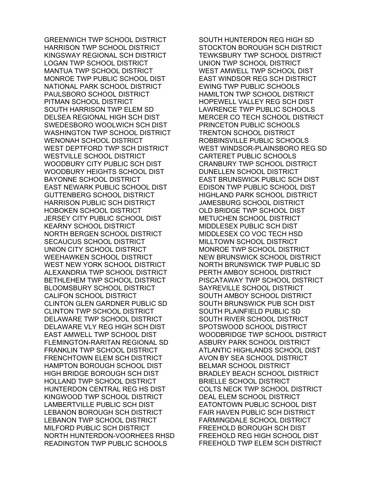GREENWICH TWP SCHOOL DISTRICT HARRISON TWP SCHOOL DISTRICT KINGSWAY REGIONAL SCH DISTRICT LOGAN TWP SCHOOL DISTRICT MANTUA TWP SCHOOL DISTRICT MONROE TWP PUBLIC SCHOOL DIST NATIONAL PARK SCHOOL DISTRICT PAULSBORO SCHOOL DISTRICT PITMAN SCHOOL DISTRICT SOUTH HARRISON TWP ELEM SD DELSEA REGIONAL HIGH SCH DIST SWEDESBORO WOOLWICH SCH DIST WASHINGTON TWP SCHOOL DISTRICT WENONAH SCHOOL DISTRICT WEST DEPTFORD TWP SCH DISTRICT WESTVILLE SCHOOL DISTRICT WOODBURY CITY PUBLIC SCH DIST WOODBURY HEIGHTS SCHOOL DIST BAYONNE SCHOOL DISTRICT EAST NEWARK PUBLIC SCHOOL DIST GUTTENBERG SCHOOL DISTRICT HARRISON PUBLIC SCH DISTRICT HOBOKEN SCHOOL DISTRICT JERSEY CITY PUBLIC SCHOOL DIST KEARNY SCHOOL DISTRICT NORTH BERGEN SCHOOL DISTRICT SECAUCUS SCHOOL DISTRICT UNION CITY SCHOOL DISTRICT WEEHAWKEN SCHOOL DISTRICT WEST NEW YORK SCHOOL DISTRICT ALEXANDRIA TWP SCHOOL DISTRICT BETHLEHEM TWP SCHOOL DISTRICT BLOOMSBURY SCHOOL DISTRICT CALIFON SCHOOL DISTRICT CLINTON GLEN GARDNER PUBLIC SD CLINTON TWP SCHOOL DISTRICT DELAWARE TWP SCHOOL DISTRICT DELAWARE VLY REG HIGH SCH DIST EAST AMWELL TWP SCHOOL DIST FLEMINGTON-RARITAN REGIONAL SD FRANKLIN TWP SCHOOL DISTRICT FRENCHTOWN ELEM SCH DISTRICT HAMPTON BOROUGH SCHOOL DIST HIGH BRIDGE BOROUGH SCH DIST HOLLAND TWP SCHOOL DISTRICT HUNTERDON CENTRAL REG HS DIST KINGWOOD TWP SCHOOL DISTRICT LAMBERTVILLE PUBLIC SCH DIST LEBANON BOROUGH SCH DISTRICT LEBANON TWP SCHOOL DISTRICT MILFORD PUBLIC SCH DISTRICT NORTH HUNTERDON-VOORHEES RHSD READINGTON TWP PUBLIC SCHOOLS

SOUTH HUNTERDON REG HIGH SD STOCKTON BOROUGH SCH DISTRICT TEWKSBURY TWP SCHOOL DISTRICT UNION TWP SCHOOL DISTRICT WEST AMWELL TWP SCHOOL DIST EAST WINDSOR REG SCH DISTRICT EWING TWP PUBLIC SCHOOLS HAMILTON TWP SCHOOL DISTRICT HOPEWELL VALLEY REG SCH DIST LAWRENCE TWP PUBLIC SCHOOLS MERCER CO TECH SCHOOL DISTRICT PRINCETON PUBLIC SCHOOLS TRENTON SCHOOL DISTRICT ROBBINSVILLE PUBLIC SCHOOLS WEST WINDSOR-PLAINSBORO REG SD CARTERET PUBLIC SCHOOLS CRANBURY TWP SCHOOL DISTRICT DUNELLEN SCHOOL DISTRICT EAST BRUNSWICK PUBLIC SCH DIST EDISON TWP PUBLIC SCHOOL DIST HIGHLAND PARK SCHOOL DISTRICT JAMESBURG SCHOOL DISTRICT OLD BRIDGE TWP SCHOOL DIST METUCHEN SCHOOL DISTRICT MIDDLESEX PUBLIC SCH DIST MIDDLESEX CO VOC TECH HSD MILLTOWN SCHOOL DISTRICT MONROE TWP SCHOOL DISTRICT NEW BRUNSWICK SCHOOL DISTRICT NORTH BRUNSWICK TWP PUBLIC SD PERTH AMBOY SCHOOL DISTRICT PISCATAWAY TWP SCHOOL DISTRICT SAYREVILLE SCHOOL DISTRICT SOUTH AMBOY SCHOOL DISTRICT SOUTH BRUNSWICK PUB SCH DIST SOUTH PLAINFIELD PUBLIC SD SOUTH RIVER SCHOOL DISTRICT SPOTSWOOD SCHOOL DISTRICT WOODBRIDGE TWP SCHOOL DISTRICT ASBURY PARK SCHOOL DISTRICT ATLANTIC HIGHLANDS SCHOOL DIST AVON BY SEA SCHOOL DISTRICT BELMAR SCHOOL DISTRICT BRADLEY BEACH SCHOOL DISTRICT BRIELLE SCHOOL DISTRICT COLTS NECK TWP SCHOOL DISTRICT DEAL ELEM SCHOOL DISTRICT EATONTOWN PUBLIC SCHOOL DIST FAIR HAVEN PUBLIC SCH DISTRICT FARMINGDALE SCHOOL DISTRICT FREEHOLD BOROUGH SCH DIST FREEHOLD REG HIGH SCHOOL DIST FREEHOLD TWP ELEM SCH DISTRICT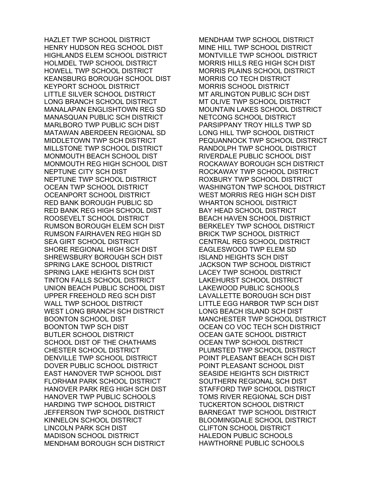HAZLET TWP SCHOOL DISTRICT HENRY HUDSON REG SCHOOL DIST HIGHLANDS ELEM SCHOOL DISTRICT HOLMDEL TWP SCHOOL DISTRICT HOWELL TWP SCHOOL DISTRICT KEANSBURG BOROUGH SCHOOL DIST KEYPORT SCHOOL DISTRICT LITTLE SILVER SCHOOL DISTRICT LONG BRANCH SCHOOL DISTRICT MANALAPAN ENGLISHTOWN REG SD MANASQUAN PUBLIC SCH DISTRICT MARLBORO TWP PUBLIC SCH DIST MATAWAN ABERDEEN REGIONAL SD MIDDLETOWN TWP SCH DISTRICT MILLSTONE TWP SCHOOL DISTRICT MONMOUTH BEACH SCHOOL DIST MONMOUTH REG HIGH SCHOOL DIST NEPTUNE CITY SCH DIST NEPTUNE TWP SCHOOL DISTRICT OCEAN TWP SCHOOL DISTRICT OCEANPORT SCHOOL DISTRICT RED BANK BOROUGH PUBLIC SD RED BANK REG HIGH SCHOOL DIST ROOSEVELT SCHOOL DISTRICT RUMSON BOROUGH ELEM SCH DIST RUMSON FAIRHAVEN REG HIGH SD SEA GIRT SCHOOL DISTRICT SHORE REGIONAL HIGH SCH DIST SHREWSBURY BOROUGH SCH DIST SPRING LAKE SCHOOL DISTRICT SPRING LAKE HEIGHTS SCH DIST TINTON FALLS SCHOOL DISTRICT UNION BEACH PUBLIC SCHOOL DIST UPPER FREEHOLD REG SCH DIST WALL TWP SCHOOL DISTRICT WEST LONG BRANCH SCH DISTRICT BOONTON SCHOOL DIST BOONTON TWP SCH DIST BUTLER SCHOOL DISTRICT SCHOOL DIST OF THE CHATHAMS CHESTER SCHOOL DISTRICT DENVILLE TWP SCHOOL DISTRICT DOVER PUBLIC SCHOOL DISTRICT EAST HANOVER TWP SCHOOL DIST FLORHAM PARK SCHOOL DISTRICT HANOVER PARK REG HIGH SCH DIST HANOVER TWP PUBLIC SCHOOLS HARDING TWP SCHOOL DISTRICT JEFFERSON TWP SCHOOL DISTRICT KINNELON SCHOOL DISTRICT LINCOLN PARK SCH DIST MADISON SCHOOL DISTRICT MENDHAM BOROUGH SCH DISTRICT

MENDHAM TWP SCHOOL DISTRICT MINE HILL TWP SCHOOL DISTRICT MONTVILLE TWP SCHOOL DISTRICT MORRIS HILLS REG HIGH SCH DIST MORRIS PLAINS SCHOOL DISTRICT MORRIS CO TECH DISTRICT MORRIS SCHOOL DISTRICT MT ARLINGTON PUBLIC SCH DIST MT OLIVE TWP SCHOOL DISTRICT MOUNTAIN LAKES SCHOOL DISTRICT NETCONG SCHOOL DISTRICT PARSIPPANY TROY HILLS TWP SD LONG HILL TWP SCHOOL DISTRICT PEQUANNOCK TWP SCHOOL DISTRICT RANDOLPH TWP SCHOOL DISTRICT RIVERDALE PUBLIC SCHOOL DIST ROCKAWAY BOROUGH SCH DISTRICT ROCKAWAY TWP SCHOOL DISTRICT ROXBURY TWP SCHOOL DISTRICT WASHINGTON TWP SCHOOL DISTRICT WEST MORRIS REG HIGH SCH DIST WHARTON SCHOOL DISTRICT BAY HEAD SCHOOL DISTRICT BEACH HAVEN SCHOOL DISTRICT BERKELEY TWP SCHOOL DISTRICT BRICK TWP SCHOOL DISTRICT CENTRAL REG SCHOOL DISTRICT EAGLESWOOD TWP ELEM SD ISLAND HEIGHTS SCH DIST JACKSON TWP SCHOOL DISTRICT LACEY TWP SCHOOL DISTRICT LAKEHURST SCHOOL DISTRICT LAKEWOOD PUBLIC SCHOOLS LAVALLETTE BOROUGH SCH DIST LITTLE EGG HARBOR TWP SCH DIST LONG BEACH ISLAND SCH DIST MANCHESTER TWP SCHOOL DISTRICT OCEAN CO VOC TECH SCH DISTRICT OCEAN GATE SCHOOL DISTRICT OCEAN TWP SCHOOL DISTRICT PLUMSTED TWP SCHOOL DISTRICT POINT PLEASANT BEACH SCH DIST POINT PLEASANT SCHOOL DIST SEASIDE HEIGHTS SCH DISTRICT SOUTHERN REGIONAL SCH DIST STAFFORD TWP SCHOOL DISTRICT TOMS RIVER REGIONAL SCH DIST TUCKERTON SCHOOL DISTRICT BARNEGAT TWP SCHOOL DISTRICT BLOOMINGDALE SCHOOL DISTRICT CLIFTON SCHOOL DISTRICT HALEDON PUBLIC SCHOOLS HAWTHORNE PUBLIC SCHOOLS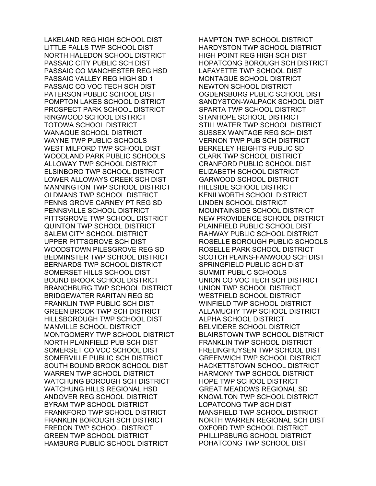LAKELAND REG HIGH SCHOOL DIST LITTLE FALLS TWP SCHOOL DIST NORTH HALEDON SCHOOL DISTRICT PASSAIC CITY PUBLIC SCH DIST PASSAIC CO MANCHESTER REG HSD PASSAIC VALLEY REG HIGH SD 1 PASSAIC CO VOC TECH SCH DIST PATERSON PUBLIC SCHOOL DIST POMPTON LAKES SCHOOL DISTRICT PROSPECT PARK SCHOOL DISTRICT RINGWOOD SCHOOL DISTRICT TOTOWA SCHOOL DISTRICT WANAQUE SCHOOL DISTRICT WAYNE TWP PUBLIC SCHOOLS WEST MILFORD TWP SCHOOL DIST WOODLAND PARK PUBLIC SCHOOLS ALLOWAY TWP SCHOOL DISTRICT ELSINBORO TWP SCHOOL DISTRICT LOWER ALLOWAYS CREEK SCH DIST MANNINGTON TWP SCHOOL DISTRICT OLDMANS TWP SCHOOL DISTRICT PENNS GROVE CARNEY PT REG SD PENNSVILLE SCHOOL DISTRICT PITTSGROVE TWP SCHOOL DISTRICT QUINTON TWP SCHOOL DISTRICT SALEM CITY SCHOOL DISTRICT UPPER PITTSGROVE SCH DIST WOODSTOWN PILESGROVE REG SD BEDMINSTER TWP SCHOOL DISTRICT BERNARDS TWP SCHOOL DISTRICT SOMERSET HILLS SCHOOL DIST BOUND BROOK SCHOOL DISTRICT BRANCHBURG TWP SCHOOL DISTRICT BRIDGEWATER RARITAN REG SD FRANKLIN TWP PUBLIC SCH DIST GREEN BROOK TWP SCH DISTRICT HILLSBOROUGH TWP SCHOOL DIST MANVILLE SCHOOL DISTRICT MONTGOMERY TWP SCHOOL DISTRICT NORTH PLAINFIELD PUB SCH DIST SOMERSET CO VOC SCHOOL DIST SOMERVILLE PUBLIC SCH DISTRICT SOUTH BOUND BROOK SCHOOL DIST WARREN TWP SCHOOL DISTRICT WATCHUNG BOROUGH SCH DISTRICT WATCHUNG HILLS REGIONAL HSD ANDOVER REG SCHOOL DISTRICT BYRAM TWP SCHOOL DISTRICT FRANKFORD TWP SCHOOL DISTRICT FRANKLIN BOROUGH SCH DISTRICT FREDON TWP SCHOOL DISTRICT GREEN TWP SCHOOL DISTRICT HAMBURG PUBLIC SCHOOL DISTRICT

HAMPTON TWP SCHOOL DISTRICT HARDYSTON TWP SCHOOL DISTRICT HIGH POINT REG HIGH SCH DIST HOPATCONG BOROUGH SCH DISTRICT LAFAYETTE TWP SCHOOL DIST MONTAGUE SCHOOL DISTRICT NEWTON SCHOOL DISTRICT OGDENSBURG PUBLIC SCHOOL DIST SANDYSTON-WALPACK SCHOOL DIST SPARTA TWP SCHOOL DISTRICT STANHOPE SCHOOL DISTRICT STILLWATER TWP SCHOOL DISTRICT SUSSEX WANTAGE REG SCH DIST VERNON TWP PUB SCH DISTRICT BERKELEY HEIGHTS PUBLIC SD CLARK TWP SCHOOL DISTRICT CRANFORD PUBLIC SCHOOL DIST ELIZABETH SCHOOL DISTRICT GARWOOD SCHOOL DISTRICT HILLSIDE SCHOOL DISTRICT KENILWORTH SCHOOL DISTRICT LINDEN SCHOOL DISTRICT MOUNTAINSIDE SCHOOL DISTRICT NEW PROVIDENCE SCHOOL DISTRICT PLAINFIELD PUBLIC SCHOOL DIST RAHWAY PUBLIC SCHOOL DISTRICT ROSELLE BOROUGH PUBLIC SCHOOLS ROSELLE PARK SCHOOL DISTRICT SCOTCH PLAINS-FANWOOD SCH DIST SPRINGFIELD PUBLIC SCH DIST SUMMIT PUBLIC SCHOOLS UNION CO VOC TECH SCH DISTRICT UNION TWP SCHOOL DISTRICT WESTFIELD SCHOOL DISTRICT WINFIELD TWP SCHOOL DISTRICT ALLAMUCHY TWP SCHOOL DISTRICT ALPHA SCHOOL DISTRICT BELVIDERE SCHOOL DISTRICT BLAIRSTOWN TWP SCHOOL DISTRICT FRANKLIN TWP SCHOOL DISTRICT FRELINGHUYSEN TWP SCHOOL DIST GREENWICH TWP SCHOOL DISTRICT HACKETTSTOWN SCHOOL DISTRICT HARMONY TWP SCHOOL DISTRICT HOPE TWP SCHOOL DISTRICT GREAT MEADOWS REGIONAL SD KNOWLTON TWP SCHOOL DISTRICT LOPATCONG TWP SCH DIST MANSFIELD TWP SCHOOL DISTRICT NORTH WARREN REGIONAL SCH DIST OXFORD TWP SCHOOL DISTRICT PHILLIPSBURG SCHOOL DISTRICT POHATCONG TWP SCHOOL DIST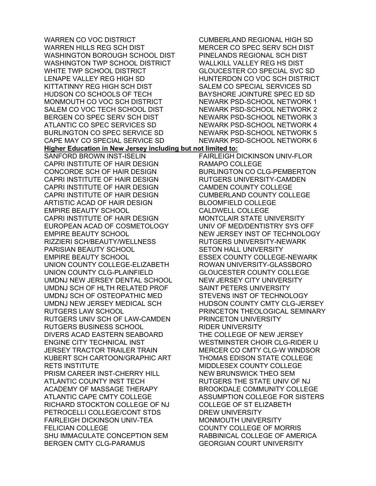WARREN CO VOC DISTRICT WARREN HILLS REG SCH DIST WASHINGTON BOROUGH SCHOOL DIST WASHINGTON TWP SCHOOL DISTRICT WHITE TWP SCHOOL DISTRICT LENAPE VALLEY REG HIGH SD KITTATINNY REG HIGH SCH DIST HUDSON CO SCHOOLS OF TECH MONMOUTH CO VOC SCH DISTRICT SALEM CO VOC TECH SCHOOL DIST BERGEN CO SPEC SERV SCH DIST ATLANTIC CO SPEC SERVICES SD BURLINGTON CO SPEC SERVICE SD CAPE MAY CO SPECIAL SERVICE SD **Higher Education in New Jersey including but not limited to:**  SANFORD BROWN INST-ISELIN CAPRI INSTITUTE OF HAIR DESIGN CONCORDE SCH OF HAIR DESIGN CAPRI INSTITUTE OF HAIR DESIGN CAPRI INSTITUTE OF HAIR DESIGN CAPRI INSTITUTE OF HAIR DESIGN ARTISTIC ACAD OF HAIR DESIGN EMPIRE BEAUTY SCHOOL CAPRI INSTITUTE OF HAIR DESIGN EUROPEAN ACAD OF COSMETOLOGY EMPIRE BEAUTY SCHOOL RIZZIERI SCH/BEAUTY/WELLNESS PARISIAN BEAUTY SCHOOL EMPIRE BEAUTY SCHOOL UNION COUNTY COLLEGE-ELIZABETH UNION COUNTY CLG-PLAINFIELD UMDNJ NEW JERSEY DENTAL SCHOOL UMDNJ SCH OF HLTH RELATED PROF UMDNJ SCH OF OSTEOPATHIC MED UMDNJ NEW JERSEY MEDICAL SCH RUTGERS LAW SCHOOL RUTGERS UNIV SCH OF LAW-CAMDEN RUTGERS BUSINESS SCHOOL DIVERS ACAD EASTERN SEABOARD ENGINE CITY TECHNICAL INST JERSEY TRACTOR TRAILER TRAIN KUBERT SCH CARTOON/GRAPHIC ART RETS INSTITUTE PRISM CAREER INST-CHERRY HILL ATLANTIC COUNTY INST TECH ACADEMY OF MASSAGE THERAPY ATLANTIC CAPE CMTY COLLEGE RICHARD STOCKTON COLLEGE OF NJ PETROCELLI COLLEGE/CONT STDS FAIRLEIGH DICKINSON UNIV-TEA FELICIAN COLLEGE SHU IMMACULATE CONCEPTION SEM BERGEN CMTY CLG-PARAMUS

CUMBERLAND REGIONAL HIGH SD MERCER CO SPEC SERV SCH DIST PINELANDS REGIONAL SCH DIST WALLKILL VALLEY REG HS DIST GLOUCESTER CO SPECIAL SVC SD HUNTERDON CO VOC SCH DISTRICT SALEM CO SPECIAL SERVICES SD BAYSHORE JOINTURE SPEC ED SD NEWARK PSD-SCHOOL NETWORK 1 NEWARK PSD-SCHOOL NETWORK 2 NEWARK PSD-SCHOOL NETWORK 3 NEWARK PSD-SCHOOL NETWORK 4 NEWARK PSD-SCHOOL NETWORK 5 NEWARK PSD-SCHOOL NETWORK 6 FAIRLEIGH DICKINSON UNIV-FLOR RAMAPO COLLEGE BURLINGTON CO CLG-PEMBERTON RUTGERS UNIVERSITY-CAMDEN CAMDEN COUNTY COLLEGE CUMBERLAND COUNTY COLLEGE BLOOMFIELD COLLEGE CALDWELL COLLEGE MONTCLAIR STATE UNIVERSITY UNIV OF MED/DENTISTRY SYS OFF NEW JERSEY INST OF TECHNOLOGY RUTGERS UNIVERSITY-NEWARK SETON HALL UNIVERSITY ESSEX COUNTY COLLEGE-NEWARK ROWAN UNIVERSITY-GLASSBORO GLOUCESTER COUNTY COLLEGE NEW JERSEY CITY UNIVERSITY SAINT PETERS UNIVERSITY STEVENS INST OF TECHNOLOGY HUDSON COUNTY CMTY CLG-JERSEY PRINCETON THEOLOGICAL SEMINARY PRINCETON UNIVERSITY RIDER UNIVERSITY THE COLLEGE OF NEW JERSEY WESTMINSTER CHOIR CLG-RIDER U MERCER CO CMTY CLG-W WINDSOR THOMAS EDISON STATE COLLEGE MIDDLESEX COUNTY COLLEGE NEW BRUNSWICK THEO SEM RUTGERS THE STATE UNIV OF NJ BROOKDALE COMMUNITY COLLEGE ASSUMPTION COLLEGE FOR SISTERS COLLEGE OF ST ELIZABETH DREW UNIVERSITY MONMOUTH UNIVERSITY COUNTY COLLEGE OF MORRIS RABBINICAL COLLEGE OF AMERICA GEORGIAN COURT UNIVERSITY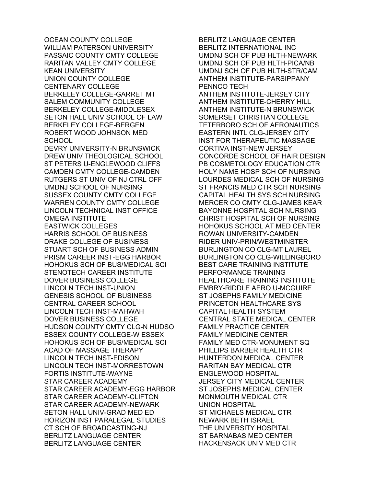OCEAN COUNTY COLLEGE WILLIAM PATERSON UNIVERSITY PASSAIC COUNTY CMTY COLLEGE RARITAN VALLEY CMTY COLLEGE KEAN UNIVERSITY UNION COUNTY COLLEGE CENTENARY COLLEGE BERKELEY COLLEGE-GARRET MT SALEM COMMUNITY COLLEGE BERKELEY COLLEGE-MIDDLESEX SETON HALL UNIV SCHOOL OF LAW BERKELEY COLLEGE-BERGEN ROBERT WOOD JOHNSON MED SCHOOL DEVRY UNIVERSITY-N BRUNSWICK DREW UNIV THEOLOGICAL SCHOOL ST PETERS U-ENGLEWOOD CLIFFS CAMDEN CMTY COLLEGE-CAMDEN RUTGERS ST UNIV OF NJ CTRL OFF UMDNJ SCHOOL OF NURSING SUSSEX COUNTY CMTY COLLEGE WARREN COUNTY CMTY COLLEGE LINCOLN TECHNICAL INST OFFICE OMEGA INSTITUTE EASTWICK COLLEGES HARRIS SCHOOL OF BUSINESS DRAKE COLLEGE OF BUSINESS STUART SCH OF BUSINESS ADMIN PRISM CAREER INST-EGG HARBOR HOHOKUS SCH OF BUS/MEDICAL SCI STENOTECH CAREER INSTITUTE DOVER BUSINESS COLLEGE LINCOLN TECH INST-UNION GENESIS SCHOOL OF BUSINESS CENTRAL CAREER SCHOOL LINCOLN TECH INST-MAHWAH DOVER BUSINESS COLLEGE HUDSON COUNTY CMTY CLG-N HUDSO ESSEX COUNTY COLLEGE-W ESSEX HOHOKUS SCH OF BUS/MEDICAL SCI ACAD OF MASSAGE THERAPY LINCOLN TECH INST-EDISON LINCOLN TECH INST-MORRESTOWN FORTIS INSTITUTE-WAYNE STAR CAREER ACADEMY STAR CAREER ACADEMY-EGG HARBOR STAR CAREER ACADEMY-CLIFTON STAR CAREER ACADEMY-NEWARK SETON HALL UNIV-GRAD MED ED HORIZON INST PARALEGAL STUDIES CT SCH OF BROADCASTING-NJ BERLITZ LANGUAGE CENTER BERLITZ LANGUAGE CENTER

BERLITZ LANGUAGE CENTER BERLITZ INTERNATIONAL INC UMDNJ SCH OF PUB HLTH-NEWARK UMDNJ SCH OF PUB HLTH-PICA/NB UMDNJ SCH OF PUB HLTH-STR/CAM ANTHEM INSTITUTE-PARSIPPANY PENNCO TECH ANTHEM INSTITUTE-JERSEY CITY ANTHEM INSTITUTE-CHERRY HILL ANTHEM INSTITUTE-N BRUNSWICK SOMERSET CHRISTIAN COLLEGE TETERBORO SCH OF AERONAUTICS EASTERN INTL CLG-JERSEY CITY INST FOR THERAPEUTIC MASSAGE CORTIVA INST-NEW JERSEY CONCORDE SCHOOL OF HAIR DESIGN PB COSMETOLOGY EDUCATION CTR HOLY NAME HOSP SCH OF NURSING LOURDES MEDICAL SCH OF NURSING ST FRANCIS MED CTR SCH NURSING CAPITAL HEALTH SYS SCH NURSING MERCER CO CMTY CLG-JAMES KEAR BAYONNE HOSPITAL SCH NURSING CHRIST HOSPITAL SCH OF NURSING HOHOKUS SCHOOL AT MED CENTER ROWAN UNIVERSITY-CAMDEN RIDER UNIV-PRIN/WESTMINSTER BURLINGTON CO CLG-MT LAUREL BURLINGTON CO CLG-WILLINGBORO BEST CARE TRAINING INSTITUTE PERFORMANCE TRAINING HEALTHCARE TRAINING INSTITUTE EMBRY-RIDDLE AERO U-MCGUIRE ST JOSEPHS FAMILY MEDICINE PRINCETON HEALTHCARE SYS CAPITAL HEALTH SYSTEM CENTRAL STATE MEDICAL CENTER FAMILY PRACTICE CENTER FAMILY MEDICINE CENTER FAMILY MED CTR-MONUMENT SQ PHILLIPS BARBER HEALTH CTR HUNTERDON MEDICAL CENTER RARITAN BAY MEDICAL CTR ENGLEWOOD HOSPITAL JERSEY CITY MEDICAL CENTER ST JOSEPHS MEDICAL CENTER MONMOUTH MEDICAL CTR UNION HOSPITAL ST MICHAELS MEDICAL CTR NEWARK BETH ISRAEL THE UNIVERSITY HOSPITAL ST BARNABAS MED CENTER HACKENSACK UNIV MED CTR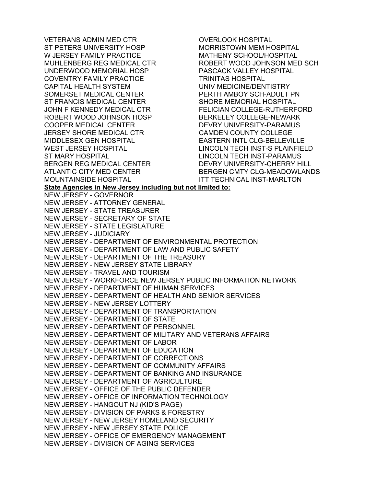VETERANS ADMIN MED CTR ST PETERS UNIVERSITY HOSP W JERSEY FAMILY PRACTICE MUHLENBERG REG MEDICAL CTR UNDERWOOD MEMORIAL HOSP COVENTRY FAMILY PRACTICE CAPITAL HEALTH SYSTEM SOMERSET MEDICAL CENTER ST FRANCIS MEDICAL CENTER JOHN F KENNEDY MEDICAL CTR ROBERT WOOD JOHNSON HOSP COOPER MEDICAL CENTER JERSEY SHORE MEDICAL CTR MIDDLESEX GEN HOSPITAL WEST JERSEY HOSPITAL ST MARY HOSPITAL BERGEN REG MEDICAL CENTER ATLANTIC CITY MED CENTER MOUNTAINSIDE HOSPITAL OVERLOOK HOSPITAL MORRISTOWN MEM HOSPITAL MATHENY SCHOOL/HOSPITAL ROBERT WOOD JOHNSON MED SCH PASCACK VALLEY HOSPITAL TRINITAS HOSPITAL UNIV MEDICINE/DENTISTRY PERTH AMBOY SCH-ADULT PN SHORE MEMORIAL HOSPITAL FELICIAN COLLEGE-RUTHERFORD BERKELEY COLLEGE-NEWARK DEVRY UNIVERSITY-PARAMUS CAMDEN COUNTY COLLEGE EASTERN INTL CLG-BELLEVILLE LINCOLN TECH INST-S PLAINFIELD LINCOLN TECH INST-PARAMUS DEVRY UNIVERSITY-CHERRY HILL BERGEN CMTY CLG-MEADOWLANDS ITT TECHNICAL INST-MARLTON **State Agencies in New Jersey including but not limited to:**  NEW JERSEY - GOVERNOR NEW JERSEY - ATTORNEY GENERAL NEW JERSEY - STATE TREASURER NEW JERSEY - SECRETARY OF STATE NEW JERSEY - STATE LEGISLATURE NEW JERSEY - JUDICIARY NEW JERSEY - DEPARTMENT OF ENVIRONMENTAL PROTECTION NEW JERSEY - DEPARTMENT OF LAW AND PUBLIC SAFETY NEW JERSEY - DEPARTMENT OF THE TREASURY NEW JERSEY - NEW JERSEY STATE LIBRARY NEW JERSEY - TRAVEL AND TOURISM NEW JERSEY - WORKFORCE NEW JERSEY PUBLIC INFORMATION NETWORK NEW JERSEY - DEPARTMENT OF HUMAN SERVICES NEW JERSEY - DEPARTMENT OF HEALTH AND SENIOR SERVICES NEW JERSEY - NEW JERSEY LOTTERY NEW JERSEY - DEPARTMENT OF TRANSPORTATION NEW JERSEY - DEPARTMENT OF STATE NEW JERSEY - DEPARTMENT OF PERSONNEL NEW JERSEY - DEPARTMENT OF MILITARY AND VETERANS AFFAIRS NEW JERSEY - DEPARTMENT OF LABOR NEW JERSEY - DEPARTMENT OF EDUCATION NEW JERSEY - DEPARTMENT OF CORRECTIONS NEW JERSEY - DEPARTMENT OF COMMUNITY AFFAIRS NEW JERSEY - DEPARTMENT OF BANKING AND INSURANCE NEW JERSEY - DEPARTMENT OF AGRICULTURE NEW JERSEY - OFFICE OF THE PUBLIC DEFENDER NEW JERSEY - OFFICE OF INFORMATION TECHNOLOGY NEW JERSEY - HANGOUT NJ (KID'S PAGE) NEW JERSEY - DIVISION OF PARKS & FORESTRY NEW JERSEY - NEW JERSEY HOMELAND SECURITY NEW JERSEY - NEW JERSEY STATE POLICE NEW JERSEY - OFFICE OF EMERGENCY MANAGEMENT NEW JERSEY - DIVISION OF AGING SERVICES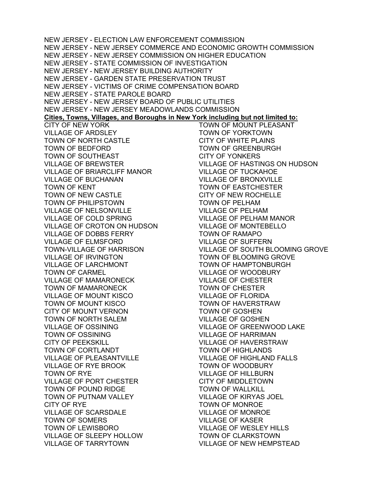NEW JERSEY - ELECTION LAW ENFORCEMENT COMMISSION NEW JERSEY - NEW JERSEY COMMERCE AND ECONOMIC GROWTH COMMISSION NEW JERSEY - NEW JERSEY COMMISSION ON HIGHER EDUCATION NEW JERSEY - STATE COMMISSION OF INVESTIGATION NEW JERSEY - NEW JERSEY BUILDING AUTHORITY NEW JERSEY - GARDEN STATE PRESERVATION TRUST NEW JERSEY - VICTIMS OF CRIME COMPENSATION BOARD NEW JERSEY - STATE PAROLE BOARD NEW JERSEY - NEW JERSEY BOARD OF PUBLIC UTILITIES NEW JERSEY - NEW JERSEY MEADOWLANDS COMMISSION **Cities, Towns, Villages, and Boroughs in New York including but not limited to:**  CITY OF NEW YORK VILLAGE OF ARDSLEY TOWN OF NORTH CASTLE TOWN OF BEDFORD TOWN OF SOUTHEAST VILLAGE OF BREWSTER VILLAGE OF BRIARCLIFF MANOR VILLAGE OF BUCHANAN TOWN OF KENT TOWN OF NEW CASTLE TOWN OF PHILIPSTOWN VILLAGE OF NELSONVILLE VILLAGE OF COLD SPRING VILLAGE OF CROTON ON HUDSON VILLAGE OF DOBBS FERRY VILLAGE OF ELMSFORD TOWN-VILLAGE OF HARRISON VILLAGE OF IRVINGTON VILLAGE OF LARCHMONT TOWN OF CARMEL VILLAGE OF MAMARONECK TOWN OF MAMARONECK VILLAGE OF MOUNT KISCO TOWN OF MOUNT KISCO CITY OF MOUNT VERNON TOWN OF NORTH SALEM VILLAGE OF OSSINING TOWN OF OSSINING CITY OF PEEKSKILL TOWN OF CORTLANDT VILLAGE OF PLEASANTVILLE VILLAGE OF RYE BROOK TOWN OF RYE VILLAGE OF PORT CHESTER TOWN OF POUND RIDGE TOWN OF PUTNAM VALLEY CITY OF RYE VILLAGE OF SCARSDALE TOWN OF SOMERS TOWN OF LEWISBORO VILLAGE OF SLEEPY HOLLOW VILLAGE OF TARRYTOWN TOWN OF MOUNT PLEASANT TOWN OF YORKTOWN CITY OF WHITE PLAINS TOWN OF GREENBURGH CITY OF YONKERS VILLAGE OF HASTINGS ON HUDSON VILLAGE OF TUCKAHOE VILLAGE OF BRONXVILLE TOWN OF EASTCHESTER CITY OF NEW ROCHELLE TOWN OF PELHAM VILLAGE OF PELHAM VILLAGE OF PELHAM MANOR VILLAGE OF MONTEBELLO TOWN OF RAMAPO VILLAGE OF SUFFERN VILLAGE OF SOUTH BLOOMING GROVE TOWN OF BLOOMING GROVE TOWN OF HAMPTONBURGH VILLAGE OF WOODBURY VILLAGE OF CHESTER TOWN OF CHESTER VILLAGE OF FLORIDA TOWN OF HAVERSTRAW TOWN OF GOSHEN VILLAGE OF GOSHEN VILLAGE OF GREENWOOD LAKE VILLAGE OF HARRIMAN VILLAGE OF HAVERSTRAW TOWN OF HIGHLANDS VILLAGE OF HIGHLAND FALLS TOWN OF WOODBURY VILLAGE OF HILLBURN CITY OF MIDDLETOWN TOWN OF WALLKILL VILLAGE OF KIRYAS JOEL TOWN OF MONROE VILLAGE OF MONROE VILLAGE OF KASER VILLAGE OF WESLEY HILLS TOWN OF CLARKSTOWN VILLAGE OF NEW HEMPSTEAD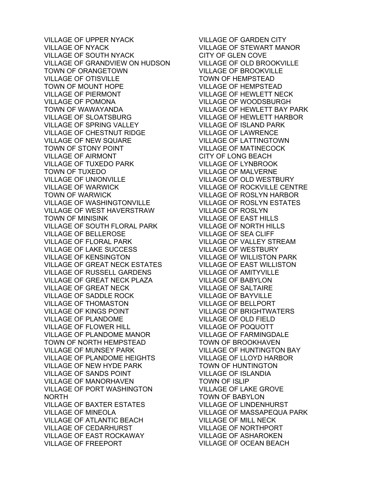VILLAGE OF UPPER NYACK VILLAGE OF NYACK VILLAGE OF SOUTH NYACK VILLAGE OF GRANDVIEW ON HUDSON TOWN OF ORANGETOWN VILLAGE OF OTISVILLE TOWN OF MOUNT HOPE VILLAGE OF PIERMONT VILLAGE OF POMONA TOWN OF WAWAYANDA VILLAGE OF SLOATSBURG VILLAGE OF SPRING VALLEY VILLAGE OF CHESTNUT RIDGE VILLAGE OF NEW SQUARE TOWN OF STONY POINT VILLAGE OF AIRMONT VILLAGE OF TUXEDO PARK TOWN OF TUXEDO VILLAGE OF UNIONVILLE VILLAGE OF WARWICK TOWN OF WARWICK VILLAGE OF WASHINGTONVILLE VILLAGE OF WEST HAVERSTRAW TOWN OF MINISINK VILLAGE OF SOUTH FLORAL PARK VILLAGE OF BELLEROSE VILLAGE OF FLORAL PARK VILLAGE OF LAKE SUCCESS VILLAGE OF KENSINGTON VILLAGE OF GREAT NECK ESTATES VILLAGE OF RUSSELL GARDENS VILLAGE OF GREAT NECK PLAZA VILLAGE OF GREAT NECK VILLAGE OF SADDLE ROCK VILLAGE OF THOMASTON VILLAGE OF KINGS POINT VILLAGE OF PLANDOME VILLAGE OF FLOWER HILL VILLAGE OF PLANDOME MANOR TOWN OF NORTH HEMPSTEAD VILLAGE OF MUNSEY PARK VILLAGE OF PLANDOME HEIGHTS VILLAGE OF NEW HYDE PARK VILLAGE OF SANDS POINT VILLAGE OF MANORHAVEN VILLAGE OF PORT WASHINGTON NORTH VILLAGE OF BAXTER ESTATES VILLAGE OF MINEOLA VILLAGE OF ATLANTIC BEACH VILLAGE OF CEDARHURST VILLAGE OF EAST ROCKAWAY VILLAGE OF FREEPORT

VILLAGE OF GARDEN CITY VILLAGE OF STEWART MANOR CITY OF GLEN COVE VILLAGE OF OLD BROOKVILLE VILLAGE OF BROOKVILLE TOWN OF HEMPSTEAD VILLAGE OF HEMPSTEAD VILLAGE OF HEWLETT NECK VILLAGE OF WOODSBURGH VILLAGE OF HEWLETT BAY PARK VILLAGE OF HEWLETT HARBOR VILLAGE OF ISLAND PARK VILLAGE OF LAWRENCE VILLAGE OF LATTINGTOWN VILLAGE OF MATINECOCK CITY OF LONG BEACH VILLAGE OF LYNBROOK VILLAGE OF MALVERNE VILLAGE OF OLD WESTBURY VILLAGE OF ROCKVILLE CENTRE VILLAGE OF ROSLYN HARBOR VILLAGE OF ROSLYN ESTATES VILLAGE OF ROSLTN<br>VILLAGE OF ROSLYN VILLAGE OF EAST HILLS VILLAGE OF NORTH HILLS VILLAGE OF SEA CLIFF VILLAGE OF VALLEY STREAM VILLAGE OF WESTBURY VILLAGE OF WILLISTON PARK VILLAGE OF EAST WILLISTON VILLAGE OF AMITYVILLE VILLAGE OF BABYLON VILLAGE OF SALTAIRE VILLAGE OF BAYVILLE VILLAGE OF BELLPORT VILLAGE OF BRIGHTWATERS VILLAGE OF OLD FIELD VILLAGE OF POQUOTT VILLAGE OF FARMINGDALE TOWN OF BROOKHAVEN VILLAGE OF HUNTINGTON BAY VILLAGE OF LLOYD HARBOR TOWN OF HUNTINGTON VILLAGE OF ISLANDIA TOWN OF ISLIP VILLAGE OF LAKE GROVE TOWN OF BABYLON VILLAGE OF LINDENHURST VILLAGE OF MASSAPEQUA PARK VILLAGE OF MILL NECK VILLAGE OF NORTHPORT VILLAGE OF ASHAROKEN VILLAGE OF OCEAN BEACH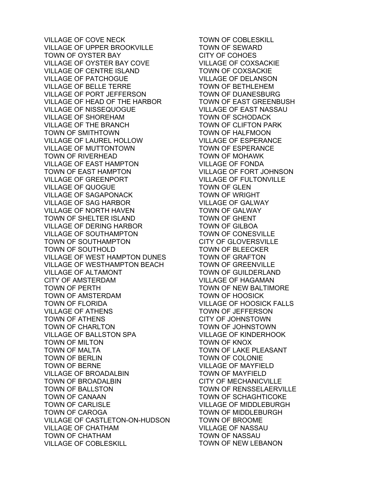VILLAGE OF COVE NECK VILLAGE OF UPPER BROOKVILLE TOWN OF OYSTER BAY VILLAGE OF OYSTER BAY COVE VILLAGE OF CENTRE ISLAND VILLAGE OF PATCHOGUE VILLAGE OF BELLE TERRE VILLAGE OF PORT JEFFERSON VILLAGE OF HEAD OF THE HARBOR VILLAGE OF NISSEQUOGUE VILLAGE OF SHOREHAM VILLAGE OF THE BRANCH TOWN OF SMITHTOWN VILLAGE OF LAUREL HOLLOW VILLAGE OF MUTTONTOWN TOWN OF RIVERHEAD VILLAGE OF EAST HAMPTON TOWN OF EAST HAMPTON VILLAGE OF GREENPORT VILLAGE OF QUOGUE VILLAGE OF SAGAPONACK VILLAGE OF SAG HARBOR VILLAGE OF NORTH HAVEN TOWN OF SHELTER ISLAND VILLAGE OF DERING HARBOR VILLAGE OF SOUTHAMPTON TOWN OF SOUTHAMPTON TOWN OF SOUTHOLD VILLAGE OF WEST HAMPTON DUNES VILLAGE OF WESTHAMPTON BEACH VILLAGE OF ALTAMONT CITY OF AMSTERDAM TOWN OF PERTH TOWN OF AMSTERDAM TOWN OF FLORIDA VILLAGE OF ATHENS TOWN OF ATHENS TOWN OF CHARLTON VILLAGE OF BALLSTON SPA TOWN OF MILTON TOWN OF MALTA TOWN OF BERLIN TOWN OF BERNE VILLAGE OF BROADALBIN TOWN OF BROADALBIN TOWN OF BALLSTON TOWN OF CANAAN TOWN OF CARLISLE TOWN OF CAROGA VILLAGE OF CASTLETON-ON-HUDSON VILLAGE OF CHATHAM TOWN OF CHATHAM VILLAGE OF COBLESKILL

TOWN OF COBLESKILL TOWN OF SEWARD CITY OF COHOES VILLAGE OF COXSACKIE TOWN OF COXSACKIE VILLAGE OF DELANSON TOWN OF BETHLEHEM TOWN OF DUANESBURG TOWN OF EAST GREENBUSH VILLAGE OF EAST NASSAU TOWN OF SCHODACK TOWN OF CLIFTON PARK TOWN OF HALFMOON VILLAGE OF ESPERANCE TOWN OF ESPERANCE TOWN OF MOHAWK VILLAGE OF FONDA VILLAGE OF FORT JOHNSON VILLAGE OF FULTONVILLE TOWN OF GLEN TOWN OF WRIGHT VILLAGE OF GALWAY TOWN OF GALWAY TOWN OF GHENT TOWN OF GILBOA TOWN OF CONESVILLE CITY OF GLOVERSVILLE TOWN OF BLEECKER TOWN OF GRAFTON TOWN OF GREENVILLE TOWN OF GUILDERLAND VILLAGE OF HAGAMAN TOWN OF NEW BALTIMORE TOWN OF HOOSICK VILLAGE OF HOOSICK FALLS TOWN OF JEFFERSON CITY OF JOHNSTOWN TOWN OF JOHNSTOWN VILLAGE OF KINDERHOOK TOWN OF KNOX TOWN OF LAKE PLEASANT TOWN OF COLONIE VILLAGE OF MAYFIELD TOWN OF MAYFIELD CITY OF MECHANICVILLE TOWN OF RENSSELAERVILLE TOWN OF SCHAGHTICOKE VILLAGE OF MIDDLEBURGH TOWN OF MIDDLEBURGH TOWN OF BROOME VILLAGE OF NASSAU TOWN OF NASSAU TOWN OF NEW LEBANON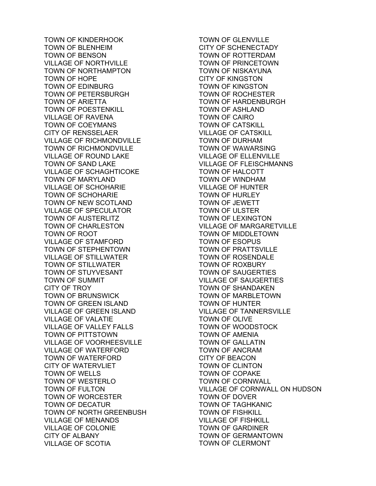TOWN OF KINDERHOOK TOWN OF BLENHEIM TOWN OF BENSON VILLAGE OF NORTHVILLE TOWN OF NORTHAMPTON TOWN OF HOPE TOWN OF EDINBURG TOWN OF PETERSBURGH TOWN OF ARIETTA TOWN OF POESTENKILL VILLAGE OF RAVENA TOWN OF COEYMANS CITY OF RENSSELAER VILLAGE OF RICHMONDVILLE TOWN OF RICHMONDVILLE VILLAGE OF ROUND LAKE TOWN OF SAND LAKE VILLAGE OF SCHAGHTICOKE TOWN OF MARYLAND VILLAGE OF SCHOHARIE TOWN OF SCHOHARIE TOWN OF NEW SCOTLAND VILLAGE OF SPECULATOR TOWN OF AUSTERLITZ TOWN OF CHARLESTON TOWN OF ROOT VILLAGE OF STAMFORD TOWN OF STEPHENTOWN VILLAGE OF STILLWATER TOWN OF STILLWATER TOWN OF STUYVESANT TOWN OF SUMMIT CITY OF TROY TOWN OF BRUNSWICK TOWN OF GREEN ISLAND VILLAGE OF GREEN ISLAND VILLAGE OF VALATIE VILLAGE OF VALLEY FALLS TOWN OF PITTSTOWN VILLAGE OF VOORHEESVILLE VILLAGE OF WATERFORD TOWN OF WATERFORD CITY OF WATERVLIET TOWN OF WELLS TOWN OF WESTERLO TOWN OF FULTON TOWN OF WORCESTER TOWN OF DECATUR TOWN OF NORTH GREENBUSH VILLAGE OF MENANDS VILLAGE OF COLONIE CITY OF ALBANY VILLAGE OF SCOTIA

TOWN OF GLENVILLE CITY OF SCHENECTADY TOWN OF ROTTERDAM TOWN OF PRINCETOWN TOWN OF NISKAYUNA CITY OF KINGSTON TOWN OF KINGSTON TOWN OF ROCHESTER TOWN OF HARDENBURGH TOWN OF ASHLAND TOWN OF CAIRO TOWN OF CATSKILL VILLAGE OF CATSKILL TOWN OF DURHAM TOWN OF WAWARSING VILLAGE OF ELLENVILLE VILLAGE OF FLEISCHMANNS TOWN OF HALCOTT TOWN OF WINDHAM VILLAGE OF HUNTER TOWN OF HURLEY TOWN OF JEWETT TOWN OF ULSTER TOWN OF LEXINGTON VILLAGE OF MARGARETVILLE TOWN OF MIDDLETOWN TOWN OF ESOPUS TOWN OF PRATTSVILLE TOWN OF ROSENDALE TOWN OF ROXBURY TOWN OF SAUGERTIES VILLAGE OF SAUGERTIES TOWN OF SHANDAKEN TOWN OF MARBLETOWN TOWN OF HUNTER VILLAGE OF TANNERSVILLE TOWN OF OLIVE TOWN OF WOODSTOCK TOWN OF AMENIA TOWN OF GALLATIN TOWN OF ANCRAM CITY OF BEACON TOWN OF CLINTON TOWN OF COPAKE TOWN OF CORNWALL VILLAGE OF CORNWALL ON HUDSON TOWN OF DOVER TOWN OF TAGHKANIC TOWN OF FISHKILL VILLAGE OF FISHKILL TOWN OF GARDINER TOWN OF GERMANTOWN TOWN OF CLERMONT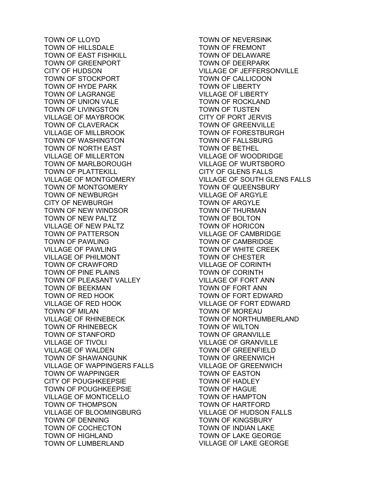TOWN OF LLOYD TOWN OF HILLSDALE TOWN OF EAST FISHKILL TOWN OF GREENPORT CITY OF HUDSON TOWN OF STOCKPORT TOWN OF HYDE PARK TOWN OF LAGRANGE TOWN OF UNION VALE TOWN OF LIVINGSTON VILLAGE OF MAYBROOK TOWN OF CLAVERACK VILLAGE OF MILLBROOK TOWN OF WASHINGTON TOWN OF NORTH EAST VILLAGE OF MILLERTON TOWN OF MARLBOROUGH TOWN OF PLATTEKILL VILLAGE OF MONTGOMERY TOWN OF MONTGOMERY TOWN OF NEWBURGH CITY OF NEWBURGH TOWN OF NEW WINDSOR TOWN OF NEW PALTZ VILLAGE OF NEW PALTZ TOWN OF PATTERSON TOWN OF PAWLING VILLAGE OF PAWLING VILLAGE OF PHILMONT TOWN OF CRAWFORD TOWN OF PINE PLAINS TOWN OF PLEASANT VALLEY TOWN OF BEEKMAN TOWN OF RED HOOK VILLAGE OF RED HOOK TOWN OF MILAN VILLAGE OF RHINEBECK TOWN OF RHINEBECK TOWN OF STANFORD VILLAGE OF TIVOLI VILLAGE OF WALDEN TOWN OF SHAWANGUNK VILLAGE OF WAPPINGERS FALLS TOWN OF WAPPINGER CITY OF POUGHKEEPSIE TOWN OF POUGHKEEPSIE VILLAGE OF MONTICELLO TOWN OF THOMPSON VILLAGE OF BLOOMINGBURG TOWN OF DENNING TOWN OF COCHECTON TOWN OF HIGHLAND TOWN OF LUMBERLAND

TOWN OF NEVERSINK TOWN OF FREMONT TOWN OF DELAWARE TOWN OF DEERPARK VILLAGE OF JEFFERSONVILLE TOWN OF CALLICOON TOWN OF LIBERTY VILLAGE OF LIBERTY TOWN OF ROCKLAND TOWN OF TUSTEN CITY OF PORT JERVIS TOWN OF GREENVILLE TOWN OF FORESTBURGH TOWN OF FALLSBURG TOWN OF BETHEL VILLAGE OF WOODRIDGE VILLAGE OF WURTSBORO CITY OF GLENS FALLS VILLAGE OF SOUTH GLENS FALLS TOWN OF QUEENSBURY VILLAGE OF ARGYLE TOWN OF ARGYLE TOWN OF THURMAN TOWN OF BOLTON TOWN OF HORICON VILLAGE OF CAMBRIDGE TOWN OF CAMBRIDGE TOWN OF WHITE CREEK TOWN OF CHESTER VILLAGE OF CORINTH TOWN OF CORINTH VILLAGE OF FORT ANN TOWN OF FORT ANN TOWN OF FORT EDWARD VILLAGE OF FORT EDWARD TOWN OF MOREAU TOWN OF NORTHUMBERLAND TOWN OF WILTON TOWN OF GRANVILLE VILLAGE OF GRANVILLE TOWN OF GREENFIELD TOWN OF GREENWICH VILLAGE OF GREENWICH TOWN OF EASTON TOWN OF HADLEY TOWN OF HAGUE TOWN OF HAMPTON TOWN OF HARTFORD VILLAGE OF HUDSON FALLS TOWN OF KINGSBURY TOWN OF INDIAN LAKE TOWN OF LAKE GEORGE VILLAGE OF LAKE GEORGE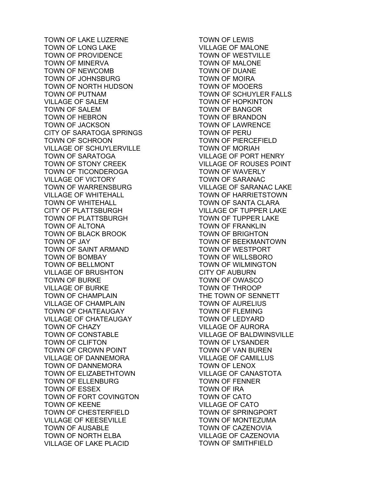TOWN OF LAKE LUZERNE TOWN OF LONG LAKE TOWN OF PROVIDENCE TOWN OF MINERVA TOWN OF NEWCOMB TOWN OF JOHNSBURG TOWN OF NORTH HUDSON TOWN OF PUTNAM VILLAGE OF SALEM TOWN OF SALEM TOWN OF HEBRON TOWN OF JACKSON CITY OF SARATOGA SPRINGS TOWN OF SCHROON VILLAGE OF SCHUYLERVILLE TOWN OF SARATOGA TOWN OF STONY CREEK TOWN OF TICONDEROGA VILLAGE OF VICTORY TOWN OF WARRENSBURG VILLAGE OF WHITEHALL TOWN OF WHITEHALL CITY OF PLATTSBURGH TOWN OF PLATTSBURGH TOWN OF ALTONA TOWN OF BLACK BROOK TOWN OF JAY TOWN OF SAINT ARMAND TOWN OF BOMBAY TOWN OF BELLMONT VILLAGE OF BRUSHTON TOWN OF BURKE VILLAGE OF BURKE TOWN OF CHAMPLAIN VILLAGE OF CHAMPLAIN TOWN OF CHATEAUGAY VILLAGE OF CHATEAUGAY TOWN OF CHAZY TOWN OF CONSTABLE TOWN OF CLIFTON TOWN OF CROWN POINT VILLAGE OF DANNEMORA TOWN OF DANNEMORA TOWN OF ELIZABETHTOWN TOWN OF ELLENBURG TOWN OF ESSEX TOWN OF FORT COVINGTON TOWN OF KEENE TOWN OF CHESTERFIELD VILLAGE OF KEESEVILLE TOWN OF AUSABLE TOWN OF NORTH ELBA VILLAGE OF LAKE PLACID

TOWN OF LEWIS VILLAGE OF MALONE TOWN OF WESTVILLE TOWN OF MALONE TOWN OF DUANE TOWN OF MOIRA TOWN OF MOOERS TOWN OF SCHUYLER FALLS TOWN OF HOPKINTON TOWN OF BANGOR TOWN OF BRANDON TOWN OF LAWRENCE TOWN OF PERU TOWN OF PIERCEFIELD TOWN OF MORIAH VILLAGE OF PORT HENRY VILLAGE OF ROUSES POINT TOWN OF WAVERLY TOWN OF SARANAC VILLAGE OF SARANAC LAKE TOWN OF HARRIETSTOWN TOWN OF SANTA CLARA VILLAGE OF TUPPER LAKE TOWN OF TUPPER LAKE TOWN OF FRANKLIN TOWN OF BRIGHTON TOWN OF BEEKMANTOWN TOWN OF WESTPORT TOWN OF WILLSBORO TOWN OF WILMINGTON CITY OF AUBURN TOWN OF OWASCO TOWN OF THROOP THE TOWN OF SENNETT TOWN OF AURELIUS TOWN OF FLEMING TOWN OF LEDYARD VILLAGE OF AURORA VILLAGE OF BALDWINSVILLE TOWN OF LYSANDER TOWN OF VAN BUREN VILLAGE OF CAMILLUS TOWN OF LENOX VILLAGE OF CANASTOTA TOWN OF FENNER TOWN OF IRA TOWN OF CATO VILLAGE OF CATO TOWN OF SPRINGPORT TOWN OF MONTEZUMA TOWN OF CAZENOVIA VILLAGE OF CAZENOVIA TOWN OF SMITHFIELD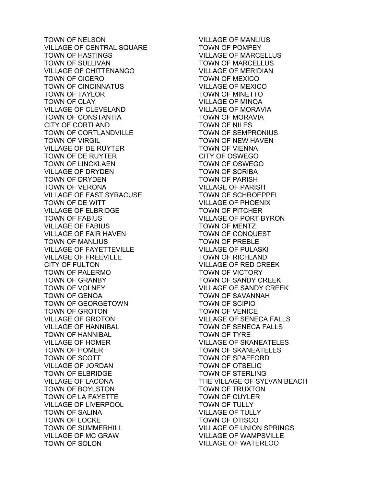TOWN OF NELSON VILLAGE OF CENTRAL SQUARE TOWN OF HASTINGS TOWN OF SULLIVAN VILLAGE OF CHITTENANGO TOWN OF CICERO TOWN OF CINCINNATUS TOWN OF TAYLOR TOWN OF CLAY VILLAGE OF CLEVELAND TOWN OF CONSTANTIA CITY OF CORTLAND TOWN OF CORTLANDVILLE TOWN OF VIRGIL VILLAGE OF DE RUYTER TOWN OF DE RUYTER TOWN OF LINCKLAEN VILLAGE OF DRYDEN TOWN OF DRYDEN TOWN OF VERONA VILLAGE OF EAST SYRACUSE TOWN OF DE WITT VILLAGE OF ELBRIDGE TOWN OF FABIUS VILLAGE OF FABIUS VILLAGE OF FAIR HAVEN TOWN OF MANLIUS VILLAGE OF FAYETTEVILLE VILLAGE OF FREEVILLE CITY OF FULTON TOWN OF PALERMO TOWN OF GRANBY TOWN OF VOLNEY TOWN OF GENOA TOWN OF GEORGETOWN TOWN OF GROTON VILLAGE OF GROTON VILLAGE OF HANNIBAL TOWN OF HANNIBAL VILLAGE OF HOMER TOWN OF HOMER TOWN OF SCOTT VILLAGE OF JORDAN TOWN OF ELBRIDGE VILLAGE OF LACONA TOWN OF BOYLSTON TOWN OF LA FAYETTE VILLAGE OF LIVERPOOL TOWN OF SALINA TOWN OF LOCKE TOWN OF SUMMERHILL VILLAGE OF MC GRAW TOWN OF SOLON

VILLAGE OF MANLIUS TOWN OF POMPEY VILLAGE OF MARCELLUS TOWN OF MARCELLUS VILLAGE OF MERIDIAN TOWN OF MEXICO VILLAGE OF MEXICO TOWN OF MINETTO VILLAGE OF MINOA VILLAGE OF MORAVIA TOWN OF MORAVIA TOWN OF NILES TOWN OF SEMPRONIUS TOWN OF NEW HAVEN TOWN OF VIENNA CITY OF OSWEGO TOWN OF OSWEGO TOWN OF SCRIBA TOWN OF PARISH VILLAGE OF PARISH TOWN OF SCHROEPPEL VILLAGE OF PHOENIX TOWN OF PITCHER VILLAGE OF PORT BYRON TOWN OF MENTZ TOWN OF CONQUEST TOWN OF PREBLE VILLAGE OF PULASKI TOWN OF RICHLAND VILLAGE OF RED CREEK TOWN OF VICTORY TOWN OF SANDY CREEK VILLAGE OF SANDY CREEK TOWN OF SAVANNAH TOWN OF SCIPIO TOWN OF VENICE VILLAGE OF SENECA FALLS TOWN OF SENECA FALLS TOWN OF TYRE VILLAGE OF SKANEATELES TOWN OF SKANEATELES TOWN OF SPAFFORD TOWN OF OTSELIC TOWN OF STERLING THE VILLAGE OF SYLVAN BEACH TOWN OF TRUXTON TOWN OF CUYLER TOWN OF TULLY VILLAGE OF TULLY TOWN OF OTISCO VILLAGE OF UNION SPRINGS VILLAGE OF WAMPSVILLE VILLAGE OF WATERLOO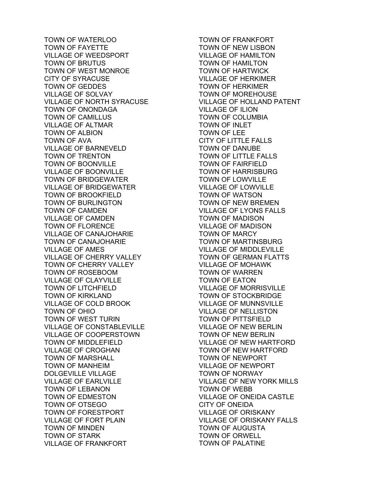TOWN OF WATERLOO TOWN OF FAYETTE VILLAGE OF WEEDSPORT TOWN OF BRUTUS TOWN OF WEST MONROE CITY OF SYRACUSE TOWN OF GEDDES VILLAGE OF SOLVAY VILLAGE OF NORTH SYRACUSE TOWN OF ONONDAGA TOWN OF CAMILLUS VILLAGE OF ALTMAR TOWN OF ALBION TOWN OF AVA VILLAGE OF BARNEVELD TOWN OF TRENTON TOWN OF BOONVILLE VILLAGE OF BOONVILLE TOWN OF BRIDGEWATER VILLAGE OF BRIDGEWATER TOWN OF BROOKFIELD TOWN OF BURLINGTON TOWN OF CAMDEN VILLAGE OF CAMDEN TOWN OF FLORENCE VILLAGE OF CANAJOHARIE TOWN OF CANAJOHARIE VILLAGE OF AMES VILLAGE OF CHERRY VALLEY TOWN OF CHERRY VALLEY TOWN OF ROSEBOOM VILLAGE OF CLAYVILLE TOWN OF LITCHFIELD TOWN OF KIRKLAND VILLAGE OF COLD BROOK TOWN OF OHIO TOWN OF WEST TURIN VILLAGE OF CONSTABLEVILLE VILLAGE OF COOPERSTOWN TOWN OF MIDDLEFIELD VILLAGE OF CROGHAN TOWN OF MARSHALL TOWN OF MANHEIM DOLGEVILLE VILLAGE VILLAGE OF EARLVILLE TOWN OF LEBANON TOWN OF EDMESTON TOWN OF OTSEGO TOWN OF FORESTPORT VILLAGE OF FORT PLAIN TOWN OF MINDEN TOWN OF STARK VILLAGE OF FRANKFORT

TOWN OF FRANKFORT TOWN OF NEW LISBON VILLAGE OF HAMILTON TOWN OF HAMILTON TOWN OF HARTWICK VILLAGE OF HERKIMER TOWN OF HERKIMER TOWN OF MOREHOUSE VILLAGE OF HOLLAND PATENT VILLAGE OF ILION TOWN OF COLUMBIA TOWN OF INLET TOWN OF LEE CITY OF LITTLE FALLS TOWN OF DANUBE TOWN OF LITTLE FALLS TOWN OF FAIRFIELD TOWN OF HARRISBURG TOWN OF LOWVILLE VILLAGE OF LOWVILLE TOWN OF WATSON TOWN OF NEW BREMEN VILLAGE OF LYONS FALLS TOWN OF MADISON VILLAGE OF MADISON TOWN OF MARCY TOWN OF MARTINSBURG VILLAGE OF MIDDLEVILLE TOWN OF GERMAN FLATTS VILLAGE OF MOHAWK TOWN OF WARREN TOWN OF EATON VILLAGE OF MORRISVILLE TOWN OF STOCKBRIDGE VILLAGE OF MUNNSVILLE VILLAGE OF NELLISTON TOWN OF PITTSFIELD VILLAGE OF NEW BERLIN TOWN OF NEW BERLIN VILLAGE OF NEW HARTFORD TOWN OF NEW HARTFORD TOWN OF NEWPORT VILLAGE OF NEWPORT TOWN OF NORWAY VILLAGE OF NEW YORK MILLS TOWN OF WEBB VILLAGE OF ONEIDA CASTLE CITY OF ONEIDA VILLAGE OF ORISKANY VILLAGE OF ORISKANY FALLS TOWN OF AUGUSTA TOWN OF ORWELL TOWN OF PALATINE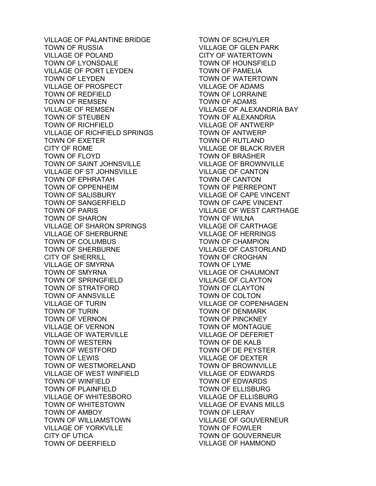VILLAGE OF PALANTINE BRIDGE TOWN OF RUSSIA VILLAGE OF POLAND TOWN OF LYONSDALE VILLAGE OF PORT LEYDEN TOWN OF LEYDEN VILLAGE OF PROSPECT TOWN OF REDFIELD TOWN OF REMSEN VILLAGE OF REMSEN TOWN OF STEUBEN TOWN OF RICHFIELD VILLAGE OF RICHFIELD SPRINGS TOWN OF EXETER CITY OF ROME TOWN OF FLOYD TOWN OF SAINT JOHNSVILLE VILLAGE OF ST JOHNSVILLE TOWN OF EPHRATAH TOWN OF OPPENHEIM TOWN OF SALISBURY TOWN OF SANGERFIELD TOWN OF PARIS TOWN OF SHARON VILLAGE OF SHARON SPRINGS VILLAGE OF SHERBURNE TOWN OF COLUMBUS TOWN OF SHERBURNE CITY OF SHERRILL VILLAGE OF SMYRNA TOWN OF SMYRNA TOWN OF SPRINGFIELD TOWN OF STRATFORD TOWN OF ANNSVILLE VILLAGE OF TURIN TOWN OF TURIN TOWN OF VERNON VILLAGE OF VERNON VILLAGE OF WATERVILLE TOWN OF WESTERN TOWN OF WESTFORD TOWN OF LEWIS TOWN OF WESTMORELAND VILLAGE OF WEST WINFIELD TOWN OF WINFIELD TOWN OF PLAINFIELD VILLAGE OF WHITESBORO TOWN OF WHITESTOWN TOWN OF AMBOY TOWN OF WILLIAMSTOWN VILLAGE OF YORKVILLE CITY OF UTICA TOWN OF DEERFIELD

TOWN OF SCHUYLER VILLAGE OF GLEN PARK CITY OF WATERTOWN TOWN OF HOUNSFIELD TOWN OF PAMELIA TOWN OF WATERTOWN VILLAGE OF ADAMS TOWN OF LORRAINE TOWN OF ADAMS VILLAGE OF ALEXANDRIA BAY TOWN OF ALEXANDRIA VILLAGE OF ANTWERP TOWN OF ANTWERP TOWN OF RUTLAND VILLAGE OF BLACK RIVER TOWN OF BRASHER VILLAGE OF BROWNVILLE VILLAGE OF CANTON TOWN OF CANTON TOWN OF PIERREPONT VILLAGE OF CAPE VINCENT TOWN OF CAPE VINCENT VILLAGE OF WEST CARTHAGE TOWN OF WILNA VILLAGE OF CARTHAGE VILLAGE OF HERRINGS TOWN OF CHAMPION VILLAGE OF CASTORLAND TOWN OF CROGHAN TOWN OF LYME VILLAGE OF CHAUMONT VILLAGE OF CLAYTON TOWN OF CLAYTON TOWN OF COLTON VILLAGE OF COPENHAGEN TOWN OF DENMARK TOWN OF PINCKNEY TOWN OF MONTAGUE VILLAGE OF DEFERIET TOWN OF DE KALB TOWN OF DE PEYSTER VILLAGE OF DEXTER TOWN OF BROWNVILLE VILLAGE OF EDWARDS TOWN OF EDWARDS TOWN OF ELLISBURG VILLAGE OF ELLISBURG VILLAGE OF EVANS MILLS TOWN OF LERAY VILLAGE OF GOUVERNEUR TOWN OF FOWLER TOWN OF GOUVERNEUR VILLAGE OF HAMMOND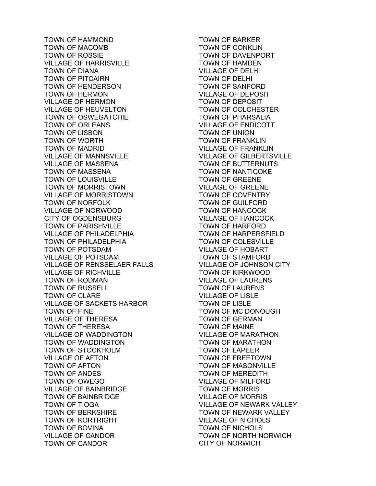TOWN OF HAMMOND TOWN OF MACOMB TOWN OF ROSSIE VILLAGE OF HARRISVILLE TOWN OF DIANA TOWN OF PITCAIRN TOWN OF HENDERSON TOWN OF HERMON VILLAGE OF HERMON VILLAGE OF HEUVELTON TOWN OF OSWEGATCHIE TOWN OF ORLEANS TOWN OF LISBON TOWN OF WORTH TOWN OF MADRID VILLAGE OF MANNSVILLE VILLAGE OF MASSENA TOWN OF MASSENA TOWN OF LOUISVILLE TOWN OF MORRISTOWN VILLAGE OF MORRISTOWN TOWN OF NORFOLK VILLAGE OF NORWOOD CITY OF OGDENSBURG TOWN OF PARISHVILLE VILLAGE OF PHILADELPHIA TOWN OF PHILADELPHIA TOWN OF POTSDAM VILLAGE OF POTSDAM VILLAGE OF RENSSELAER FALLS VILLAGE OF RICHVILLE TOWN OF RODMAN TOWN OF RUSSELL TOWN OF CLARE VILLAGE OF SACKETS HARBOR TOWN OF FINE VILLAGE OF THERESA TOWN OF THERESA VILLAGE OF WADDINGTON TOWN OF WADDINGTON TOWN OF STOCKHOLM VILLAGE OF AFTON TOWN OF AFTON TOWN OF ANDES TOWN OF OWEGO VILLAGE OF BAINBRIDGE TOWN OF BAINBRIDGE TOWN OF TIOGA TOWN OF BERKSHIRE TOWN OF KORTRIGHT TOWN OF BOVINA VILLAGE OF CANDOR TOWN OF CANDOR

TOWN OF BARKER TOWN OF CONKLIN TOWN OF DAVENPORT TOWN OF HAMDEN VILLAGE OF DELHI TOWN OF DELHI TOWN OF SANFORD VILLAGE OF DEPOSIT TOWN OF DEPOSIT TOWN OF COLCHESTER TOWN OF PHARSALIA VILLAGE OF ENDICOTT TOWN OF UNION TOWN OF FRANKLIN VILLAGE OF FRANKLIN VILLAGE OF GILBERTSVILLE TOWN OF BUTTERNUTS TOWN OF NANTICOKE TOWN OF GREENE VILLAGE OF GREENE TOWN OF COVENTRY TOWN OF GUILFORD TOWN OF HANCOCK VILLAGE OF HANCOCK TOWN OF HARFORD TOWN OF HARPERSFIELD TOWN OF COLESVILLE VILLAGE OF HOBART TOWN OF STAMFORD VILLAGE OF JOHNSON CITY TOWN OF KIRKWOOD VILLAGE OF LAURENS TOWN OF LAURENS VILLAGE OF LISLE TOWN OF LISLE TOWN OF MC DONOUGH TOWN OF GERMAN TOWN OF MAINE VILLAGE OF MARATHON TOWN OF MARATHON TOWN OF LAPEER TOWN OF FREETOWN TOWN OF MASONVILLE TOWN OF MEREDITH VILLAGE OF MILFORD TOWN OF MORRIS VILLAGE OF MORRIS VILLAGE OF NEWARK VALLEY TOWN OF NEWARK VALLEY VILLAGE OF NICHOLS TOWN OF NICHOLS TOWN OF NORTH NORWICH CITY OF NORWICH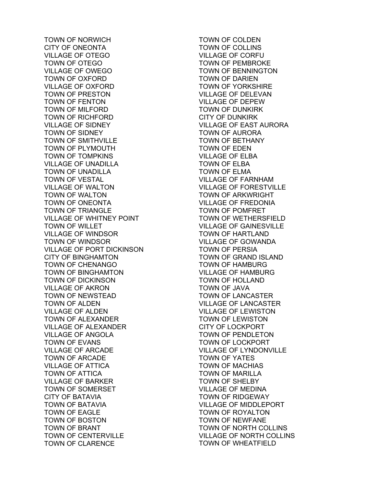TOWN OF NORWICH CITY OF ONEONTA VILLAGE OF OTEGO TOWN OF OTEGO VILLAGE OF OWEGO TOWN OF OXFORD VILLAGE OF OXFORD TOWN OF PRESTON TOWN OF FENTON TOWN OF MILFORD TOWN OF RICHFORD VILLAGE OF SIDNEY TOWN OF SIDNEY TOWN OF SMITHVILLE TOWN OF PLYMOUTH TOWN OF TOMPKINS VILLAGE OF UNADILLA TOWN OF UNADILLA TOWN OF VESTAL VILLAGE OF WALTON TOWN OF WALTON TOWN OF ONEONTA TOWN OF TRIANGLE VILLAGE OF WHITNEY POINT TOWN OF WILLET VILLAGE OF WINDSOR TOWN OF WINDSOR VILLAGE OF PORT DICKINSON CITY OF BINGHAMTON TOWN OF CHENANGO TOWN OF BINGHAMTON TOWN OF DICKINSON VILLAGE OF AKRON TOWN OF NEWSTEAD TOWN OF ALDEN VILLAGE OF ALDEN TOWN OF ALEXANDER VILLAGE OF ALEXANDER VILLAGE OF ANGOLA TOWN OF EVANS VILLAGE OF ARCADE TOWN OF ARCADE VILLAGE OF ATTICA TOWN OF ATTICA VILLAGE OF BARKER TOWN OF SOMERSET CITY OF BATAVIA TOWN OF BATAVIA TOWN OF EAGLE TOWN OF BOSTON TOWN OF BRANT TOWN OF CENTERVILLE TOWN OF CLARENCE

TOWN OF COLDEN TOWN OF COLLINS VILLAGE OF CORFU TOWN OF PEMBROKE TOWN OF BENNINGTON TOWN OF DARIEN TOWN OF YORKSHIRE VILLAGE OF DELEVAN VILLAGE OF DEPEW TOWN OF DUNKIRK CITY OF DUNKIRK VILLAGE OF EAST AURORA TOWN OF AURORA TOWN OF BETHANY TOWN OF EDEN VILLAGE OF ELBA TOWN OF ELBA TOWN OF ELMA VILLAGE OF FARNHAM VILLAGE OF FORESTVILLE TOWN OF ARKWRIGHT VILLAGE OF FREDONIA TOWN OF POMFRET TOWN OF WETHERSFIELD VILLAGE OF GAINESVILLE TOWN OF HARTLAND VILLAGE OF GOWANDA TOWN OF PERSIA TOWN OF GRAND ISLAND TOWN OF HAMBURG VILLAGE OF HAMBURG TOWN OF HOLLAND TOWN OF JAVA TOWN OF LANCASTER VILLAGE OF LANCASTER VILLAGE OF LEWISTON TOWN OF LEWISTON CITY OF LOCKPORT TOWN OF PENDLETON TOWN OF LOCKPORT VILLAGE OF LYNDONVILLE TOWN OF YATES TOWN OF MACHIAS TOWN OF MARILLA TOWN OF SHELBY VILLAGE OF MEDINA TOWN OF RIDGEWAY VILLAGE OF MIDDLEPORT TOWN OF ROYALTON TOWN OF NEWFANE TOWN OF NORTH COLLINS VILLAGE OF NORTH COLLINS TOWN OF WHEATFIELD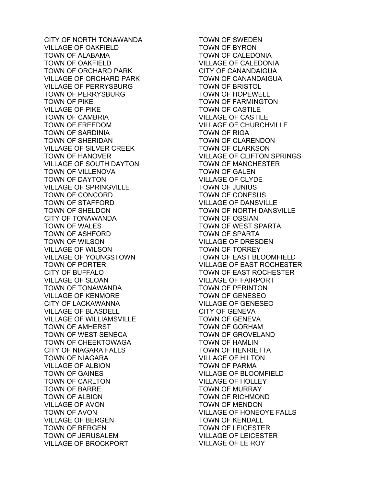CITY OF NORTH TONAWANDA VILLAGE OF OAKFIELD TOWN OF ALABAMA TOWN OF OAKFIELD TOWN OF ORCHARD PARK VILLAGE OF ORCHARD PARK VILLAGE OF PERRYSBURG TOWN OF PERRYSBURG TOWN OF PIKE VILLAGE OF PIKE TOWN OF CAMBRIA TOWN OF FREEDOM TOWN OF SARDINIA TOWN OF SHERIDAN VILLAGE OF SILVER CREEK TOWN OF HANOVER VILLAGE OF SOUTH DAYTON TOWN OF VILLENOVA TOWN OF DAYTON VILLAGE OF SPRINGVILLE TOWN OF CONCORD TOWN OF STAFFORD TOWN OF SHELDON CITY OF TONAWANDA TOWN OF WALES TOWN OF ASHFORD TOWN OF WILSON VILLAGE OF WILSON VILLAGE OF YOUNGSTOWN TOWN OF PORTER CITY OF BUFFALO VILLAGE OF SLOAN TOWN OF TONAWANDA VILLAGE OF KENMORE CITY OF LACKAWANNA VILLAGE OF BLASDELL VILLAGE OF WILLIAMSVILLE TOWN OF AMHERST TOWN OF WEST SENECA TOWN OF CHEEKTOWAGA CITY OF NIAGARA FALLS TOWN OF NIAGARA VILLAGE OF ALBION TOWN OF GAINES TOWN OF CARLTON TOWN OF BARRE TOWN OF ALBION VILLAGE OF AVON TOWN OF AVON VILLAGE OF BERGEN TOWN OF BERGEN TOWN OF JERUSALEM VILLAGE OF BROCKPORT

TOWN OF SWEDEN TOWN OF BYRON TOWN OF CALEDONIA VILLAGE OF CALEDONIA CITY OF CANANDAIGUA TOWN OF CANANDAIGUA TOWN OF BRISTOL TOWN OF HOPEWELL TOWN OF FARMINGTON TOWN OF CASTILE VILLAGE OF CASTILE VILLAGE OF CHURCHVILLE TOWN OF RIGA TOWN OF CLARENDON TOWN OF CLARKSON VILLAGE OF CLIFTON SPRINGS TOWN OF MANCHESTER TOWN OF GALEN VILLAGE OF CLYDE TOWN OF JUNIUS TOWN OF CONESUS VILLAGE OF DANSVILLE TOWN OF NORTH DANSVILLE TOWN OF OSSIAN TOWN OF WEST SPARTA TOWN OF SPARTA VILLAGE OF DRESDEN TOWN OF TORREY TOWN OF EAST BLOOMFIELD VILLAGE OF EAST ROCHESTER TOWN OF EAST ROCHESTER VILLAGE OF FAIRPORT TOWN OF PERINTON TOWN OF GENESEO VILLAGE OF GENESEO CITY OF GENEVA TOWN OF GENEVA TOWN OF GORHAM TOWN OF GROVELAND TOWN OF HAMLIN TOWN OF HENRIETTA VILLAGE OF HILTON TOWN OF PARMA VILLAGE OF BLOOMFIELD VILLAGE OF HOLLEY TOWN OF MURRAY TOWN OF RICHMOND TOWN OF MENDON VILLAGE OF HONEOYE FALLS TOWN OF KENDALL TOWN OF LEICESTER VILLAGE OF LEICESTER VILLAGE OF LE ROY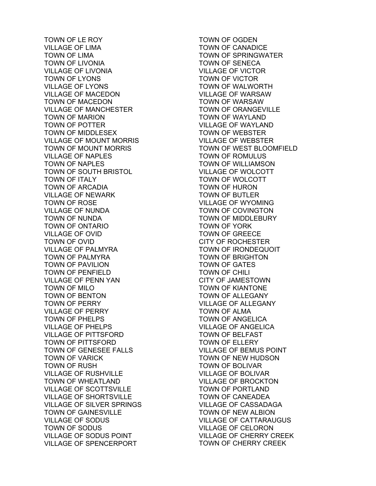TOWN OF LE ROY VILLAGE OF LIMA TOWN OF LIMA TOWN OF LIVONIA VILLAGE OF LIVONIA TOWN OF LYONS VILLAGE OF LYONS VILLAGE OF MACEDON TOWN OF MACEDON VILLAGE OF MANCHESTER TOWN OF MARION TOWN OF POTTER TOWN OF MIDDLESEX VILLAGE OF MOUNT MORRIS TOWN OF MOUNT MORRIS VILLAGE OF NAPLES TOWN OF NAPLES TOWN OF SOUTH BRISTOL TOWN OF ITALY TOWN OF ARCADIA VILLAGE OF NEWARK TOWN OF ROSE VILLAGE OF NUNDA TOWN OF NUNDA TOWN OF ONTARIO VILLAGE OF OVID TOWN OF OVID VILLAGE OF PALMYRA TOWN OF PALMYRA TOWN OF PAVILION TOWN OF PENFIELD VILLAGE OF PENN YAN TOWN OF MILO TOWN OF BENTON TOWN OF PERRY VILLAGE OF PERRY TOWN OF PHELPS VILLAGE OF PHELPS VILLAGE OF PITTSFORD TOWN OF PITTSFORD TOWN OF GENESEE FALLS TOWN OF VARICK TOWN OF RUSH VILLAGE OF RUSHVILLE TOWN OF WHEATLAND VILLAGE OF SCOTTSVILLE VILLAGE OF SHORTSVILLE VILLAGE OF SILVER SPRINGS TOWN OF GAINESVILLE VILLAGE OF SODUS TOWN OF SODUS VILLAGE OF SODUS POINT VILLAGE OF SPENCERPORT

TOWN OF OGDEN TOWN OF CANADICE TOWN OF SPRINGWATER TOWN OF SENECA VILLAGE OF VICTOR TOWN OF VICTOR TOWN OF WALWORTH VILLAGE OF WARSAW TOWN OF WARSAW TOWN OF ORANGEVILLE TOWN OF WAYLAND VILLAGE OF WAYLAND TOWN OF WEBSTER VILLAGE OF WEBSTER TOWN OF WEST BLOOMFIELD TOWN OF ROMULUS TOWN OF WILLIAMSON VILLAGE OF WOLCOTT TOWN OF WOLCOTT TOWN OF HURON TOWN OF BUTLER VILLAGE OF WYOMING TOWN OF COVINGTON TOWN OF MIDDLEBURY TOWN OF YORK TOWN OF GREECE CITY OF ROCHESTER TOWN OF IRONDEQUOIT TOWN OF BRIGHTON TOWN OF GATES TOWN OF CHILI CITY OF JAMESTOWN TOWN OF KIANTONE TOWN OF ALLEGANY VILLAGE OF ALLEGANY TOWN OF ALMA TOWN OF ANGELICA VILLAGE OF ANGELICA TOWN OF BELFAST TOWN OF ELLERY VILLAGE OF BEMUS POINT TOWN OF NEW HUDSON TOWN OF BOLIVAR VILLAGE OF BOLIVAR VILLAGE OF BROCKTON TOWN OF PORTLAND TOWN OF CANEADEA VILLAGE OF CASSADAGA TOWN OF NEW ALBION VILLAGE OF CATTARAUGUS VILLAGE OF CELORON VILLAGE OF CHERRY CREEK TOWN OF CHERRY CREEK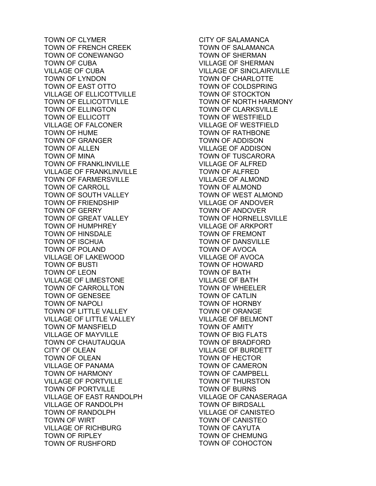TOWN OF CLYMER TOWN OF FRENCH CREEK TOWN OF CONEWANGO TOWN OF CUBA VILLAGE OF CUBA TOWN OF LYNDON TOWN OF EAST OTTO VILLAGE OF ELLICOTTVILLE TOWN OF ELLICOTTVILLE TOWN OF ELLINGTON TOWN OF ELLICOTT VILLAGE OF FALCONER TOWN OF HUME TOWN OF GRANGER TOWN OF ALLEN TOWN OF MINA TOWN OF FRANKLINVILLE VILLAGE OF FRANKLINVILLE TOWN OF FARMERSVILLE TOWN OF CARROLL TOWN OF SOUTH VALLEY TOWN OF FRIENDSHIP TOWN OF GERRY TOWN OF GREAT VALLEY TOWN OF HUMPHREY TOWN OF HINSDALE TOWN OF ISCHUA TOWN OF POLAND VILLAGE OF LAKEWOOD TOWN OF BUSTI TOWN OF LEON VILLAGE OF LIMESTONE TOWN OF CARROLLTON TOWN OF GENESEE TOWN OF NAPOLI TOWN OF LITTLE VALLEY VILLAGE OF LITTLE VALLEY TOWN OF MANSFIELD VILLAGE OF MAYVILLE TOWN OF CHAUTAUQUA CITY OF OLEAN TOWN OF OLEAN VILLAGE OF PANAMA TOWN OF HARMONY VILLAGE OF PORTVILLE TOWN OF PORTVILLE VILLAGE OF EAST RANDOLPH VILLAGE OF RANDOLPH TOWN OF RANDOLPH TOWN OF WIRT VILLAGE OF RICHBURG TOWN OF RIPLEY TOWN OF RUSHFORD

CITY OF SALAMANCA TOWN OF SALAMANCA TOWN OF SHERMAN VILLAGE OF SHERMAN VILLAGE OF SINCLAIRVILLE TOWN OF CHARLOTTE TOWN OF COLDSPRING TOWN OF STOCKTON TOWN OF NORTH HARMONY TOWN OF CLARKSVILLE TOWN OF WESTFIELD VILLAGE OF WESTFIELD TOWN OF RATHBONE TOWN OF ADDISON VILLAGE OF ADDISON TOWN OF TUSCARORA VILLAGE OF ALFRED TOWN OF ALFRED VILLAGE OF ALMOND TOWN OF ALMOND TOWN OF WEST ALMOND VILLAGE OF ANDOVER TOWN OF ANDOVER TOWN OF HORNELLSVILLE VILLAGE OF ARKPORT TOWN OF FREMONT TOWN OF DANSVILLE TOWN OF AVOCA VILLAGE OF AVOCA TOWN OF HOWARD TOWN OF BATH VILLAGE OF BATH TOWN OF WHEELER TOWN OF CATLIN TOWN OF HORNBY TOWN OF ORANGE VILLAGE OF BELMONT TOWN OF AMITY TOWN OF BIG FLATS TOWN OF BRADFORD VILLAGE OF BURDETT TOWN OF HECTOR TOWN OF CAMERON TOWN OF CAMPBELL TOWN OF THURSTON TOWN OF BURNS VILLAGE OF CANASERAGA TOWN OF BIRDSALL VILLAGE OF CANISTEO TOWN OF CANISTEO TOWN OF CAYUTA TOWN OF CHEMUNG TOWN OF COHOCTON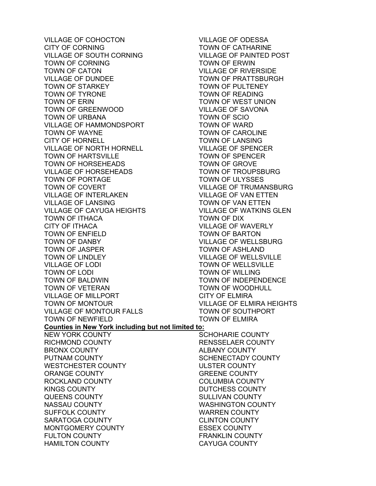VILLAGE OF COHOCTON CITY OF CORNING VILLAGE OF SOUTH CORNING TOWN OF CORNING TOWN OF CATON VILLAGE OF DUNDEE TOWN OF STARKEY TOWN OF TYRONE TOWN OF ERIN TOWN OF GREENWOOD TOWN OF URBANA VILLAGE OF HAMMONDSPORT TOWN OF WAYNE CITY OF HORNELL VILLAGE OF NORTH HORNELL TOWN OF HARTSVILLE TOWN OF HORSEHEADS VILLAGE OF HORSEHEADS TOWN OF PORTAGE TOWN OF COVERT VILLAGE OF INTERLAKEN VILLAGE OF LANSING VILLAGE OF CAYUGA HEIGHTS TOWN OF ITHACA CITY OF ITHACA TOWN OF ENFIELD TOWN OF DANBY TOWN OF JASPER TOWN OF LINDLEY VILLAGE OF LODI TOWN OF LODI TOWN OF BALDWIN TOWN OF VETERAN VILLAGE OF MILLPORT TOWN OF MONTOUR VILLAGE OF MONTOUR FALLS TOWN OF NEWFIELD **Counties in New York including but not limited to:**  NEW YORK COUNTY RICHMOND COUNTY BRONX COUNTY PUTNAM COUNTY WESTCHESTER COUNTY ORANGE COUNTY ROCKLAND COUNTY KINGS COUNTY QUEENS COUNTY NASSAU COUNTY SUFFOLK COUNTY SARATOGA COUNTY MONTGOMERY COUNTY FULTON COUNTY HAMILTON COUNTY

VILLAGE OF ODESSA TOWN OF CATHARINE VILLAGE OF PAINTED POST TOWN OF ERWIN VILLAGE OF RIVERSIDE TOWN OF PRATTSBURGH TOWN OF PULTENEY TOWN OF READING TOWN OF WEST UNION VILLAGE OF SAVONA TOWN OF SCIO TOWN OF WARD TOWN OF CAROLINE TOWN OF LANSING VILLAGE OF SPENCER TOWN OF SPENCER TOWN OF GROVE TOWN OF TROUPSBURG TOWN OF ULYSSES VILLAGE OF TRUMANSBURG VILLAGE OF VAN ETTEN TOWN OF VAN ETTEN VILLAGE OF WATKINS GLEN TOWN OF DIX VILLAGE OF WAVERLY TOWN OF BARTON VILLAGE OF WELLSBURG TOWN OF ASHLAND VILLAGE OF WELLSVILLE TOWN OF WELLSVILLE TOWN OF WILLING TOWN OF INDEPENDENCE TOWN OF WOODHULL CITY OF ELMIRA VILLAGE OF ELMIRA HEIGHTS TOWN OF SOUTHPORT TOWN OF ELMIRA SCHOHARIE COUNTY RENSSELAER COUNTY

ALBANY COUNTY SCHENECTADY COUNTY ULSTER COUNTY GREENE COUNTY COLUMBIA COUNTY DUTCHESS COUNTY SULLIVAN COUNTY WASHINGTON COUNTY WARREN COUNTY CLINTON COUNTY ESSEX COUNTY FRANKLIN COUNTY CAYUGA COUNTY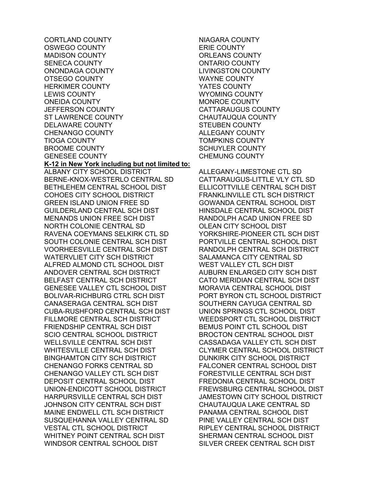CORTLAND COUNTY OSWEGO COUNTY MADISON COUNTY SENECA COUNTY ONONDAGA COUNTY OTSEGO COUNTY HERKIMER COUNTY LEWIS COUNTY ONEIDA COUNTY JEFFERSON COUNTY ST LAWRENCE COUNTY DELAWARE COUNTY CHENANGO COUNTY TIOGA COUNTY BROOME COUNTY GENESEE COUNTY **K-12 in New York including but not limited to:**  ALBANY CITY SCHOOL DISTRICT BERNE-KNOX-WESTERLO CENTRAL SD BETHLEHEM CENTRAL SCHOOL DIST COHOES CITY SCHOOL DISTRICT GREEN ISLAND UNION FREE SD GUILDERLAND CENTRAL SCH DIST MENANDS UNION FREE SCH DIST NORTH COLONIE CENTRAL SD RAVENA COEYMANS SELKIRK CTL SD SOUTH COLONIE CENTRAL SCH DIST VOORHEESVILLE CENTRAL SCH DIST WATERVLIET CITY SCH DISTRICT ALFRED ALMOND CTL SCHOOL DIST ANDOVER CENTRAL SCH DISTRICT BELFAST CENTRAL SCH DISTRICT GENESEE VALLEY CTL SCHOOL DIST BOLIVAR-RICHBURG CTRL SCH DIST CANASERAGA CENTRAL SCH DIST CUBA-RUSHFORD CENTRAL SCH DIST FILLMORE CENTRAL SCH DISTRICT FRIENDSHIP CENTRAL SCH DIST SCIO CENTRAL SCHOOL DISTRICT WELLSVILLE CENTRAL SCH DIST WHITESVILLE CENTRAL SCH DIST BINGHAMTON CITY SCH DISTRICT CHENANGO FORKS CENTRAL SD CHENANGO VALLEY CTL SCH DIST DEPOSIT CENTRAL SCHOOL DIST UNION-ENDICOTT SCHOOL DISTRICT HARPURSVILLE CENTRAL SCH DIST JOHNSON CITY CENTRAL SCH DIST MAINE ENDWELL CTL SCH DISTRICT SUSQUEHANNA VALLEY CENTRAL SD VESTAL CTL SCHOOL DISTRICT WHITNEY POINT CENTRAL SCH DIST WINDSOR CENTRAL SCHOOL DIST

NIAGARA COUNTY ERIE COUNTY ORLEANS COUNTY ONTARIO COUNTY LIVINGSTON COUNTY WAYNE COUNTY YATES COUNTY WYOMING COUNTY MONROE COUNTY CATTARAUGUS COUNTY CHAUTAUQUA COUNTY STEUBEN COUNTY ALLEGANY COUNTY TOMPKINS COUNTY SCHUYLER COUNTY CHEMUNG COUNTY

ALLEGANY-LIMESTONE CTL SD CATTARAUGUS-LITTLE VLY CTL SD ELLICOTTVILLE CENTRAL SCH DIST FRANKLINVILLE CTL SCH DISTRICT GOWANDA CENTRAL SCHOOL DIST HINSDALE CENTRAL SCHOOL DIST RANDOLPH ACAD UNION FREE SD OLEAN CITY SCHOOL DIST YORKSHIRE-PIONEER CTL SCH DIST PORTVILLE CENTRAL SCHOOL DIST RANDOLPH CENTRAL SCH DISTRICT SALAMANCA CITY CENTRAL SD WEST VALLEY CTL SCH DIST AUBURN ENLARGED CITY SCH DIST CATO MERIDIAN CENTRAL SCH DIST MORAVIA CENTRAL SCHOOL DIST PORT BYRON CTL SCHOOL DISTRICT SOUTHERN CAYUGA CENTRAL SD UNION SPRINGS CTL SCHOOL DIST WEEDSPORT CTL SCHOOL DISTRICT BEMUS POINT CTL SCHOOL DIST BROCTON CENTRAL SCHOOL DIST CASSADAGA VALLEY CTL SCH DIST CLYMER CENTRAL SCHOOL DISTRICT DUNKIRK CITY SCHOOL DISTRICT FALCONER CENTRAL SCHOOL DIST FORESTVILLE CENTRAL SCH DIST FREDONIA CENTRAL SCHOOL DIST FREWSBURG CENTRAL SCHOOL DIST JAMESTOWN CITY SCHOOL DISTRICT CHAUTAUQUA LAKE CENTRAL SD PANAMA CENTRAL SCHOOL DIST PINE VALLEY CENTRAL SCH DIST RIPLEY CENTRAL SCHOOL DISTRICT SHERMAN CENTRAL SCHOOL DIST SILVER CREEK CENTRAL SCH DIST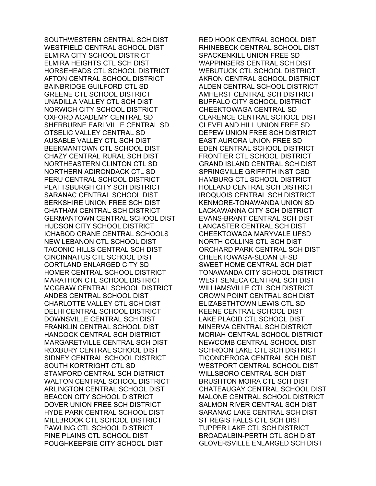SOUTHWESTERN CENTRAL SCH DIST WESTFIELD CENTRAL SCHOOL DIST ELMIRA CITY SCHOOL DISTRICT ELMIRA HEIGHTS CTL SCH DIST HORSEHEADS CTL SCHOOL DISTRICT AFTON CENTRAL SCHOOL DISTRICT BAINBRIDGE GUILFORD CTL SD GREENE CTL SCHOOL DISTRICT UNADILLA VALLEY CTL SCH DIST NORWICH CITY SCHOOL DISTRICT OXFORD ACADEMY CENTRAL SD SHERBURNE EARLVILLE CENTRAL SD OTSELIC VALLEY CENTRAL SD AUSABLE VALLEY CTL SCH DIST BEEKMANTOWN CTL SCHOOL DIST CHAZY CENTRAL RURAL SCH DIST NORTHEASTERN CLINTON CTL SD NORTHERN ADIRONDACK CTL SD PERU CENTRAL SCHOOL DISTRICT PLATTSBURGH CITY SCH DISTRICT SARANAC CENTRAL SCHOOL DIST BERKSHIRE UNION FREE SCH DIST CHATHAM CENTRAL SCH DISTRICT GERMANTOWN CENTRAL SCHOOL DIST HUDSON CITY SCHOOL DISTRICT ICHABOD CRANE CENTRAL SCHOOLS NEW LEBANON CTL SCHOOL DIST TACONIC HILLS CENTRAL SCH DIST CINCINNATUS CTL SCHOOL DIST CORTLAND ENLARGED CITY SD HOMER CENTRAL SCHOOL DISTRICT MARATHON CTL SCHOOL DISTRICT MCGRAW CENTRAL SCHOOL DISTRICT ANDES CENTRAL SCHOOL DIST CHARLOTTE VALLEY CTL SCH DIST DELHI CENTRAL SCHOOL DISTRICT DOWNSVILLE CENTRAL SCH DIST FRANKLIN CENTRAL SCHOOL DIST HANCOCK CENTRAL SCH DISTRICT MARGARETVILLE CENTRAL SCH DIST ROXBURY CENTRAL SCHOOL DIST SIDNEY CENTRAL SCHOOL DISTRICT SOUTH KORTRIGHT CTL SD STAMFORD CENTRAL SCH DISTRICT WALTON CENTRAL SCHOOL DISTRICT ARLINGTON CENTRAL SCHOOL DIST BEACON CITY SCHOOL DISTRICT DOVER UNION FREE SCH DISTRICT HYDE PARK CENTRAL SCHOOL DIST MILLBROOK CTL SCHOOL DISTRICT PAWLING CTL SCHOOL DISTRICT PINE PLAINS CTL SCHOOL DIST POUGHKEEPSIE CITY SCHOOL DIST

RED HOOK CENTRAL SCHOOL DIST RHINEBECK CENTRAL SCHOOL DIST SPACKENKILL UNION FREE SD WAPPINGERS CENTRAL SCH DIST WEBUTUCK CTL SCHOOL DISTRICT AKRON CENTRAL SCHOOL DISTRICT ALDEN CENTRAL SCHOOL DISTRICT AMHERST CENTRAL SCH DISTRICT BUFFALO CITY SCHOOL DISTRICT CHEEKTOWAGA CENTRAL SD CLARENCE CENTRAL SCHOOL DIST CLEVELAND HILL UNION FREE SD DEPEW UNION FREE SCH DISTRICT EAST AURORA UNION FREE SD EDEN CENTRAL SCHOOL DISTRICT FRONTIER CTL SCHOOL DISTRICT GRAND ISLAND CENTRAL SCH DIST SPRINGVILLE GRIFFITH INST CSD HAMBURG CTL SCHOOL DISTRICT HOLLAND CENTRAL SCH DISTRICT IROQUOIS CENTRAL SCH DISTRICT KENMORE-TONAWANDA UNION SD LACKAWANNA CITY SCH DISTRICT EVANS-BRANT CENTRAL SCH DIST LANCASTER CENTRAL SCH DIST CHEEKTOWAGA MARYVALE UFSD NORTH COLLINS CTL SCH DIST ORCHARD PARK CENTRAL SCH DIST CHEEKTOWAGA-SLOAN UFSD SWEET HOME CENTRAL SCH DIST TONAWANDA CITY SCHOOL DISTRICT WEST SENECA CENTRAL SCH DIST WILLIAMSVILLE CTL SCH DISTRICT CROWN POINT CENTRAL SCH DIST ELIZABETHTOWN LEWIS CTL SD KEENE CENTRAL SCHOOL DIST LAKE PLACID CTL SCHOOL DIST MINERVA CENTRAL SCH DISTRICT MORIAH CENTRAL SCHOOL DISTRICT NEWCOMB CENTRAL SCHOOL DIST SCHROON LAKE CTL SCH DISTRICT TICONDEROGA CENTRAL SCH DIST WESTPORT CENTRAL SCHOOL DIST WILLSBORO CENTRAL SCH DIST BRUSHTON MOIRA CTL SCH DIST CHATEAUGAY CENTRAL SCHOOL DIST MALONE CENTRAL SCHOOL DISTRICT SALMON RIVER CENTRAL SCH DIST SARANAC LAKE CENTRAL SCH DIST ST REGIS FALLS CTL SCH DIST TUPPER LAKE CTL SCH DISTRICT BROADALBIN-PERTH CTL SCH DIST GLOVERSVILLE ENLARGED SCH DIST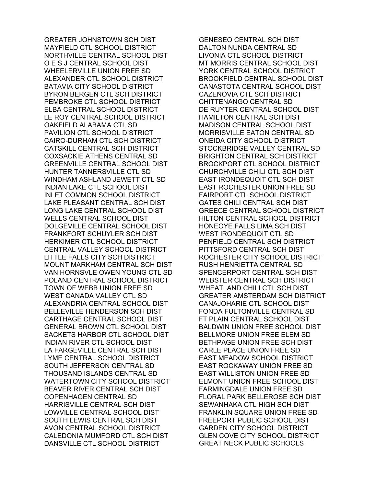GREATER JOHNSTOWN SCH DIST MAYFIELD CTL SCHOOL DISTRICT NORTHVILLE CENTRAL SCHOOL DIST O E S J CENTRAL SCHOOL DIST WHEELERVILLE UNION FREE SD ALEXANDER CTL SCHOOL DISTRICT BATAVIA CITY SCHOOL DISTRICT BYRON BERGEN CTL SCH DISTRICT PEMBROKE CTL SCHOOL DISTRICT ELBA CENTRAL SCHOOL DISTRICT LE ROY CENTRAL SCHOOL DISTRICT OAKFIELD ALABAMA CTL SD PAVILION CTL SCHOOL DISTRICT CAIRO-DURHAM CTL SCH DISTRICT CATSKILL CENTRAL SCH DISTRICT COXSACKIE ATHENS CENTRAL SD GREENVILLE CENTRAL SCHOOL DIST HUNTER TANNERSVILLE CTL SD WINDHAM ASHLAND JEWETT CTL SD INDIAN LAKE CTL SCHOOL DIST INLET COMMON SCHOOL DISTRICT LAKE PLEASANT CENTRAL SCH DIST LONG LAKE CENTRAL SCHOOL DIST WELLS CENTRAL SCHOOL DIST DOLGEVILLE CENTRAL SCHOOL DIST FRANKFORT SCHUYLER SCH DIST HERKIMER CTL SCHOOL DISTRICT CENTRAL VALLEY SCHOOL DISTRICT LITTLE FALLS CITY SCH DISTRICT MOUNT MARKHAM CENTRAL SCH DIST VAN HORNSVLE OWEN YOUNG CTL SD POLAND CENTRAL SCHOOL DISTRICT TOWN OF WEBB UNION FREE SD WEST CANADA VALLEY CTL SD ALEXANDRIA CENTRAL SCHOOL DIST BELLEVILLE HENDERSON SCH DIST CARTHAGE CENTRAL SCHOOL DIST GENERAL BROWN CTL SCHOOL DIST SACKETS HARBOR CTL SCHOOL DIST INDIAN RIVER CTL SCHOOL DIST LA FARGEVILLE CENTRAL SCH DIST LYME CENTRAL SCHOOL DISTRICT SOUTH JEFFERSON CENTRAL SD THOUSAND ISLANDS CENTRAL SD WATERTOWN CITY SCHOOL DISTRICT BEAVER RIVER CENTRAL SCH DIST COPENHAGEN CENTRAL SD HARRISVILLE CENTRAL SCH DIST LOWVILLE CENTRAL SCHOOL DIST SOUTH LEWIS CENTRAL SCH DIST AVON CENTRAL SCHOOL DISTRICT CALEDONIA MUMFORD CTL SCH DIST DANSVILLE CTL SCHOOL DISTRICT

GENESEO CENTRAL SCH DIST DALTON NUNDA CENTRAL SD LIVONIA CTL SCHOOL DISTRICT MT MORRIS CENTRAL SCHOOL DIST YORK CENTRAL SCHOOL DISTRICT BROOKFIELD CENTRAL SCHOOL DIST CANASTOTA CENTRAL SCHOOL DIST CAZENOVIA CTL SCH DISTRICT CHITTENANGO CENTRAL SD DE RUYTER CENTRAL SCHOOL DIST HAMILTON CENTRAL SCH DIST MADISON CENTRAL SCHOOL DIST MORRISVILLE EATON CENTRAL SD ONEIDA CITY SCHOOL DISTRICT STOCKBRIDGE VALLEY CENTRAL SD BRIGHTON CENTRAL SCH DISTRICT BROCKPORT CTL SCHOOL DISTRICT CHURCHVILLE CHILI CTL SCH DIST EAST IRONDEQUOIT CTL SCH DIST EAST ROCHESTER UNION FREE SD FAIRPORT CTL SCHOOL DISTRICT GATES CHILI CENTRAL SCH DIST GREECE CENTRAL SCHOOL DISTRICT HILTON CENTRAL SCHOOL DISTRICT HONEOYE FALLS LIMA SCH DIST WEST IRONDEQUOIT CTL SD PENFIELD CENTRAL SCH DISTRICT PITTSFORD CENTRAL SCH DIST ROCHESTER CITY SCHOOL DISTRICT RUSH HENRIETTA CENTRAL SD SPENCERPORT CENTRAL SCH DIST WEBSTER CENTRAL SCH DISTRICT WHEATLAND CHILI CTL SCH DIST GREATER AMSTERDAM SCH DISTRICT CANAJOHARIE CTL SCHOOL DIST FONDA FULTONVILLE CENTRAL SD FT PLAIN CENTRAL SCHOOL DIST BALDWIN UNION FREE SCHOOL DIST BELLMORE UNION FREE ELEM SD BETHPAGE UNION FREE SCH DIST CARLE PLACE UNION FREE SD EAST MEADOW SCHOOL DISTRICT EAST ROCKAWAY UNION FREE SD EAST WILLISTON UNION FREE SD ELMONT UNION FREE SCHOOL DIST FARMINGDALE UNION FREE SD FLORAL PARK BELLEROSE SCH DIST SEWANHAKA CTL HIGH SCH DIST FRANKLIN SQUARE UNION FREE SD FREEPORT PUBLIC SCHOOL DIST GARDEN CITY SCHOOL DISTRICT GLEN COVE CITY SCHOOL DISTRICT GREAT NECK PUBLIC SCHOOLS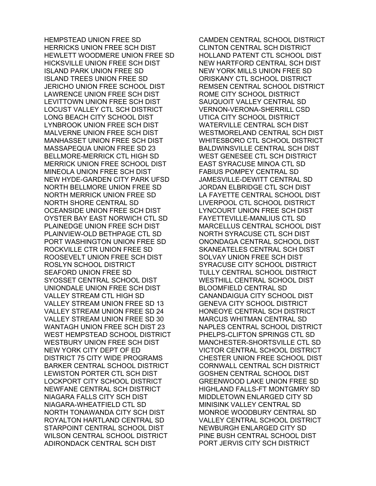HEMPSTEAD UNION FREE SD HERRICKS UNION FREE SCH DIST HEWLETT WOODMERE UNION FREE SD HICKSVILLE UNION FREE SCH DIST ISLAND PARK UNION FREE SD ISLAND TREES UNION FREE SD JERICHO UNION FREE SCHOOL DIST LAWRENCE UNION FREE SCH DIST LEVITTOWN UNION FREE SCH DIST LOCUST VALLEY CTL SCH DISTRICT LONG BEACH CITY SCHOOL DIST LYNBROOK UNION FREE SCH DIST MALVERNE UNION FREE SCH DIST MANHASSET UNION FREE SCH DIST MASSAPEQUA UNION FREE SD 23 BELLMORE-MERRICK CTL HIGH SD MERRICK UNION FREE SCHOOL DIST MINEOLA UNION FREE SCH DIST NEW HYDE-GARDEN CITY PARK UFSD NORTH BELLMORE UNION FREE SD NORTH MERRICK UNION FREE SD NORTH SHORE CENTRAL SD OCEANSIDE UNION FREE SCH DIST OYSTER BAY EAST NORWICH CTL SD PLAINEDGE UNION FREE SCH DIST PLAINVIEW-OLD BETHPAGE CTL SD PORT WASHINGTON UNION FREE SD ROCKVILLE CTR UNION FREE SD ROOSEVELT UNION FREE SCH DIST ROSLYN SCHOOL DISTRICT SEAFORD UNION FREE SD SYOSSET CENTRAL SCHOOL DIST UNIONDALE UNION FREE SCH DIST VALLEY STREAM CTL HIGH SD VALLEY STREAM UNION FREE SD 13 VALLEY STREAM UNION FREE SD 24 VALLEY STREAM UNION FREE SD 30 WANTAGH UNION FREE SCH DIST 23 WEST HEMPSTEAD SCHOOL DISTRICT WESTBURY UNION FREE SCH DIST NEW YORK CITY DEPT OF ED DISTRICT 75 CITY WIDE PROGRAMS BARKER CENTRAL SCHOOL DISTRICT LEWISTON PORTER CTL SCH DIST LOCKPORT CITY SCHOOL DISTRICT NEWFANE CENTRAL SCH DISTRICT NIAGARA FALLS CITY SCH DIST NIAGARA-WHEATFIELD CTL SD NORTH TONAWANDA CITY SCH DIST ROYALTON HARTLAND CENTRAL SD STARPOINT CENTRAL SCHOOL DIST WILSON CENTRAL SCHOOL DISTRICT ADIRONDACK CENTRAL SCH DIST

CAMDEN CENTRAL SCHOOL DISTRICT CLINTON CENTRAL SCH DISTRICT HOLLAND PATENT CTL SCHOOL DIST NEW HARTFORD CENTRAL SCH DIST NEW YORK MILLS UNION FREE SD ORISKANY CTL SCHOOL DISTRICT REMSEN CENTRAL SCHOOL DISTRICT ROME CITY SCHOOL DISTRICT SAUQUOIT VALLEY CENTRAL SD VERNON-VERONA-SHERRILL CSD UTICA CITY SCHOOL DISTRICT WATERVILLE CENTRAL SCH DIST WESTMORELAND CENTRAL SCH DIST WHITESBORO CTL SCHOOL DISTRICT BALDWINSVILLE CENTRAL SCH DIST WEST GENESEE CTL SCH DISTRICT EAST SYRACUSE MINOA CTL SD FABIUS POMPEY CENTRAL SD JAMESVILLE-DEWITT CENTRAL SD JORDAN ELBRIDGE CTL SCH DIST LA FAYETTE CENTRAL SCHOOL DIST LIVERPOOL CTL SCHOOL DISTRICT LYNCOURT UNION FREE SCH DIST FAYETTEVILLE-MANLIUS CTL SD MARCELLUS CENTRAL SCHOOL DIST NORTH SYRACUSE CTL SCH DIST ONONDAGA CENTRAL SCHOOL DIST SKANEATELES CENTRAL SCH DIST SOLVAY UNION FREE SCH DIST SYRACUSE CITY SCHOOL DISTRICT TULLY CENTRAL SCHOOL DISTRICT WESTHILL CENTRAL SCHOOL DIST BLOOMFIELD CENTRAL SD CANANDAIGUA CITY SCHOOL DIST GENEVA CITY SCHOOL DISTRICT HONEOYE CENTRAL SCH DISTRICT MARCUS WHITMAN CENTRAL SD NAPLES CENTRAL SCHOOL DISTRICT PHELPS-CLIFTON SPRINGS CTL SD MANCHESTER-SHORTSVILLE CTL SD VICTOR CENTRAL SCHOOL DISTRICT CHESTER UNION FREE SCHOOL DIST CORNWALL CENTRAL SCH DISTRICT GOSHEN CENTRAL SCHOOL DIST GREENWOOD LAKE UNION FREE SD HIGHLAND FALLS-FT MONTGMRY SD MIDDLETOWN ENLARGED CITY SD MINISINK VALLEY CENTRAL SD MONROE WOODBURY CENTRAL SD VALLEY CENTRAL SCHOOL DISTRICT NEWBURGH ENLARGED CITY SD PINE BUSH CENTRAL SCHOOL DIST PORT JERVIS CITY SCH DISTRICT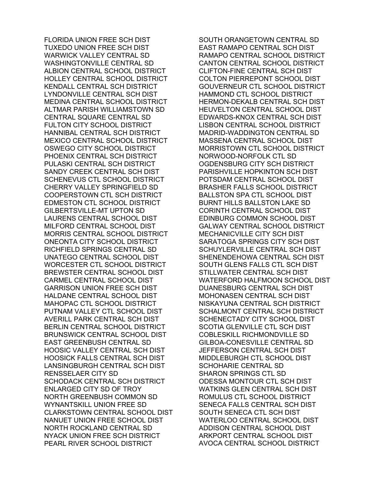FLORIDA UNION FREE SCH DIST TUXEDO UNION FREE SCH DIST WARWICK VALLEY CENTRAL SD WASHINGTONVILLE CENTRAL SD ALBION CENTRAL SCHOOL DISTRICT HOLLEY CENTRAL SCHOOL DISTRICT KENDALL CENTRAL SCH DISTRICT LYNDONVILLE CENTRAL SCH DIST MEDINA CENTRAL SCHOOL DISTRICT ALTMAR PARISH WILLIAMSTOWN SD CENTRAL SQUARE CENTRAL SD FULTON CITY SCHOOL DISTRICT HANNIBAL CENTRAL SCH DISTRICT MEXICO CENTRAL SCHOOL DISTRICT OSWEGO CITY SCHOOL DISTRICT PHOENIX CENTRAL SCH DISTRICT PULASKI CENTRAL SCH DISTRICT SANDY CREEK CENTRAL SCH DIST SCHENEVUS CTL SCHOOL DISTRICT CHERRY VALLEY SPRINGFIELD SD COOPERSTOWN CTL SCH DISTRICT EDMESTON CTL SCHOOL DISTRICT GILBERTSVILLE-MT UPTON SD LAURENS CENTRAL SCHOOL DIST MILFORD CENTRAL SCHOOL DIST MORRIS CENTRAL SCHOOL DISTRICT ONEONTA CITY SCHOOL DISTRICT RICHFIELD SPRINGS CENTRAL SD UNATEGO CENTRAL SCHOOL DIST WORCESTER CTL SCHOOL DISTRICT BREWSTER CENTRAL SCHOOL DIST CARMEL CENTRAL SCHOOL DIST GARRISON UNION FREE SCH DIST HALDANE CENTRAL SCHOOL DIST MAHOPAC CTL SCHOOL DISTRICT PUTNAM VALLEY CTL SCHOOL DIST AVERILL PARK CENTRAL SCH DIST BERLIN CENTRAL SCHOOL DISTRICT BRUNSWICK CENTRAL SCHOOL DIST EAST GREENBUSH CENTRAL SD HOOSIC VALLEY CENTRAL SCH DIST HOOSICK FALLS CENTRAL SCH DIST LANSINGBURGH CENTRAL SCH DIST RENSSELAER CITY SD SCHODACK CENTRAL SCH DISTRICT ENLARGED CITY SD OF TROY NORTH GREENBUSH COMMON SD WYNANTSKILL UNION FREE SD CLARKSTOWN CENTRAL SCHOOL DIST NANUET UNION FREE SCHOOL DIST NORTH ROCKLAND CENTRAL SD NYACK UNION FREE SCH DISTRICT PEARL RIVER SCHOOL DISTRICT

SOUTH ORANGETOWN CENTRAL SD EAST RAMAPO CENTRAL SCH DIST RAMAPO CENTRAL SCHOOL DISTRICT CANTON CENTRAL SCHOOL DISTRICT CLIFTON-FINE CENTRAL SCH DIST COLTON PIERREPONT SCHOOL DIST GOUVERNEUR CTL SCHOOL DISTRICT HAMMOND CTL SCHOOL DISTRICT HERMON-DEKALB CENTRAL SCH DIST HEUVELTON CENTRAL SCHOOL DIST EDWARDS-KNOX CENTRAL SCH DIST LISBON CENTRAL SCHOOL DISTRICT MADRID-WADDINGTON CENTRAL SD MASSENA CENTRAL SCHOOL DIST MORRISTOWN CTL SCHOOL DISTRICT NORWOOD-NORFOLK CTL SD OGDENSBURG CITY SCH DISTRICT PARISHVILLE HOPKINTON SCH DIST POTSDAM CENTRAL SCHOOL DIST BRASHER FALLS SCHOOL DISTRICT BALLSTON SPA CTL SCHOOL DIST BURNT HILLS BALLSTON LAKE SD CORINTH CENTRAL SCHOOL DIST EDINBURG COMMON SCHOOL DIST GALWAY CENTRAL SCHOOL DISTRICT MECHANICVILLE CITY SCH DIST SARATOGA SPRINGS CITY SCH DIST SCHUYLERVILLE CENTRAL SCH DIST SHENENDEHOWA CENTRAL SCH DIST SOUTH GLENS FALLS CTL SCH DIST STILLWATER CENTRAL SCH DIST WATERFORD HALFMOON SCHOOL DIST DUANESBURG CENTRAL SCH DIST MOHONASEN CENTRAL SCH DIST NISKAYUNA CENTRAL SCH DISTRICT SCHALMONT CENTRAL SCH DISTRICT SCHENECTADY CITY SCHOOL DIST SCOTIA GLENVILLE CTL SCH DIST COBLESKILL RICHMONDVILLE SD GILBOA-CONESVILLE CENTRAL SD JEFFERSON CENTRAL SCH DIST MIDDLEBURGH CTL SCHOOL DIST SCHOHARIE CENTRAL SD SHARON SPRINGS CTL SD ODESSA MONTOUR CTL SCH DIST WATKINS GLEN CENTRAL SCH DIST ROMULUS CTL SCHOOL DISTRICT SENECA FALLS CENTRAL SCH DIST SOUTH SENECA CTL SCH DIST WATERLOO CENTRAL SCHOOL DIST ADDISON CENTRAL SCHOOL DIST ARKPORT CENTRAL SCHOOL DIST AVOCA CENTRAL SCHOOL DISTRICT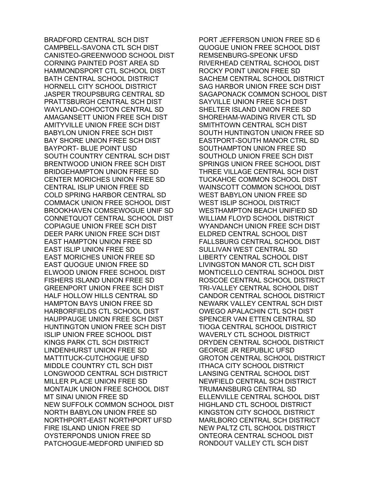BRADFORD CENTRAL SCH DIST CAMPBELL-SAVONA CTL SCH DIST CANISTEO-GREENWOOD SCHOOL DIST CORNING PAINTED POST AREA SD HAMMONDSPORT CTL SCHOOL DIST BATH CENTRAL SCHOOL DISTRICT HORNELL CITY SCHOOL DISTRICT JASPER TROUPSBURG CENTRAL SD PRATTSBURGH CENTRAL SCH DIST WAYLAND-COHOCTON CENTRAL SD AMAGANSETT UNION FREE SCH DIST AMITYVILLE UNION FREE SCH DIST BABYLON UNION FREE SCH DIST BAY SHORE UNION FREE SCH DIST BAYPORT- BLUE POINT USD SOUTH COUNTRY CENTRAL SCH DIST BRENTWOOD UNION FREE SCH DIST BRIDGEHAMPTON UNION FREE SD CENTER MORICHES UNION FREE SD CENTRAL ISLIP UNION FREE SD COLD SPRING HARBOR CENTRAL SD COMMACK UNION FREE SCHOOL DIST BROOKHAVEN COMSEWOGUE UNIF SD CONNETQUOT CENTRAL SCHOOL DIST COPIAGUE UNION FREE SCH DIST DEER PARK UNION FREE SCH DIST EAST HAMPTON UNION FREE SD EAST ISLIP UNION FREE SD EAST MORICHES UNION FREE SD EAST QUOGUE UNION FREE SD ELWOOD UNION FREE SCHOOL DIST FISHERS ISLAND UNION FREE SD GREENPORT UNION FREE SCH DIST HALF HOLLOW HILLS CENTRAL SD HAMPTON BAYS UNION FREE SD HARBORFIELDS CTL SCHOOL DIST HAUPPAUGE UNION FREE SCH DIST HUNTINGTON UNION FREE SCH DIST ISLIP UNION FREE SCHOOL DIST KINGS PARK CTL SCH DISTRICT LINDENHURST UNION FREE SD MATTITUCK-CUTCHOGUE UFSD MIDDLE COUNTRY CTL SCH DIST LONGWOOD CENTRAL SCH DISTRICT MILLER PLACE UNION FREE SD MONTAUK UNION FREE SCHOOL DIST MT SINAI UNION FREE SD NEW SUFFOLK COMMON SCHOOL DIST NORTH BABYLON UNION FREE SD NORTHPORT-EAST NORTHPORT UFSD FIRE ISLAND UNION FREE SD OYSTERPONDS UNION FREE SD PATCHOGUE-MEDFORD UNIFIED SD

PORT JEFFERSON UNION FREE SD 6 QUOGUE UNION FREE SCHOOL DIST REMSENBURG-SPEONK UFSD RIVERHEAD CENTRAL SCHOOL DIST ROCKY POINT UNION FREE SD SACHEM CENTRAL SCHOOL DISTRICT SAG HARBOR UNION FREE SCH DIST SAGAPONACK COMMON SCHOOL DIST SAYVILLE UNION FREE SCH DIST SHELTER ISLAND UNION FREE SD SHOREHAM-WADING RIVER CTL SD SMITHTOWN CENTRAL SCH DIST SOUTH HUNTINGTON UNION FREE SD EASTPORT-SOUTH MANOR CTRL SD SOUTHAMPTON UNION FREE SD SOUTHOLD UNION FREE SCH DIST SPRINGS UNION FREE SCHOOL DIST THREE VILLAGE CENTRAL SCH DIST TUCKAHOE COMMON SCHOOL DIST WAINSCOTT COMMON SCHOOL DIST WEST BABYLON UNION FREE SD WEST ISLIP SCHOOL DISTRICT WESTHAMPTON BEACH UNIFIED SD WILLIAM FLOYD SCHOOL DISTRICT WYANDANCH UNION FREE SCH DIST ELDRED CENTRAL SCHOOL DIST FALLSBURG CENTRAL SCHOOL DIST SULLIVAN WEST CENTRAL SD LIBERTY CENTRAL SCHOOL DIST LIVINGSTON MANOR CTL SCH DIST MONTICELLO CENTRAL SCHOOL DIST ROSCOE CENTRAL SCHOOL DISTRICT TRI-VALLEY CENTRAL SCHOOL DIST CANDOR CENTRAL SCHOOL DISTRICT NEWARK VALLEY CENTRAL SCH DIST OWEGO APALACHIN CTL SCH DIST SPENCER VAN ETTEN CENTRAL SD TIOGA CENTRAL SCHOOL DISTRICT WAVERLY CTL SCHOOL DISTRICT DRYDEN CENTRAL SCHOOL DISTRICT GEORGE JR REPUBLIC UFSD GROTON CENTRAL SCHOOL DISTRICT ITHACA CITY SCHOOL DISTRICT LANSING CENTRAL SCHOOL DIST NEWFIELD CENTRAL SCH DISTRICT TRUMANSBURG CENTRAL SD ELLENVILLE CENTRAL SCHOOL DIST HIGHLAND CTL SCHOOL DISTRICT KINGSTON CITY SCHOOL DISTRICT MARLBORO CENTRAL SCH DISTRICT NEW PALTZ CTL SCHOOL DISTRICT ONTEORA CENTRAL SCHOOL DIST RONDOUT VALLEY CTL SCH DIST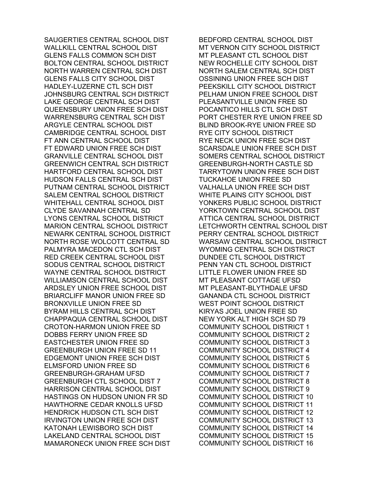SAUGERTIES CENTRAL SCHOOL DIST WALLKILL CENTRAL SCHOOL DIST GLENS FALLS COMMON SCH DIST BOLTON CENTRAL SCHOOL DISTRICT NORTH WARREN CENTRAL SCH DIST GLENS FALLS CITY SCHOOL DIST HADLEY-LUZERNE CTL SCH DIST JOHNSBURG CENTRAL SCH DISTRICT LAKE GEORGE CENTRAL SCH DIST QUEENSBURY UNION FREE SCH DIST WARRENSBURG CENTRAL SCH DIST ARGYLE CENTRAL SCHOOL DIST CAMBRIDGE CENTRAL SCHOOL DIST FT ANN CENTRAL SCHOOL DIST FT EDWARD UNION FREE SCH DIST GRANVILLE CENTRAL SCHOOL DIST GREENWICH CENTRAL SCH DISTRICT HARTFORD CENTRAL SCHOOL DIST HUDSON FALLS CENTRAL SCH DIST PUTNAM CENTRAL SCHOOL DISTRICT SALEM CENTRAL SCHOOL DISTRICT WHITEHALL CENTRAL SCHOOL DIST CLYDE SAVANNAH CENTRAL SD LYONS CENTRAL SCHOOL DISTRICT MARION CENTRAL SCHOOL DISTRICT NEWARK CENTRAL SCHOOL DISTRICT NORTH ROSE WOLCOTT CENTRAL SD PALMYRA MACEDON CTL SCH DIST RED CREEK CENTRAL SCHOOL DIST SODUS CENTRAL SCHOOL DISTRICT WAYNE CENTRAL SCHOOL DISTRICT WILLIAMSON CENTRAL SCHOOL DIST ARDSLEY UNION FREE SCHOOL DIST BRIARCLIFF MANOR UNION FREE SD BRONXVILLE UNION FREE SD BYRAM HILLS CENTRAL SCH DIST CHAPPAQUA CENTRAL SCHOOL DIST CROTON-HARMON UNION FREE SD DOBBS FERRY UNION FREE SD EASTCHESTER UNION FREE SD GREENBURGH UNION FREE SD 11 EDGEMONT UNION FREE SCH DIST ELMSFORD UNION FREE SD GREENBURGH-GRAHAM UFSD GREENBURGH CTL SCHOOL DIST 7 HARRISON CENTRAL SCHOOL DIST HASTINGS ON HUDSON UNION FR SD HAWTHORNE CEDAR KNOLLS UFSD HENDRICK HUDSON CTL SCH DIST IRVINGTON UNION FREE SCH DIST KATONAH LEWISBORO SCH DIST LAKELAND CENTRAL SCHOOL DIST MAMARONECK UNION FREE SCH DIST

BEDFORD CENTRAL SCHOOL DIST MT VERNON CITY SCHOOL DISTRICT MT PLEASANT CTL SCHOOL DIST NEW ROCHELLE CITY SCHOOL DIST NORTH SALEM CENTRAL SCH DIST OSSINING UNION FREE SCH DIST PEEKSKILL CITY SCHOOL DISTRICT PELHAM UNION FREE SCHOOL DIST PLEASANTVILLE UNION FREE SD POCANTICO HILLS CTL SCH DIST PORT CHESTER RYE UNION FREE SD BLIND BROOK-RYE UNION FREE SD RYE CITY SCHOOL DISTRICT RYE NECK UNION FREE SCH DIST SCARSDALE UNION FREE SCH DIST SOMERS CENTRAL SCHOOL DISTRICT GREENBURGH-NORTH CASTLE SD TARRYTOWN UNION FREE SCH DIST TUCKAHOE UNION FREE SD VALHALLA UNION FREE SCH DIST WHITE PLAINS CITY SCHOOL DIST YONKERS PUBLIC SCHOOL DISTRICT YORKTOWN CENTRAL SCHOOL DIST ATTICA CENTRAL SCHOOL DISTRICT LETCHWORTH CENTRAL SCHOOL DIST PERRY CENTRAL SCHOOL DISTRICT WARSAW CENTRAL SCHOOL DISTRICT WYOMING CENTRAL SCH DISTRICT DUNDEE CTL SCHOOL DISTRICT PENN YAN CTL SCHOOL DISTRICT LITTLE FLOWER UNION FREE SD MT PLEASANT COTTAGE UFSD MT PLEASANT-BLYTHDALE UFSD GANANDA CTL SCHOOL DISTRICT WEST POINT SCHOOL DISTRICT KIRYAS JOEL UNION FREE SD NEW YORK ALT HIGH SCH SD 79 COMMUNITY SCHOOL DISTRICT 1 COMMUNITY SCHOOL DISTRICT 2 COMMUNITY SCHOOL DISTRICT 3 COMMUNITY SCHOOL DISTRICT 4 COMMUNITY SCHOOL DISTRICT 5 COMMUNITY SCHOOL DISTRICT 6 COMMUNITY SCHOOL DISTRICT 7 COMMUNITY SCHOOL DISTRICT 8 COMMUNITY SCHOOL DISTRICT 9 COMMUNITY SCHOOL DISTRICT 10 COMMUNITY SCHOOL DISTRICT 11 COMMUNITY SCHOOL DISTRICT 12 COMMUNITY SCHOOL DISTRICT 13 COMMUNITY SCHOOL DISTRICT 14 COMMUNITY SCHOOL DISTRICT 15 COMMUNITY SCHOOL DISTRICT 16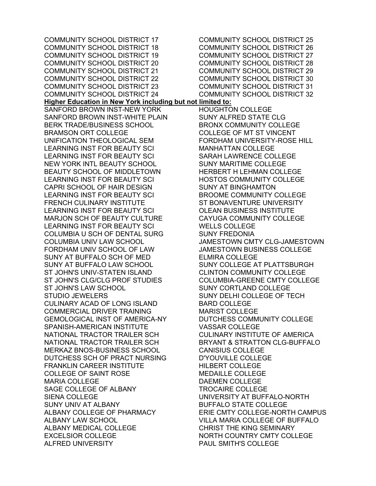COMMUNITY SCHOOL DISTRICT 17 COMMUNITY SCHOOL DISTRICT 18 COMMUNITY SCHOOL DISTRICT 19 COMMUNITY SCHOOL DISTRICT 20 COMMUNITY SCHOOL DISTRICT 21 COMMUNITY SCHOOL DISTRICT 22 COMMUNITY SCHOOL DISTRICT 23 COMMUNITY SCHOOL DISTRICT 24 COMMUNITY SCHOOL DISTRICT 25 COMMUNITY SCHOOL DISTRICT 26 COMMUNITY SCHOOL DISTRICT 27 **Higher Education in New York including but not limited to:**  SANFORD BROWN INST-NEW YORK SANFORD BROWN INST-WHITE PLAIN BERK TRADE/BUSINESS SCHOOL BRAMSON ORT COLLEGE UNIFICATION THEOLOGICAL SEM LEARNING INST FOR BEAUTY SCI LEARNING INST FOR BEAUTY SCI NEW YORK INTL BEAUTY SCHOOL BEAUTY SCHOOL OF MIDDLETOWN LEARNING INST FOR BEAUTY SCI CAPRI SCHOOL OF HAIR DESIGN LEARNING INST FOR BEAUTY SCI FRENCH CULINARY INSTITUTE LEARNING INST FOR BEAUTY SCI MARJON SCH OF BEAUTY CULTURE LEARNING INST FOR BEAUTY SCI COLUMBIA U SCH OF DENTAL SURG COLUMBIA UNIV LAW SCHOOL FORDHAM UNIV SCHOOL OF LAW SUNY AT BUFFALO SCH OF MED SUNY AT BUFFALO LAW SCHOOL ST JOHN'S UNIV-STATEN ISLAND ST JOHN'S CLG/CLG PROF STUDIES ST JOHN'S LAW SCHOOL STUDIO JEWELERS CULINARY ACAD OF LONG ISLAND COMMERCIAL DRIVER TRAINING GEMOLOGICAL INST OF AMERICA-NY SPANISH-AMERICAN INSTITUTE NATIONAL TRACTOR TRAILER SCH NATIONAL TRACTOR TRAILER SCH MERKAZ BNOS-BUSINESS SCHOOL DUTCHESS SCH OF PRACT NURSING FRANKLIN CAREER INSTITUTE COLLEGE OF SAINT ROSE MARIA COLLEGE SAGE COLLEGE OF ALBANY SIENA COLLEGE SUNY UNIV AT ALBANY ALBANY COLLEGE OF PHARMACY ALBANY LAW SCHOOL ALBANY MEDICAL COLLEGE EXCELSIOR COLLEGE ALFRED UNIVERSITY WELLS COLLEGE SUNY FREDONIA BARD COLLEGE

COMMUNITY SCHOOL DISTRICT 28 COMMUNITY SCHOOL DISTRICT 29 COMMUNITY SCHOOL DISTRICT 30 COMMUNITY SCHOOL DISTRICT 31 COMMUNITY SCHOOL DISTRICT 32 HOUGHTON COLLEGE SUNY ALFRED STATE CLG BRONX COMMUNITY COLLEGE COLLEGE OF MT ST VINCENT FORDHAM UNIVERSITY-ROSE HILL MANHATTAN COLLEGE SARAH LAWRENCE COLLEGE SUNY MARITIME COLLEGE HERBERT H LEHMAN COLLEGE HOSTOS COMMUNITY COLLEGE SUNY AT BINGHAMTON BROOME COMMUNITY COLLEGE ST BONAVENTURE UNIVERSITY OLEAN BUSINESS INSTITUTE CAYUGA COMMUNITY COLLEGE JAMESTOWN CMTY CLG-JAMESTOWN JAMESTOWN BUSINESS COLLEGE ELMIRA COLLEGE SUNY COLLEGE AT PLATTSBURGH CLINTON COMMUNITY COLLEGE COLUMBIA-GREENE CMTY COLLEGE SUNY CORTLAND COLLEGE SUNY DELHI COLLEGE OF TECH MARIST COLLEGE DUTCHESS COMMUNITY COLLEGE VASSAR COLLEGE CULINARY INSTITUTE OF AMERICA BRYANT & STRATTON CLG-BUFFALO CANISIUS COLLEGE D'YOUVILLE COLLEGE HILBERT COLLEGE MEDAILLE COLLEGE DAEMEN COLLEGE TROCAIRE COLLEGE UNIVERSITY AT BUFFALO-NORTH BUFFALO STATE COLLEGE ERIE CMTY COLLEGE-NORTH CAMPUS VILLA MARIA COLLEGE OF BUFFALO CHRIST THE KING SEMINARY NORTH COUNTRY CMTY COLLEGE PAUL SMITH'S COLLEGE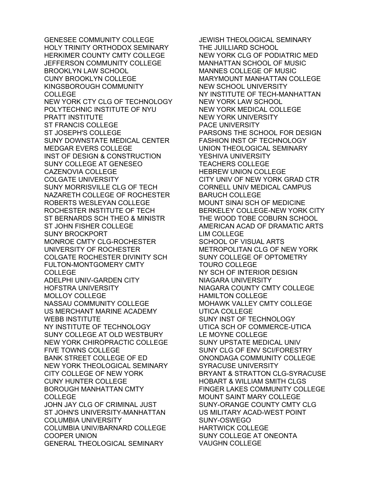GENESEE COMMUNITY COLLEGE HOLY TRINITY ORTHODOX SEMINARY HERKIMER COUNTY CMTY COLLEGE JEFFERSON COMMUNITY COLLEGE BROOKLYN LAW SCHOOL CUNY BROOKLYN COLLEGE KINGSBOROUGH COMMUNITY COLLEGE NEW YORK CTY CLG OF TECHNOLOGY POLYTECHNIC INSTITUTE OF NYU PRATT INSTITUTE ST FRANCIS COLLEGE ST JOSEPH'S COLLEGE SUNY DOWNSTATE MEDICAL CENTER MEDGAR EVERS COLLEGE INST OF DESIGN & CONSTRUCTION SUNY COLLEGE AT GENESEO CAZENOVIA COLLEGE COLGATE UNIVERSITY SUNY MORRISVILLE CLG OF TECH NAZARETH COLLEGE OF ROCHESTER ROBERTS WESLEYAN COLLEGE ROCHESTER INSTITUTE OF TECH ST BERNARDS SCH THEO & MINISTR ST JOHN FISHER COLLEGE SUNY BROCKPORT MONROE CMTY CLG-ROCHESTER UNIVERSITY OF ROCHESTER COLGATE ROCHESTER DIVINITY SCH FULTON-MONTGOMERY CMTY COLLEGE ADELPHI UNIV-GARDEN CITY HOFSTRA UNIVERSITY MOLLOY COLLEGE NASSAU COMMUNITY COLLEGE US MERCHANT MARINE ACADEMY WEBB INSTITUTE NY INSTITUTE OF TECHNOLOGY SUNY COLLEGE AT OLD WESTBURY NEW YORK CHIROPRACTIC COLLEGE FIVE TOWNS COLLEGE BANK STREET COLLEGE OF ED NEW YORK THEOLOGICAL SEMINARY CITY COLLEGE OF NEW YORK CUNY HUNTER COLLEGE BOROUGH MANHATTAN CMTY COLLEGE JOHN JAY CLG OF CRIMINAL JUST ST JOHN'S UNIVERSITY-MANHATTAN COLUMBIA UNIVERSITY COLUMBIA UNIV/BARNARD COLLEGE COOPER UNION GENERAL THEOLOGICAL SEMINARY

JEWISH THEOLOGICAL SEMINARY THE JUILLIARD SCHOOL NEW YORK CLG OF PODIATRIC MED MANHATTAN SCHOOL OF MUSIC MANNES COLLEGE OF MUSIC MARYMOUNT MANHATTAN COLLEGE NEW SCHOOL UNIVERSITY NY INSTITUTE OF TECH-MANHATTAN NEW YORK LAW SCHOOL NEW YORK MEDICAL COLLEGE NEW YORK UNIVERSITY PACE UNIVERSITY PARSONS THE SCHOOL FOR DESIGN FASHION INST OF TECHNOLOGY UNION THEOLOGICAL SEMINARY YESHIVA UNIVERSITY TEACHERS COLLEGE HEBREW UNION COLLEGE CITY UNIV OF NEW YORK GRAD CTR CORNELL UNIV MEDICAL CAMPUS BARUCH COLLEGE MOUNT SINAI SCH OF MEDICINE BERKELEY COLLEGE-NEW YORK CITY THE WOOD TOBE COBURN SCHOOL AMERICAN ACAD OF DRAMATIC ARTS LIM COLLEGE SCHOOL OF VISUAL ARTS METROPOLITAN CLG OF NEW YORK SUNY COLLEGE OF OPTOMETRY TOURO COLLEGE NY SCH OF INTERIOR DESIGN NIAGARA UNIVERSITY NIAGARA COUNTY CMTY COLLEGE HAMILTON COLLEGE MOHAWK VALLEY CMTY COLLEGE UTICA COLLEGE SUNY INST OF TECHNOLOGY UTICA SCH OF COMMERCE-UTICA LE MOYNE COLLEGE SUNY UPSTATE MEDICAL UNIV SUNY CLG OF ENV SCI/FORESTRY ONONDAGA COMMUNITY COLLEGE SYRACUSE UNIVERSITY BRYANT & STRATTON CLG-SYRACUSE HOBART & WILLIAM SMITH CLGS FINGER LAKES COMMUNITY COLLEGE MOUNT SAINT MARY COLLEGE SUNY-ORANGE COUNTY CMTY CLG US MILITARY ACAD-WEST POINT SUNY-OSWEGO HARTWICK COLLEGE SUNY COLLEGE AT ONEONTA VAUGHN COLLEGE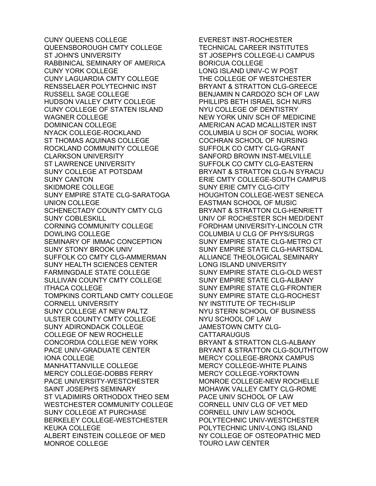CUNY QUEENS COLLEGE QUEENSBOROUGH CMTY COLLEGE ST JOHN'S UNIVERSITY RABBINICAL SEMINARY OF AMERICA CUNY YORK COLLEGE CUNY LAGUARDIA CMTY COLLEGE RENSSELAER POLYTECHNIC INST RUSSELL SAGE COLLEGE HUDSON VALLEY CMTY COLLEGE CUNY COLLEGE OF STATEN ISLAND WAGNER COLLEGE DOMINICAN COLLEGE NYACK COLLEGE-ROCKLAND ST THOMAS AQUINAS COLLEGE ROCKLAND COMMUNITY COLLEGE CLARKSON UNIVERSITY ST LAWRENCE UNIVERSITY SUNY COLLEGE AT POTSDAM SUNY CANTON SKIDMORE COLLEGE SUNY EMPIRE STATE CLG-SARATOGA UNION COLLEGE SCHENECTADY COUNTY CMTY CLG SUNY COBLESKILL CORNING COMMUNITY COLLEGE DOWLING COLLEGE SEMINARY OF IMMAC CONCEPTION SUNY STONY BROOK UNIV SUFFOLK CO CMTY CLG-AMMERMAN SUNY HEALTH SCIENCES CENTER FARMINGDALE STATE COLLEGE SULLIVAN COUNTY CMTY COLLEGE ITHACA COLLEGE TOMPKINS CORTLAND CMTY COLLEGE CORNELL UNIVERSITY SUNY COLLEGE AT NEW PALTZ ULSTER COUNTY CMTY COLLEGE SUNY ADIRONDACK COLLEGE COLLEGE OF NEW ROCHELLE CONCORDIA COLLEGE NEW YORK PACE UNIV-GRADUATE CENTER IONA COLLEGE MANHATTANVILLE COLLEGE MERCY COLLEGE-DOBBS FERRY PACE UNIVERSITY-WESTCHESTER SAINT JOSEPH'S SEMINARY ST VLADIMIRS ORTHODOX THEO SEM WESTCHESTER COMMUNITY COLLEGE SUNY COLLEGE AT PURCHASE BERKELEY COLLEGE-WESTCHESTER KEUKA COLLEGE ALBERT EINSTEIN COLLEGE OF MED MONROE COLLEGE

EVEREST INST-ROCHESTER TECHNICAL CAREER INSTITUTES ST JOSEPH'S COLLEGE-LI CAMPUS BORICUA COLLEGE LONG ISLAND UNIV-C W POST THE COLLEGE OF WESTCHESTER BRYANT & STRATTON CLG-GREECE BENJAMIN N CARDOZO SCH OF LAW PHILLIPS BETH ISRAEL SCH NURS NYU COLLEGE OF DENTISTRY NEW YORK UNIV SCH OF MEDICINE AMERICAN ACAD MCALLISTER INST COLUMBIA U SCH OF SOCIAL WORK COCHRAN SCHOOL OF NURSING SUFFOLK CO CMTY CLG-GRANT SANFORD BROWN INST-MELVILLE SUFFOLK CO CMTY CLG-EASTERN BRYANT & STRATTON CLG-N SYRACU ERIE CMTY COLLEGE-SOUTH CAMPUS SUNY ERIE CMTY CLG-CITY HOUGHTON COLLEGE-WEST SENECA EASTMAN SCHOOL OF MUSIC BRYANT & STRATTON CLG-HENRIETT UNIV OF ROCHESTER SCH MED/DENT FORDHAM UNIVERSITY-LINCOLN CTR COLUMBIA U CLG OF PHYS/SURGS SUNY EMPIRE STATE CLG-METRO CT SUNY EMPIRE STATE CLG-HARTSDAL ALLIANCE THEOLOGICAL SEMINARY LONG ISLAND UNIVERSITY SUNY EMPIRE STATE CLG-OLD WEST SUNY EMPIRE STATE CLG-ALBANY SUNY EMPIRE STATE CLG-FRONTIER SUNY EMPIRE STATE CLG-ROCHEST NY INSTITUTE OF TECH-ISLIP NYU STERN SCHOOL OF BUSINESS NYU SCHOOL OF LAW JAMESTOWN CMTY CLG-CATTARAUGUS BRYANT & STRATTON CLG-ALBANY BRYANT & STRATTON CLG-SOUTHTOW MERCY COLLEGE-BRONX CAMPUS MERCY COLLEGE-WHITE PLAINS MERCY COLLEGE-YORKTOWN MONROE COLLEGE-NEW ROCHELLE MOHAWK VALLEY CMTY CLG-ROME PACE UNIV SCHOOL OF LAW CORNELL UNIV CLG OF VET MED CORNELL UNIV LAW SCHOOL POLYTECHNIC UNIV-WESTCHESTER POLYTECHNIC UNIV-LONG ISLAND NY COLLEGE OF OSTEOPATHIC MED TOURO LAW CENTER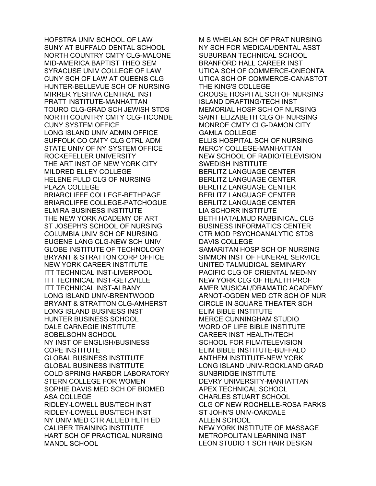HOFSTRA UNIV SCHOOL OF LAW SUNY AT BUFFALO DENTAL SCHOOL NORTH COUNTRY CMTY CLG-MALONE MID-AMERICA BAPTIST THEO SEM SYRACUSE UNIV COLLEGE OF LAW CUNY SCH OF LAW AT QUEENS CLG HUNTER-BELLEVUE SCH OF NURSING MIRRER YESHIVA CENTRAL INST PRATT INSTITUTE-MANHATTAN TOURO CLG-GRAD SCH JEWISH STDS NORTH COUNTRY CMTY CLG-TICONDE CUNY SYSTEM OFFICE LONG ISLAND UNIV ADMIN OFFICE SUFFOLK CO CMTY CLG CTRL ADM STATE UNIV OF NY SYSTEM OFFICE ROCKEFELLER UNIVERSITY THE ART INST OF NEW YORK CITY MILDRED ELLEY COLLEGE HELENE FULD CLG OF NURSING PLAZA COLLEGE BRIARCLIFFE COLLEGE-BETHPAGE BRIARCLIFFE COLLEGE-PATCHOGUE ELMIRA BUSINESS INSTITUTE THE NEW YORK ACADEMY OF ART ST JOSEPH'S SCHOOL OF NURSING COLUMBIA UNIV SCH OF NURSING EUGENE LANG CLG-NEW SCH UNIV GLOBE INSTITUTE OF TECHNOLOGY BRYANT & STRATTON CORP OFFICE NEW YORK CAREER INSTITUTE ITT TECHNICAL INST-LIVERPOOL ITT TECHNICAL INST-GETZVILLE ITT TECHNICAL INST-ALBANY LONG ISLAND UNIV-BRENTWOOD BRYANT & STRATTON CLG-AMHERST LONG ISLAND BUSINESS INST HUNTER BUSINESS SCHOOL DALE CARNEGIE INSTITUTE SOBELSOHN SCHOOL NY INST OF ENGLISH/BUSINESS COPE INSTITUTE GLOBAL BUSINESS INSTITUTE GLOBAL BUSINESS INSTITUTE COLD SPRING HARBOR LABORATORY STERN COLLEGE FOR WOMEN SOPHIE DAVIS MED SCH OF BIOMED ASA COLLEGE RIDLEY-LOWELL BUS/TECH INST RIDLEY-LOWELL BUS/TECH INST NY UNIV MED CTR ALLIED HLTH ED CALIBER TRAINING INSTITUTE HART SCH OF PRACTICAL NURSING MANDL SCHOOL

M S WHELAN SCH OF PRAT NURSING NY SCH FOR MEDICAL/DENTAL ASST SUBURBAN TECHNICAL SCHOOL BRANFORD HALL CAREER INST UTICA SCH OF COMMERCE-ONEONTA UTICA SCH OF COMMERCE-CANASTOT THE KING'S COLLEGE CROUSE HOSPITAL SCH OF NURSING ISLAND DRAFTING/TECH INST MEMORIAL HOSP SCH OF NURSING SAINT ELIZABETH CLG OF NURSING MONROE CMTY CLG-DAMON CITY GAMLA COLLEGE ELLIS HOSPITAL SCH OF NURSING MERCY COLLEGE-MANHATTAN NEW SCHOOL OF RADIO/TELEVISION SWEDISH INSTITUTE BERLITZ LANGUAGE CENTER BERLITZ LANGUAGE CENTER BERLITZ LANGUAGE CENTER BERLITZ LANGUAGE CENTER BERLITZ LANGUAGE CENTER LIA SCHORR INSTITUTE BETH HATALMUD RABBINICAL CLG BUSINESS INFORMATICS CENTER CTR MOD PSYCHOANALYTIC STDS DAVIS COLLEGE SAMARITAN HOSP SCH OF NURSING SIMMON INST OF FUNERAL SERVICE UNITED TALMUDICAL SEMINARY PACIFIC CLG OF ORIENTAL MED-NY NEW YORK CLG OF HEALTH PROF AMER MUSICAL/DRAMATIC ACADEMY ARNOT-OGDEN MED CTR SCH OF NUR CIRCLE IN SQUARE THEATER SCH ELIM BIBLE INSTITUTE MERCE CUNNINGHAM STUDIO WORD OF LIFE BIBLE INSTITUTE CAREER INST HEALTH/TECH SCHOOL FOR FILM/TELEVISION ELIM BIBLE INSTITUTE-BUFFALO ANTHEM INSTITUTE-NEW YORK LONG ISLAND UNIV-ROCKLAND GRAD SUNBRIDGE INSTITUTE DEVRY UNIVERSITY-MANHATTAN APEX TECHNICAL SCHOOL CHARLES STUART SCHOOL CLG OF NEW ROCHELLE-ROSA PARKS ST JOHN'S UNIV-OAKDALE ALLEN SCHOOL NEW YORK INSTITUTE OF MASSAGE METROPOLITAN LEARNING INST LEON STUDIO 1 SCH HAIR DESIGN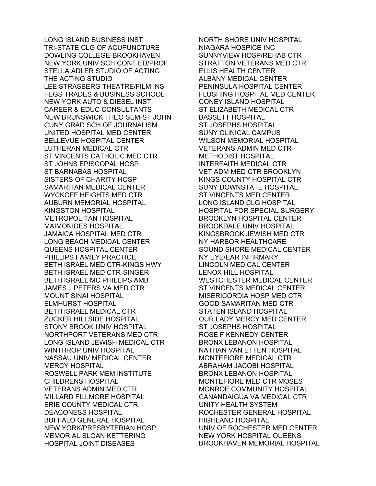LONG ISLAND BUSINESS INST TRI-STATE CLG OF ACUPUNCTURE DOWLING COLLEGE-BROOKHAVEN NEW YORK UNIV SCH CONT ED/PROF STELLA ADLER STUDIO OF ACTING THE ACTING STUDIO LEE STRASBERG THEATRE/FILM INS FEGS TRADES & BUSINESS SCHOOL NEW YORK AUTO & DIESEL INST CAREER & EDUC CONSULTANTS NEW BRUNSWICK THEO SEM-ST JOHN CUNY GRAD SCH OF JOURNALISM UNITED HOSPITAL MED CENTER BELLEVUE HOSPITAL CENTER LUTHERAN MEDICAL CTR ST VINCENTS CATHOLIC MED CTR ST JOHNS EPISCOPAL HOSP ST BARNABAS HOSPITAL SISTERS OF CHARITY HOSP SAMARITAN MEDICAL CENTER WYCKOFF HEIGHTS MED CTR AUBURN MEMORIAL HOSPITAL KINGSTON HOSPITAL METROPOLITAN HOSPITAL MAIMONIDES HOSPITAL JAMAICA HOSPITAL MED CTR LONG BEACH MEDICAL CENTER QUEENS HOSPITAL CENTER PHILLIPS FAMILY PRACTICE BETH ISRAEL MED CTR-KINGS HWY BETH ISRAEL MED CTR-SINGER BETH ISRAEL MC PHILLIPS AMB JAMES J PETERS VA MED CTR MOUNT SINAI HOSPITAL ELMHURST HOSPITAL BETH ISRAEL MEDICAL CTR ZUCKER HILLSIDE HOSPITAL STONY BROOK UNIV HOSPITAL NORTHPORT VETERANS MED CTR LONG ISLAND JEWISH MEDICAL CTR WINTHROP UNIV HOSPITAL NASSAU UNIV MEDICAL CENTER MERCY HOSPITAL ROSWELL PARK MEM INSTITUTE CHILDRENS HOSPITAL VETERANS ADMIN MED CTR MILLARD FILLMORE HOSPITAL ERIE COUNTY MEDICAL CTR DEACONESS HOSPITAL BUFFALO GENERAL HOSPITAL NEW YORK/PRESBYTERIAN HOSP MEMORIAL SLOAN KETTERING HOSPITAL JOINT DISEASES

NORTH SHORE UNIV HOSPITAL NIAGARA HOSPICE INC SUNNYVIEW HOSP/REHAB CTR STRATTON VETERANS MED CTR ELLIS HEALTH CENTER ALBANY MEDICAL CENTER PENINSULA HOSPITAL CENTER FLUSHING HOSPITAL MED CENTER CONEY ISLAND HOSPITAL ST ELIZABETH MEDICAL CTR BASSETT HOSPITAL ST JOSEPHS HOSPITAL SUNY CLINICAL CAMPUS WILSON MEMORIAL HOSPITAL VETERANS ADMIN MED CTR METHODIST HOSPITAL INTERFAITH MEDICAL CTR VET ADM MED CTR BROOKLYN KINGS COUNTY HOSPITAL CTR SUNY DOWNSTATE HOSPITAL ST VINCENTS MED CENTER LONG ISLAND CLG HOSPITAL HOSPITAL FOR SPECIAL SURGERY BROOKLYN HOSPITAL CENTER BROOKDALE UNIV HOSPITAL KINGSBROOK JEWISH MED CTR NY HARBOR HEALTHCARE SOUND SHORE MEDICAL CENTER NY EYE/EAR INFIRMARY LINCOLN MEDICAL CENTER LENOX HILL HOSPITAL WESTCHESTER MEDICAL CENTER ST VINCENTS MEDICAL CENTER MISERICORDIA HOSP MED CTR GOOD SAMARITAN MED CTR STATEN ISLAND HOSPITAL OUR LADY MERCY MED CENTER ST JOSEPHS HOSPITAL ROSE F KENNEDY CENTER BRONX LEBANON HOSPITAL NATHAN VAN ETTEN HOSPITAL MONTEFIORE MEDICAL CTR ABRAHAM JACOBI HOSPITAL BRONX LEBANON HOSPITAL MONTEFIORE MED CTR MOSES MONROE COMMUNITY HOSPITAL CANANDAIGUA VA MEDICAL CTR UNITY HEALTH SYSTEM ROCHESTER GENERAL HOSPITAL HIGHLAND HOSPITAL UNIV OF ROCHESTER MED CENTER NEW YORK HOSPITAL QUEENS BROOKHAVEN MEMORIAL HOSPITAL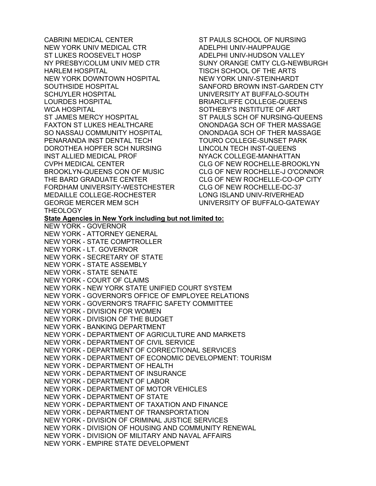CABRINI MEDICAL CENTER NEW YORK UNIV MEDICAL CTR ST LUKES ROOSEVELT HOSP NY PRESBY/COLUM UNIV MED CTR HARLEM HOSPITAL NEW YORK DOWNTOWN HOSPITAL SOUTHSIDE HOSPITAL SCHUYLER HOSPITAL LOURDES HOSPITAL WCA HOSPITAL ST JAMES MERCY HOSPITAL FAXTON ST LUKES HEALTHCARE SO NASSAU COMMUNITY HOSPITAL PENARANDA INST DENTAL TECH DOROTHEA HOPFER SCH NURSING INST ALLIED MEDICAL PROF CVPH MEDICAL CENTER BROOKLYN-QUEENS CON OF MUSIC THE BARD GRADUATE CENTER FORDHAM UNIVERSITY-WESTCHESTER MEDAILLE COLLEGE-ROCHESTER GEORGE MERCER MEM SCH THEOLOGY ST PAULS SCHOOL OF NURSING ADELPHI UNIV-HAUPPAUGE ADELPHI UNIV-HUDSON VALLEY SUNY ORANGE CMTY CLG-NEWBURGH TISCH SCHOOL OF THE ARTS NEW YORK UNIV-STEINHARDT SANFORD BROWN INST-GARDEN CTY UNIVERSITY AT BUFFALO-SOUTH BRIARCLIFFE COLLEGE-QUEENS SOTHEBY'S INSTITUTE OF ART ST PAULS SCH OF NURSING-QUEENS ONONDAGA SCH OF THER MASSAGE ONONDAGA SCH OF THER MASSAGE TOURO COLLEGE-SUNSET PARK LINCOLN TECH INST-QUEENS NYACK COLLEGE-MANHATTAN CLG OF NEW ROCHELLE-BROOKLYN CLG OF NEW ROCHELLE-J O'CONNOR CLG OF NEW ROCHELLE-CO-OP CITY CLG OF NEW ROCHELLE-DC-37 LONG ISLAND UNIV-RIVERHEAD UNIVERSITY OF BUFFALO-GATEWAY **State Agencies in New York including but not limited to:**  NEW YORK - GOVERNOR NEW YORK - ATTORNEY GENERAL NEW YORK - STATE COMPTROLLER NEW YORK - LT. GOVERNOR NEW YORK - SECRETARY OF STATE NEW YORK - STATE ASSEMBLY NEW YORK - STATE SENATE NEW YORK - COURT OF CLAIMS NEW YORK - NEW YORK STATE UNIFIED COURT SYSTEM NEW YORK - GOVERNOR'S OFFICE OF EMPLOYEE RELATIONS NEW YORK - GOVERNOR'S TRAFFIC SAFETY COMMITTEE NEW YORK - DIVISION FOR WOMEN NEW YORK - DIVISION OF THE BUDGET NEW YORK - BANKING DEPARTMENT NEW YORK - DEPARTMENT OF AGRICULTURE AND MARKETS NEW YORK - DEPARTMENT OF CIVIL SERVICE NEW YORK - DEPARTMENT OF CORRECTIONAL SERVICES NEW YORK - DEPARTMENT OF ECONOMIC DEVELOPMENT: TOURISM NEW YORK - DEPARTMENT OF HEALTH NEW YORK - DEPARTMENT OF INSURANCE NEW YORK - DEPARTMENT OF LABOR NEW YORK - DEPARTMENT OF MOTOR VEHICLES NEW YORK - DEPARTMENT OF STATE NEW YORK - DEPARTMENT OF TAXATION AND FINANCE NEW YORK - DEPARTMENT OF TRANSPORTATION NEW YORK - DIVISION OF CRIMINAL JUSTICE SERVICES NEW YORK - DIVISION OF HOUSING AND COMMUNITY RENEWAL NEW YORK - DIVISION OF MILITARY AND NAVAL AFFAIRS NEW YORK - EMPIRE STATE DEVELOPMENT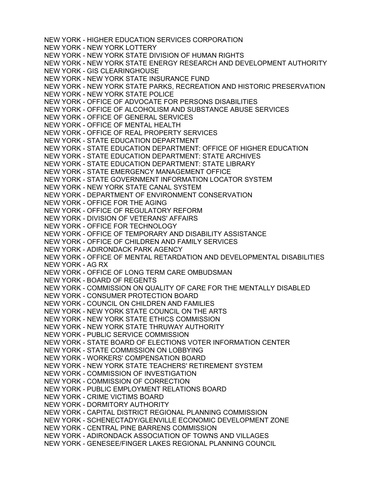NEW YORK - HIGHER EDUCATION SERVICES CORPORATION NEW YORK - NEW YORK LOTTERY NEW YORK - NEW YORK STATE DIVISION OF HUMAN RIGHTS NEW YORK - NEW YORK STATE ENERGY RESEARCH AND DEVELOPMENT AUTHORITY NEW YORK - GIS CLEARINGHOUSE NEW YORK - NEW YORK STATE INSURANCE FUND NEW YORK - NEW YORK STATE PARKS, RECREATION AND HISTORIC PRESERVATION NEW YORK - NEW YORK STATE POLICE NEW YORK - OFFICE OF ADVOCATE FOR PERSONS DISABILITIES NEW YORK - OFFICE OF ALCOHOLISM AND SUBSTANCE ABUSE SERVICES NEW YORK - OFFICE OF GENERAL SERVICES NEW YORK - OFFICE OF MENTAL HEALTH NEW YORK - OFFICE OF REAL PROPERTY SERVICES NEW YORK - STATE EDUCATION DEPARTMENT NEW YORK - STATE EDUCATION DEPARTMENT: OFFICE OF HIGHER EDUCATION NEW YORK - STATE EDUCATION DEPARTMENT: STATE ARCHIVES NEW YORK - STATE EDUCATION DEPARTMENT: STATE LIBRARY NEW YORK - STATE EMERGENCY MANAGEMENT OFFICE NEW YORK - STATE GOVERNMENT INFORMATION LOCATOR SYSTEM NEW YORK - NEW YORK STATE CANAL SYSTEM NEW YORK - DEPARTMENT OF ENVIRONMENT CONSERVATION NEW YORK - OFFICE FOR THE AGING NEW YORK - OFFICE OF REGULATORY REFORM NEW YORK - DIVISION OF VETERANS' AFFAIRS NEW YORK - OFFICE FOR TECHNOLOGY NEW YORK - OFFICE OF TEMPORARY AND DISABILITY ASSISTANCE NEW YORK - OFFICE OF CHILDREN AND FAMILY SERVICES NEW YORK - ADIRONDACK PARK AGENCY NEW YORK - OFFICE OF MENTAL RETARDATION AND DEVELOPMENTAL DISABILITIES NEW YORK - AG RX NEW YORK - OFFICE OF LONG TERM CARE OMBUDSMAN NEW YORK - BOARD OF REGENTS NEW YORK - COMMISSION ON QUALITY OF CARE FOR THE MENTALLY DISABLED NEW YORK - CONSUMER PROTECTION BOARD NEW YORK - COUNCIL ON CHILDREN AND FAMILIES NEW YORK - NEW YORK STATE COUNCIL ON THE ARTS NEW YORK - NEW YORK STATE ETHICS COMMISSION NEW YORK - NEW YORK STATE THRUWAY AUTHORITY NEW YORK - PUBLIC SERVICE COMMISSION NEW YORK - STATE BOARD OF ELECTIONS VOTER INFORMATION CENTER NEW YORK - STATE COMMISSION ON LOBBYING NEW YORK - WORKERS' COMPENSATION BOARD NEW YORK - NEW YORK STATE TEACHERS' RETIREMENT SYSTEM NEW YORK - COMMISSION OF INVESTIGATION NEW YORK - COMMISSION OF CORRECTION NEW YORK - PUBLIC EMPLOYMENT RELATIONS BOARD NEW YORK - CRIME VICTIMS BOARD NEW YORK - DORMITORY AUTHORITY NEW YORK - CAPITAL DISTRICT REGIONAL PLANNING COMMISSION NEW YORK - SCHENECTADY/GLENVILLE ECONOMIC DEVELOPMENT ZONE NEW YORK - CENTRAL PINE BARRENS COMMISSION NEW YORK - ADIRONDACK ASSOCIATION OF TOWNS AND VILLAGES NEW YORK - GENESEE/FINGER LAKES REGIONAL PLANNING COUNCIL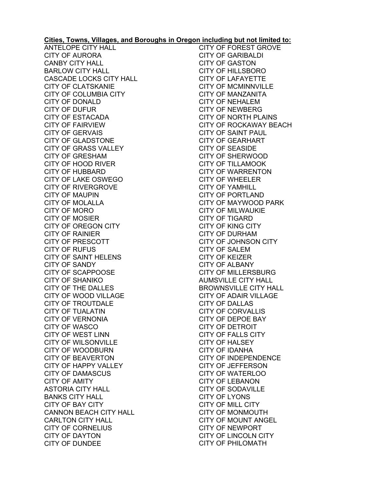## **Cities, Towns, Villages, and Boroughs in Oregon including but not limited to:**

ANTELOPE CITY HALL CITY OF AURORA CANBY CITY HALL BARLOW CITY HALL CASCADE LOCKS CITY HALL CITY OF CLATSKANIE CITY OF COLUMBIA CITY CITY OF DONALD CITY OF DUFUR CITY OF ESTACADA CITY OF FAIRVIEW CITY OF GERVAIS CITY OF GLADSTONE CITY OF GRASS VALLEY CITY OF GRESHAM CITY OF HOOD RIVER CITY OF HUBBARD CITY OF LAKE OSWEGO CITY OF RIVERGROVE CITY OF MAUPIN CITY OF MOLALLA CITY OF MORO CITY OF MOSIER CITY OF OREGON CITY CITY OF RAINIER CITY OF PRESCOTT CITY OF RUFUS CITY OF SAINT HELENS CITY OF SANDY CITY OF SCAPPOOSE CITY OF SHANIKO CITY OF THE DALLES CITY OF WOOD VILLAGE CITY OF TROUTDALE CITY OF TUALATIN CITY OF VERNONIA CITY OF WASCO CITY OF WEST LINN CITY OF WILSONVILLE CITY OF WOODBURN CITY OF BEAVERTON CITY OF HAPPY VALLEY CITY OF DAMASCUS CITY OF AMITY ASTORIA CITY HALL BANKS CITY HALL CITY OF BAY CITY CANNON BEACH CITY HALL CARLTON CITY HALL CITY OF CORNELIUS CITY OF DAYTON CITY OF DUNDEE

CITY OF FOREST GROVE CITY OF GARIBALDI CITY OF GASTON CITY OF HILLSBORO CITY OF LAFAYETTE CITY OF MCMINNVILLE CITY OF MANZANITA CITY OF NEHALEM CITY OF NEWBERG CITY OF NORTH PLAINS CITY OF ROCKAWAY BEACH CITY OF SAINT PAUL CITY OF GEARHART CITY OF SEASIDE CITY OF SHERWOOD CITY OF TILLAMOOK CITY OF WARRENTON CITY OF WHEELER CITY OF YAMHILL CITY OF PORTLAND CITY OF MAYWOOD PARK CITY OF MILWAUKIE CITY OF TIGARD CITY OF KING CITY CITY OF DURHAM CITY OF JOHNSON CITY CITY OF SALEM CITY OF KEIZER CITY OF ALBANY CITY OF MILLERSBURG AUMSVILLE CITY HALL BROWNSVILLE CITY HALL CITY OF ADAIR VILLAGE CITY OF DALLAS CITY OF CORVALLIS CITY OF DEPOE BAY CITY OF DETROIT CITY OF FALLS CITY CITY OF HALSEY CITY OF IDANHA CITY OF INDEPENDENCE CITY OF JEFFERSON CITY OF WATERLOO CITY OF LEBANON CITY OF SODAVILLE CITY OF LYONS CITY OF MILL CITY CITY OF MONMOUTH CITY OF MOUNT ANGEL CITY OF NEWPORT CITY OF LINCOLN CITY CITY OF PHILOMATH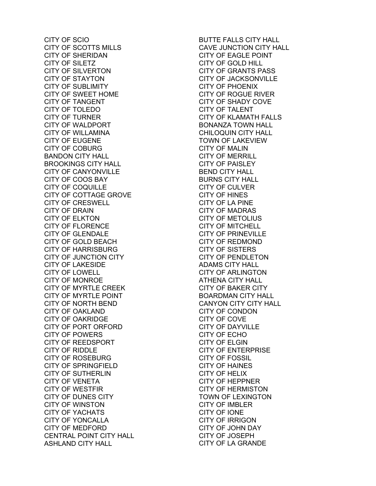CITY OF SCIO CITY OF SCOTTS MILLS CITY OF SHERIDAN CITY OF SILETZ CITY OF SILVERTON CITY OF STAYTON CITY OF SUBLIMITY CITY OF SWEET HOME CITY OF TANGENT CITY OF TOLEDO CITY OF TURNER CITY OF WALDPORT CITY OF WILLAMINA CITY OF EUGENE CITY OF COBURG BANDON CITY HALL BROOKINGS CITY HALL CITY OF CANYONVILLE CITY OF COOS BAY CITY OF COQUILLE CITY OF COTTAGE GROVE CITY OF CRESWELL CITY OF DRAIN CITY OF ELKTON CITY OF FLORENCE CITY OF GLENDALE CITY OF GOLD BEACH CITY OF HARRISBURG CITY OF JUNCTION CITY CITY OF LAKESIDE CITY OF LOWELL CITY OF MONROE CITY OF MYRTLE CREEK CITY OF MYRTLE POINT CITY OF NORTH BEND CITY OF OAKLAND CITY OF OAKRIDGE CITY OF PORT ORFORD CITY OF POWERS CITY OF REEDSPORT CITY OF RIDDLE CITY OF ROSEBURG CITY OF SPRINGFIELD CITY OF SUTHERLIN CITY OF VENETA CITY OF WESTFIR CITY OF DUNES CITY CITY OF WINSTON CITY OF YACHATS CITY OF YONCALLA CITY OF MEDFORD CENTRAL POINT CITY HALL ASHLAND CITY HALL

BUTTE FALLS CITY HALL CAVE JUNCTION CITY HALL CITY OF EAGLE POINT CITY OF GOLD HILL CITY OF GRANTS PASS CITY OF JACKSONVILLE CITY OF PHOENIX CITY OF ROGUE RIVER CITY OF SHADY COVE CITY OF TALENT CITY OF KLAMATH FALLS BONANZA TOWN HALL CHILOQUIN CITY HALL TOWN OF LAKEVIEW CITY OF MALIN CITY OF MERRILL CITY OF PAISLEY BEND CITY HALL BURNS CITY HALL CITY OF CULVER CITY OF HINES CITY OF LA PINE CITY OF MADRAS CITY OF METOLIUS CITY OF MITCHELL CITY OF PRINEVILLE CITY OF REDMOND CITY OF SISTERS CITY OF PENDLETON ADAMS CITY HALL CITY OF ARLINGTON ATHENA CITY HALL CITY OF BAKER CITY BOARDMAN CITY HALL CANYON CITY CITY HALL CITY OF CONDON CITY OF COVE CITY OF DAYVILLE CITY OF ECHO CITY OF ELGIN CITY OF ENTERPRISE CITY OF FOSSIL CITY OF HAINES CITY OF HELIX CITY OF HEPPNER CITY OF HERMISTON TOWN OF LEXINGTON CITY OF IMBLER CITY OF IONE CITY OF IRRIGON CITY OF JOHN DAY CITY OF JOSEPH CITY OF LA GRANDE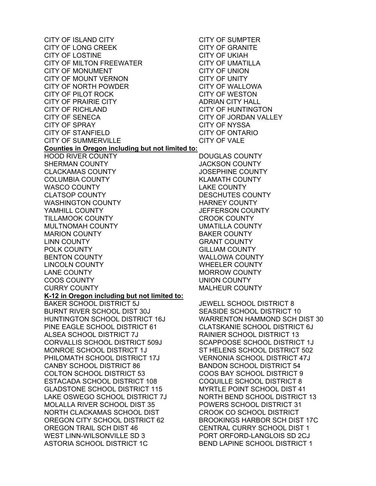CITY OF ISLAND CITY CITY OF LONG CREEK CITY OF LOSTINE CITY OF MILTON FREEWATER CITY OF MONUMENT CITY OF MOUNT VERNON CITY OF NORTH POWDER CITY OF PILOT ROCK CITY OF PRAIRIE CITY CITY OF RICHLAND CITY OF SENECA CITY OF SPRAY CITY OF STANFIELD CITY OF SUMMERVILLE **Counties in Oregon including but not limited to:**  HOOD RIVER COUNTY SHERMAN COUNTY CLACKAMAS COUNTY COLUMBIA COUNTY WASCO COUNTY CLATSOP COUNTY WASHINGTON COUNTY YAMHILL COUNTY TILLAMOOK COUNTY MULTNOMAH COUNTY MARION COUNTY LINN COUNTY POLK COUNTY BENTON COUNTY LINCOLN COUNTY LANE COUNTY COOS COUNTY CURRY COUNTY **K-12 in Oregon including but not limited to:**  BAKER SCHOOL DISTRICT 5J BURNT RIVER SCHOOL DIST 30J HUNTINGTON SCHOOL DISTRICT 16J PINE EAGLE SCHOOL DISTRICT 61 ALSEA SCHOOL DISTRICT 7J CORVALLIS SCHOOL DISTRICT 509J MONROE SCHOOL DISTRICT 1J PHILOMATH SCHOOL DISTRICT 17J CANBY SCHOOL DISTRICT 86 COLTON SCHOOL DISTRICT 53 ESTACADA SCHOOL DISTRICT 108 GLADSTONE SCHOOL DISTRICT 115 LAKE OSWEGO SCHOOL DISTRICT 7J MOLALLA RIVER SCHOOL DIST 35 NORTH CLACKAMAS SCHOOL DIST OREGON CITY SCHOOL DISTRICT 62 OREGON TRAIL SCH DIST 46 WEST LINN-WILSONVILLE SD 3 ASTORIA SCHOOL DISTRICT 1C

CITY OF SUMPTER CITY OF GRANITE CITY OF UKIAH CITY OF UMATILLA CITY OF UNION CITY OF UNITY CITY OF WALLOWA CITY OF WESTON ADRIAN CITY HALL CITY OF HUNTINGTON CITY OF JORDAN VALLEY CITY OF NYSSA CITY OF ONTARIO CITY OF VALE DOUGLAS COUNTY JACKSON COUNTY JOSEPHINE COUNTY KLAMATH COUNTY LAKE COUNTY

DESCHUTES COUNTY HARNEY COUNTY JEFFERSON COUNTY CROOK COUNTY UMATILLA COUNTY BAKER COUNTY GRANT COUNTY GILLIAM COUNTY WALLOWA COUNTY WHEELER COUNTY MORROW COUNTY UNION COUNTY MALHEUR COUNTY

JEWELL SCHOOL DISTRICT 8 SEASIDE SCHOOL DISTRICT 10 WARRENTON HAMMOND SCH DIST 30 CLATSKANIE SCHOOL DISTRICT 6J RAINIER SCHOOL DISTRICT 13 SCAPPOOSE SCHOOL DISTRICT 1J ST HELENS SCHOOL DISTRICT 502 VERNONIA SCHOOL DISTRICT 47J BANDON SCHOOL DISTRICT 54 COOS BAY SCHOOL DISTRICT 9 COQUILLE SCHOOL DISTRICT 8 MYRTLE POINT SCHOOL DIST 41 NORTH BEND SCHOOL DISTRICT 13 POWERS SCHOOL DISTRICT 31 CROOK CO SCHOOL DISTRICT BROOKINGS HARBOR SCH DIST 17C CENTRAL CURRY SCHOOL DIST 1 PORT ORFORD-LANGLOIS SD 2CJ BEND LAPINE SCHOOL DISTRICT 1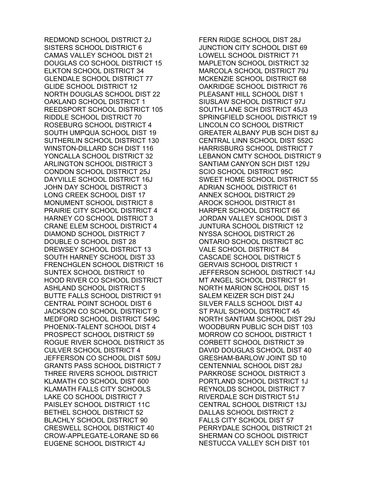REDMOND SCHOOL DISTRICT 2J SISTERS SCHOOL DISTRICT 6 CAMAS VALLEY SCHOOL DIST 21 DOUGLAS CO SCHOOL DISTRICT 15 ELKTON SCHOOL DISTRICT 34 GLENDALE SCHOOL DISTRICT 77 GLIDE SCHOOL DISTRICT 12 NORTH DOUGLAS SCHOOL DIST 22 OAKLAND SCHOOL DISTRICT 1 REEDSPORT SCHOOL DISTRICT 105 RIDDLE SCHOOL DISTRICT 70 ROSEBURG SCHOOL DISTRICT 4 SOUTH UMPQUA SCHOOL DIST 19 SUTHERLIN SCHOOL DISTRICT 130 WINSTON-DILLARD SCH DIST 116 YONCALLA SCHOOL DISTRICT 32 ARLINGTON SCHOOL DISTRICT 3 CONDON SCHOOL DISTRICT 25J DAYVILLE SCHOOL DISTRICT 16J JOHN DAY SCHOOL DISTRICT 3 LONG CREEK SCHOOL DIST 17 MONUMENT SCHOOL DISTRICT 8 PRAIRIE CITY SCHOOL DISTRICT 4 HARNEY CO SCHOOL DISTRICT 3 CRANE ELEM SCHOOL DISTRICT 4 DIAMOND SCHOOL DISTRICT 7 DOUBLE O SCHOOL DIST 28 DREWSEY SCHOOL DISTRICT 13 SOUTH HARNEY SCHOOL DIST 33 FRENCHGLEN SCHOOL DISTRICT 16 SUNTEX SCHOOL DISTRICT 10 HOOD RIVER CO SCHOOL DISTRICT ASHLAND SCHOOL DISTRICT 5 BUTTE FALLS SCHOOL DISTRICT 91 CENTRAL POINT SCHOOL DIST 6 JACKSON CO SCHOOL DISTRICT 9 MEDFORD SCHOOL DISTRICT 549C PHOENIX-TALENT SCHOOL DIST 4 PROSPECT SCHOOL DISTRICT 59 ROGUE RIVER SCHOOL DISTRICT 35 CULVER SCHOOL DISTRICT 4 JEFFERSON CO SCHOOL DIST 509J GRANTS PASS SCHOOL DISTRICT 7 THREE RIVERS SCHOOL DISTRICT KLAMATH CO SCHOOL DIST 600 KLAMATH FALLS CITY SCHOOLS LAKE CO SCHOOL DISTRICT 7 PAISLEY SCHOOL DISTRICT 11C BETHEL SCHOOL DISTRICT 52 BLACHLY SCHOOL DISTRICT 90 CRESWELL SCHOOL DISTRICT 40 CROW-APPLEGATE-LORANE SD 66 EUGENE SCHOOL DISTRICT 4J

FERN RIDGE SCHOOL DIST 28J JUNCTION CITY SCHOOL DIST 69 LOWELL SCHOOL DISTRICT 71 MAPLETON SCHOOL DISTRICT 32 MARCOLA SCHOOL DISTRICT 79J MCKENZIE SCHOOL DISTRICT 68 OAKRIDGE SCHOOL DISTRICT 76 PLEASANT HILL SCHOOL DIST 1 SIUSLAW SCHOOL DISTRICT 97J SOUTH LANE SCH DISTRICT 45J3 SPRINGFIELD SCHOOL DISTRICT 19 LINCOLN CO SCHOOL DISTRICT GREATER ALBANY PUB SCH DIST 8J CENTRAL LINN SCHOOL DIST 552C HARRISBURG SCHOOL DISTRICT 7 LEBANON CMTY SCHOOL DISTRICT 9 SANTIAM CANYON SCH DIST 129J SCIO SCHOOL DISTRICT 95C SWEET HOME SCHOOL DISTRICT 55 ADRIAN SCHOOL DISTRICT 61 ANNEX SCHOOL DISTRICT 29 AROCK SCHOOL DISTRICT 81 HARPER SCHOOL DISTRICT 66 JORDAN VALLEY SCHOOL DIST 3 JUNTURA SCHOOL DISTRICT 12 NYSSA SCHOOL DISTRICT 26 ONTARIO SCHOOL DISTRICT 8C VALE SCHOOL DISTRICT 84 CASCADE SCHOOL DISTRICT 5 GERVAIS SCHOOL DISTRICT 1 JEFFERSON SCHOOL DISTRICT 14J MT ANGEL SCHOOL DISTRICT 91 NORTH MARION SCHOOL DIST 15 SALEM KEIZER SCH DIST 24J SILVER FALLS SCHOOL DIST 4J ST PAUL SCHOOL DISTRICT 45 NORTH SANTIAM SCHOOL DIST 29J WOODBURN PUBLIC SCH DIST 103 MORROW CO SCHOOL DISTRICT 1 CORBETT SCHOOL DISTRICT 39 DAVID DOUGLAS SCHOOL DIST 40 GRESHAM-BARLOW JOINT SD 10 CENTENNIAL SCHOOL DIST 28J PARKROSE SCHOOL DISTRICT 3 PORTLAND SCHOOL DISTRICT 1J REYNOLDS SCHOOL DISTRICT 7 RIVERDALE SCH DISTRICT 51J CENTRAL SCHOOL DISTRICT 13J DALLAS SCHOOL DISTRICT 2 FALLS CITY SCHOOL DIST 57 PERRYDALE SCHOOL DISTRICT 21 SHERMAN CO SCHOOL DISTRICT NESTUCCA VALLEY SCH DIST 101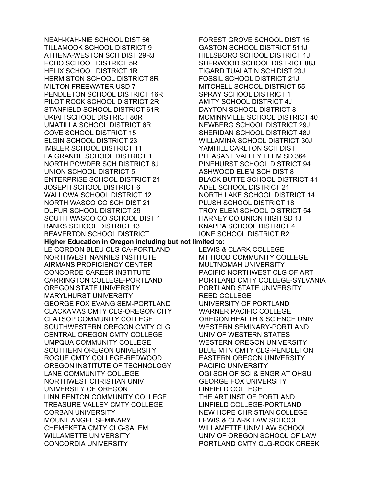NEAH-KAH-NIE SCHOOL DIST 56 TILLAMOOK SCHOOL DISTRICT 9 ATHENA-WESTON SCH DIST 29RJ ECHO SCHOOL DISTRICT 5R HELIX SCHOOL DISTRICT 1R HERMISTON SCHOOL DISTRICT 8R MILTON FREEWATER USD 7 PENDLETON SCHOOL DISTRICT 16R PILOT ROCK SCHOOL DISTRICT 2R STANFIELD SCHOOL DISTRICT 61R UKIAH SCHOOL DISTRICT 80R UMATILLA SCHOOL DISTRICT 6R COVE SCHOOL DISTRICT 15 ELGIN SCHOOL DISTRICT 23 IMBLER SCHOOL DISTRICT 11 LA GRANDE SCHOOL DISTRICT 1 NORTH POWDER SCH DISTRICT 8J UNION SCHOOL DISTRICT 5 ENTERPRISE SCHOOL DISTRICT 21 JOSEPH SCHOOL DISTRICT 6 WALLOWA SCHOOL DISTRICT 12 NORTH WASCO CO SCH DIST 21 DUFUR SCHOOL DISTRICT 29 SOUTH WASCO CO SCHOOL DIST 1 BANKS SCHOOL DISTRICT 13 BEAVERTON SCHOOL DISTRICT LE CORDON BLEU CLG CA-PORTLAND NORTHWEST NANNIES INSTITUTE AIRMANS PROFICIENCY CENTER CONCORDE CAREER INSTITUTE CARRINGTON COLLEGE-PORTLAND OREGON STATE UNIVERSITY MARYLHURST UNIVERSITY GEORGE FOX EVANG SEM-PORTLAND CLACKAMAS CMTY CLG-OREGON CITY CLATSOP COMMUNITY COLLEGE SOUTHWESTERN OREGON CMTY CLG CENTRAL OREGON CMTY COLLEGE UMPQUA COMMUNITY COLLEGE SOUTHERN OREGON UNIVERSITY ROGUE CMTY COLLEGE-REDWOOD OREGON INSTITUTE OF TECHNOLOGY LANE COMMUNITY COLLEGE NORTHWEST CHRISTIAN UNIV UNIVERSITY OF OREGON LINN BENTON COMMUNITY COLLEGE TREASURE VALLEY CMTY COLLEGE CORBAN UNIVERSITY MOUNT ANGEL SEMINARY CHEMEKETA CMTY CLG-SALEM WILLAMETTE UNIVERSITY CONCORDIA UNIVERSITY

FOREST GROVE SCHOOL DIST 15 GASTON SCHOOL DISTRICT 511J HILLSBORO SCHOOL DISTRICT 1J SHERWOOD SCHOOL DISTRICT 88J TIGARD TUALATIN SCH DIST 23J FOSSIL SCHOOL DISTRICT 21J MITCHELL SCHOOL DISTRICT 55 SPRAY SCHOOL DISTRICT 1 AMITY SCHOOL DISTRICT 4J DAYTON SCHOOL DISTRICT 8 MCMINNVILLE SCHOOL DISTRICT 40 NEWBERG SCHOOL DISTRICT 29J SHERIDAN SCHOOL DISTRICT 48J WILLAMINA SCHOOL DISTRICT 30J YAMHILL CARLTON SCH DIST PLEASANT VALLEY ELEM SD 364 PINEHURST SCHOOL DISTRICT 94 ASHWOOD ELEM SCH DIST 8 BLACK BUTTE SCHOOL DISTRICT 41 ADEL SCHOOL DISTRICT 21 NORTH LAKE SCHOOL DISTRICT 14 PLUSH SCHOOL DISTRICT 18 TROY ELEM SCHOOL DISTRICT 54 HARNEY CO UNION HIGH SD 1J KNAPPA SCHOOL DISTRICT 4 IONE SCHOOL DISTRICT R2

**Higher Education in Oregon including but not limited to:** 

LEWIS & CLARK COLLEGE MT HOOD COMMUNITY COLLEGE MULTNOMAH UNIVERSITY PACIFIC NORTHWEST CLG OF ART PORTLAND CMTY COLLEGE-SYLVANIA PORTLAND STATE UNIVERSITY REED COLLEGE UNIVERSITY OF PORTLAND WARNER PACIFIC COLLEGE OREGON HEALTH & SCIENCE UNIV WESTERN SEMINARY-PORTLAND UNIV OF WESTERN STATES WESTERN OREGON UNIVERSITY BLUE MTN CMTY CLG-PENDLETON EASTERN OREGON UNIVERSITY PACIFIC UNIVERSITY OGI SCH OF SCI & ENGR AT OHSU GEORGE FOX UNIVERSITY LINFIELD COLLEGE THE ART INST OF PORTLAND LINFIELD COLLEGE-PORTLAND NEW HOPE CHRISTIAN COLLEGE LEWIS & CLARK LAW SCHOOL WILLAMETTE UNIV LAW SCHOOL UNIV OF OREGON SCHOOL OF LAW PORTLAND CMTY CLG-ROCK CREEK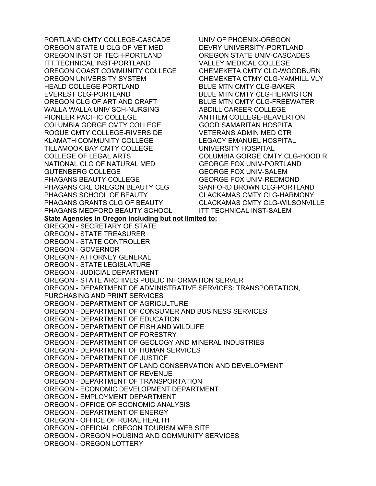PORTLAND CMTY COLLEGE-CASCADE OREGON STATE U CLG OF VET MED OREGON INST OF TECH-PORTLAND ITT TECHNICAL INST-PORTLAND OREGON COAST COMMUNITY COLLEGE OREGON UNIVERSITY SYSTEM HEALD COLLEGE-PORTLAND EVEREST CLG-PORTLAND OREGON CLG OF ART AND CRAFT WALLA WALLA UNIV SCH-NURSING PIONEER PACIFIC COLLEGE COLUMBIA GORGE CMTY COLLEGE ROGUE CMTY COLLEGE-RIVERSIDE KLAMATH COMMUNITY COLLEGE TILLAMOOK BAY CMTY COLLEGE COLLEGE OF LEGAL ARTS NATIONAL CLG OF NATURAL MED GUTENBERG COLLEGE PHAGANS BEAUTY COLLEGE PHAGANS CRL OREGON BEAUTY CLG PHAGANS SCHOOL OF BEAUTY PHAGANS GRANTS CLG OF BEAUTY PHAGANS MEDFORD BEAUTY SCHOOL UNIV OF PHOENIX-OREGON DEVRY UNIVERSITY-PORTLAND OREGON STATE UNIV-CASCADES VALLEY MEDICAL COLLEGE CHEMEKETA CMTY CLG-WOODBURN CHEMEKETA CTMY CLG-YAMHILL VLY BLUE MTN CMTY CLG-BAKER BLUE MTN CMTY CLG-HERMISTON BLUE MTN CMTY CLG-FREEWATER ABDILL CAREER COLLEGE ANTHEM COLLEGE-BEAVERTON GOOD SAMARITAN HOSPITAL VETERANS ADMIN MED CTR LEGACY EMANUEL HOSPITAL UNIVERSITY HOSPITAL COLUMBIA GORGE CMTY CLG-HOOD R GEORGE FOX UNIV-PORTLAND GEORGE FOX UNIV-SALEM GEORGE FOX UNIV-REDMOND SANFORD BROWN CLG-PORTLAND CLACKAMAS CMTY CLG-HARMONY CLACKAMAS CMTY CLG-WILSONVILLE ITT TECHNICAL INST-SALEM **State Agencies in Oregon including but not limited to:**  OREGON - SECRETARY OF STATE OREGON - STATE TREASURER OREGON - STATE CONTROLLER OREGON - GOVERNOR OREGON - ATTORNEY GENERAL OREGON - STATE LEGISLATURE OREGON - JUDICIAL DEPARTMENT OREGON - STATE ARCHIVES PUBLIC INFORMATION SERVER OREGON - DEPARTMENT OF ADMINISTRATIVE SERVICES: TRANSPORTATION, PURCHASING AND PRINT SERVICES OREGON - DEPARTMENT OF AGRICULTURE OREGON - DEPARTMENT OF CONSUMER AND BUSINESS SERVICES OREGON - DEPARTMENT OF EDUCATION OREGON - DEPARTMENT OF FISH AND WILDLIFE OREGON - DEPARTMENT OF FORESTRY OREGON - DEPARTMENT OF GEOLOGY AND MINERAL INDUSTRIES OREGON - DEPARTMENT OF HUMAN SERVICES OREGON - DEPARTMENT OF JUSTICE OREGON - DEPARTMENT OF LAND CONSERVATION AND DEVELOPMENT OREGON - DEPARTMENT OF REVENUE OREGON - DEPARTMENT OF TRANSPORTATION OREGON - ECONOMIC DEVELOPMENT DEPARTMENT OREGON - EMPLOYMENT DEPARTMENT OREGON - OFFICE OF ECONOMIC ANALYSIS OREGON - DEPARTMENT OF ENERGY OREGON - OFFICE OF RURAL HEALTH OREGON - OFFICIAL OREGON TOURISM WEB SITE OREGON - OREGON HOUSING AND COMMUNITY SERVICES OREGON - OREGON LOTTERY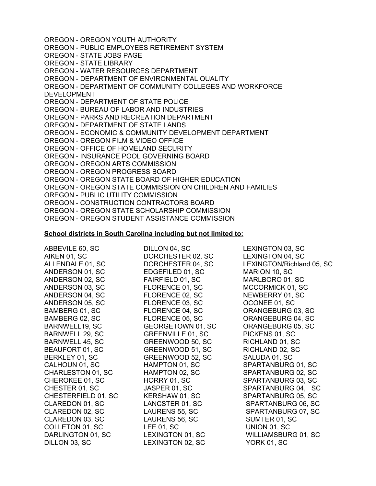OREGON - OREGON YOUTH AUTHORITY OREGON - PUBLIC EMPLOYEES RETIREMENT SYSTEM OREGON - STATE JOBS PAGE OREGON - STATE LIBRARY OREGON - WATER RESOURCES DEPARTMENT OREGON - DEPARTMENT OF ENVIRONMENTAL QUALITY OREGON - DEPARTMENT OF COMMUNITY COLLEGES AND WORKFORCE DEVELOPMENT OREGON - DEPARTMENT OF STATE POLICE OREGON - BUREAU OF LABOR AND INDUSTRIES OREGON - PARKS AND RECREATION DEPARTMENT OREGON - DEPARTMENT OF STATE LANDS OREGON - ECONOMIC & COMMUNITY DEVELOPMENT DEPARTMENT OREGON - OREGON FILM & VIDEO OFFICE OREGON - OFFICE OF HOMELAND SECURITY OREGON - INSURANCE POOL GOVERNING BOARD OREGON - OREGON ARTS COMMISSION OREGON - OREGON PROGRESS BOARD OREGON - OREGON STATE BOARD OF HIGHER EDUCATION OREGON - OREGON STATE COMMISSION ON CHILDREN AND FAMILIES OREGON - PUBLIC UTILITY COMMISSION OREGON - CONSTRUCTION CONTRACTORS BOARD OREGON - OREGON STATE SCHOLARSHIP COMMISSION OREGON - OREGON STUDENT ASSISTANCE COMMISSION

## **School districts in South Carolina including but not limited to:**

ABBEVILE 60, SC AIKEN 01, SC ALLENDALE 01, SC ANDERSON 01, SC ANDERSON 02, SC ANDERSON 03, SC ANDERSON 04, SC ANDERSON 05, SC BAMBERG 01, SC BAMBERG 02, SC BARNWELL19, SC BARNWELL 29, SC BARNWELL 45, SC BEAUFORT 01, SC BERKLEY 01, SC CALHOUN 01, SC CHARLESTON 01, SC CHEROKEE 01, SC CHESTER 01, SC CHESTERFIELD 01, SC CLAREDON 01, SC CLAREDON 02, SC CLAREDON 03, SC COLLETON 01, SC DARLINGTON 01, SC DILLON 03, SC DILLON 04, SC DORCHESTER 02, SC DORCHESTER 04, SC EDGEFILED 01, SC FAIRFIELD 01, SC FLORENCE 01, SC FLORENCE 02, SC FLORENCE 03, SC FLORENCE 04, SC FLORENCE 05, SC GEORGETOWN 01, SC GREENVILLE 01, SC GREENWOOD 50, SC GREENWOOD 51, SC GREENWOOD 52, SC HAMPTON 01, SC HAMPTON 02, SC HORRY 01, SC JASPER 01, SC KERSHAW 01, SC LANCSTER 01, SC LAURENS 55, SC LAURENS 56, SC LEE 01, SC LEXINGTON 01, SC LEXINGTON 02, SC LEXINGTON 03, SC LEXINGTON 04, SC LEXINGTON/Richland 05, SC MARION 10, SC MARLBORO 01, SC MCCORMICK 01, SC NEWBERRY 01, SC OCONEE 01, SC ORANGEBURG 03, SC ORANGEBURG 04, SC ORANGEBURG 05, SC PICKENS 01, SC RICHLAND 01, SC RICHLAND 02, SC SALUDA 01, SC SPARTANBURG 01, SC SPARTANBURG 02, SC SPARTANBURG 03, SC SPARTANBURG 04, SC SPARTANBURG 05, SC SPARTANBURG 06, SC SPARTANBURG 07, SC SUMTER 01, SC UNION 01, SC WILLIAMSBURG 01, SC YORK 01, SC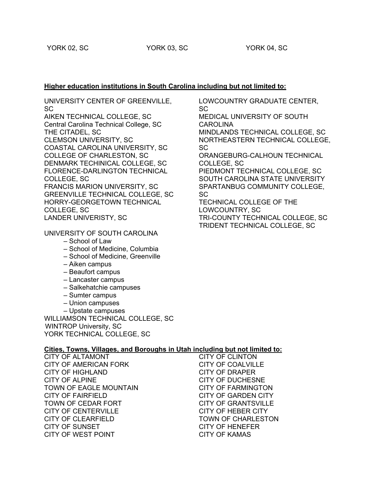LOWCOUNTRY GRADUATE CENTER,

## **Higher education institutions in South Carolina including but not limited to:**

SC

UNIVERSITY CENTER OF GREENVILLE, SC

AIKEN TECHNICAL COLLEGE, SC Central Carolina Technical College, SC THE CITADEL, SC CLEMSON UNIVERSITY, SC COASTAL CAROLINA UNIVERSITY, SC COLLEGE OF CHARLESTON, SC DENMARK TECHINICAL COLLEGE, SC FLORENCE-DARLINGTON TECHNICAL COLLEGE, SC FRANCIS MARION UNIVERSITY, SC GREENVILLE TECHNICAL COLLEGE, SC HORRY-GEORGETOWN TECHNICAL COLLEGE, SC

LANDER UNIVERISTY, SC

UNIVERSITY OF SOUTH CAROLINA

- School of Law
- School of Medicine, Columbia
- School of Medicine, Greenville
- Aiken campus
- Beaufort campus
- Lancaster campus
- Salkehatchie campuses
- Sumter campus
- Union campuses
- Upstate campuses

WILLIAMSON TECHNICAL COLLEGE, SC WINTROP University, SC YORK TECHNICAL COLLEGE, SC

## **Cities, Towns, Villages, and Boroughs in Utah including but not limited to:**

CITY OF ALTAMONT CITY OF AMERICAN FORK CITY OF HIGHLAND CITY OF ALPINE TOWN OF EAGLE MOUNTAIN CITY OF FAIRFIELD TOWN OF CEDAR FORT CITY OF CENTERVILLE CITY OF CLEARFIELD CITY OF SUNSET CITY OF WEST POINT

CITY OF CLINTON CITY OF COALVILLE CITY OF DRAPER CITY OF DUCHESNE CITY OF FARMINGTON CITY OF GARDEN CITY CITY OF GRANTSVILLE CITY OF HEBER CITY TOWN OF CHARLESTON CITY OF HENEFER CITY OF KAMAS

MEDICAL UNIVERSITY OF SOUTH CAROLINA MINDLANDS TECHNICAL COLLEGE, SC NORTHEASTERN TECHNICAL COLLEGE, SC ORANGEBURG-CALHOUN TECHNICAL COLLEGE, SC PIEDMONT TECHNICAL COLLEGE, SC SOUTH CAROLINA STATE UNIVERSITY SPARTANBUG COMMUNITY COLLEGE, SC TECHNICAL COLLEGE OF THE LOWCOUNTRY, SC TRI-COUNTY TECHNICAL COLLEGE, SC

TRIDENT TECHNICAL COLLEGE, SC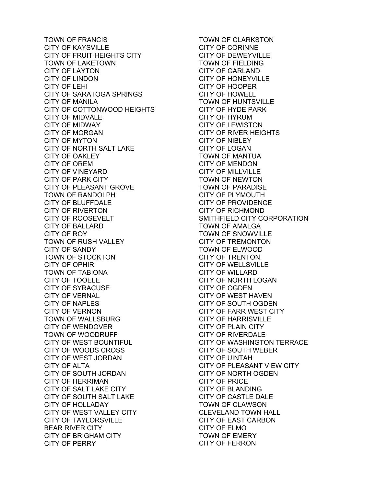TOWN OF FRANCIS CITY OF KAYSVILLE CITY OF FRUIT HEIGHTS CITY TOWN OF LAKETOWN CITY OF LAYTON CITY OF LINDON CITY OF LEHI CITY OF SARATOGA SPRINGS CITY OF MANILA CITY OF COTTONWOOD HEIGHTS CITY OF MIDVALE CITY OF MIDWAY CITY OF MORGAN CITY OF MYTON CITY OF NORTH SALT LAKE CITY OF OAKLEY CITY OF OREM CITY OF VINEYARD CITY OF PARK CITY CITY OF PLEASANT GROVE TOWN OF RANDOLPH CITY OF BLUFFDALE CITY OF RIVERTON CITY OF ROOSEVELT CITY OF BALLARD CITY OF ROY TOWN OF RUSH VALLEY CITY OF SANDY TOWN OF STOCKTON CITY OF OPHIR TOWN OF TABIONA CITY OF TOOELE CITY OF SYRACUSE CITY OF VERNAL CITY OF NAPLES CITY OF VERNON TOWN OF WALLSBURG CITY OF WENDOVER TOWN OF WOODRUFF CITY OF WEST BOUNTIFUL CITY OF WOODS CROSS CITY OF WEST JORDAN CITY OF ALTA CITY OF SOUTH JORDAN CITY OF HERRIMAN CITY OF SALT LAKE CITY CITY OF SOUTH SALT LAKE CITY OF HOLLADAY CITY OF WEST VALLEY CITY CITY OF TAYLORSVILLE BEAR RIVER CITY CITY OF BRIGHAM CITY CITY OF PERRY

TOWN OF CLARKSTON CITY OF CORINNE CITY OF DEWEYVILLE TOWN OF FIELDING CITY OF GARLAND CITY OF HONEYVILLE CITY OF HOOPER CITY OF HOWELL TOWN OF HUNTSVILLE CITY OF HYDE PARK CITY OF HYRUM CITY OF LEWISTON CITY OF RIVER HEIGHTS CITY OF NIBLEY CITY OF LOGAN TOWN OF MANTUA CITY OF MENDON CITY OF MILLVILLE TOWN OF NEWTON TOWN OF PARADISE CITY OF PLYMOUTH CITY OF PROVIDENCE CITY OF RICHMOND SMITHFIELD CITY CORPORATION TOWN OF AMALGA TOWN OF SNOWVILLE CITY OF TREMONTON TOWN OF ELWOOD CITY OF TRENTON CITY OF WELLSVILLE CITY OF WILLARD CITY OF NORTH LOGAN CITY OF OGDEN CITY OF WEST HAVEN CITY OF SOUTH OGDEN CITY OF FARR WEST CITY CITY OF HARRISVILLE CITY OF PLAIN CITY CITY OF RIVERDALE CITY OF WASHINGTON TERRACE CITY OF SOUTH WEBER CITY OF UINTAH CITY OF PLEASANT VIEW CITY CITY OF NORTH OGDEN CITY OF PRICE CITY OF BLANDING CITY OF CASTLE DALE TOWN OF CLAWSON CLEVELAND TOWN HALL CITY OF EAST CARBON CITY OF ELMO TOWN OF EMERY CITY OF FERRON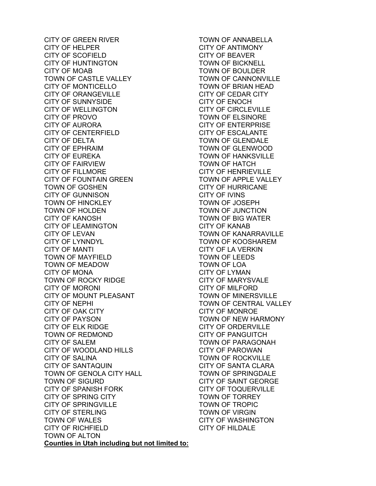CITY OF GREEN RIVER CITY OF HELPER CITY OF SCOFIELD CITY OF HUNTINGTON CITY OF MOAB TOWN OF CASTLE VALLEY CITY OF MONTICELLO CITY OF ORANGEVILLE CITY OF SUNNYSIDE CITY OF WELLINGTON CITY OF PROVO CITY OF AURORA CITY OF CENTERFIELD CITY OF DELTA CITY OF EPHRAIM CITY OF EUREKA CITY OF FAIRVIEW CITY OF FILLMORE CITY OF FOUNTAIN GREEN TOWN OF GOSHEN CITY OF GUNNISON TOWN OF HINCKLEY TOWN OF HOLDEN CITY OF KANOSH CITY OF LEAMINGTON CITY OF LEVAN CITY OF LYNNDYL CITY OF MANTI TOWN OF MAYFIELD TOWN OF MEADOW CITY OF MONA TOWN OF ROCKY RIDGE CITY OF MORONI CITY OF MOUNT PLEASANT CITY OF NEPHI CITY OF OAK CITY CITY OF PAYSON CITY OF ELK RIDGE TOWN OF REDMOND CITY OF SALEM CITY OF WOODLAND HILLS CITY OF SALINA CITY OF SANTAQUIN TOWN OF GENOLA CITY HALL TOWN OF SIGURD CITY OF SPANISH FORK CITY OF SPRING CITY CITY OF SPRINGVILLE CITY OF STERLING TOWN OF WALES CITY OF RICHFIELD TOWN OF ALTON **Counties in Utah including but not limited to:** 

TOWN OF ANNABELLA CITY OF ANTIMONY CITY OF BEAVER TOWN OF BICKNELL TOWN OF BOULDER TOWN OF CANNONVILLE TOWN OF BRIAN HEAD CITY OF CEDAR CITY CITY OF ENOCH CITY OF CIRCLEVILLE TOWN OF ELSINORE CITY OF ENTERPRISE CITY OF ESCALANTE TOWN OF GLENDALE TOWN OF GLENWOOD TOWN OF HANKSVILLE TOWN OF HATCH CITY OF HENRIEVILLE TOWN OF APPLE VALLEY CITY OF HURRICANE CITY OF IVINS TOWN OF JOSEPH TOWN OF JUNCTION TOWN OF BIG WATER CITY OF KANAB TOWN OF KANARRAVILLE TOWN OF KOOSHAREM CITY OF LA VERKIN TOWN OF LEEDS TOWN OF LOA CITY OF LYMAN CITY OF MARYSVALE CITY OF MILFORD TOWN OF MINERSVILLE TOWN OF CENTRAL VALLEY CITY OF MONROE TOWN OF NEW HARMONY CITY OF ORDERVILLE CITY OF PANGUITCH TOWN OF PARAGONAH CITY OF PAROWAN TOWN OF ROCKVILLE CITY OF SANTA CLARA TOWN OF SPRINGDALE CITY OF SAINT GEORGE CITY OF TOQUERVILLE TOWN OF TORREY TOWN OF TROPIC TOWN OF VIRGIN CITY OF WASHINGTON CITY OF HILDALE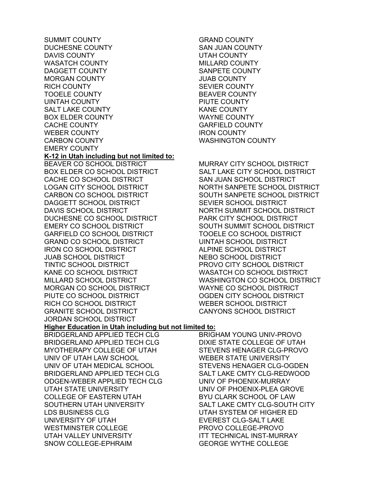SUMMIT COUNTY DUCHESNE COUNTY DAVIS COUNTY WASATCH COUNTY DAGGETT COUNTY MORGAN COUNTY RICH COUNTY TOOELE COUNTY UINTAH COUNTY SALT LAKE COUNTY BOX ELDER COUNTY CACHE COUNTY WEBER COUNTY CARBON COUNTY EMERY COUNTY **K-12 in Utah including but not limited to:**  BEAVER CO SCHOOL DISTRICT BOX ELDER CO SCHOOL DISTRICT CACHE CO SCHOOL DISTRICT LOGAN CITY SCHOOL DISTRICT CARBON CO SCHOOL DISTRICT DAGGETT SCHOOL DISTRICT DAVIS SCHOOL DISTRICT DUCHESNE CO SCHOOL DISTRICT EMERY CO SCHOOL DISTRICT GARFIELD CO SCHOOL DISTRICT GRAND CO SCHOOL DISTRICT IRON CO SCHOOL DISTRICT JUAB SCHOOL DISTRICT TINTIC SCHOOL DISTRICT KANE CO SCHOOL DISTRICT MILLARD SCHOOL DISTRICT MORGAN CO SCHOOL DISTRICT PIUTE CO SCHOOL DISTRICT RICH CO SCHOOL DISTRICT GRANITE SCHOOL DISTRICT JORDAN SCHOOL DISTRICT **Higher Education in Utah including but not limited to:**  BRIDGERLAND APPLIED TECH CLG BRIDGERLAND APPLIED TECH CLG MYOTHERAPY COLLEGE OF UTAH UNIV OF UTAH LAW SCHOOL UNIV OF UTAH MEDICAL SCHOOL BRIDGERLAND APPLIED TECH CLG ODGEN-WEBER APPLIED TECH CLG UTAH STATE UNIVERSITY COLLEGE OF EASTERN UTAH SOUTHERN UTAH UNIVERSITY LDS BUSINESS CLG UNIVERSITY OF UTAH WESTMINSTER COLLEGE UTAH VALLEY UNIVERSITY SNOW COLLEGE-EPHRAIM

GRAND COUNTY SAN JUAN COUNTY UTAH COUNTY MILLARD COUNTY SANPETE COUNTY JUAB COUNTY SEVIER COUNTY BEAVER COUNTY PIUTE COUNTY KANE COUNTY WAYNE COUNTY GARFIELD COUNTY IRON COUNTY WASHINGTON COUNTY

MURRAY CITY SCHOOL DISTRICT SALT LAKE CITY SCHOOL DISTRICT SAN JUAN SCHOOL DISTRICT NORTH SANPETE SCHOOL DISTRICT SOUTH SANPETE SCHOOL DISTRICT SEVIER SCHOOL DISTRICT NORTH SUMMIT SCHOOL DISTRICT PARK CITY SCHOOL DISTRICT SOUTH SUMMIT SCHOOL DISTRICT TOOELE CO SCHOOL DISTRICT UINTAH SCHOOL DISTRICT ALPINE SCHOOL DISTRICT NEBO SCHOOL DISTRICT PROVO CITY SCHOOL DISTRICT WASATCH CO SCHOOL DISTRICT WASHINGTON CO SCHOOL DISTRICT WAYNE CO SCHOOL DISTRICT OGDEN CITY SCHOOL DISTRICT WEBER SCHOOL DISTRICT CANYONS SCHOOL DISTRICT

BRIGHAM YOUNG UNIV-PROVO DIXIE STATE COLLEGE OF UTAH STEVENS HENAGER CLG-PROVO WEBER STATE UNIVERSITY STEVENS HENAGER CLG-OGDEN SALT LAKE CMTY CLG-REDWOOD UNIV OF PHOENIX-MURRAY UNIV OF PHOENIX-PLEA GROVE BYU CLARK SCHOOL OF LAW SALT LAKE CMTY CLG-SOUTH CITY UTAH SYSTEM OF HIGHER ED EVEREST CLG-SALT LAKE PROVO COLLEGE-PROVO ITT TECHNICAL INST-MURRAY GEORGE WYTHE COLLEGE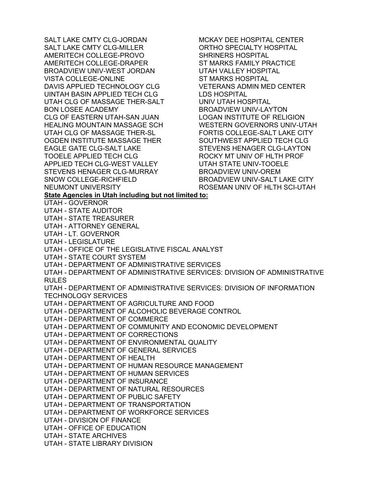SALT LAKE CMTY CLG-JORDAN SALT LAKE CMTY CLG-MILLER AMERITECH COLLEGE-PROVO AMERITECH COLLEGE-DRAPER BROADVIEW UNIV-WEST JORDAN VISTA COLLEGE-ONLINE DAVIS APPLIED TECHNOLOGY CLG UINTAH BASIN APPLIED TECH CLG UTAH CLG OF MASSAGE THER-SALT BON LOSEE ACADEMY CLG OF EASTERN UTAH-SAN JUAN HEALING MOUNTAIN MASSAGE SCH UTAH CLG OF MASSAGE THER-SL OGDEN INSTITUTE MASSAGE THER EAGLE GATE CLG-SALT LAKE TOOELE APPLIED TECH CLG APPLIED TECH CLG-WEST VALLEY STEVENS HENAGER CLG-MURRAY SNOW COLLEGE-RICHFIELD NEUMONT UNIVERSITY MCKAY DEE HOSPITAL CENTER ORTHO SPECIALTY HOSPITAL SHRINERS HOSPITAL ST MARKS FAMILY PRACTICE UTAH VALLEY HOSPITAL ST MARKS HOSPITAL VETERANS ADMIN MED CENTER LDS HOSPITAL UNIV UTAH HOSPITAL BROADVIEW UNIV-LAYTON LOGAN INSTITUTE OF RELIGION WESTERN GOVERNORS UNIV-UTAH FORTIS COLLEGE-SALT LAKE CITY SOUTHWEST APPLIED TECH CLG STEVENS HENAGER CLG-LAYTON ROCKY MT UNIV OF HLTH PROF UTAH STATE UNIV-TOOELE BROADVIEW UNIV-OREM BROADVIEW UNIV-SALT LAKE CITY ROSEMAN UNIV OF HLTH SCI-UTAH **State Agencies in Utah including but not limited to:**  UTAH - GOVERNOR UTAH - STATE AUDITOR UTAH - STATE TREASURER UTAH - ATTORNEY GENERAL UTAH - LT. GOVERNOR UTAH - LEGISLATURE UTAH - OFFICE OF THE LEGISLATIVE FISCAL ANALYST UTAH - STATE COURT SYSTEM UTAH - DEPARTMENT OF ADMINISTRATIVE SERVICES UTAH - DEPARTMENT OF ADMINISTRATIVE SERVICES: DIVISION OF ADMINISTRATIVE RULES UTAH - DEPARTMENT OF ADMINISTRATIVE SERVICES: DIVISION OF INFORMATION TECHNOLOGY SERVICES UTAH - DEPARTMENT OF AGRICULTURE AND FOOD UTAH - DEPARTMENT OF ALCOHOLIC BEVERAGE CONTROL UTAH - DEPARTMENT OF COMMERCE UTAH - DEPARTMENT OF COMMUNITY AND ECONOMIC DEVELOPMENT UTAH - DEPARTMENT OF CORRECTIONS UTAH - DEPARTMENT OF ENVIRONMENTAL QUALITY UTAH - DEPARTMENT OF GENERAL SERVICES UTAH - DEPARTMENT OF HEALTH UTAH - DEPARTMENT OF HUMAN RESOURCE MANAGEMENT UTAH - DEPARTMENT OF HUMAN SERVICES UTAH - DEPARTMENT OF INSURANCE UTAH - DEPARTMENT OF NATURAL RESOURCES UTAH - DEPARTMENT OF PUBLIC SAFETY UTAH - DEPARTMENT OF TRANSPORTATION UTAH - DEPARTMENT OF WORKFORCE SERVICES UTAH - DIVISION OF FINANCE UTAH - OFFICE OF EDUCATION UTAH - STATE ARCHIVES UTAH - STATE LIBRARY DIVISION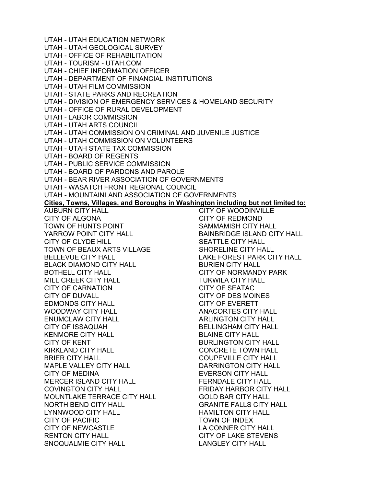UTAH - UTAH EDUCATION NETWORK UTAH - UTAH GEOLOGICAL SURVEY UTAH - OFFICE OF REHABILITATION UTAH - TOURISM - UTAH.COM UTAH - CHIEF INFORMATION OFFICER UTAH - DEPARTMENT OF FINANCIAL INSTITUTIONS UTAH - UTAH FILM COMMISSION UTAH - STATE PARKS AND RECREATION UTAH - DIVISION OF EMERGENCY SERVICES & HOMELAND SECURITY UTAH - OFFICE OF RURAL DEVELOPMENT UTAH - LABOR COMMISSION UTAH - UTAH ARTS COUNCIL UTAH - UTAH COMMISSION ON CRIMINAL AND JUVENILE JUSTICE UTAH - UTAH COMMISSION ON VOLUNTEERS UTAH - UTAH STATE TAX COMMISSION UTAH - BOARD OF REGENTS UTAH - PUBLIC SERVICE COMMISSION UTAH - BOARD OF PARDONS AND PAROLE UTAH - BEAR RIVER ASSOCIATION OF GOVERNMENTS UTAH - WASATCH FRONT REGIONAL COUNCIL UTAH - MOUNTAINLAND ASSOCIATION OF GOVERNMENTS **Cities, Towns, Villages, and Boroughs in Washington including but not limited to:**  AUBURN CITY HALL CITY OF ALGONA TOWN OF HUNTS POINT YARROW POINT CITY HALL CITY OF CLYDE HILL TOWN OF BEAUX ARTS VILLAGE BELLEVUE CITY HALL BLACK DIAMOND CITY HALL BOTHELL CITY HALL MILL CREEK CITY HALL CITY OF CARNATION CITY OF DUVALL EDMONDS CITY HALL WOODWAY CITY HALL ENUMCLAW CITY HALL CITY OF ISSAQUAH KENMORE CITY HALL CITY OF KENT KIRKLAND CITY HALL BRIER CITY HALL MAPLE VALLEY CITY HALL CITY OF MEDINA MERCER ISLAND CITY HALL COVINGTON CITY HALL MOUNTLAKE TERRACE CITY HALL NORTH BEND CITY HALL LYNNWOOD CITY HALL CITY OF PACIFIC CITY OF NEWCASTLE RENTON CITY HALL SNOQUALMIE CITY HALL CITY OF WOODINVILLE CITY OF REDMOND SAMMAMISH CITY HALL BAINBRIDGE ISLAND CITY HALL SEATTLE CITY HALL SHORELINE CITY HALL LAKE FOREST PARK CITY HALL BURIEN CITY HALL CITY OF NORMANDY PARK TUKWILA CITY HALL CITY OF SEATAC CITY OF DES MOINES CITY OF EVERETT ANACORTES CITY HALL ARLINGTON CITY HALL BELLINGHAM CITY HALL BLAINE CITY HALL BURLINGTON CITY HALL CONCRETE TOWN HALL COUPEVILLE CITY HALL DARRINGTON CITY HALL EVERSON CITY HALL FERNDALE CITY HALL FRIDAY HARBOR CITY HALL GOLD BAR CITY HALL GRANITE FALLS CITY HALL HAMILTON CITY HALL TOWN OF INDEX LA CONNER CITY HALL CITY OF LAKE STEVENS LANGLEY CITY HALL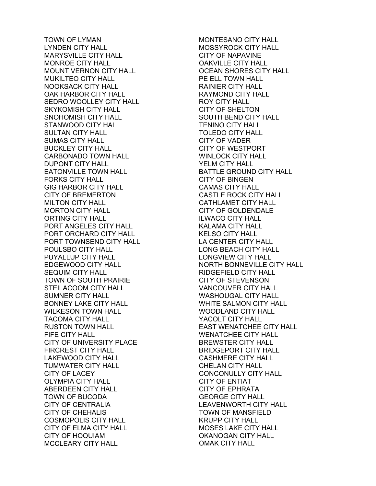TOWN OF LYMAN LYNDEN CITY HALL MARYSVILLE CITY HALL MONROE CITY HALL MOUNT VERNON CITY HALL MUKILTEO CITY HALL NOOKSACK CITY HALL OAK HARBOR CITY HALL SEDRO WOOLLEY CITY HALL SKYKOMISH CITY HALL SNOHOMISH CITY HALL STANWOOD CITY HALL SULTAN CITY HALL SUMAS CITY HALL BUCKLEY CITY HALL CARBONADO TOWN HALL DUPONT CITY HALL EATONVILLE TOWN HALL FORKS CITY HALL GIG HARBOR CITY HALL CITY OF BREMERTON MILTON CITY HALL MORTON CITY HALL ORTING CITY HALL PORT ANGELES CITY HALL PORT ORCHARD CITY HALL PORT TOWNSEND CITY HALL POULSBO CITY HALL PUYALLUP CITY HALL EDGEWOOD CITY HALL SEQUIM CITY HALL TOWN OF SOUTH PRAIRIE STEILACOOM CITY HALL SUMNER CITY HALL BONNEY LAKE CITY HALL WILKESON TOWN HALL TACOMA CITY HALL RUSTON TOWN HALL FIFE CITY HALL CITY OF UNIVERSITY PLACE FIRCREST CITY HALL LAKEWOOD CITY HALL TUMWATER CITY HALL CITY OF LACEY OLYMPIA CITY HALL ABERDEEN CITY HALL TOWN OF BUCODA CITY OF CENTRALIA CITY OF CHEHALIS COSMOPOLIS CITY HALL CITY OF ELMA CITY HALL CITY OF HOQUIAM MCCLEARY CITY HALL

MONTESANO CITY HALL MOSSYROCK CITY HALL CITY OF NAPAVINE OAKVILLE CITY HALL OCEAN SHORES CITY HALL PE ELL TOWN HALL RAINIER CITY HALL RAYMOND CITY HALL ROY CITY HALL CITY OF SHELTON SOUTH BEND CITY HALL TENINO CITY HALL TOLEDO CITY HALL CITY OF VADER CITY OF WESTPORT WINLOCK CITY HALL YELM CITY HALL BATTLE GROUND CITY HALL CITY OF BINGEN CAMAS CITY HALL CASTLE ROCK CITY HALL CATHLAMET CITY HALL CITY OF GOLDENDALE ILWACO CITY HALL KALAMA CITY HALL KELSO CITY HALL LA CENTER CITY HALL LONG BEACH CITY HALL LONGVIEW CITY HALL NORTH BONNEVILLE CITY HALL RIDGEFIELD CITY HALL CITY OF STEVENSON VANCOUVER CITY HALL WASHOUGAL CITY HALL WHITE SALMON CITY HALL WOODLAND CITY HALL YACOLT CITY HALL EAST WENATCHEE CITY HALL WENATCHEE CITY HALL BREWSTER CITY HALL BRIDGEPORT CITY HALL CASHMERE CITY HALL CHELAN CITY HALL CONCONULLY CITY HALL CITY OF ENTIAT CITY OF EPHRATA GEORGE CITY HALL LEAVENWORTH CITY HALL TOWN OF MANSFIELD KRUPP CITY HALL MOSES LAKE CITY HALL OKANOGAN CITY HALL OMAK CITY HALL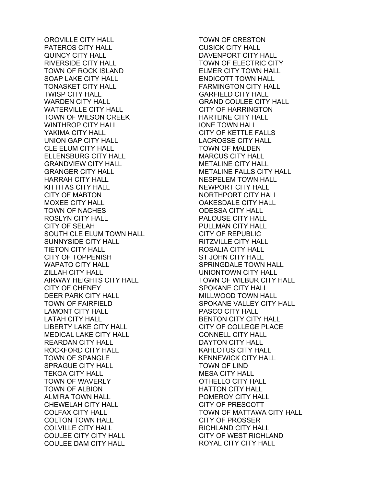OROVILLE CITY HALL PATEROS CITY HALL QUINCY CITY HALL RIVERSIDE CITY HALL TOWN OF ROCK ISLAND SOAP LAKE CITY HALL TONASKET CITY HALL TWISP CITY HALL WARDEN CITY HALL WATERVILLE CITY HALL TOWN OF WILSON CREEK WINTHROP CITY HALL YAKIMA CITY HALL UNION GAP CITY HALL CLE ELUM CITY HALL ELLENSBURG CITY HALL GRANDVIEW CITY HALL GRANGER CITY HALL HARRAH CITY HALL KITTITAS CITY HALL CITY OF MABTON MOXEE CITY HALL TOWN OF NACHES ROSLYN CITY HALL CITY OF SELAH SOUTH CLE ELUM TOWN HALL SUNNYSIDE CITY HALL TIETON CITY HALL CITY OF TOPPENISH WAPATO CITY HALL ZILLAH CITY HALL AIRWAY HEIGHTS CITY HALL CITY OF CHENEY DEER PARK CITY HALL TOWN OF FAIRFIELD LAMONT CITY HALL LATAH CITY HALL LIBERTY LAKE CITY HALL MEDICAL LAKE CITY HALL REARDAN CITY HALL ROCKFORD CITY HALL TOWN OF SPANGLE SPRAGUE CITY HALL TEKOA CITY HALL TOWN OF WAVERLY TOWN OF ALBION ALMIRA TOWN HALL CHEWELAH CITY HALL COLFAX CITY HALL COLTON TOWN HALL COLVILLE CITY HALL COULEE CITY CITY HALL COULEE DAM CITY HALL

TOWN OF CRESTON CUSICK CITY HALL DAVENPORT CITY HALL TOWN OF ELECTRIC CITY ELMER CITY TOWN HALL ENDICOTT TOWN HALL FARMINGTON CITY HALL GARFIELD CITY HALL GRAND COULEE CITY HALL CITY OF HARRINGTON HARTLINE CITY HALL IONE TOWN HALL CITY OF KETTLE FALLS LACROSSE CITY HALL TOWN OF MALDEN MARCUS CITY HALL METALINE CITY HALL METALINE FALLS CITY HALL NESPELEM TOWN HALL NEWPORT CITY HALL NORTHPORT CITY HALL OAKESDALE CITY HALL ODESSA CITY HALL PALOUSE CITY HALL PULLMAN CITY HALL CITY OF REPUBLIC RITZVILLE CITY HALL ROSALIA CITY HALL ST JOHN CITY HALL SPRINGDALE TOWN HALL UNIONTOWN CITY HALL TOWN OF WILBUR CITY HALL SPOKANE CITY HALL MILLWOOD TOWN HALL SPOKANE VALLEY CITY HALL PASCO CITY HALL BENTON CITY CITY HALL CITY OF COLLEGE PLACE CONNELL CITY HALL DAYTON CITY HALL KAHLOTUS CITY HALL KENNEWICK CITY HALL TOWN OF LIND MESA CITY HALL OTHELLO CITY HALL HATTON CITY HALL POMEROY CITY HALL CITY OF PRESCOTT TOWN OF MATTAWA CITY HALL CITY OF PROSSER RICHLAND CITY HALL CITY OF WEST RICHLAND ROYAL CITY CITY HALL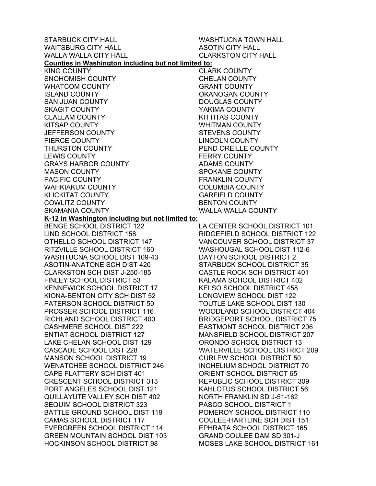STARBUCK CITY HALL WAITSBURG CITY HALL WALLA WALLA CITY HALL WASHTUCNA TOWN HALL ASOTIN CITY HALL CLARKSTON CITY HALL **Counties in Washington including but not limited to:**  KING COUNTY SNOHOMISH COUNTY WHATCOM COUNTY ISLAND COUNTY SAN JUAN COUNTY SKAGIT COUNTY CLALLAM COUNTY KITSAP COUNTY JEFFERSON COUNTY PIERCE COUNTY THURSTON COUNTY LEWIS COUNTY GRAYS HARBOR COUNTY MASON COUNTY PACIFIC COUNTY WAHKIAKUM COUNTY KLICKITAT COUNTY COWLITZ COUNTY SKAMANIA COUNTY **K-12 in Washington including but not limited to:**  BENGE SCHOOL DISTRICT 122 LIND SCHOOL DISTRICT 158 OTHELLO SCHOOL DISTRICT 147 RITZVILLE SCHOOL DISTRICT 160 WASHTUCNA SCHOOL DIST 109-43 ASOTIN-ANATONE SCH DIST 420 CLARKSTON SCH DIST J-250-185 FINLEY SCHOOL DISTRICT 53 KENNEWICK SCHOOL DISTRICT 17

CASCADE SCHOOL DIST 228

KIONA-BENTON CITY SCH DIST 52 PATERSON SCHOOL DISTRICT 50 PROSSER SCHOOL DISTRICT 116 RICHLAND SCHOOL DISTRICT 400 CASHMERE SCHOOL DIST 222 ENTIAT SCHOOL DISTRICT 127 LAKE CHELAN SCHOOL DIST 129 MANSON SCHOOL DISTRICT 19 WENATCHEE SCHOOL DISTRICT 246 CAPE FLATTERY SCH DIST 401 CRESCENT SCHOOL DISTRICT 313 PORT ANGELES SCHOOL DIST 121 QUILLAYUTE VALLEY SCH DIST 402 SEQUIM SCHOOL DISTRICT 323 BATTLE GROUND SCHOOL DIST 119 CAMAS SCHOOL DISTRICT 117 EVERGREEN SCHOOL DISTRICT 114 GREEN MOUNTAIN SCHOOL DIST 103 HOCKINSON SCHOOL DISTRICT 98 LA CENTER SCHOOL DISTRICT 101

CLARK COUNTY CHELAN COUNTY GRANT COUNTY OKANOGAN COUNTY DOUGLAS COUNTY YAKIMA COUNTY KITTITAS COUNTY WHITMAN COUNTY STEVENS COUNTY LINCOLN COUNTY PEND OREILLE COUNTY FERRY COUNTY ADAMS COUNTY SPOKANE COUNTY FRANKLIN COUNTY COLUMBIA COUNTY GARFIELD COUNTY BENTON COUNTY WALLA WALLA COUNTY

RIDGEFIELD SCHOOL DISTRICT 122 VANCOUVER SCHOOL DISTRICT 37 WASHOUGAL SCHOOL DIST 112-6 DAYTON SCHOOL DISTRICT 2 STARBUCK SCHOOL DISTRICT 35 CASTLE ROCK SCH DISTRICT 401 KALAMA SCHOOL DISTRICT 402 KELSO SCHOOL DISTRICT 458 LONGVIEW SCHOOL DIST 122 TOUTLE LAKE SCHOOL DIST 130 WOODLAND SCHOOL DISTRICT 404 BRIDGEPORT SCHOOL DISTRICT 75 EASTMONT SCHOOL DISTRICT 206 MANSFIELD SCHOOL DISTRICT 207 ORONDO SCHOOL DISTRICT 13 WATERVILLE SCHOOL DISTRICT 209 CURLEW SCHOOL DISTRICT 50 INCHELIUM SCHOOL DISTRICT 70 ORIENT SCHOOL DISTRICT 65 REPUBLIC SCHOOL DISTRICT 309 KAHLOTUS SCHOOL DISTRICT 56 NORTH FRANKLIN SD J-51-162 PASCO SCHOOL DISTRICT 1 POMEROY SCHOOL DISTRICT 110 COULEE-HARTLINE SCH DIST 151 EPHRATA SCHOOL DISTRICT 165 GRAND COULEE DAM SD 301-J MOSES LAKE SCHOOL DISTRICT 161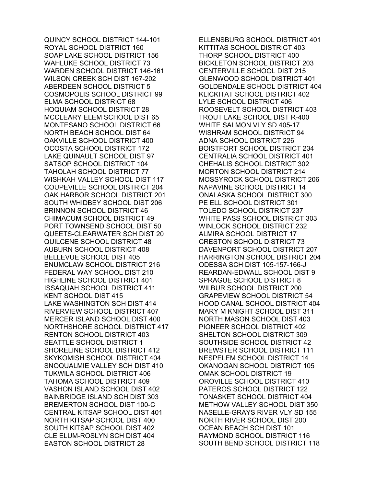QUINCY SCHOOL DISTRICT 144-101 ROYAL SCHOOL DISTRICT 160 SOAP LAKE SCHOOL DISTRICT 156 WAHLUKE SCHOOL DISTRICT 73 WARDEN SCHOOL DISTRICT 146-161 WILSON CREEK SCH DIST 167-202 ABERDEEN SCHOOL DISTRICT 5 COSMOPOLIS SCHOOL DISTRICT 99 ELMA SCHOOL DISTRICT 68 HOQUIAM SCHOOL DISTRICT 28 MCCLEARY ELEM SCHOOL DIST 65 MONTESANO SCHOOL DISTRICT 66 NORTH BEACH SCHOOL DIST 64 OAKVILLE SCHOOL DISTRICT 400 OCOSTA SCHOOL DISTRICT 172 LAKE QUINAULT SCHOOL DIST 97 SATSOP SCHOOL DISTRICT 104 TAHOLAH SCHOOL DISTRICT 77 WISHKAH VALLEY SCHOOL DIST 117 COUPEVILLE SCHOOL DISTRICT 204 OAK HARBOR SCHOOL DISTRICT 201 SOUTH WHIDBEY SCHOOL DIST 206 BRINNON SCHOOL DISTRICT 46 CHIMACUM SCHOOL DISTRICT 49 PORT TOWNSEND SCHOOL DIST 50 QUEETS-CLEARWATER SCH DIST 20 QUILCENE SCHOOL DISTRICT 48 AUBURN SCHOOL DISTRICT 408 BELLEVUE SCHOOL DIST 405 ENUMCLAW SCHOOL DISTRICT 216 FEDERAL WAY SCHOOL DIST 210 HIGHLINE SCHOOL DISTRICT 401 ISSAQUAH SCHOOL DISTRICT 411 KENT SCHOOL DIST 415 LAKE WASHINGTON SCH DIST 414 RIVERVIEW SCHOOL DISTRICT 407 MERCER ISLAND SCHOOL DIST 400 NORTHSHORE SCHOOL DISTRICT 417 RENTON SCHOOL DISTRICT 403 SEATTLE SCHOOL DISTRICT 1 SHORELINE SCHOOL DISTRICT 412 SKYKOMISH SCHOOL DISTRICT 404 SNOQUALMIE VALLEY SCH DIST 410 TUKWILA SCHOOL DISTRICT 406 TAHOMA SCHOOL DISTRICT 409 VASHON ISLAND SCHOOL DIST 402 BAINBRIDGE ISLAND SCH DIST 303 BREMERTON SCHOOL DIST 100-C CENTRAL KITSAP SCHOOL DIST 401 NORTH KITSAP SCHOOL DIST 400 SOUTH KITSAP SCHOOL DIST 402 CLE ELUM-ROSLYN SCH DIST 404 EASTON SCHOOL DISTRICT 28

ELLENSBURG SCHOOL DISTRICT 401 KITTITAS SCHOOL DISTRICT 403 THORP SCHOOL DISTRICT 400 BICKLETON SCHOOL DISTRICT 203 CENTERVILLE SCHOOL DIST 215 GLENWOOD SCHOOL DISTRICT 401 GOLDENDALE SCHOOL DISTRICT 404 KLICKITAT SCHOOL DISTRICT 402 LYLE SCHOOL DISTRICT 406 ROOSEVELT SCHOOL DISTRICT 403 TROUT LAKE SCHOOL DIST R-400 WHITE SALMON VLY SD 405-17 WISHRAM SCHOOL DISTRICT 94 ADNA SCHOOL DISTRICT 226 BOISTFORT SCHOOL DISTRICT 234 CENTRALIA SCHOOL DISTRICT 401 CHEHALIS SCHOOL DISTRICT 302 MORTON SCHOOL DISTRICT 214 MOSSYROCK SCHOOL DISTRICT 206 NAPAVINE SCHOOL DISTRICT 14 ONALASKA SCHOOL DISTRICT 300 PE ELL SCHOOL DISTRICT 301 TOLEDO SCHOOL DISTRICT 237 WHITE PASS SCHOOL DISTRICT 303 WINLOCK SCHOOL DISTRICT 232 ALMIRA SCHOOL DISTRICT 17 CRESTON SCHOOL DISTRICT 73 DAVENPORT SCHOOL DISTRICT 207 HARRINGTON SCHOOL DISTRICT 204 ODESSA SCH DIST 105-157-166-J REARDAN-EDWALL SCHOOL DIST 9 SPRAGUE SCHOOL DISTRICT 8 WILBUR SCHOOL DISTRICT 200 GRAPEVIEW SCHOOL DISTRICT 54 HOOD CANAL SCHOOL DISTRICT 404 MARY M KNIGHT SCHOOL DIST 311 NORTH MASON SCHOOL DIST 403 PIONEER SCHOOL DISTRICT 402 SHELTON SCHOOL DISTRICT 309 SOUTHSIDE SCHOOL DISTRICT 42 BREWSTER SCHOOL DISTRICT 111 NESPELEM SCHOOL DISTRICT 14 OKANOGAN SCHOOL DISTRICT 105 OMAK SCHOOL DISTRICT 19 OROVILLE SCHOOL DISTRICT 410 PATEROS SCHOOL DISTRICT 122 TONASKET SCHOOL DISTRICT 404 METHOW VALLEY SCHOOL DIST 350 NASELLE-GRAYS RIVER VLY SD 155 NORTH RIVER SCHOOL DIST 200 OCEAN BEACH SCH DIST 101 RAYMOND SCHOOL DISTRICT 116 SOUTH BEND SCHOOL DISTRICT 118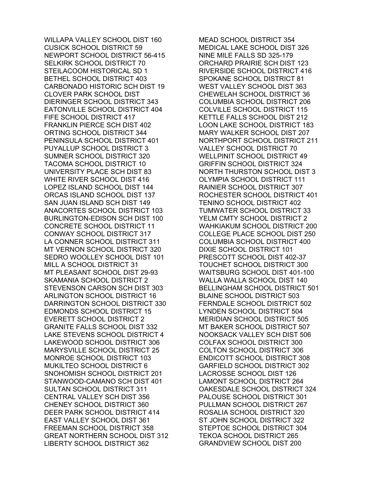WILLAPA VALLEY SCHOOL DIST 160 CUSICK SCHOOL DISTRICT 59 NEWPORT SCHOOL DISTRICT 56-415 SELKIRK SCHOOL DISTRICT 70 STEILACOOM HISTORICAL SD 1 BETHEL SCHOOL DISTRICT 403 CARBONADO HISTORIC SCH DIST 19 CLOVER PARK SCHOOL DIST DIERINGER SCHOOL DISTRICT 343 EATONVILLE SCHOOL DISTRICT 404 FIFE SCHOOL DISTRICT 417 FRANKLIN PIERCE SCH DIST 402 ORTING SCHOOL DISTRICT 344 PENINSULA SCHOOL DISTRICT 401 PUYALLUP SCHOOL DISTRICT 3 SUMNER SCHOOL DISTRICT 320 TACOMA SCHOOL DISTRICT 10 UNIVERSITY PLACE SCH DIST 83 WHITE RIVER SCHOOL DIST 416 LOPEZ ISLAND SCHOOL DIST 144 ORCAS ISLAND SCHOOL DIST 137 SAN JUAN ISLAND SCH DIST 149 ANACORTES SCHOOL DISTRICT 103 BURLINGTON-EDISON SCH DIST 100 CONCRETE SCHOOL DISTRICT 11 CONWAY SCHOOL DISTRICT 317 LA CONNER SCHOOL DISTRICT 311 MT VERNON SCHOOL DISTRICT 320 SEDRO WOOLLEY SCHOOL DIST 101 MILL A SCHOOL DISTRICT 31 MT PLEASANT SCHOOL DIST 29-93 SKAMANIA SCHOOL DISTRICT 2 STEVENSON CARSON SCH DIST 303 ARLINGTON SCHOOL DISTRICT 16 DARRINGTON SCHOOL DISTRICT 330 EDMONDS SCHOOL DISTRICT 15 EVERETT SCHOOL DISTRICT 2 GRANITE FALLS SCHOOL DIST 332 LAKE STEVENS SCHOOL DISTRICT 4 LAKEWOOD SCHOOL DISTRICT 306 MARYSVILLE SCHOOL DISTRICT 25 MONROE SCHOOL DISTRICT 103 MUKILTEO SCHOOL DISTRICT 6 SNOHOMISH SCHOOL DISTRICT 201 STANWOOD-CAMANO SCH DIST 401 SULTAN SCHOOL DISTRICT 311 CENTRAL VALLEY SCH DIST 356 CHENEY SCHOOL DISTRICT 360 DEER PARK SCHOOL DISTRICT 414 EAST VALLEY SCHOOL DIST 361 FREEMAN SCHOOL DISTRICT 358 GREAT NORTHERN SCHOOL DIST 312 LIBERTY SCHOOL DISTRICT 362

MEAD SCHOOL DISTRICT 354 MEDICAL LAKE SCHOOL DIST 326 NINE MILE FALLS SD 325-179 ORCHARD PRAIRIE SCH DIST 123 RIVERSIDE SCHOOL DISTRICT 416 SPOKANE SCHOOL DISTRICT 81 WEST VALLEY SCHOOL DIST 363 CHEWELAH SCHOOL DISTRICT 36 COLUMBIA SCHOOL DISTRICT 206 COLVILLE SCHOOL DISTRICT 115 KETTLE FALLS SCHOOL DIST 212 LOON LAKE SCHOOL DISTRICT 183 MARY WALKER SCHOOL DIST 207 NORTHPORT SCHOOL DISTRICT 211 VALLEY SCHOOL DISTRICT 70 WELLPINIT SCHOOL DISTRICT 49 GRIFFIN SCHOOL DISTRICT 324 NORTH THURSTON SCHOOL DIST 3 OLYMPIA SCHOOL DISTRICT 111 RAINIER SCHOOL DISTRICT 307 ROCHESTER SCHOOL DISTRICT 401 TENINO SCHOOL DISTRICT 402 TUMWATER SCHOOL DISTRICT 33 YELM CMTY SCHOOL DISTRICT 2 WAHKIAKUM SCHOOL DISTRICT 200 COLLEGE PLACE SCHOOL DIST 250 COLUMBIA SCHOOL DISTRICT 400 DIXIE SCHOOL DISTRICT 101 PRESCOTT SCHOOL DIST 402-37 TOUCHET SCHOOL DISTRICT 300 WAITSBURG SCHOOL DIST 401-100 WALLA WALLA SCHOOL DIST 140 BELLINGHAM SCHOOL DISTRICT 501 BLAINE SCHOOL DISTRICT 503 FERNDALE SCHOOL DISTRICT 502 LYNDEN SCHOOL DISTRICT 504 MERIDIAN SCHOOL DISTRICT 505 MT BAKER SCHOOL DISTRICT 507 NOOKSACK VALLEY SCH DIST 506 COLFAX SCHOOL DISTRICT 300 COLTON SCHOOL DISTRICT 306 ENDICOTT SCHOOL DISTRICT 308 GARFIELD SCHOOL DISTRICT 302 LACROSSE SCHOOL DIST 126 LAMONT SCHOOL DISTRICT 264 OAKESDALE SCHOOL DISTRICT 324 PALOUSE SCHOOL DISTRICT 301 PULLMAN SCHOOL DISTRICT 267 ROSALIA SCHOOL DISTRICT 320 ST JOHN SCHOOL DISTRICT 322 STEPTOE SCHOOL DISTRICT 304 TEKOA SCHOOL DISTRICT 265 GRANDVIEW SCHOOL DIST 200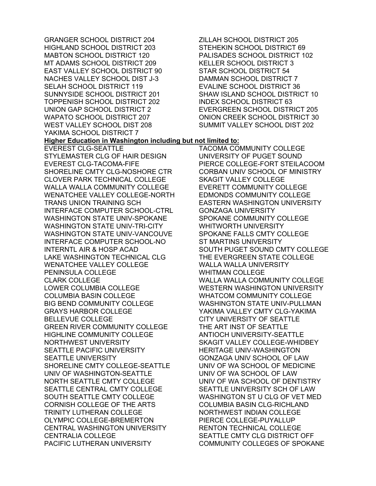GRANGER SCHOOL DISTRICT 204 HIGHLAND SCHOOL DISTRICT 203 MABTON SCHOOL DISTRICT 120 MT ADAMS SCHOOL DISTRICT 209 EAST VALLEY SCHOOL DISTRICT 90 NACHES VALLEY SCHOOL DIST J-3 SELAH SCHOOL DISTRICT 119 SUNNYSIDE SCHOOL DISTRICT 201 TOPPENISH SCHOOL DISTRICT 202 UNION GAP SCHOOL DISTRICT 2 WAPATO SCHOOL DISTRICT 207 WEST VALLEY SCHOOL DIST 208 YAKIMA SCHOOL DISTRICT 7 EVEREST CLG-SEATTLE STYLEMASTER CLG OF HAIR DESIGN EVEREST CLG-TACOMA-FIFE SHORELINE CMTY CLG-NOSHORE CTR CLOVER PARK TECHNICAL COLLEGE WALLA WALLA COMMUNITY COLLEGE WENATCHEE VALLEY COLLEGE-NORTH TRANS UNION TRAINING SCH INTERFACE COMPUTER SCHOOL-CTRL WASHINGTON STATE UNIV-SPOKANE WASHINGTON STATE UNIV-TRI-CITY WASHINGTON STATE UNIV-VANCOUVE INTERFACE COMPUTER SCHOOL-NO INTERNTL AIR & HOSP ACAD LAKE WASHINGTON TECHNICAL CLG WENATCHEE VALLEY COLLEGE PENINSULA COLLEGE CLARK COLLEGE LOWER COLUMBIA COLLEGE COLUMBIA BASIN COLLEGE BIG BEND COMMUNITY COLLEGE GRAYS HARBOR COLLEGE BELLEVUE COLLEGE GREEN RIVER COMMUNITY COLLEGE HIGHLINE COMMUNITY COLLEGE NORTHWEST UNIVERSITY SEATTLE PACIFIC UNIVERSITY SEATTLE UNIVERSITY SHORELINE CMTY COLLEGE-SEATTLE UNIV OF WASHINGTON-SEATTLE NORTH SEATTLE CMTY COLLEGE SEATTLE CENTRAL CMTY COLLEGE SOUTH SEATTLE CMTY COLLEGE CORNISH COLLEGE OF THE ARTS TRINITY LUTHERAN COLLEGE OLYMPIC COLLEGE-BREMERTON CENTRAL WASHINGTON UNIVERSITY CENTRALIA COLLEGE PACIFIC LUTHERAN UNIVERSITY

ZILLAH SCHOOL DISTRICT 205 STEHEKIN SCHOOL DISTRICT 69 PALISADES SCHOOL DISTRICT 102 KELLER SCHOOL DISTRICT 3 STAR SCHOOL DISTRICT 54 DAMMAN SCHOOL DISTRICT 7 EVALINE SCHOOL DISTRICT 36 SHAW ISLAND SCHOOL DISTRICT 10 INDEX SCHOOL DISTRICT 63 EVERGREEN SCHOOL DISTRICT 205 ONION CREEK SCHOOL DISTRICT 30 SUMMIT VALLEY SCHOOL DIST 202

## **Higher Education in Washington including but not limited to:**

TACOMA COMMUNITY COLLEGE UNIVERSITY OF PUGET SOUND PIERCE COLLEGE-FORT STEILACOOM CORBAN UNIV SCHOOL OF MINISTRY SKAGIT VALLEY COLLEGE EVERETT COMMUNITY COLLEGE EDMONDS COMMUNITY COLLEGE EASTERN WASHINGTON UNIVERSITY GONZAGA UNIVERSITY SPOKANE COMMUNITY COLLEGE WHITWORTH UNIVERSITY SPOKANE FALLS CMTY COLLEGE ST MARTINS UNIVERSITY SOUTH PUGET SOUND CMTY COLLEGE THE EVERGREEN STATE COLLEGE WALLA WALLA UNIVERSITY WHITMAN COLLEGE WALLA WALLA COMMUNITY COLLEGE WESTERN WASHINGTON UNIVERSITY WHATCOM COMMUNITY COLLEGE WASHINGTON STATE UNIV-PULLMAN YAKIMA VALLEY CMTY CLG-YAKIMA CITY UNIVERSITY OF SEATTLE THE ART INST OF SEATTLE ANTIOCH UNIVERSITY-SEATTLE SKAGIT VALLEY COLLEGE-WHIDBEY HERITAGE UNIV-WASHINGTON GONZAGA UNIV SCHOOL OF LAW UNIV OF WA SCHOOL OF MEDICINE UNIV OF WA SCHOOL OF LAW UNIV OF WA SCHOOL OF DENTISTRY SEATTLE UNIVERSITY SCH OF LAW WASHINGTON ST U CLG OF VET MED COLUMBIA BASIN CLG-RICHLAND NORTHWEST INDIAN COLLEGE PIERCE COLLEGE-PUYALLUP RENTON TECHNICAL COLLEGE SEATTLE CMTY CLG DISTRICT OFF COMMUNITY COLLEGES OF SPOKANE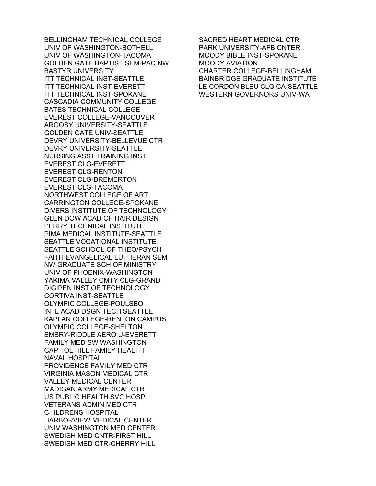BELLINGHAM TECHNICAL COLLEGE UNIV OF WASHINGTON-BOTHELL UNIV OF WASHINGTON-TACOMA GOLDEN GATE BAPTIST SEM-PAC NW BASTYR UNIVERSITY ITT TECHNICAL INST-SEATTLE ITT TECHNICAL INST-EVERETT ITT TECHNICAL INST-SPOKANE CASCADIA COMMUNITY COLLEGE BATES TECHNICAL COLLEGE EVEREST COLLEGE-VANCOUVER ARGOSY UNIVERSITY-SEATTLE GOLDEN GATE UNIV-SEATTLE DEVRY UNIVERSITY-BELLEVUE CTR DEVRY UNIVERSITY-SEATTLE NURSING ASST TRAINING INST EVEREST CLG-EVERETT EVEREST CLG-RENTON EVEREST CLG-BREMERTON EVEREST CLG-TACOMA NORTHWEST COLLEGE OF ART CARRINGTON COLLEGE-SPOKANE DIVERS INSTITUTE OF TECHNOLOGY GLEN DOW ACAD OF HAIR DESIGN PERRY TECHNICAL INSTITUTE PIMA MEDICAL INSTITUTE-SEATTLE SEATTLE VOCATIONAL INSTITUTE SEATTLE SCHOOL OF THEO/PSYCH FAITH EVANGELICAL LUTHERAN SEM NW GRADUATE SCH OF MINISTRY UNIV OF PHOENIX-WASHINGTON YAKIMA VALLEY CMTY CLG-GRAND DIGIPEN INST OF TECHNOLOGY CORTIVA INST-SEATTLE OLYMPIC COLLEGE-POULSBO INTL ACAD DSGN TECH SEATTLE KAPLAN COLLEGE-RENTON CAMPUS OLYMPIC COLLEGE-SHELTON EMBRY-RIDDLE AERO U-EVERETT FAMILY MED SW WASHINGTON CAPITOL HILL FAMILY HEALTH NAVAL HOSPITAL PROVIDENCE FAMILY MED CTR VIRGINIA MASON MEDICAL CTR VALLEY MEDICAL CENTER MADIGAN ARMY MEDICAL CTR US PUBLIC HEALTH SVC HOSP VETERANS ADMIN MED CTR CHILDRENS HOSPITAL HARBORVIEW MEDICAL CENTER UNIV WASHINGTON MED CENTER SWEDISH MED CNTR-FIRST HILL SWEDISH MED CTR-CHERRY HILL

SACRED HEART MEDICAL CTR PARK UNIVERSITY-AFB CNTER MOODY BIBLE INST-SPOKANE MOODY AVIATION CHARTER COLLEGE-BELLINGHAM BAINBRIDGE GRADUATE INSTITUTE LE CORDON BLEU CLG CA-SEATTLE WESTERN GOVERNORS UNIV-WA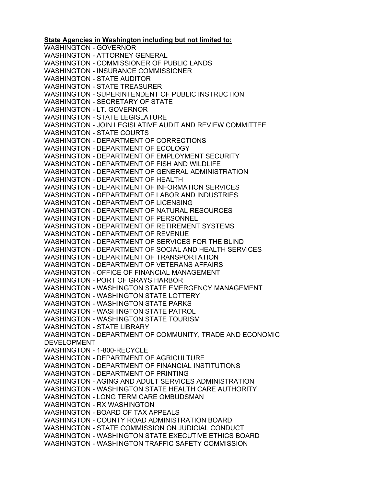**State Agencies in Washington including but not limited to:**  WASHINGTON - GOVERNOR WASHINGTON - ATTORNEY GENERAL WASHINGTON - COMMISSIONER OF PUBLIC LANDS WASHINGTON - INSURANCE COMMISSIONER WASHINGTON - STATE AUDITOR WASHINGTON - STATE TREASURER WASHINGTON - SUPERINTENDENT OF PUBLIC INSTRUCTION WASHINGTON - SECRETARY OF STATE WASHINGTON - LT. GOVERNOR WASHINGTON - STATE LEGISLATURE WASHINGTON - JOIN LEGISLATIVE AUDIT AND REVIEW COMMITTEE WASHINGTON - STATE COURTS WASHINGTON - DEPARTMENT OF CORRECTIONS WASHINGTON - DEPARTMENT OF ECOLOGY WASHINGTON - DEPARTMENT OF EMPLOYMENT SECURITY WASHINGTON - DEPARTMENT OF FISH AND WILDLIFE WASHINGTON - DEPARTMENT OF GENERAL ADMINISTRATION WASHINGTON - DEPARTMENT OF HEALTH WASHINGTON - DEPARTMENT OF INFORMATION SERVICES WASHINGTON - DEPARTMENT OF LABOR AND INDUSTRIES WASHINGTON - DEPARTMENT OF LICENSING WASHINGTON - DEPARTMENT OF NATURAL RESOURCES WASHINGTON - DEPARTMENT OF PERSONNEL WASHINGTON - DEPARTMENT OF RETIREMENT SYSTEMS WASHINGTON - DEPARTMENT OF REVENUE WASHINGTON - DEPARTMENT OF SERVICES FOR THE BLIND WASHINGTON - DEPARTMENT OF SOCIAL AND HEALTH SERVICES WASHINGTON - DEPARTMENT OF TRANSPORTATION WASHINGTON - DEPARTMENT OF VETERANS AFFAIRS WASHINGTON - OFFICE OF FINANCIAL MANAGEMENT WASHINGTON - PORT OF GRAYS HARBOR WASHINGTON - WASHINGTON STATE EMERGENCY MANAGEMENT WASHINGTON - WASHINGTON STATE LOTTERY WASHINGTON - WASHINGTON STATE PARKS WASHINGTON - WASHINGTON STATE PATROL WASHINGTON - WASHINGTON STATE TOURISM WASHINGTON - STATE LIBRARY WASHINGTON - DEPARTMENT OF COMMUNITY, TRADE AND ECONOMIC DEVELOPMENT WASHINGTON - 1-800-RECYCLE WASHINGTON - DEPARTMENT OF AGRICULTURE WASHINGTON - DEPARTMENT OF FINANCIAL INSTITUTIONS WASHINGTON - DEPARTMENT OF PRINTING WASHINGTON - AGING AND ADULT SERVICES ADMINISTRATION WASHINGTON - WASHINGTON STATE HEALTH CARE AUTHORITY WASHINGTON - LONG TERM CARE OMBUDSMAN WASHINGTON - RX WASHINGTON WASHINGTON - BOARD OF TAX APPEALS WASHINGTON - COUNTY ROAD ADMINISTRATION BOARD WASHINGTON - STATE COMMISSION ON JUDICIAL CONDUCT WASHINGTON - WASHINGTON STATE EXECUTIVE ETHICS BOARD WASHINGTON - WASHINGTON TRAFFIC SAFETY COMMISSION